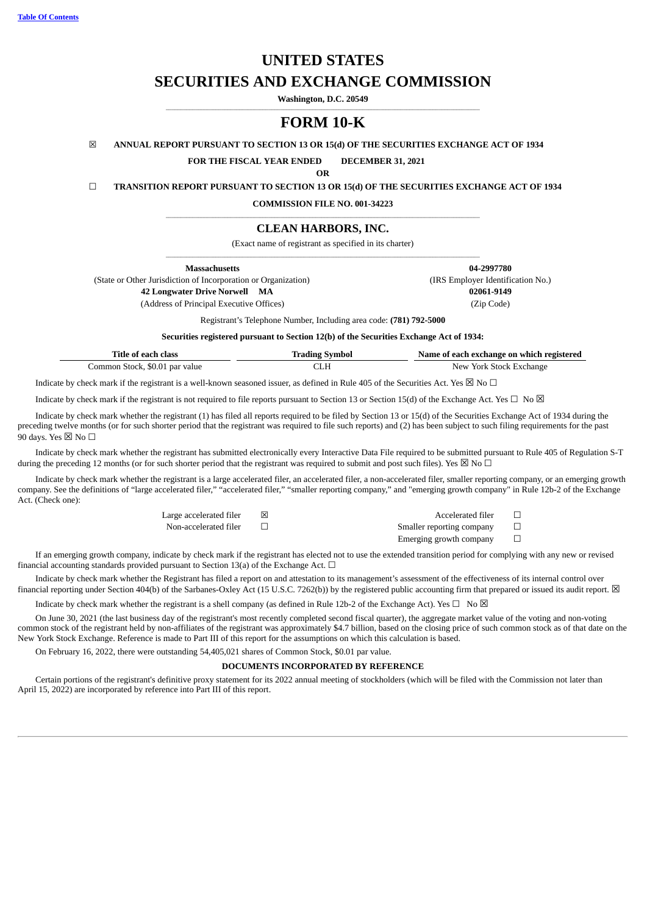**Table Of [Contents](#page-0-0)**

# **UNITED STATES**

# **SECURITIES AND EXCHANGE COMMISSION**

**Washington, D.C. 20549**  $\_$  , and the set of the set of the set of the set of the set of the set of the set of the set of the set of the set of the set of the set of the set of the set of the set of the set of the set of the set of the set of th

# **FORM 10-K**

☒ **ANNUAL REPORT PURSUANT TO SECTION 13 OR 15(d) OF THE SECURITIES EXCHANGE ACT OF 1934**

**FOR THE FISCAL YEAR ENDED DECEMBER 31, 2021**

**OR**

☐ **TRANSITION REPORT PURSUANT TO SECTION 13 OR 15(d) OF THE SECURITIES EXCHANGE ACT OF 1934**

**COMMISSION FILE NO. 001-34223**  $\_$  , and the set of the set of the set of the set of the set of the set of the set of the set of the set of the set of the set of the set of the set of the set of the set of the set of the set of the set of the set of th

# **CLEAN HARBORS, INC.**

(Exact name of registrant as specified in its charter)  $\_$  , and the set of the set of the set of the set of the set of the set of the set of the set of the set of the set of the set of the set of the set of the set of the set of the set of the set of the set of the set of th

**Massachusetts 04-2997780**

(State or Other Jurisdiction of Incorporation or Organization) (IRS Employer Identification No.) **42 Longwater Drive Norwell MA 02061-9149**

(Address of Principal Executive Offices) (Zip Code)

Registrant's Telephone Number, Including area code: **(781) 792-5000**

**Securities registered pursuant to Section 12(b) of the Securities Exchange Act of 1934:**

| Title of each class            | Trading Symbol | Name of each exchange on which registered |
|--------------------------------|----------------|-------------------------------------------|
| Common Stock, \$0.01 par value |                | New York Stock Exchange                   |

Indicate by check mark if the registrant is a well-known seasoned issuer, as defined in Rule 405 of the Securities Act. Yes  $\boxtimes$  No  $\Box$ 

Indicate by check mark if the registrant is not required to file reports pursuant to Section 13 or Section 15(d) of the Exchange Act. Yes  $\Box$  No  $\boxtimes$ 

Indicate by check mark whether the registrant (1) has filed all reports required to be filed by Section 13 or 15(d) of the Securities Exchange Act of 1934 during the preceding twelve months (or for such shorter period that the registrant was required to file such reports) and (2) has been subject to such filing requirements for the past 90 days. Yes  $\boxtimes$  No  $\Box$ 

Indicate by check mark whether the registrant has submitted electronically every Interactive Data File required to be submitted pursuant to Rule 405 of Regulation S-T during the preceding 12 months (or for such shorter period that the registrant was required to submit and post such files). Yes  $\boxtimes$  No  $\Box$ 

Indicate by check mark whether the registrant is a large accelerated filer, an accelerated filer, a non-accelerated filer, smaller reporting company, or an emerging growth company. See the definitions of "large accelerated filer," "accelerated filer," "smaller reporting company," and "emerging growth company" in Rule 12b-2 of the Exchange Act. (Check one):

| Large accelerated filer | Accelerated filer         |  |
|-------------------------|---------------------------|--|
| Non-accelerated filer   | Smaller reporting company |  |
|                         | Emerging growth company   |  |

If an emerging growth company, indicate by check mark if the registrant has elected not to use the extended transition period for complying with any new or revised financial accounting standards provided pursuant to Section 13(a) of the Exchange Act.  $\Box$ 

Indicate by check mark whether the Registrant has filed a report on and attestation to its management's assessment of the effectiveness of its internal control over financial reporting under Section 404(b) of the Sarbanes-Oxley Act (15 U.S.C. 7262(b)) by the registered public accounting firm that prepared or issued its audit report.  $\boxtimes$ 

Indicate by check mark whether the registrant is a shell company (as defined in Rule 12b-2 of the Exchange Act). Yes  $\Box$  No  $\boxtimes$ 

On June 30, 2021 (the last business day of the registrant's most recently completed second fiscal quarter), the aggregate market value of the voting and non-voting common stock of the registrant held by non-affiliates of the registrant was approximately \$4.7 billion, based on the closing price of such common stock as of that date on the New York Stock Exchange. Reference is made to Part III of this report for the assumptions on which this calculation is based.

On February 16, 2022, there were outstanding 54,405,021 shares of Common Stock, \$0.01 par value.

#### **DOCUMENTS INCORPORATED BY REFERENCE**

<span id="page-0-0"></span>Certain portions of the registrant's definitive proxy statement for its 2022 annual meeting of stockholders (which will be filed with the Commission not later than April 15, 2022) are incorporated by reference into Part III of this report.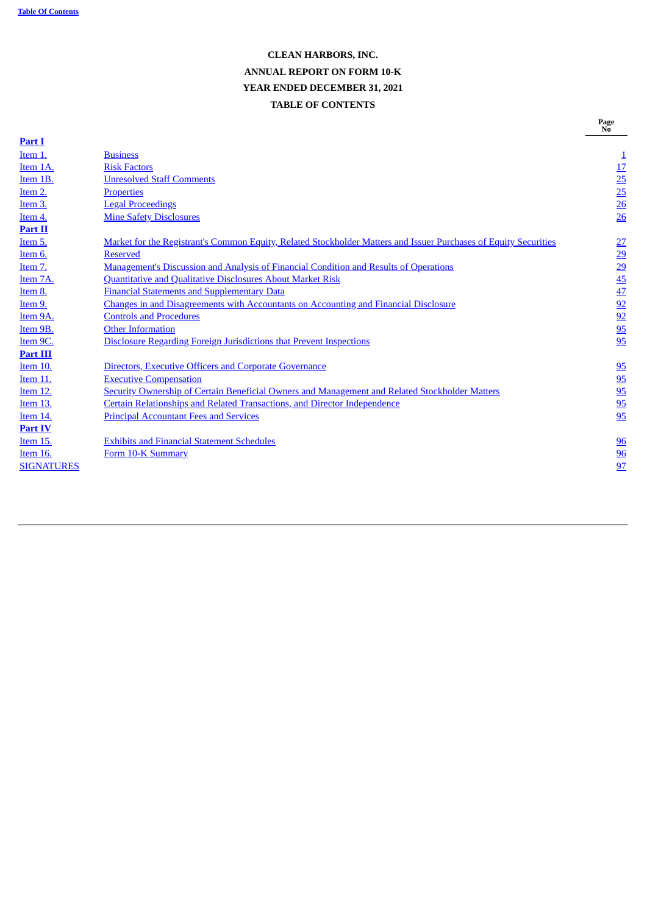# **CLEAN HARBORS, INC. ANNUAL REPORT ON FORM 10-K YEAR ENDED DECEMBER 31, 2021 TABLE OF CONTENTS**

| Part I            |                                                                                                                  | .                                                               |
|-------------------|------------------------------------------------------------------------------------------------------------------|-----------------------------------------------------------------|
| Item 1.           | <b>Business</b>                                                                                                  | $\overline{1}$                                                  |
| Item 1A.          | <b>Risk Factors</b>                                                                                              |                                                                 |
| Item 1B.          | <b>Unresolved Staff Comments</b>                                                                                 |                                                                 |
| Item 2.           | <b>Properties</b>                                                                                                |                                                                 |
| Item 3.           | <b>Legal Proceedings</b>                                                                                         | $\frac{17}{25}$ $\frac{25}{26}$ $\frac{26}{26}$                 |
| Item 4.           | <b>Mine Safety Disclosures</b>                                                                                   |                                                                 |
| Part II           |                                                                                                                  |                                                                 |
| Item 5.           | Market for the Registrant's Common Equity, Related Stockholder Matters and Issuer Purchases of Equity Securities | 27                                                              |
| Item 6.           | <b>Reserved</b>                                                                                                  | $\overline{29}$                                                 |
| Item 7.           | <b>Management's Discussion and Analysis of Financial Condition and Results of Operations</b>                     |                                                                 |
| Item 7A.          | <b>Quantitative and Qualitative Disclosures About Market Risk</b>                                                |                                                                 |
| Item 8.           | <b>Financial Statements and Supplementary Data</b>                                                               | $\frac{29}{45}$ $\frac{45}{22}$ $\frac{92}{95}$ $\frac{95}{95}$ |
| Item 9.           | <b>Changes in and Disagreements with Accountants on Accounting and Financial Disclosure</b>                      |                                                                 |
| Item 9A.          | <b>Controls and Procedures</b>                                                                                   |                                                                 |
| Item 9B.          | <b>Other Information</b>                                                                                         |                                                                 |
| Item 9C.          | <b>Disclosure Regarding Foreign Jurisdictions that Prevent Inspections</b>                                       |                                                                 |
| <b>Part III</b>   |                                                                                                                  |                                                                 |
| Item 10.          | Directors, Executive Officers and Corporate Governance                                                           | $\frac{95}{2}$                                                  |
| <b>Item 11.</b>   | <b>Executive Compensation</b>                                                                                    |                                                                 |
| Item 12.          | Security Ownership of Certain Beneficial Owners and Management and Related Stockholder Matters                   |                                                                 |
| Item 13.          | <b>Certain Relationships and Related Transactions, and Director Independence</b>                                 |                                                                 |
| Item 14.          | <b>Principal Accountant Fees and Services</b>                                                                    | $\frac{95}{95}$<br>$\frac{95}{95}$                              |
| <b>Part IV</b>    |                                                                                                                  |                                                                 |
| Item 15.          | <b>Exhibits and Financial Statement Schedules</b>                                                                | $\frac{96}{5}$                                                  |
| Item 16.          | Form 10-K Summary                                                                                                | 96                                                              |
| <b>SIGNATURES</b> |                                                                                                                  | 97                                                              |
|                   |                                                                                                                  |                                                                 |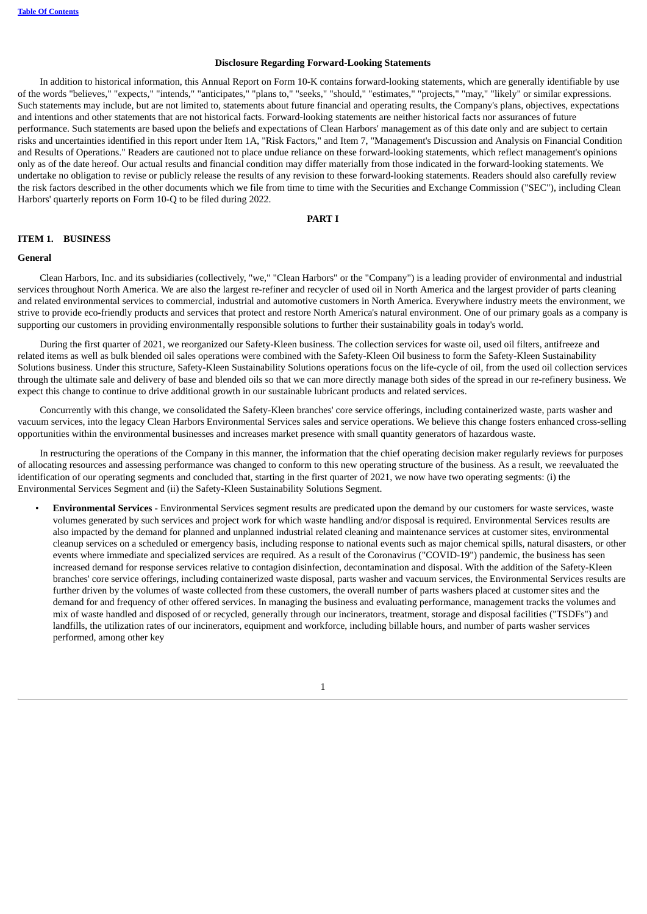#### **Disclosure Regarding Forward-Looking Statements**

In addition to historical information, this Annual Report on Form 10-K contains forward-looking statements, which are generally identifiable by use of the words "believes," "expects," "intends," "anticipates," "plans to," "seeks," "should," "estimates," "projects," "may," "likely" or similar expressions. Such statements may include, but are not limited to, statements about future financial and operating results, the Company's plans, objectives, expectations and intentions and other statements that are not historical facts. Forward-looking statements are neither historical facts nor assurances of future performance. Such statements are based upon the beliefs and expectations of Clean Harbors' management as of this date only and are subject to certain risks and uncertainties identified in this report under Item 1A, "Risk Factors," and Item 7, "Management's Discussion and Analysis on Financial Condition and Results of Operations." Readers are cautioned not to place undue reliance on these forward-looking statements, which reflect management's opinions only as of the date hereof. Our actual results and financial condition may differ materially from those indicated in the forward-looking statements. We undertake no obligation to revise or publicly release the results of any revision to these forward-looking statements. Readers should also carefully review the risk factors described in the other documents which we file from time to time with the Securities and Exchange Commission ("SEC"), including Clean Harbors' quarterly reports on Form 10-Q to be filed during 2022.

# **PART I**

#### <span id="page-2-1"></span><span id="page-2-0"></span>**ITEM 1. BUSINESS**

#### **General**

Clean Harbors, Inc. and its subsidiaries (collectively, "we," "Clean Harbors" or the "Company") is a leading provider of environmental and industrial services throughout North America. We are also the largest re-refiner and recycler of used oil in North America and the largest provider of parts cleaning and related environmental services to commercial, industrial and automotive customers in North America. Everywhere industry meets the environment, we strive to provide eco-friendly products and services that protect and restore North America's natural environment. One of our primary goals as a company is supporting our customers in providing environmentally responsible solutions to further their sustainability goals in today's world.

During the first quarter of 2021, we reorganized our Safety-Kleen business. The collection services for waste oil, used oil filters, antifreeze and related items as well as bulk blended oil sales operations were combined with the Safety-Kleen Oil business to form the Safety-Kleen Sustainability Solutions business. Under this structure, Safety-Kleen Sustainability Solutions operations focus on the life-cycle of oil, from the used oil collection services through the ultimate sale and delivery of base and blended oils so that we can more directly manage both sides of the spread in our re-refinery business. We expect this change to continue to drive additional growth in our sustainable lubricant products and related services.

Concurrently with this change, we consolidated the Safety-Kleen branches' core service offerings, including containerized waste, parts washer and vacuum services, into the legacy Clean Harbors Environmental Services sales and service operations. We believe this change fosters enhanced cross-selling opportunities within the environmental businesses and increases market presence with small quantity generators of hazardous waste.

In restructuring the operations of the Company in this manner, the information that the chief operating decision maker regularly reviews for purposes of allocating resources and assessing performance was changed to conform to this new operating structure of the business. As a result, we reevaluated the identification of our operating segments and concluded that, starting in the first quarter of 2021, we now have two operating segments: (i) the Environmental Services Segment and (ii) the Safety-Kleen Sustainability Solutions Segment.

• **Environmental Services -** Environmental Services segment results are predicated upon the demand by our customers for waste services, waste volumes generated by such services and project work for which waste handling and/or disposal is required. Environmental Services results are also impacted by the demand for planned and unplanned industrial related cleaning and maintenance services at customer sites, environmental cleanup services on a scheduled or emergency basis, including response to national events such as major chemical spills, natural disasters, or other events where immediate and specialized services are required. As a result of the Coronavirus ("COVID-19") pandemic, the business has seen increased demand for response services relative to contagion disinfection, decontamination and disposal. With the addition of the Safety-Kleen branches' core service offerings, including containerized waste disposal, parts washer and vacuum services, the Environmental Services results are further driven by the volumes of waste collected from these customers, the overall number of parts washers placed at customer sites and the demand for and frequency of other offered services. In managing the business and evaluating performance, management tracks the volumes and mix of waste handled and disposed of or recycled, generally through our incinerators, treatment, storage and disposal facilities ("TSDFs") and landfills, the utilization rates of our incinerators, equipment and workforce, including billable hours, and number of parts washer services performed, among other key

1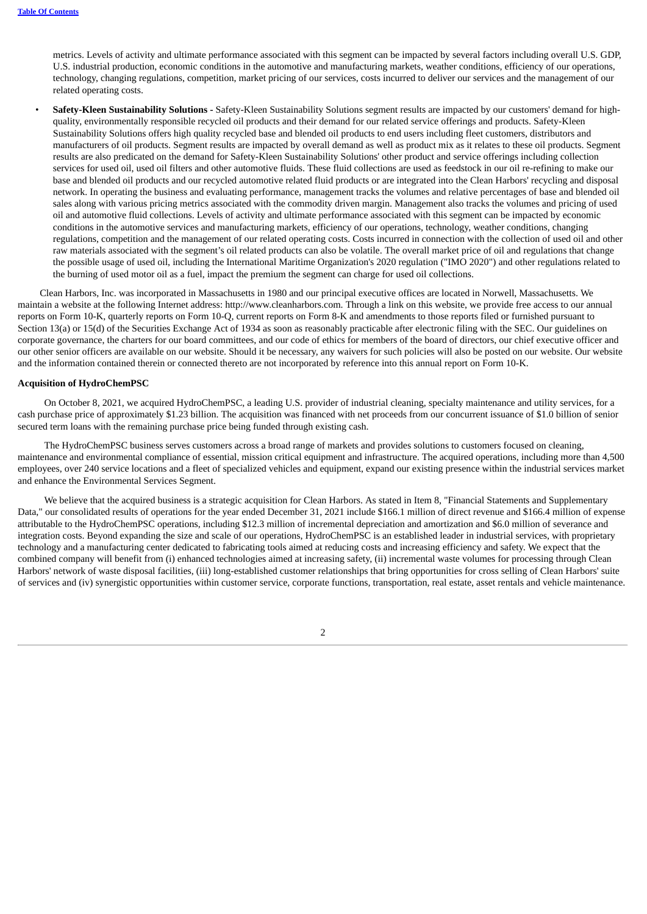metrics. Levels of activity and ultimate performance associated with this segment can be impacted by several factors including overall U.S. GDP, U.S. industrial production, economic conditions in the automotive and manufacturing markets, weather conditions, efficiency of our operations, technology, changing regulations, competition, market pricing of our services, costs incurred to deliver our services and the management of our related operating costs.

• **Safety-Kleen Sustainability Solutions -** Safety-Kleen Sustainability Solutions segment results are impacted by our customers' demand for highquality, environmentally responsible recycled oil products and their demand for our related service offerings and products. Safety-Kleen Sustainability Solutions offers high quality recycled base and blended oil products to end users including fleet customers, distributors and manufacturers of oil products. Segment results are impacted by overall demand as well as product mix as it relates to these oil products. Segment results are also predicated on the demand for Safety-Kleen Sustainability Solutions' other product and service offerings including collection services for used oil, used oil filters and other automotive fluids. These fluid collections are used as feedstock in our oil re-refining to make our base and blended oil products and our recycled automotive related fluid products or are integrated into the Clean Harbors' recycling and disposal network. In operating the business and evaluating performance, management tracks the volumes and relative percentages of base and blended oil sales along with various pricing metrics associated with the commodity driven margin. Management also tracks the volumes and pricing of used oil and automotive fluid collections. Levels of activity and ultimate performance associated with this segment can be impacted by economic conditions in the automotive services and manufacturing markets, efficiency of our operations, technology, weather conditions, changing regulations, competition and the management of our related operating costs. Costs incurred in connection with the collection of used oil and other raw materials associated with the segment's oil related products can also be volatile. The overall market price of oil and regulations that change the possible usage of used oil, including the International Maritime Organization's 2020 regulation ("IMO 2020") and other regulations related to the burning of used motor oil as a fuel, impact the premium the segment can charge for used oil collections.

Clean Harbors, Inc. was incorporated in Massachusetts in 1980 and our principal executive offices are located in Norwell, Massachusetts. We maintain a website at the following Internet address: http://www.cleanharbors.com. Through a link on this website, we provide free access to our annual reports on Form 10-K, quarterly reports on Form 10-Q, current reports on Form 8-K and amendments to those reports filed or furnished pursuant to Section 13(a) or 15(d) of the Securities Exchange Act of 1934 as soon as reasonably practicable after electronic filing with the SEC. Our guidelines on corporate governance, the charters for our board committees, and our code of ethics for members of the board of directors, our chief executive officer and our other senior officers are available on our website. Should it be necessary, any waivers for such policies will also be posted on our website. Our website and the information contained therein or connected thereto are not incorporated by reference into this annual report on Form 10-K.

#### **Acquisition of HydroChemPSC**

On October 8, 2021, we acquired HydroChemPSC, a leading U.S. provider of industrial cleaning, specialty maintenance and utility services, for a cash purchase price of approximately \$1.23 billion. The acquisition was financed with net proceeds from our concurrent issuance of \$1.0 billion of senior secured term loans with the remaining purchase price being funded through existing cash.

The HydroChemPSC business serves customers across a broad range of markets and provides solutions to customers focused on cleaning, maintenance and environmental compliance of essential, mission critical equipment and infrastructure. The acquired operations, including more than 4,500 employees, over 240 service locations and a fleet of specialized vehicles and equipment, expand our existing presence within the industrial services market and enhance the Environmental Services Segment.

We believe that the acquired business is a strategic acquisition for Clean Harbors. As stated in Item 8, "Financial Statements and Supplementary Data," our consolidated results of operations for the year ended December 31, 2021 include \$166.1 million of direct revenue and \$166.4 million of expense attributable to the HydroChemPSC operations, including \$12.3 million of incremental depreciation and amortization and \$6.0 million of severance and integration costs. Beyond expanding the size and scale of our operations, HydroChemPSC is an established leader in industrial services, with proprietary technology and a manufacturing center dedicated to fabricating tools aimed at reducing costs and increasing efficiency and safety. We expect that the combined company will benefit from (i) enhanced technologies aimed at increasing safety, (ii) incremental waste volumes for processing through Clean Harbors' network of waste disposal facilities, (iii) long-established customer relationships that bring opportunities for cross selling of Clean Harbors' suite of services and (iv) synergistic opportunities within customer service, corporate functions, transportation, real estate, asset rentals and vehicle maintenance.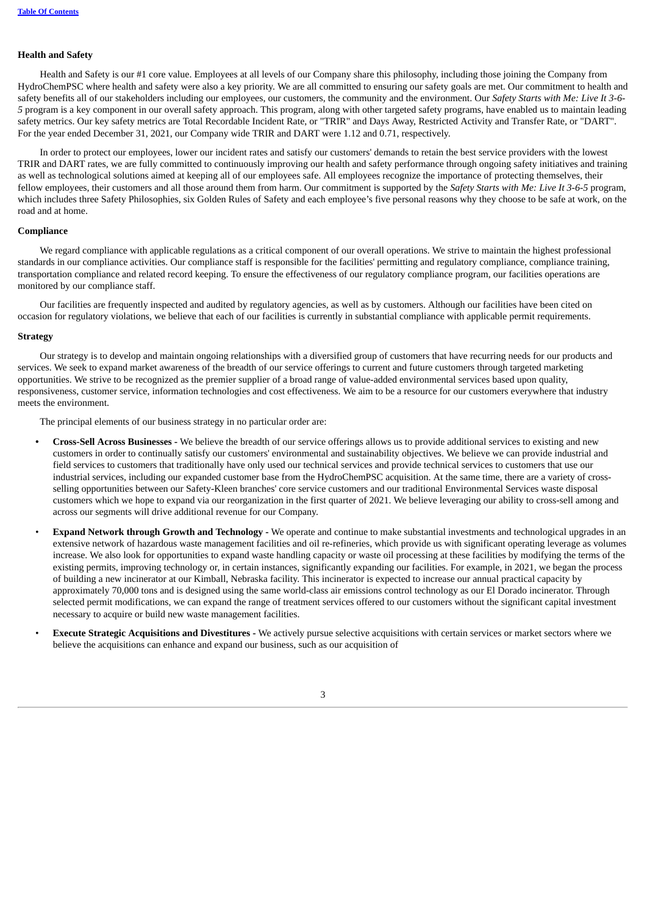## **Health and Safety**

Health and Safety is our #1 core value. Employees at all levels of our Company share this philosophy, including those joining the Company from HydroChemPSC where health and safety were also a key priority. We are all committed to ensuring our safety goals are met. Our commitment to health and safety benefits all of our stakeholders including our employees, our customers, the community and the environment. Our *Safety Starts with Me: Live It 3-6- 5* program is a key component in our overall safety approach. This program, along with other targeted safety programs, have enabled us to maintain leading safety metrics. Our key safety metrics are Total Recordable Incident Rate, or "TRIR" and Days Away, Restricted Activity and Transfer Rate, or "DART". For the year ended December 31, 2021, our Company wide TRIR and DART were 1.12 and 0.71, respectively.

In order to protect our employees, lower our incident rates and satisfy our customers' demands to retain the best service providers with the lowest TRIR and DART rates, we are fully committed to continuously improving our health and safety performance through ongoing safety initiatives and training as well as technological solutions aimed at keeping all of our employees safe. All employees recognize the importance of protecting themselves, their fellow employees, their customers and all those around them from harm. Our commitment is supported by the *Safety Starts with Me: Live It 3-6-5* program, which includes three Safety Philosophies, six Golden Rules of Safety and each employee's five personal reasons why they choose to be safe at work, on the road and at home.

# **Compliance**

We regard compliance with applicable regulations as a critical component of our overall operations. We strive to maintain the highest professional standards in our compliance activities. Our compliance staff is responsible for the facilities' permitting and regulatory compliance, compliance training, transportation compliance and related record keeping. To ensure the effectiveness of our regulatory compliance program, our facilities operations are monitored by our compliance staff.

Our facilities are frequently inspected and audited by regulatory agencies, as well as by customers. Although our facilities have been cited on occasion for regulatory violations, we believe that each of our facilities is currently in substantial compliance with applicable permit requirements.

### **Strategy**

Our strategy is to develop and maintain ongoing relationships with a diversified group of customers that have recurring needs for our products and services. We seek to expand market awareness of the breadth of our service offerings to current and future customers through targeted marketing opportunities. We strive to be recognized as the premier supplier of a broad range of value-added environmental services based upon quality, responsiveness, customer service, information technologies and cost effectiveness. We aim to be a resource for our customers everywhere that industry meets the environment.

The principal elements of our business strategy in no particular order are:

- **• Cross-Sell Across Businesses -** We believe the breadth of our service offerings allows us to provide additional services to existing and new customers in order to continually satisfy our customers' environmental and sustainability objectives. We believe we can provide industrial and field services to customers that traditionally have only used our technical services and provide technical services to customers that use our industrial services, including our expanded customer base from the HydroChemPSC acquisition. At the same time, there are a variety of crossselling opportunities between our Safety-Kleen branches' core service customers and our traditional Environmental Services waste disposal customers which we hope to expand via our reorganization in the first quarter of 2021. We believe leveraging our ability to cross-sell among and across our segments will drive additional revenue for our Company.
- **Expand Network through Growth and Technology -** We operate and continue to make substantial investments and technological upgrades in an extensive network of hazardous waste management facilities and oil re-refineries, which provide us with significant operating leverage as volumes increase. We also look for opportunities to expand waste handling capacity or waste oil processing at these facilities by modifying the terms of the existing permits, improving technology or, in certain instances, significantly expanding our facilities. For example, in 2021, we began the process of building a new incinerator at our Kimball, Nebraska facility. This incinerator is expected to increase our annual practical capacity by approximately 70,000 tons and is designed using the same world-class air emissions control technology as our El Dorado incinerator. Through selected permit modifications, we can expand the range of treatment services offered to our customers without the significant capital investment necessary to acquire or build new waste management facilities.
- **Execute Strategic Acquisitions and Divestitures -** We actively pursue selective acquisitions with certain services or market sectors where we believe the acquisitions can enhance and expand our business, such as our acquisition of

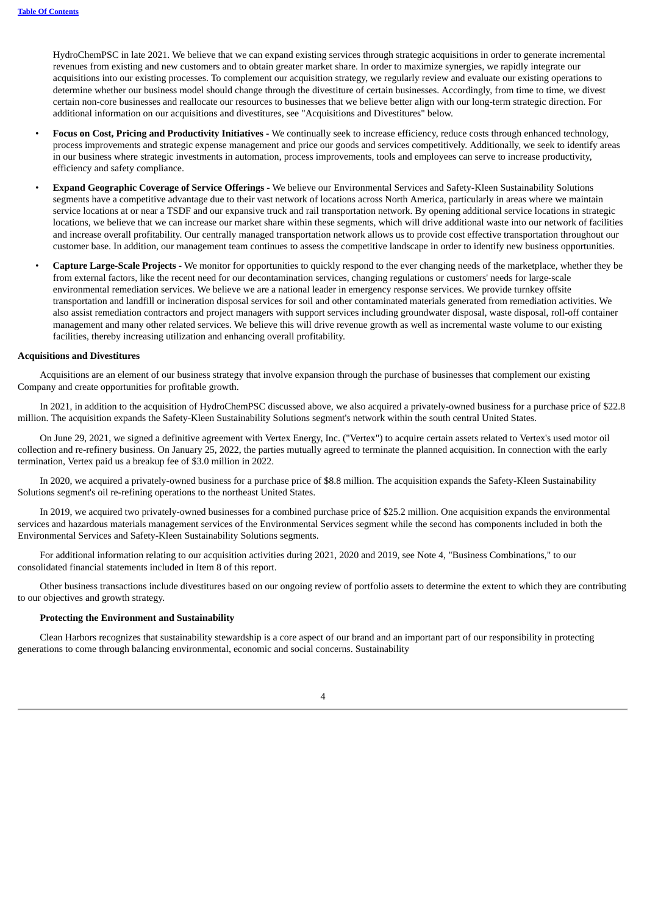HydroChemPSC in late 2021. We believe that we can expand existing services through strategic acquisitions in order to generate incremental revenues from existing and new customers and to obtain greater market share. In order to maximize synergies, we rapidly integrate our acquisitions into our existing processes. To complement our acquisition strategy, we regularly review and evaluate our existing operations to determine whether our business model should change through the divestiture of certain businesses. Accordingly, from time to time, we divest certain non-core businesses and reallocate our resources to businesses that we believe better align with our long-term strategic direction. For additional information on our acquisitions and divestitures, see "Acquisitions and Divestitures" below.

- **Focus on Cost, Pricing and Productivity Initiatives -** We continually seek to increase efficiency, reduce costs through enhanced technology, process improvements and strategic expense management and price our goods and services competitively. Additionally, we seek to identify areas in our business where strategic investments in automation, process improvements, tools and employees can serve to increase productivity, efficiency and safety compliance.
- **Expand Geographic Coverage of Service Offerings -** We believe our Environmental Services and Safety-Kleen Sustainability Solutions segments have a competitive advantage due to their vast network of locations across North America, particularly in areas where we maintain service locations at or near a TSDF and our expansive truck and rail transportation network. By opening additional service locations in strategic locations, we believe that we can increase our market share within these segments, which will drive additional waste into our network of facilities and increase overall profitability. Our centrally managed transportation network allows us to provide cost effective transportation throughout our customer base. In addition, our management team continues to assess the competitive landscape in order to identify new business opportunities.
- **Capture Large-Scale Projects -** We monitor for opportunities to quickly respond to the ever changing needs of the marketplace, whether they be from external factors, like the recent need for our decontamination services, changing regulations or customers' needs for large-scale environmental remediation services. We believe we are a national leader in emergency response services. We provide turnkey offsite transportation and landfill or incineration disposal services for soil and other contaminated materials generated from remediation activities. We also assist remediation contractors and project managers with support services including groundwater disposal, waste disposal, roll-off container management and many other related services. We believe this will drive revenue growth as well as incremental waste volume to our existing facilities, thereby increasing utilization and enhancing overall profitability.

#### **Acquisitions and Divestitures**

Acquisitions are an element of our business strategy that involve expansion through the purchase of businesses that complement our existing Company and create opportunities for profitable growth.

In 2021, in addition to the acquisition of HydroChemPSC discussed above, we also acquired a privately-owned business for a purchase price of \$22.8 million. The acquisition expands the Safety-Kleen Sustainability Solutions segment's network within the south central United States.

On June 29, 2021, we signed a definitive agreement with Vertex Energy, Inc. ("Vertex") to acquire certain assets related to Vertex's used motor oil collection and re-refinery business. On January 25, 2022, the parties mutually agreed to terminate the planned acquisition. In connection with the early termination, Vertex paid us a breakup fee of \$3.0 million in 2022.

In 2020, we acquired a privately-owned business for a purchase price of \$8.8 million. The acquisition expands the Safety-Kleen Sustainability Solutions segment's oil re-refining operations to the northeast United States.

In 2019, we acquired two privately-owned businesses for a combined purchase price of \$25.2 million. One acquisition expands the environmental services and hazardous materials management services of the Environmental Services segment while the second has components included in both the Environmental Services and Safety-Kleen Sustainability Solutions segments.

For additional information relating to our acquisition activities during 2021, 2020 and 2019, see Note 4, "Business Combinations," to our consolidated financial statements included in Item 8 of this report.

Other business transactions include divestitures based on our ongoing review of portfolio assets to determine the extent to which they are contributing to our objectives and growth strategy.

#### **Protecting the Environment and Sustainability**

Clean Harbors recognizes that sustainability stewardship is a core aspect of our brand and an important part of our responsibility in protecting generations to come through balancing environmental, economic and social concerns. Sustainability

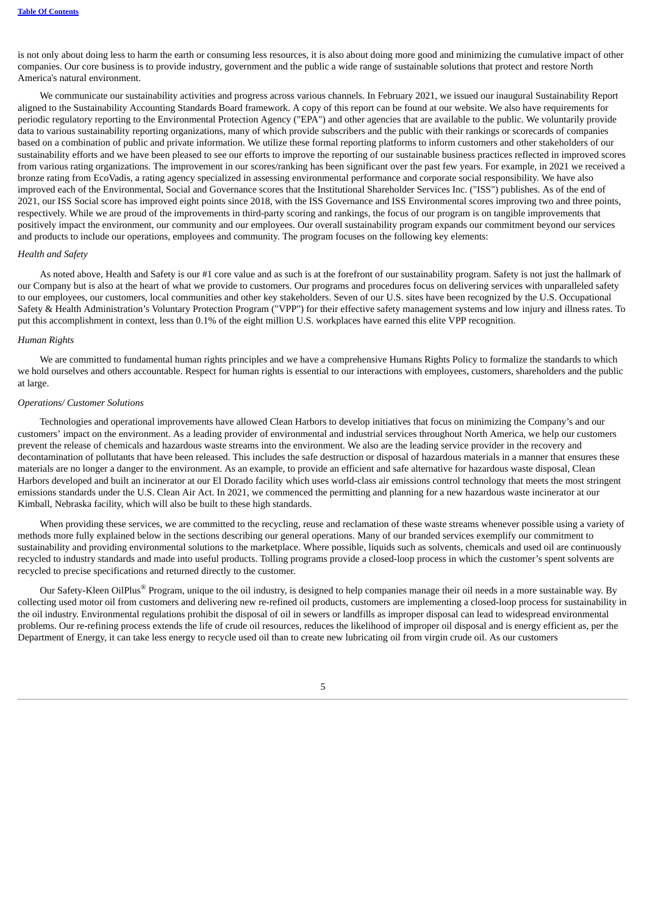is not only about doing less to harm the earth or consuming less resources, it is also about doing more good and minimizing the cumulative impact of other companies. Our core business is to provide industry, government and the public a wide range of sustainable solutions that protect and restore North America's natural environment.

We communicate our sustainability activities and progress across various channels. In February 2021, we issued our inaugural Sustainability Report aligned to the Sustainability Accounting Standards Board framework. A copy of this report can be found at our website. We also have requirements for periodic regulatory reporting to the Environmental Protection Agency ("EPA") and other agencies that are available to the public. We voluntarily provide data to various sustainability reporting organizations, many of which provide subscribers and the public with their rankings or scorecards of companies based on a combination of public and private information. We utilize these formal reporting platforms to inform customers and other stakeholders of our sustainability efforts and we have been pleased to see our efforts to improve the reporting of our sustainable business practices reflected in improved scores from various rating organizations. The improvement in our scores/ranking has been significant over the past few years. For example, in 2021 we received a bronze rating from EcoVadis, a rating agency specialized in assessing environmental performance and corporate social responsibility. We have also improved each of the Environmental, Social and Governance scores that the Institutional Shareholder Services Inc. ("ISS") publishes. As of the end of 2021, our ISS Social score has improved eight points since 2018, with the ISS Governance and ISS Environmental scores improving two and three points, respectively. While we are proud of the improvements in third-party scoring and rankings, the focus of our program is on tangible improvements that positively impact the environment, our community and our employees. Our overall sustainability program expands our commitment beyond our services and products to include our operations, employees and community. The program focuses on the following key elements:

## *Health and Safety*

As noted above, Health and Safety is our #1 core value and as such is at the forefront of our sustainability program. Safety is not just the hallmark of our Company but is also at the heart of what we provide to customers. Our programs and procedures focus on delivering services with unparalleled safety to our employees, our customers, local communities and other key stakeholders. Seven of our U.S. sites have been recognized by the U.S. Occupational Safety & Health Administration's Voluntary Protection Program ("VPP") for their effective safety management systems and low injury and illness rates. To put this accomplishment in context, less than 0.1% of the eight million U.S. workplaces have earned this elite VPP recognition.

#### *Human Rights*

We are committed to fundamental human rights principles and we have a comprehensive Humans Rights Policy to formalize the standards to which we hold ourselves and others accountable. Respect for human rights is essential to our interactions with employees, customers, shareholders and the public at large.

# *Operations/ Customer Solutions*

Technologies and operational improvements have allowed Clean Harbors to develop initiatives that focus on minimizing the Company's and our customers' impact on the environment. As a leading provider of environmental and industrial services throughout North America, we help our customers prevent the release of chemicals and hazardous waste streams into the environment. We also are the leading service provider in the recovery and decontamination of pollutants that have been released. This includes the safe destruction or disposal of hazardous materials in a manner that ensures these materials are no longer a danger to the environment. As an example, to provide an efficient and safe alternative for hazardous waste disposal, Clean Harbors developed and built an incinerator at our El Dorado facility which uses world-class air emissions control technology that meets the most stringent emissions standards under the U.S. Clean Air Act. In 2021, we commenced the permitting and planning for a new hazardous waste incinerator at our Kimball, Nebraska facility, which will also be built to these high standards.

When providing these services, we are committed to the recycling, reuse and reclamation of these waste streams whenever possible using a variety of methods more fully explained below in the sections describing our general operations. Many of our branded services exemplify our commitment to sustainability and providing environmental solutions to the marketplace. Where possible, liquids such as solvents, chemicals and used oil are continuously recycled to industry standards and made into useful products. Tolling programs provide a closed-loop process in which the customer's spent solvents are recycled to precise specifications and returned directly to the customer.

Our Safety-Kleen OilPlus® Program, unique to the oil industry, is designed to help companies manage their oil needs in a more sustainable way. By collecting used motor oil from customers and delivering new re-refined oil products, customers are implementing a closed-loop process for sustainability in the oil industry. Environmental regulations prohibit the disposal of oil in sewers or landfills as improper disposal can lead to widespread environmental problems. Our re-refining process extends the life of crude oil resources, reduces the likelihood of improper oil disposal and is energy efficient as, per the Department of Energy, it can take less energy to recycle used oil than to create new lubricating oil from virgin crude oil. As our customers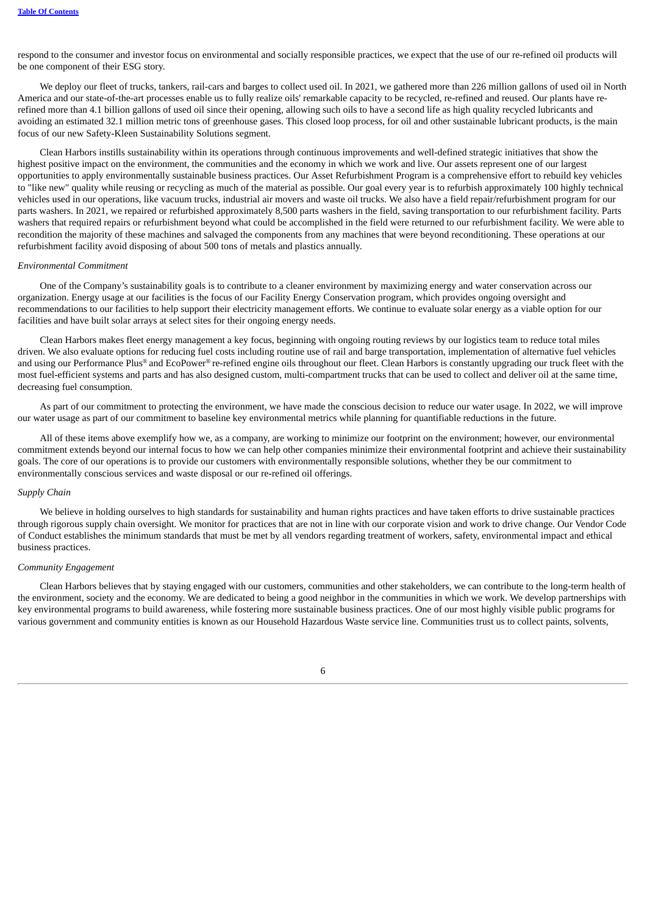respond to the consumer and investor focus on environmental and socially responsible practices, we expect that the use of our re-refined oil products will be one component of their ESG story.

We deploy our fleet of trucks, tankers, rail-cars and barges to collect used oil. In 2021, we gathered more than 226 million gallons of used oil in North America and our state-of-the-art processes enable us to fully realize oils' remarkable capacity to be recycled, re-refined and reused. Our plants have rerefined more than 4.1 billion gallons of used oil since their opening, allowing such oils to have a second life as high quality recycled lubricants and avoiding an estimated 32.1 million metric tons of greenhouse gases. This closed loop process, for oil and other sustainable lubricant products, is the main focus of our new Safety-Kleen Sustainability Solutions segment.

Clean Harbors instills sustainability within its operations through continuous improvements and well-defined strategic initiatives that show the highest positive impact on the environment, the communities and the economy in which we work and live. Our assets represent one of our largest opportunities to apply environmentally sustainable business practices. Our Asset Refurbishment Program is a comprehensive effort to rebuild key vehicles to "like new" quality while reusing or recycling as much of the material as possible. Our goal every year is to refurbish approximately 100 highly technical vehicles used in our operations, like vacuum trucks, industrial air movers and waste oil trucks. We also have a field repair/refurbishment program for our parts washers. In 2021, we repaired or refurbished approximately 8,500 parts washers in the field, saving transportation to our refurbishment facility. Parts washers that required repairs or refurbishment beyond what could be accomplished in the field were returned to our refurbishment facility. We were able to recondition the majority of these machines and salvaged the components from any machines that were beyond reconditioning. These operations at our refurbishment facility avoid disposing of about 500 tons of metals and plastics annually.

#### *Environmental Commitment*

One of the Company's sustainability goals is to contribute to a cleaner environment by maximizing energy and water conservation across our organization. Energy usage at our facilities is the focus of our Facility Energy Conservation program, which provides ongoing oversight and recommendations to our facilities to help support their electricity management efforts. We continue to evaluate solar energy as a viable option for our facilities and have built solar arrays at select sites for their ongoing energy needs.

Clean Harbors makes fleet energy management a key focus, beginning with ongoing routing reviews by our logistics team to reduce total miles driven. We also evaluate options for reducing fuel costs including routine use of rail and barge transportation, implementation of alternative fuel vehicles and using our Performance Plus® and EcoPower® re-refined engine oils throughout our fleet. Clean Harbors is constantly upgrading our truck fleet with the most fuel-efficient systems and parts and has also designed custom, multi-compartment trucks that can be used to collect and deliver oil at the same time, decreasing fuel consumption.

As part of our commitment to protecting the environment, we have made the conscious decision to reduce our water usage. In 2022, we will improve our water usage as part of our commitment to baseline key environmental metrics while planning for quantifiable reductions in the future.

All of these items above exemplify how we, as a company, are working to minimize our footprint on the environment; however, our environmental commitment extends beyond our internal focus to how we can help other companies minimize their environmental footprint and achieve their sustainability goals. The core of our operations is to provide our customers with environmentally responsible solutions, whether they be our commitment to environmentally conscious services and waste disposal or our re-refined oil offerings.

## *Supply Chain*

We believe in holding ourselves to high standards for sustainability and human rights practices and have taken efforts to drive sustainable practices through rigorous supply chain oversight. We monitor for practices that are not in line with our corporate vision and work to drive change. Our Vendor Code of Conduct establishes the minimum standards that must be met by all vendors regarding treatment of workers, safety, environmental impact and ethical business practices.

## *Community Engagement*

Clean Harbors believes that by staying engaged with our customers, communities and other stakeholders, we can contribute to the long-term health of the environment, society and the economy. We are dedicated to being a good neighbor in the communities in which we work. We develop partnerships with key environmental programs to build awareness, while fostering more sustainable business practices. One of our most highly visible public programs for various government and community entities is known as our Household Hazardous Waste service line. Communities trust us to collect paints, solvents,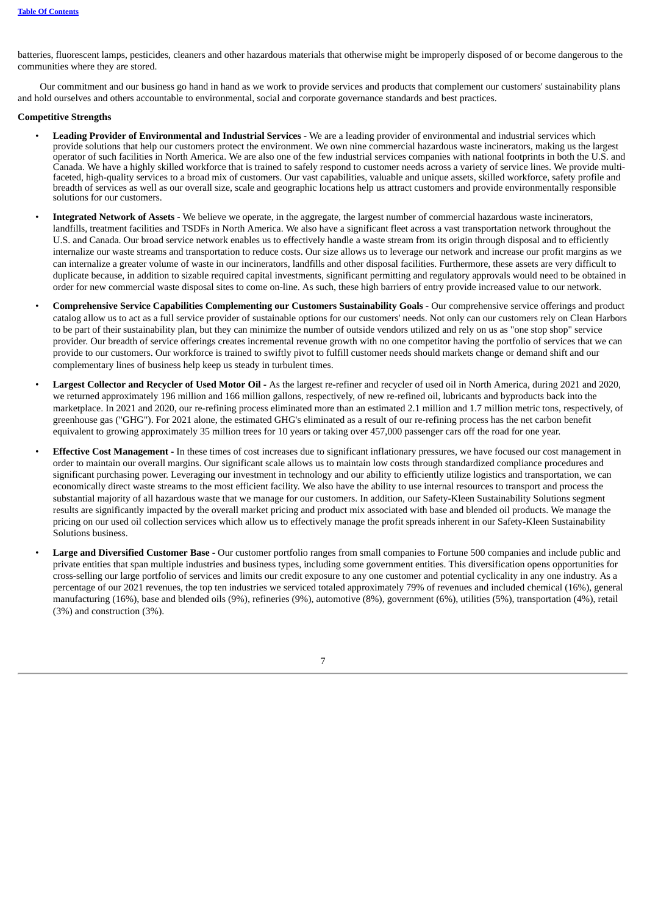batteries, fluorescent lamps, pesticides, cleaners and other hazardous materials that otherwise might be improperly disposed of or become dangerous to the communities where they are stored.

Our commitment and our business go hand in hand as we work to provide services and products that complement our customers' sustainability plans and hold ourselves and others accountable to environmental, social and corporate governance standards and best practices.

#### **Competitive Strengths**

- **Leading Provider of Environmental and Industrial Services -** We are a leading provider of environmental and industrial services which provide solutions that help our customers protect the environment. We own nine commercial hazardous waste incinerators, making us the largest operator of such facilities in North America. We are also one of the few industrial services companies with national footprints in both the U.S. and Canada. We have a highly skilled workforce that is trained to safely respond to customer needs across a variety of service lines. We provide multifaceted, high-quality services to a broad mix of customers. Our vast capabilities, valuable and unique assets, skilled workforce, safety profile and breadth of services as well as our overall size, scale and geographic locations help us attract customers and provide environmentally responsible solutions for our customers.
- **Integrated Network of Assets -** We believe we operate, in the aggregate, the largest number of commercial hazardous waste incinerators, landfills, treatment facilities and TSDFs in North America. We also have a significant fleet across a vast transportation network throughout the U.S. and Canada. Our broad service network enables us to effectively handle a waste stream from its origin through disposal and to efficiently internalize our waste streams and transportation to reduce costs. Our size allows us to leverage our network and increase our profit margins as we can internalize a greater volume of waste in our incinerators, landfills and other disposal facilities. Furthermore, these assets are very difficult to duplicate because, in addition to sizable required capital investments, significant permitting and regulatory approvals would need to be obtained in order for new commercial waste disposal sites to come on-line. As such, these high barriers of entry provide increased value to our network.
- **Comprehensive Service Capabilities Complementing our Customers Sustainability Goals -** Our comprehensive service offerings and product catalog allow us to act as a full service provider of sustainable options for our customers' needs. Not only can our customers rely on Clean Harbors to be part of their sustainability plan, but they can minimize the number of outside vendors utilized and rely on us as "one stop shop" service provider. Our breadth of service offerings creates incremental revenue growth with no one competitor having the portfolio of services that we can provide to our customers. Our workforce is trained to swiftly pivot to fulfill customer needs should markets change or demand shift and our complementary lines of business help keep us steady in turbulent times.
- **Largest Collector and Recycler of Used Motor Oil -** As the largest re-refiner and recycler of used oil in North America, during 2021 and 2020, we returned approximately 196 million and 166 million gallons, respectively, of new re-refined oil, lubricants and byproducts back into the marketplace. In 2021 and 2020, our re-refining process eliminated more than an estimated 2.1 million and 1.7 million metric tons, respectively, of greenhouse gas ("GHG"). For 2021 alone, the estimated GHG's eliminated as a result of our re-refining process has the net carbon benefit equivalent to growing approximately 35 million trees for 10 years or taking over 457,000 passenger cars off the road for one year.
- **Effective Cost Management -** In these times of cost increases due to significant inflationary pressures, we have focused our cost management in order to maintain our overall margins. Our significant scale allows us to maintain low costs through standardized compliance procedures and significant purchasing power. Leveraging our investment in technology and our ability to efficiently utilize logistics and transportation, we can economically direct waste streams to the most efficient facility. We also have the ability to use internal resources to transport and process the substantial majority of all hazardous waste that we manage for our customers. In addition, our Safety-Kleen Sustainability Solutions segment results are significantly impacted by the overall market pricing and product mix associated with base and blended oil products. We manage the pricing on our used oil collection services which allow us to effectively manage the profit spreads inherent in our Safety-Kleen Sustainability Solutions business.
- **Large and Diversified Customer Base -** Our customer portfolio ranges from small companies to Fortune 500 companies and include public and private entities that span multiple industries and business types, including some government entities. This diversification opens opportunities for cross-selling our large portfolio of services and limits our credit exposure to any one customer and potential cyclicality in any one industry. As a percentage of our 2021 revenues, the top ten industries we serviced totaled approximately 79% of revenues and included chemical (16%), general manufacturing (16%), base and blended oils (9%), refineries (9%), automotive (8%), government (6%), utilities (5%), transportation (4%), retail (3%) and construction (3%).

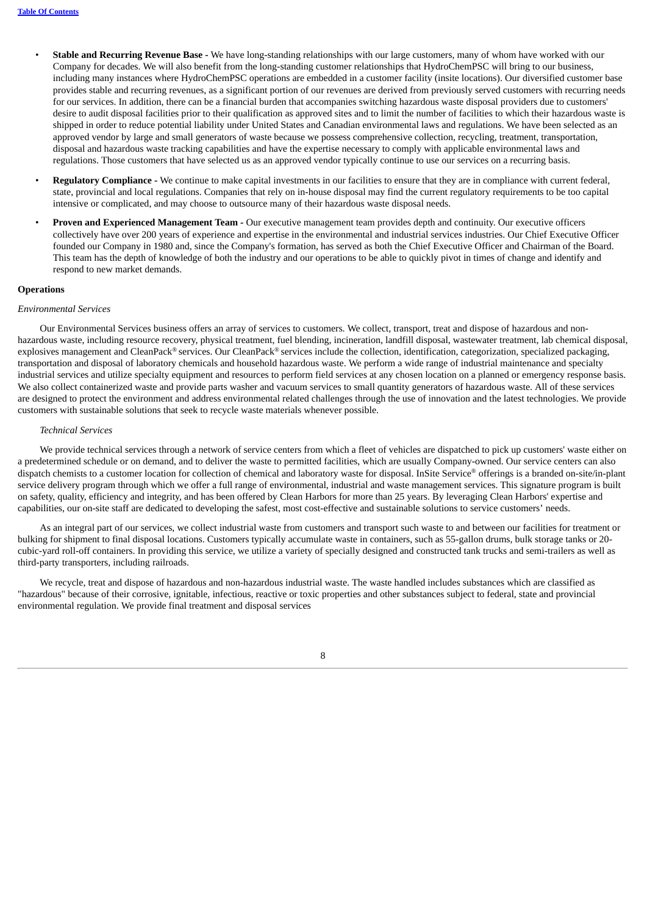- **Stable and Recurring Revenue Base -** We have long-standing relationships with our large customers, many of whom have worked with our Company for decades. We will also benefit from the long-standing customer relationships that HydroChemPSC will bring to our business, including many instances where HydroChemPSC operations are embedded in a customer facility (insite locations). Our diversified customer base provides stable and recurring revenues, as a significant portion of our revenues are derived from previously served customers with recurring needs for our services. In addition, there can be a financial burden that accompanies switching hazardous waste disposal providers due to customers' desire to audit disposal facilities prior to their qualification as approved sites and to limit the number of facilities to which their hazardous waste is shipped in order to reduce potential liability under United States and Canadian environmental laws and regulations. We have been selected as an approved vendor by large and small generators of waste because we possess comprehensive collection, recycling, treatment, transportation, disposal and hazardous waste tracking capabilities and have the expertise necessary to comply with applicable environmental laws and regulations. Those customers that have selected us as an approved vendor typically continue to use our services on a recurring basis.
- **Regulatory Compliance -** We continue to make capital investments in our facilities to ensure that they are in compliance with current federal, state, provincial and local regulations. Companies that rely on in-house disposal may find the current regulatory requirements to be too capital intensive or complicated, and may choose to outsource many of their hazardous waste disposal needs.
- **Proven and Experienced Management Team -** Our executive management team provides depth and continuity. Our executive officers collectively have over 200 years of experience and expertise in the environmental and industrial services industries. Our Chief Executive Officer founded our Company in 1980 and, since the Company's formation, has served as both the Chief Executive Officer and Chairman of the Board. This team has the depth of knowledge of both the industry and our operations to be able to quickly pivot in times of change and identify and respond to new market demands.

#### **Operations**

#### *Environmental Services*

Our Environmental Services business offers an array of services to customers. We collect, transport, treat and dispose of hazardous and nonhazardous waste, including resource recovery, physical treatment, fuel blending, incineration, landfill disposal, wastewater treatment, lab chemical disposal, explosives management and CleanPack® services. Our CleanPack® services include the collection, identification, categorization, specialized packaging, transportation and disposal of laboratory chemicals and household hazardous waste. We perform a wide range of industrial maintenance and specialty industrial services and utilize specialty equipment and resources to perform field services at any chosen location on a planned or emergency response basis. We also collect containerized waste and provide parts washer and vacuum services to small quantity generators of hazardous waste. All of these services are designed to protect the environment and address environmental related challenges through the use of innovation and the latest technologies. We provide customers with sustainable solutions that seek to recycle waste materials whenever possible.

#### *Technical Services*

We provide technical services through a network of service centers from which a fleet of vehicles are dispatched to pick up customers' waste either on a predetermined schedule or on demand, and to deliver the waste to permitted facilities, which are usually Company-owned. Our service centers can also dispatch chemists to a customer location for collection of chemical and laboratory waste for disposal. InSite Service® offerings is a branded on-site/in-plant service delivery program through which we offer a full range of environmental, industrial and waste management services. This signature program is built on safety, quality, efficiency and integrity, and has been offered by Clean Harbors for more than 25 years. By leveraging Clean Harbors' expertise and capabilities, our on-site staff are dedicated to developing the safest, most cost-effective and sustainable solutions to service customers' needs.

As an integral part of our services, we collect industrial waste from customers and transport such waste to and between our facilities for treatment or bulking for shipment to final disposal locations. Customers typically accumulate waste in containers, such as 55-gallon drums, bulk storage tanks or 20 cubic-yard roll-off containers. In providing this service, we utilize a variety of specially designed and constructed tank trucks and semi-trailers as well as third-party transporters, including railroads.

We recycle, treat and dispose of hazardous and non-hazardous industrial waste. The waste handled includes substances which are classified as "hazardous" because of their corrosive, ignitable, infectious, reactive or toxic properties and other substances subject to federal, state and provincial environmental regulation. We provide final treatment and disposal services

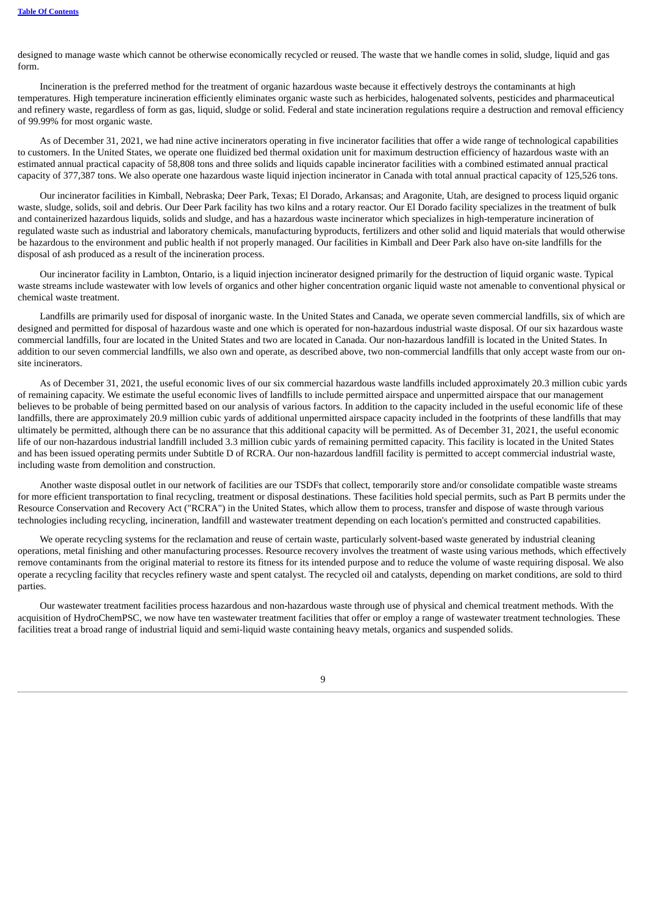designed to manage waste which cannot be otherwise economically recycled or reused. The waste that we handle comes in solid, sludge, liquid and gas form.

Incineration is the preferred method for the treatment of organic hazardous waste because it effectively destroys the contaminants at high temperatures. High temperature incineration efficiently eliminates organic waste such as herbicides, halogenated solvents, pesticides and pharmaceutical and refinery waste, regardless of form as gas, liquid, sludge or solid. Federal and state incineration regulations require a destruction and removal efficiency of 99.99% for most organic waste.

As of December 31, 2021, we had nine active incinerators operating in five incinerator facilities that offer a wide range of technological capabilities to customers. In the United States, we operate one fluidized bed thermal oxidation unit for maximum destruction efficiency of hazardous waste with an estimated annual practical capacity of 58,808 tons and three solids and liquids capable incinerator facilities with a combined estimated annual practical capacity of 377,387 tons. We also operate one hazardous waste liquid injection incinerator in Canada with total annual practical capacity of 125,526 tons.

Our incinerator facilities in Kimball, Nebraska; Deer Park, Texas; El Dorado, Arkansas; and Aragonite, Utah, are designed to process liquid organic waste, sludge, solids, soil and debris. Our Deer Park facility has two kilns and a rotary reactor. Our El Dorado facility specializes in the treatment of bulk and containerized hazardous liquids, solids and sludge, and has a hazardous waste incinerator which specializes in high-temperature incineration of regulated waste such as industrial and laboratory chemicals, manufacturing byproducts, fertilizers and other solid and liquid materials that would otherwise be hazardous to the environment and public health if not properly managed. Our facilities in Kimball and Deer Park also have on-site landfills for the disposal of ash produced as a result of the incineration process.

Our incinerator facility in Lambton, Ontario, is a liquid injection incinerator designed primarily for the destruction of liquid organic waste. Typical waste streams include wastewater with low levels of organics and other higher concentration organic liquid waste not amenable to conventional physical or chemical waste treatment.

Landfills are primarily used for disposal of inorganic waste. In the United States and Canada, we operate seven commercial landfills, six of which are designed and permitted for disposal of hazardous waste and one which is operated for non-hazardous industrial waste disposal. Of our six hazardous waste commercial landfills, four are located in the United States and two are located in Canada. Our non-hazardous landfill is located in the United States. In addition to our seven commercial landfills, we also own and operate, as described above, two non-commercial landfills that only accept waste from our onsite incinerators.

As of December 31, 2021, the useful economic lives of our six commercial hazardous waste landfills included approximately 20.3 million cubic yards of remaining capacity. We estimate the useful economic lives of landfills to include permitted airspace and unpermitted airspace that our management believes to be probable of being permitted based on our analysis of various factors. In addition to the capacity included in the useful economic life of these landfills, there are approximately 20.9 million cubic yards of additional unpermitted airspace capacity included in the footprints of these landfills that may ultimately be permitted, although there can be no assurance that this additional capacity will be permitted. As of December 31, 2021, the useful economic life of our non-hazardous industrial landfill included 3.3 million cubic yards of remaining permitted capacity. This facility is located in the United States and has been issued operating permits under Subtitle D of RCRA. Our non-hazardous landfill facility is permitted to accept commercial industrial waste, including waste from demolition and construction.

Another waste disposal outlet in our network of facilities are our TSDFs that collect, temporarily store and/or consolidate compatible waste streams for more efficient transportation to final recycling, treatment or disposal destinations. These facilities hold special permits, such as Part B permits under the Resource Conservation and Recovery Act ("RCRA") in the United States, which allow them to process, transfer and dispose of waste through various technologies including recycling, incineration, landfill and wastewater treatment depending on each location's permitted and constructed capabilities.

We operate recycling systems for the reclamation and reuse of certain waste, particularly solvent-based waste generated by industrial cleaning operations, metal finishing and other manufacturing processes. Resource recovery involves the treatment of waste using various methods, which effectively remove contaminants from the original material to restore its fitness for its intended purpose and to reduce the volume of waste requiring disposal. We also operate a recycling facility that recycles refinery waste and spent catalyst. The recycled oil and catalysts, depending on market conditions, are sold to third parties.

Our wastewater treatment facilities process hazardous and non-hazardous waste through use of physical and chemical treatment methods. With the acquisition of HydroChemPSC, we now have ten wastewater treatment facilities that offer or employ a range of wastewater treatment technologies. These facilities treat a broad range of industrial liquid and semi-liquid waste containing heavy metals, organics and suspended solids.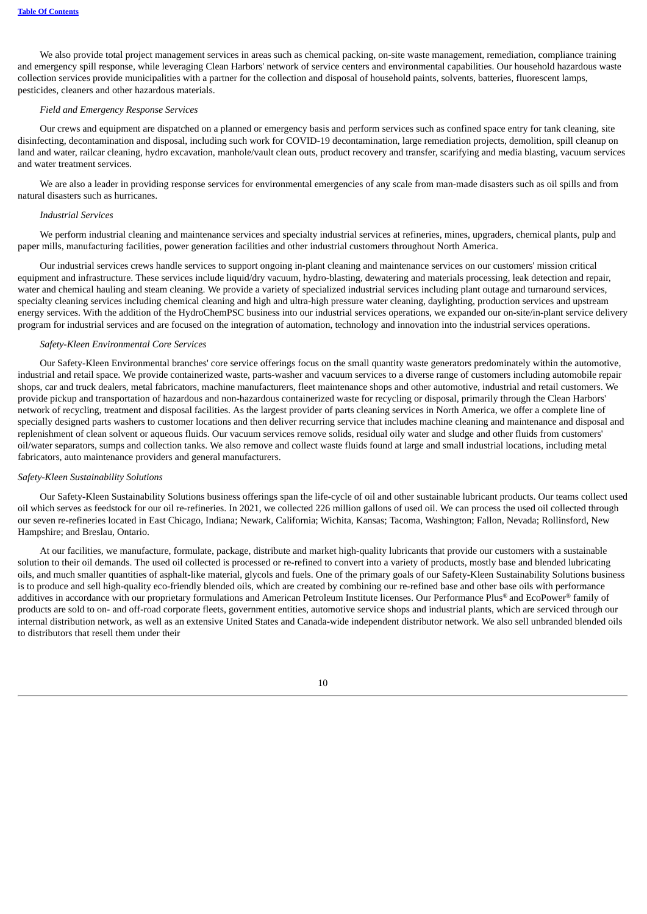We also provide total project management services in areas such as chemical packing, on-site waste management, remediation, compliance training and emergency spill response, while leveraging Clean Harbors' network of service centers and environmental capabilities. Our household hazardous waste collection services provide municipalities with a partner for the collection and disposal of household paints, solvents, batteries, fluorescent lamps, pesticides, cleaners and other hazardous materials.

#### *Field and Emergency Response Services*

Our crews and equipment are dispatched on a planned or emergency basis and perform services such as confined space entry for tank cleaning, site disinfecting, decontamination and disposal, including such work for COVID-19 decontamination, large remediation projects, demolition, spill cleanup on land and water, railcar cleaning, hydro excavation, manhole/vault clean outs, product recovery and transfer, scarifying and media blasting, vacuum services and water treatment services.

We are also a leader in providing response services for environmental emergencies of any scale from man-made disasters such as oil spills and from natural disasters such as hurricanes.

#### *Industrial Services*

We perform industrial cleaning and maintenance services and specialty industrial services at refineries, mines, upgraders, chemical plants, pulp and paper mills, manufacturing facilities, power generation facilities and other industrial customers throughout North America.

Our industrial services crews handle services to support ongoing in-plant cleaning and maintenance services on our customers' mission critical equipment and infrastructure. These services include liquid/dry vacuum, hydro-blasting, dewatering and materials processing, leak detection and repair, water and chemical hauling and steam cleaning. We provide a variety of specialized industrial services including plant outage and turnaround services, specialty cleaning services including chemical cleaning and high and ultra-high pressure water cleaning, daylighting, production services and upstream energy services. With the addition of the HydroChemPSC business into our industrial services operations, we expanded our on-site/in-plant service delivery program for industrial services and are focused on the integration of automation, technology and innovation into the industrial services operations.

## *Safety-Kleen Environmental Core Services*

Our Safety-Kleen Environmental branches' core service offerings focus on the small quantity waste generators predominately within the automotive, industrial and retail space. We provide containerized waste, parts-washer and vacuum services to a diverse range of customers including automobile repair shops, car and truck dealers, metal fabricators, machine manufacturers, fleet maintenance shops and other automotive, industrial and retail customers. We provide pickup and transportation of hazardous and non-hazardous containerized waste for recycling or disposal, primarily through the Clean Harbors' network of recycling, treatment and disposal facilities. As the largest provider of parts cleaning services in North America, we offer a complete line of specially designed parts washers to customer locations and then deliver recurring service that includes machine cleaning and maintenance and disposal and replenishment of clean solvent or aqueous fluids. Our vacuum services remove solids, residual oily water and sludge and other fluids from customers' oil/water separators, sumps and collection tanks. We also remove and collect waste fluids found at large and small industrial locations, including metal fabricators, auto maintenance providers and general manufacturers.

#### *Safety-Kleen Sustainability Solutions*

Our Safety-Kleen Sustainability Solutions business offerings span the life-cycle of oil and other sustainable lubricant products. Our teams collect used oil which serves as feedstock for our oil re-refineries. In 2021, we collected 226 million gallons of used oil. We can process the used oil collected through our seven re-refineries located in East Chicago, Indiana; Newark, California; Wichita, Kansas; Tacoma, Washington; Fallon, Nevada; Rollinsford, New Hampshire; and Breslau, Ontario.

At our facilities, we manufacture, formulate, package, distribute and market high-quality lubricants that provide our customers with a sustainable solution to their oil demands. The used oil collected is processed or re-refined to convert into a variety of products, mostly base and blended lubricating oils, and much smaller quantities of asphalt-like material, glycols and fuels. One of the primary goals of our Safety-Kleen Sustainability Solutions business is to produce and sell high-quality eco-friendly blended oils, which are created by combining our re-refined base and other base oils with performance additives in accordance with our proprietary formulations and American Petroleum Institute licenses. Our Performance Plus® and EcoPower® family of products are sold to on- and off-road corporate fleets, government entities, automotive service shops and industrial plants, which are serviced through our internal distribution network, as well as an extensive United States and Canada-wide independent distributor network. We also sell unbranded blended oils to distributors that resell them under their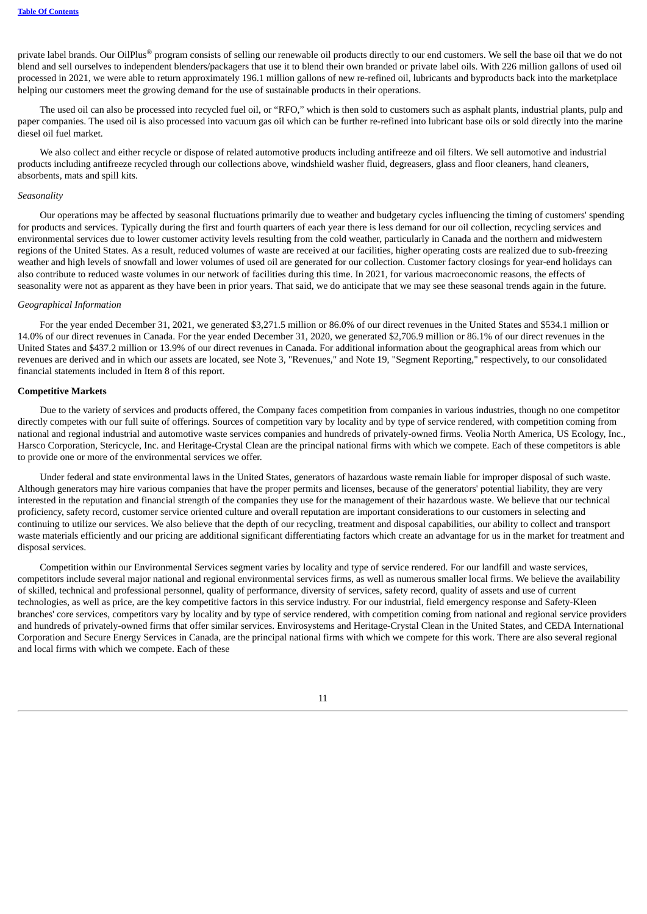private label brands. Our OilPlus® program consists of selling our renewable oil products directly to our end customers. We sell the base oil that we do not blend and sell ourselves to independent blenders/packagers that use it to blend their own branded or private label oils. With 226 million gallons of used oil processed in 2021, we were able to return approximately 196.1 million gallons of new re-refined oil, lubricants and byproducts back into the marketplace helping our customers meet the growing demand for the use of sustainable products in their operations.

The used oil can also be processed into recycled fuel oil, or "RFO," which is then sold to customers such as asphalt plants, industrial plants, pulp and paper companies. The used oil is also processed into vacuum gas oil which can be further re-refined into lubricant base oils or sold directly into the marine diesel oil fuel market.

We also collect and either recycle or dispose of related automotive products including antifreeze and oil filters. We sell automotive and industrial products including antifreeze recycled through our collections above, windshield washer fluid, degreasers, glass and floor cleaners, hand cleaners, absorbents, mats and spill kits.

## *Seasonality*

Our operations may be affected by seasonal fluctuations primarily due to weather and budgetary cycles influencing the timing of customers' spending for products and services. Typically during the first and fourth quarters of each year there is less demand for our oil collection, recycling services and environmental services due to lower customer activity levels resulting from the cold weather, particularly in Canada and the northern and midwestern regions of the United States. As a result, reduced volumes of waste are received at our facilities, higher operating costs are realized due to sub-freezing weather and high levels of snowfall and lower volumes of used oil are generated for our collection. Customer factory closings for year-end holidays can also contribute to reduced waste volumes in our network of facilities during this time. In 2021, for various macroeconomic reasons, the effects of seasonality were not as apparent as they have been in prior years. That said, we do anticipate that we may see these seasonal trends again in the future.

## *Geographical Information*

For the year ended December 31, 2021, we generated \$3,271.5 million or 86.0% of our direct revenues in the United States and \$534.1 million or 14.0% of our direct revenues in Canada. For the year ended December 31, 2020, we generated \$2,706.9 million or 86.1% of our direct revenues in the United States and \$437.2 million or 13.9% of our direct revenues in Canada. For additional information about the geographical areas from which our revenues are derived and in which our assets are located, see Note 3, "Revenues," and Note 19, "Segment Reporting," respectively, to our consolidated financial statements included in Item 8 of this report.

#### **Competitive Markets**

Due to the variety of services and products offered, the Company faces competition from companies in various industries, though no one competitor directly competes with our full suite of offerings. Sources of competition vary by locality and by type of service rendered, with competition coming from national and regional industrial and automotive waste services companies and hundreds of privately-owned firms. Veolia North America, US Ecology, Inc., Harsco Corporation, Stericycle, Inc. and Heritage-Crystal Clean are the principal national firms with which we compete. Each of these competitors is able to provide one or more of the environmental services we offer.

Under federal and state environmental laws in the United States, generators of hazardous waste remain liable for improper disposal of such waste. Although generators may hire various companies that have the proper permits and licenses, because of the generators' potential liability, they are very interested in the reputation and financial strength of the companies they use for the management of their hazardous waste. We believe that our technical proficiency, safety record, customer service oriented culture and overall reputation are important considerations to our customers in selecting and continuing to utilize our services. We also believe that the depth of our recycling, treatment and disposal capabilities, our ability to collect and transport waste materials efficiently and our pricing are additional significant differentiating factors which create an advantage for us in the market for treatment and disposal services.

Competition within our Environmental Services segment varies by locality and type of service rendered. For our landfill and waste services, competitors include several major national and regional environmental services firms, as well as numerous smaller local firms. We believe the availability of skilled, technical and professional personnel, quality of performance, diversity of services, safety record, quality of assets and use of current technologies, as well as price, are the key competitive factors in this service industry. For our industrial, field emergency response and Safety-Kleen branches' core services, competitors vary by locality and by type of service rendered, with competition coming from national and regional service providers and hundreds of privately-owned firms that offer similar services. Envirosystems and Heritage-Crystal Clean in the United States, and CEDA International Corporation and Secure Energy Services in Canada, are the principal national firms with which we compete for this work. There are also several regional and local firms with which we compete. Each of these

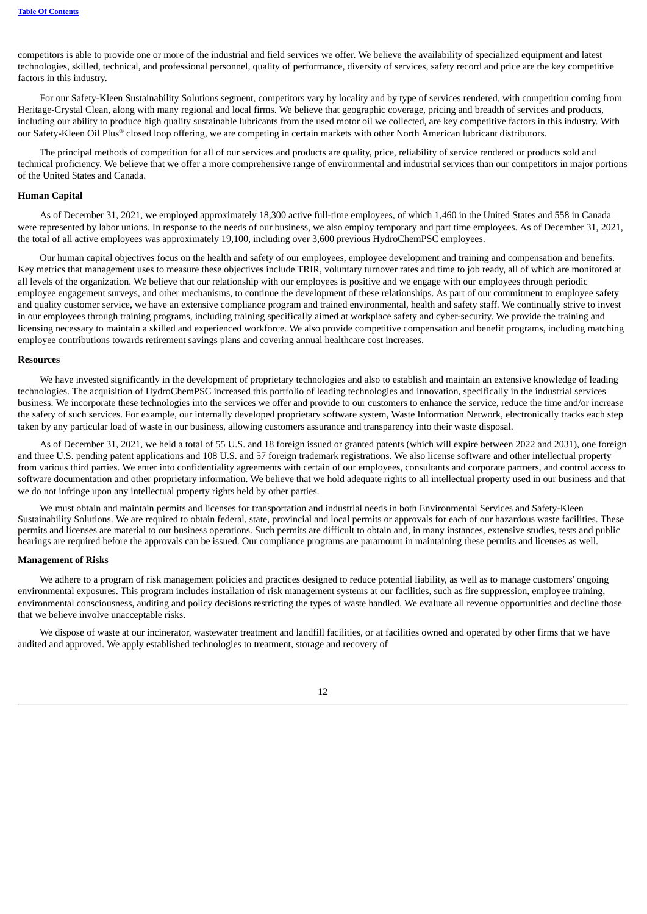competitors is able to provide one or more of the industrial and field services we offer. We believe the availability of specialized equipment and latest technologies, skilled, technical, and professional personnel, quality of performance, diversity of services, safety record and price are the key competitive factors in this industry.

For our Safety-Kleen Sustainability Solutions segment, competitors vary by locality and by type of services rendered, with competition coming from Heritage-Crystal Clean, along with many regional and local firms. We believe that geographic coverage, pricing and breadth of services and products, including our ability to produce high quality sustainable lubricants from the used motor oil we collected, are key competitive factors in this industry. With our Safety-Kleen Oil Plus® closed loop offering, we are competing in certain markets with other North American lubricant distributors.

The principal methods of competition for all of our services and products are quality, price, reliability of service rendered or products sold and technical proficiency. We believe that we offer a more comprehensive range of environmental and industrial services than our competitors in major portions of the United States and Canada.

## **Human Capital**

As of December 31, 2021, we employed approximately 18,300 active full-time employees, of which 1,460 in the United States and 558 in Canada were represented by labor unions. In response to the needs of our business, we also employ temporary and part time employees. As of December 31, 2021, the total of all active employees was approximately 19,100, including over 3,600 previous HydroChemPSC employees.

Our human capital objectives focus on the health and safety of our employees, employee development and training and compensation and benefits. Key metrics that management uses to measure these objectives include TRIR, voluntary turnover rates and time to job ready, all of which are monitored at all levels of the organization. We believe that our relationship with our employees is positive and we engage with our employees through periodic employee engagement surveys, and other mechanisms, to continue the development of these relationships. As part of our commitment to employee safety and quality customer service, we have an extensive compliance program and trained environmental, health and safety staff. We continually strive to invest in our employees through training programs, including training specifically aimed at workplace safety and cyber-security. We provide the training and licensing necessary to maintain a skilled and experienced workforce. We also provide competitive compensation and benefit programs, including matching employee contributions towards retirement savings plans and covering annual healthcare cost increases.

#### **Resources**

We have invested significantly in the development of proprietary technologies and also to establish and maintain an extensive knowledge of leading technologies. The acquisition of HydroChemPSC increased this portfolio of leading technologies and innovation, specifically in the industrial services business. We incorporate these technologies into the services we offer and provide to our customers to enhance the service, reduce the time and/or increase the safety of such services. For example, our internally developed proprietary software system, Waste Information Network, electronically tracks each step taken by any particular load of waste in our business, allowing customers assurance and transparency into their waste disposal.

As of December 31, 2021, we held a total of 55 U.S. and 18 foreign issued or granted patents (which will expire between 2022 and 2031), one foreign and three U.S. pending patent applications and 108 U.S. and 57 foreign trademark registrations. We also license software and other intellectual property from various third parties. We enter into confidentiality agreements with certain of our employees, consultants and corporate partners, and control access to software documentation and other proprietary information. We believe that we hold adequate rights to all intellectual property used in our business and that we do not infringe upon any intellectual property rights held by other parties.

We must obtain and maintain permits and licenses for transportation and industrial needs in both Environmental Services and Safety-Kleen Sustainability Solutions. We are required to obtain federal, state, provincial and local permits or approvals for each of our hazardous waste facilities. These permits and licenses are material to our business operations. Such permits are difficult to obtain and, in many instances, extensive studies, tests and public hearings are required before the approvals can be issued. Our compliance programs are paramount in maintaining these permits and licenses as well.

#### **Management of Risks**

We adhere to a program of risk management policies and practices designed to reduce potential liability, as well as to manage customers' ongoing environmental exposures. This program includes installation of risk management systems at our facilities, such as fire suppression, employee training, environmental consciousness, auditing and policy decisions restricting the types of waste handled. We evaluate all revenue opportunities and decline those that we believe involve unacceptable risks.

We dispose of waste at our incinerator, wastewater treatment and landfill facilities, or at facilities owned and operated by other firms that we have audited and approved. We apply established technologies to treatment, storage and recovery of

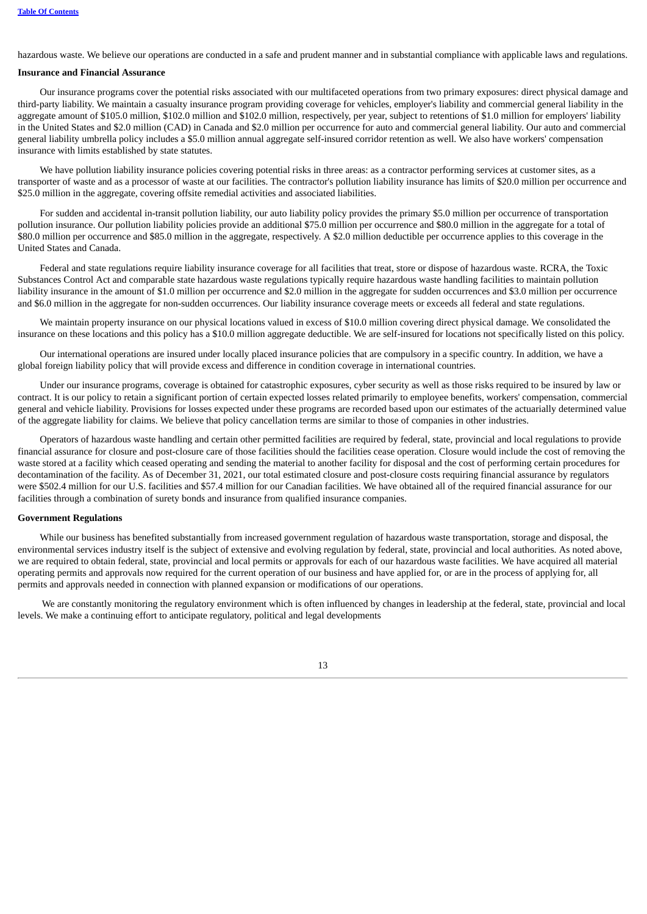hazardous waste. We believe our operations are conducted in a safe and prudent manner and in substantial compliance with applicable laws and regulations.

#### **Insurance and Financial Assurance**

Our insurance programs cover the potential risks associated with our multifaceted operations from two primary exposures: direct physical damage and third-party liability. We maintain a casualty insurance program providing coverage for vehicles, employer's liability and commercial general liability in the aggregate amount of \$105.0 million, \$102.0 million and \$102.0 million, respectively, per year, subject to retentions of \$1.0 million for employers' liability in the United States and \$2.0 million (CAD) in Canada and \$2.0 million per occurrence for auto and commercial general liability. Our auto and commercial general liability umbrella policy includes a \$5.0 million annual aggregate self-insured corridor retention as well. We also have workers' compensation insurance with limits established by state statutes.

We have pollution liability insurance policies covering potential risks in three areas: as a contractor performing services at customer sites, as a transporter of waste and as a processor of waste at our facilities. The contractor's pollution liability insurance has limits of \$20.0 million per occurrence and \$25.0 million in the aggregate, covering offsite remedial activities and associated liabilities.

For sudden and accidental in-transit pollution liability, our auto liability policy provides the primary \$5.0 million per occurrence of transportation pollution insurance. Our pollution liability policies provide an additional \$75.0 million per occurrence and \$80.0 million in the aggregate for a total of \$80.0 million per occurrence and \$85.0 million in the aggregate, respectively. A \$2.0 million deductible per occurrence applies to this coverage in the United States and Canada.

Federal and state regulations require liability insurance coverage for all facilities that treat, store or dispose of hazardous waste. RCRA, the Toxic Substances Control Act and comparable state hazardous waste regulations typically require hazardous waste handling facilities to maintain pollution liability insurance in the amount of \$1.0 million per occurrence and \$2.0 million in the aggregate for sudden occurrences and \$3.0 million per occurrence and \$6.0 million in the aggregate for non-sudden occurrences. Our liability insurance coverage meets or exceeds all federal and state regulations.

We maintain property insurance on our physical locations valued in excess of \$10.0 million covering direct physical damage. We consolidated the insurance on these locations and this policy has a \$10.0 million aggregate deductible. We are self-insured for locations not specifically listed on this policy.

Our international operations are insured under locally placed insurance policies that are compulsory in a specific country. In addition, we have a global foreign liability policy that will provide excess and difference in condition coverage in international countries.

Under our insurance programs, coverage is obtained for catastrophic exposures, cyber security as well as those risks required to be insured by law or contract. It is our policy to retain a significant portion of certain expected losses related primarily to employee benefits, workers' compensation, commercial general and vehicle liability. Provisions for losses expected under these programs are recorded based upon our estimates of the actuarially determined value of the aggregate liability for claims. We believe that policy cancellation terms are similar to those of companies in other industries.

Operators of hazardous waste handling and certain other permitted facilities are required by federal, state, provincial and local regulations to provide financial assurance for closure and post-closure care of those facilities should the facilities cease operation. Closure would include the cost of removing the waste stored at a facility which ceased operating and sending the material to another facility for disposal and the cost of performing certain procedures for decontamination of the facility. As of December 31, 2021, our total estimated closure and post-closure costs requiring financial assurance by regulators were \$502.4 million for our U.S. facilities and \$57.4 million for our Canadian facilities. We have obtained all of the required financial assurance for our facilities through a combination of surety bonds and insurance from qualified insurance companies.

# **Government Regulations**

While our business has benefited substantially from increased government regulation of hazardous waste transportation, storage and disposal, the environmental services industry itself is the subject of extensive and evolving regulation by federal, state, provincial and local authorities. As noted above, we are required to obtain federal, state, provincial and local permits or approvals for each of our hazardous waste facilities. We have acquired all material operating permits and approvals now required for the current operation of our business and have applied for, or are in the process of applying for, all permits and approvals needed in connection with planned expansion or modifications of our operations.

We are constantly monitoring the regulatory environment which is often influenced by changes in leadership at the federal, state, provincial and local levels. We make a continuing effort to anticipate regulatory, political and legal developments

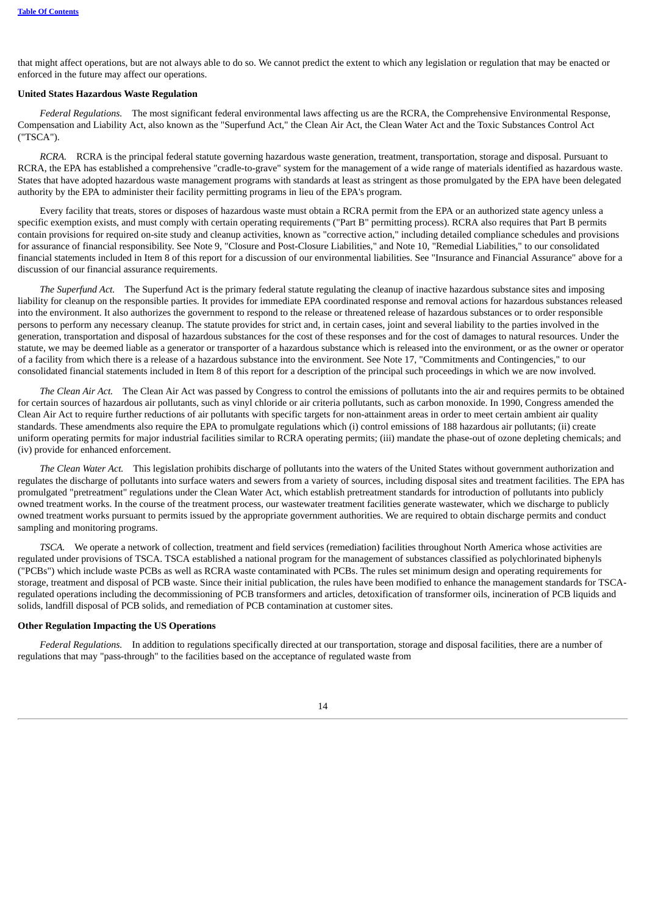that might affect operations, but are not always able to do so. We cannot predict the extent to which any legislation or regulation that may be enacted or enforced in the future may affect our operations.

#### **United States Hazardous Waste Regulation**

*Federal Regulations.* The most significant federal environmental laws affecting us are the RCRA, the Comprehensive Environmental Response, Compensation and Liability Act, also known as the "Superfund Act," the Clean Air Act, the Clean Water Act and the Toxic Substances Control Act ("TSCA").

*RCRA.* RCRA is the principal federal statute governing hazardous waste generation, treatment, transportation, storage and disposal. Pursuant to RCRA, the EPA has established a comprehensive "cradle-to-grave" system for the management of a wide range of materials identified as hazardous waste. States that have adopted hazardous waste management programs with standards at least as stringent as those promulgated by the EPA have been delegated authority by the EPA to administer their facility permitting programs in lieu of the EPA's program.

Every facility that treats, stores or disposes of hazardous waste must obtain a RCRA permit from the EPA or an authorized state agency unless a specific exemption exists, and must comply with certain operating requirements ("Part B" permitting process). RCRA also requires that Part B permits contain provisions for required on-site study and cleanup activities, known as "corrective action," including detailed compliance schedules and provisions for assurance of financial responsibility. See Note 9, "Closure and Post-Closure Liabilities," and Note 10, "Remedial Liabilities," to our consolidated financial statements included in Item 8 of this report for a discussion of our environmental liabilities. See "Insurance and Financial Assurance" above for a discussion of our financial assurance requirements.

*The Superfund Act.* The Superfund Act is the primary federal statute regulating the cleanup of inactive hazardous substance sites and imposing liability for cleanup on the responsible parties. It provides for immediate EPA coordinated response and removal actions for hazardous substances released into the environment. It also authorizes the government to respond to the release or threatened release of hazardous substances or to order responsible persons to perform any necessary cleanup. The statute provides for strict and, in certain cases, joint and several liability to the parties involved in the generation, transportation and disposal of hazardous substances for the cost of these responses and for the cost of damages to natural resources. Under the statute, we may be deemed liable as a generator or transporter of a hazardous substance which is released into the environment, or as the owner or operator of a facility from which there is a release of a hazardous substance into the environment. See Note 17, "Commitments and Contingencies," to our consolidated financial statements included in Item 8 of this report for a description of the principal such proceedings in which we are now involved.

*The Clean Air Act.* The Clean Air Act was passed by Congress to control the emissions of pollutants into the air and requires permits to be obtained for certain sources of hazardous air pollutants, such as vinyl chloride or air criteria pollutants, such as carbon monoxide. In 1990, Congress amended the Clean Air Act to require further reductions of air pollutants with specific targets for non-attainment areas in order to meet certain ambient air quality standards. These amendments also require the EPA to promulgate regulations which (i) control emissions of 188 hazardous air pollutants; (ii) create uniform operating permits for major industrial facilities similar to RCRA operating permits; (iii) mandate the phase-out of ozone depleting chemicals; and (iv) provide for enhanced enforcement.

*The Clean Water Act.* This legislation prohibits discharge of pollutants into the waters of the United States without government authorization and regulates the discharge of pollutants into surface waters and sewers from a variety of sources, including disposal sites and treatment facilities. The EPA has promulgated "pretreatment" regulations under the Clean Water Act, which establish pretreatment standards for introduction of pollutants into publicly owned treatment works. In the course of the treatment process, our wastewater treatment facilities generate wastewater, which we discharge to publicly owned treatment works pursuant to permits issued by the appropriate government authorities. We are required to obtain discharge permits and conduct sampling and monitoring programs.

*TSCA.* We operate a network of collection, treatment and field services (remediation) facilities throughout North America whose activities are regulated under provisions of TSCA. TSCA established a national program for the management of substances classified as polychlorinated biphenyls ("PCBs") which include waste PCBs as well as RCRA waste contaminated with PCBs. The rules set minimum design and operating requirements for storage, treatment and disposal of PCB waste. Since their initial publication, the rules have been modified to enhance the management standards for TSCAregulated operations including the decommissioning of PCB transformers and articles, detoxification of transformer oils, incineration of PCB liquids and solids, landfill disposal of PCB solids, and remediation of PCB contamination at customer sites.

# **Other Regulation Impacting the US Operations**

*Federal Regulations.* In addition to regulations specifically directed at our transportation, storage and disposal facilities, there are a number of regulations that may "pass-through" to the facilities based on the acceptance of regulated waste from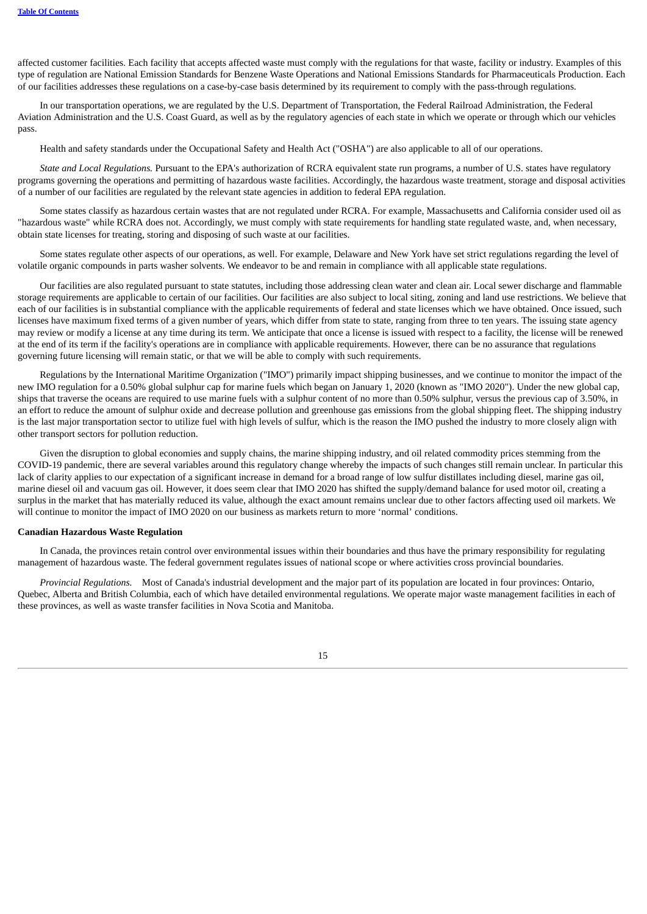affected customer facilities. Each facility that accepts affected waste must comply with the regulations for that waste, facility or industry. Examples of this type of regulation are National Emission Standards for Benzene Waste Operations and National Emissions Standards for Pharmaceuticals Production. Each of our facilities addresses these regulations on a case-by-case basis determined by its requirement to comply with the pass-through regulations.

In our transportation operations, we are regulated by the U.S. Department of Transportation, the Federal Railroad Administration, the Federal Aviation Administration and the U.S. Coast Guard, as well as by the regulatory agencies of each state in which we operate or through which our vehicles pass.

Health and safety standards under the Occupational Safety and Health Act ("OSHA") are also applicable to all of our operations.

*State and Local Regulations.* Pursuant to the EPA's authorization of RCRA equivalent state run programs, a number of U.S. states have regulatory programs governing the operations and permitting of hazardous waste facilities. Accordingly, the hazardous waste treatment, storage and disposal activities of a number of our facilities are regulated by the relevant state agencies in addition to federal EPA regulation.

Some states classify as hazardous certain wastes that are not regulated under RCRA. For example, Massachusetts and California consider used oil as "hazardous waste" while RCRA does not. Accordingly, we must comply with state requirements for handling state regulated waste, and, when necessary, obtain state licenses for treating, storing and disposing of such waste at our facilities.

Some states regulate other aspects of our operations, as well. For example, Delaware and New York have set strict regulations regarding the level of volatile organic compounds in parts washer solvents. We endeavor to be and remain in compliance with all applicable state regulations.

Our facilities are also regulated pursuant to state statutes, including those addressing clean water and clean air. Local sewer discharge and flammable storage requirements are applicable to certain of our facilities. Our facilities are also subject to local siting, zoning and land use restrictions. We believe that each of our facilities is in substantial compliance with the applicable requirements of federal and state licenses which we have obtained. Once issued, such licenses have maximum fixed terms of a given number of years, which differ from state to state, ranging from three to ten years. The issuing state agency may review or modify a license at any time during its term. We anticipate that once a license is issued with respect to a facility, the license will be renewed at the end of its term if the facility's operations are in compliance with applicable requirements. However, there can be no assurance that regulations governing future licensing will remain static, or that we will be able to comply with such requirements.

Regulations by the International Maritime Organization ("IMO") primarily impact shipping businesses, and we continue to monitor the impact of the new IMO regulation for a 0.50% global sulphur cap for marine fuels which began on January 1, 2020 (known as "IMO 2020"). Under the new global cap, ships that traverse the oceans are required to use marine fuels with a sulphur content of no more than 0.50% sulphur, versus the previous cap of 3.50%, in an effort to reduce the amount of sulphur oxide and decrease pollution and greenhouse gas emissions from the global shipping fleet. The shipping industry is the last major transportation sector to utilize fuel with high levels of sulfur, which is the reason the IMO pushed the industry to more closely align with other transport sectors for pollution reduction.

Given the disruption to global economies and supply chains, the marine shipping industry, and oil related commodity prices stemming from the COVID-19 pandemic, there are several variables around this regulatory change whereby the impacts of such changes still remain unclear. In particular this lack of clarity applies to our expectation of a significant increase in demand for a broad range of low sulfur distillates including diesel, marine gas oil, marine diesel oil and vacuum gas oil. However, it does seem clear that IMO 2020 has shifted the supply/demand balance for used motor oil, creating a surplus in the market that has materially reduced its value, although the exact amount remains unclear due to other factors affecting used oil markets. We will continue to monitor the impact of IMO 2020 on our business as markets return to more 'normal' conditions.

#### **Canadian Hazardous Waste Regulation**

In Canada, the provinces retain control over environmental issues within their boundaries and thus have the primary responsibility for regulating management of hazardous waste. The federal government regulates issues of national scope or where activities cross provincial boundaries.

*Provincial Regulations.* Most of Canada's industrial development and the major part of its population are located in four provinces: Ontario, Quebec, Alberta and British Columbia, each of which have detailed environmental regulations. We operate major waste management facilities in each of these provinces, as well as waste transfer facilities in Nova Scotia and Manitoba.

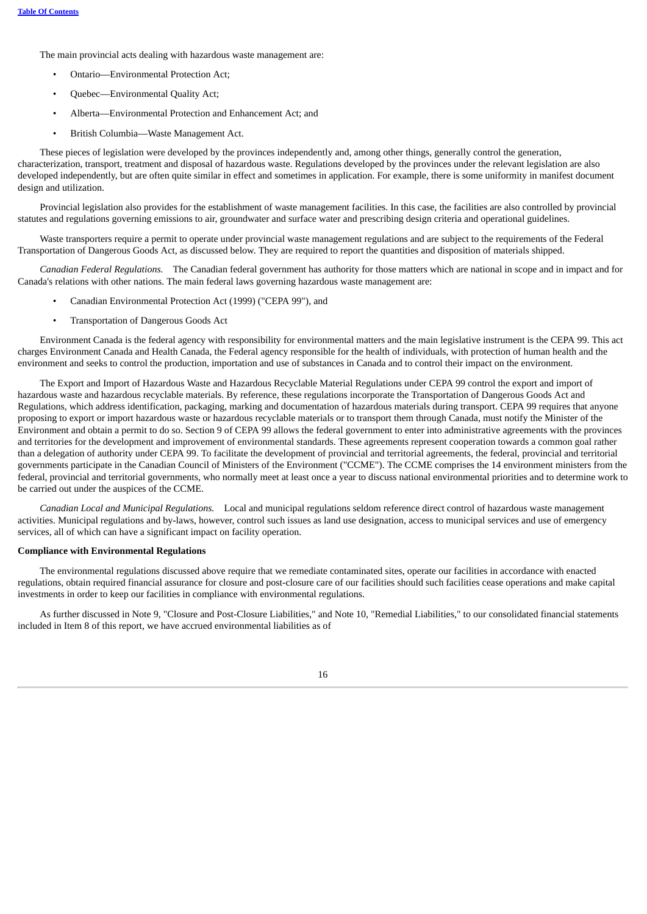The main provincial acts dealing with hazardous waste management are:

- Ontario—Environmental Protection Act;
- Quebec—Environmental Quality Act;
- Alberta—Environmental Protection and Enhancement Act; and
- British Columbia—Waste Management Act.

These pieces of legislation were developed by the provinces independently and, among other things, generally control the generation, characterization, transport, treatment and disposal of hazardous waste. Regulations developed by the provinces under the relevant legislation are also developed independently, but are often quite similar in effect and sometimes in application. For example, there is some uniformity in manifest document design and utilization.

Provincial legislation also provides for the establishment of waste management facilities. In this case, the facilities are also controlled by provincial statutes and regulations governing emissions to air, groundwater and surface water and prescribing design criteria and operational guidelines.

Waste transporters require a permit to operate under provincial waste management regulations and are subject to the requirements of the Federal Transportation of Dangerous Goods Act, as discussed below. They are required to report the quantities and disposition of materials shipped.

*Canadian Federal Regulations.* The Canadian federal government has authority for those matters which are national in scope and in impact and for Canada's relations with other nations. The main federal laws governing hazardous waste management are:

- Canadian Environmental Protection Act (1999) ("CEPA 99"), and
- Transportation of Dangerous Goods Act

Environment Canada is the federal agency with responsibility for environmental matters and the main legislative instrument is the CEPA 99. This act charges Environment Canada and Health Canada, the Federal agency responsible for the health of individuals, with protection of human health and the environment and seeks to control the production, importation and use of substances in Canada and to control their impact on the environment.

The Export and Import of Hazardous Waste and Hazardous Recyclable Material Regulations under CEPA 99 control the export and import of hazardous waste and hazardous recyclable materials. By reference, these regulations incorporate the Transportation of Dangerous Goods Act and Regulations, which address identification, packaging, marking and documentation of hazardous materials during transport. CEPA 99 requires that anyone proposing to export or import hazardous waste or hazardous recyclable materials or to transport them through Canada, must notify the Minister of the Environment and obtain a permit to do so. Section 9 of CEPA 99 allows the federal government to enter into administrative agreements with the provinces and territories for the development and improvement of environmental standards. These agreements represent cooperation towards a common goal rather than a delegation of authority under CEPA 99. To facilitate the development of provincial and territorial agreements, the federal, provincial and territorial governments participate in the Canadian Council of Ministers of the Environment ("CCME"). The CCME comprises the 14 environment ministers from the federal, provincial and territorial governments, who normally meet at least once a year to discuss national environmental priorities and to determine work to be carried out under the auspices of the CCME.

*Canadian Local and Municipal Regulations.* Local and municipal regulations seldom reference direct control of hazardous waste management activities. Municipal regulations and by-laws, however, control such issues as land use designation, access to municipal services and use of emergency services, all of which can have a significant impact on facility operation.

## **Compliance with Environmental Regulations**

The environmental regulations discussed above require that we remediate contaminated sites, operate our facilities in accordance with enacted regulations, obtain required financial assurance for closure and post-closure care of our facilities should such facilities cease operations and make capital investments in order to keep our facilities in compliance with environmental regulations.

As further discussed in Note 9, "Closure and Post-Closure Liabilities," and Note 10, "Remedial Liabilities," to our consolidated financial statements included in Item 8 of this report, we have accrued environmental liabilities as of

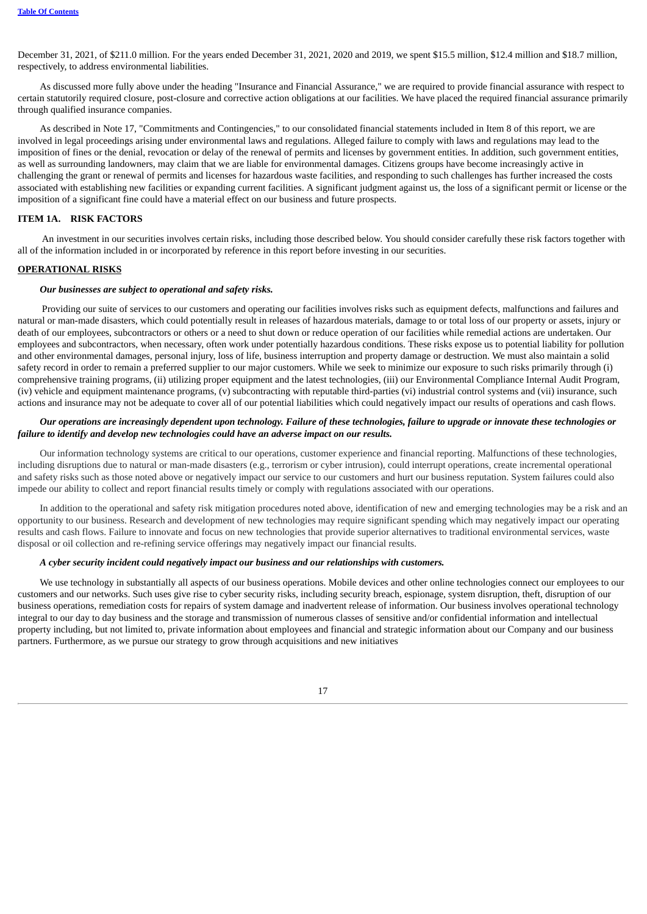December 31, 2021, of \$211.0 million. For the years ended December 31, 2021, 2020 and 2019, we spent \$15.5 million, \$12.4 million and \$18.7 million, respectively, to address environmental liabilities.

As discussed more fully above under the heading "Insurance and Financial Assurance," we are required to provide financial assurance with respect to certain statutorily required closure, post-closure and corrective action obligations at our facilities. We have placed the required financial assurance primarily through qualified insurance companies.

As described in Note 17, "Commitments and Contingencies," to our consolidated financial statements included in Item 8 of this report, we are involved in legal proceedings arising under environmental laws and regulations. Alleged failure to comply with laws and regulations may lead to the imposition of fines or the denial, revocation or delay of the renewal of permits and licenses by government entities. In addition, such government entities, as well as surrounding landowners, may claim that we are liable for environmental damages. Citizens groups have become increasingly active in challenging the grant or renewal of permits and licenses for hazardous waste facilities, and responding to such challenges has further increased the costs associated with establishing new facilities or expanding current facilities. A significant judgment against us, the loss of a significant permit or license or the imposition of a significant fine could have a material effect on our business and future prospects.

# <span id="page-18-0"></span>**ITEM 1A. RISK FACTORS**

An investment in our securities involves certain risks, including those described below. You should consider carefully these risk factors together with all of the information included in or incorporated by reference in this report before investing in our securities.

#### **OPERATIONAL RISKS**

## *Our businesses are subject to operational and safety risks.*

Providing our suite of services to our customers and operating our facilities involves risks such as equipment defects, malfunctions and failures and natural or man-made disasters, which could potentially result in releases of hazardous materials, damage to or total loss of our property or assets, injury or death of our employees, subcontractors or others or a need to shut down or reduce operation of our facilities while remedial actions are undertaken. Our employees and subcontractors, when necessary, often work under potentially hazardous conditions. These risks expose us to potential liability for pollution and other environmental damages, personal injury, loss of life, business interruption and property damage or destruction. We must also maintain a solid safety record in order to remain a preferred supplier to our major customers. While we seek to minimize our exposure to such risks primarily through (i) comprehensive training programs, (ii) utilizing proper equipment and the latest technologies, (iii) our Environmental Compliance Internal Audit Program, (iv) vehicle and equipment maintenance programs, (v) subcontracting with reputable third-parties (vi) industrial control systems and (vii) insurance, such actions and insurance may not be adequate to cover all of our potential liabilities which could negatively impact our results of operations and cash flows.

# Our operations are increasingly dependent upon technology. Failure of these technologies, failure to upgrade or innovate these technologies or *failure to identify and develop new technologies could have an adverse impact on our results.*

Our information technology systems are critical to our operations, customer experience and financial reporting. Malfunctions of these technologies, including disruptions due to natural or man-made disasters (e.g., terrorism or cyber intrusion), could interrupt operations, create incremental operational and safety risks such as those noted above or negatively impact our service to our customers and hurt our business reputation. System failures could also impede our ability to collect and report financial results timely or comply with regulations associated with our operations.

In addition to the operational and safety risk mitigation procedures noted above, identification of new and emerging technologies may be a risk and an opportunity to our business. Research and development of new technologies may require significant spending which may negatively impact our operating results and cash flows. Failure to innovate and focus on new technologies that provide superior alternatives to traditional environmental services, waste disposal or oil collection and re-refining service offerings may negatively impact our financial results.

## *A cyber security incident could negatively impact our business and our relationships with customers.*

We use technology in substantially all aspects of our business operations. Mobile devices and other online technologies connect our employees to our customers and our networks. Such uses give rise to cyber security risks, including security breach, espionage, system disruption, theft, disruption of our business operations, remediation costs for repairs of system damage and inadvertent release of information. Our business involves operational technology integral to our day to day business and the storage and transmission of numerous classes of sensitive and/or confidential information and intellectual property including, but not limited to, private information about employees and financial and strategic information about our Company and our business partners. Furthermore, as we pursue our strategy to grow through acquisitions and new initiatives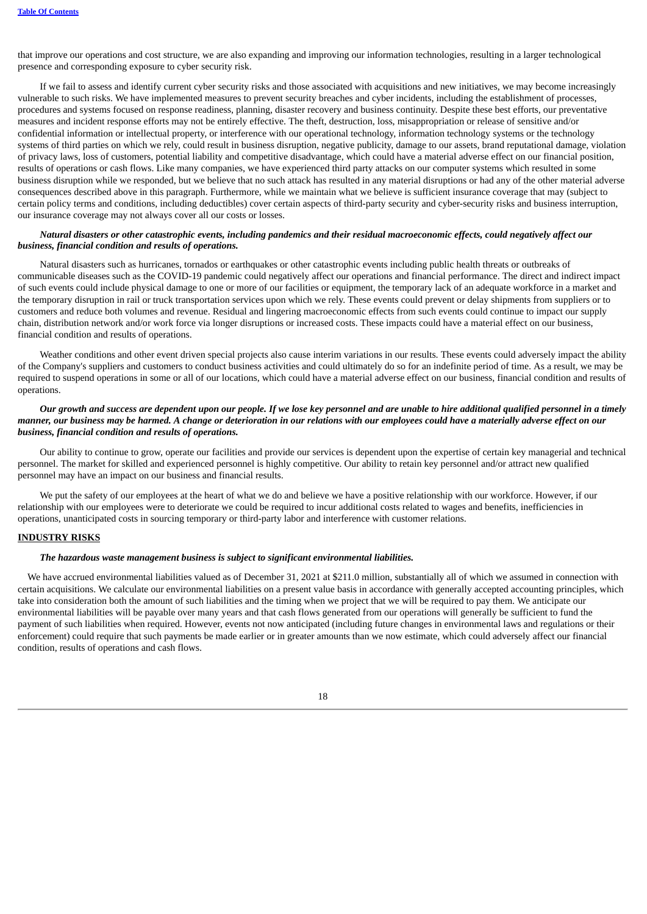that improve our operations and cost structure, we are also expanding and improving our information technologies, resulting in a larger technological presence and corresponding exposure to cyber security risk.

If we fail to assess and identify current cyber security risks and those associated with acquisitions and new initiatives, we may become increasingly vulnerable to such risks. We have implemented measures to prevent security breaches and cyber incidents, including the establishment of processes, procedures and systems focused on response readiness, planning, disaster recovery and business continuity. Despite these best efforts, our preventative measures and incident response efforts may not be entirely effective. The theft, destruction, loss, misappropriation or release of sensitive and/or confidential information or intellectual property, or interference with our operational technology, information technology systems or the technology systems of third parties on which we rely, could result in business disruption, negative publicity, damage to our assets, brand reputational damage, violation of privacy laws, loss of customers, potential liability and competitive disadvantage, which could have a material adverse effect on our financial position, results of operations or cash flows. Like many companies, we have experienced third party attacks on our computer systems which resulted in some business disruption while we responded, but we believe that no such attack has resulted in any material disruptions or had any of the other material adverse consequences described above in this paragraph. Furthermore, while we maintain what we believe is sufficient insurance coverage that may (subject to certain policy terms and conditions, including deductibles) cover certain aspects of third-party security and cyber-security risks and business interruption, our insurance coverage may not always cover all our costs or losses.

# Natural disasters or other catastrophic events, including pandemics and their residual macroeconomic effects, could negatively affect our *business, financial condition and results of operations.*

Natural disasters such as hurricanes, tornados or earthquakes or other catastrophic events including public health threats or outbreaks of communicable diseases such as the COVID-19 pandemic could negatively affect our operations and financial performance. The direct and indirect impact of such events could include physical damage to one or more of our facilities or equipment, the temporary lack of an adequate workforce in a market and the temporary disruption in rail or truck transportation services upon which we rely. These events could prevent or delay shipments from suppliers or to customers and reduce both volumes and revenue. Residual and lingering macroeconomic effects from such events could continue to impact our supply chain, distribution network and/or work force via longer disruptions or increased costs. These impacts could have a material effect on our business, financial condition and results of operations.

Weather conditions and other event driven special projects also cause interim variations in our results. These events could adversely impact the ability of the Company's suppliers and customers to conduct business activities and could ultimately do so for an indefinite period of time. As a result, we may be required to suspend operations in some or all of our locations, which could have a material adverse effect on our business, financial condition and results of operations.

# Our growth and success are dependent upon our people. If we lose key personnel and are unable to hire additional qualified personnel in a timely manner, our business may be harmed. A change or deterioration in our relations with our employees could have a materially adverse effect on our *business, financial condition and results of operations.*

Our ability to continue to grow, operate our facilities and provide our services is dependent upon the expertise of certain key managerial and technical personnel. The market for skilled and experienced personnel is highly competitive. Our ability to retain key personnel and/or attract new qualified personnel may have an impact on our business and financial results.

We put the safety of our employees at the heart of what we do and believe we have a positive relationship with our workforce. However, if our relationship with our employees were to deteriorate we could be required to incur additional costs related to wages and benefits, inefficiencies in operations, unanticipated costs in sourcing temporary or third-party labor and interference with customer relations.

## **INDUSTRY RISKS**

## *The hazardous waste management business is subject to significant environmental liabilities.*

We have accrued environmental liabilities valued as of December 31, 2021 at \$211.0 million, substantially all of which we assumed in connection with certain acquisitions. We calculate our environmental liabilities on a present value basis in accordance with generally accepted accounting principles, which take into consideration both the amount of such liabilities and the timing when we project that we will be required to pay them. We anticipate our environmental liabilities will be payable over many years and that cash flows generated from our operations will generally be sufficient to fund the payment of such liabilities when required. However, events not now anticipated (including future changes in environmental laws and regulations or their enforcement) could require that such payments be made earlier or in greater amounts than we now estimate, which could adversely affect our financial condition, results of operations and cash flows.

18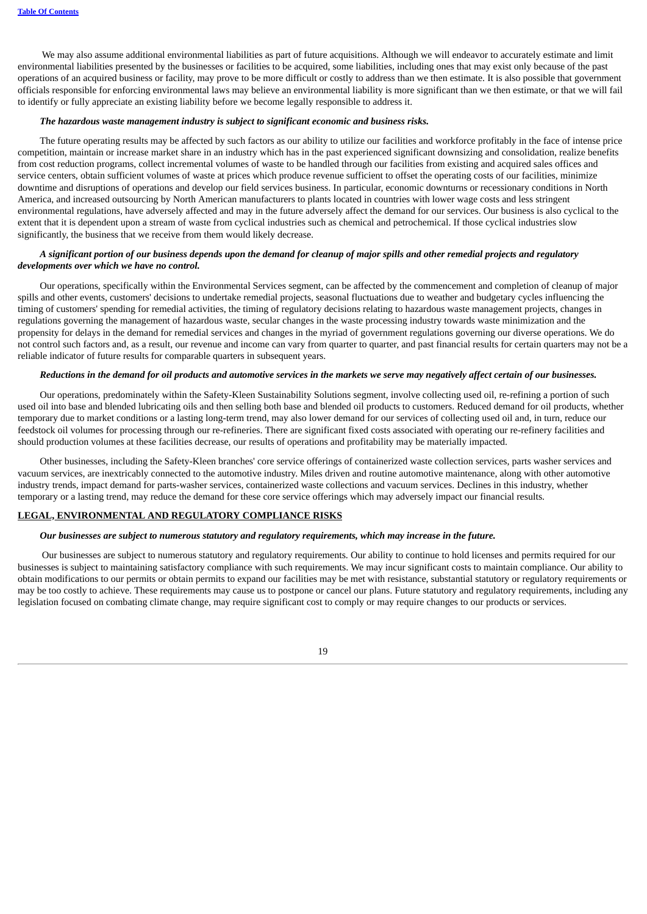We may also assume additional environmental liabilities as part of future acquisitions. Although we will endeavor to accurately estimate and limit environmental liabilities presented by the businesses or facilities to be acquired, some liabilities, including ones that may exist only because of the past operations of an acquired business or facility, may prove to be more difficult or costly to address than we then estimate. It is also possible that government officials responsible for enforcing environmental laws may believe an environmental liability is more significant than we then estimate, or that we will fail to identify or fully appreciate an existing liability before we become legally responsible to address it.

#### *The hazardous waste management industry is subject to significant economic and business risks.*

The future operating results may be affected by such factors as our ability to utilize our facilities and workforce profitably in the face of intense price competition, maintain or increase market share in an industry which has in the past experienced significant downsizing and consolidation, realize benefits from cost reduction programs, collect incremental volumes of waste to be handled through our facilities from existing and acquired sales offices and service centers, obtain sufficient volumes of waste at prices which produce revenue sufficient to offset the operating costs of our facilities, minimize downtime and disruptions of operations and develop our field services business. In particular, economic downturns or recessionary conditions in North America, and increased outsourcing by North American manufacturers to plants located in countries with lower wage costs and less stringent environmental regulations, have adversely affected and may in the future adversely affect the demand for our services. Our business is also cyclical to the extent that it is dependent upon a stream of waste from cyclical industries such as chemical and petrochemical. If those cyclical industries slow significantly, the business that we receive from them would likely decrease.

# A significant portion of our business depends upon the demand for cleanup of major spills and other remedial projects and regulatory *developments over which we have no control.*

Our operations, specifically within the Environmental Services segment, can be affected by the commencement and completion of cleanup of major spills and other events, customers' decisions to undertake remedial projects, seasonal fluctuations due to weather and budgetary cycles influencing the timing of customers' spending for remedial activities, the timing of regulatory decisions relating to hazardous waste management projects, changes in regulations governing the management of hazardous waste, secular changes in the waste processing industry towards waste minimization and the propensity for delays in the demand for remedial services and changes in the myriad of government regulations governing our diverse operations. We do not control such factors and, as a result, our revenue and income can vary from quarter to quarter, and past financial results for certain quarters may not be a reliable indicator of future results for comparable quarters in subsequent years.

## Reductions in the demand for oil products and automotive services in the markets we serve may negatively affect certain of our businesses.

Our operations, predominately within the Safety-Kleen Sustainability Solutions segment, involve collecting used oil, re-refining a portion of such used oil into base and blended lubricating oils and then selling both base and blended oil products to customers. Reduced demand for oil products, whether temporary due to market conditions or a lasting long-term trend, may also lower demand for our services of collecting used oil and, in turn, reduce our feedstock oil volumes for processing through our re-refineries. There are significant fixed costs associated with operating our re-refinery facilities and should production volumes at these facilities decrease, our results of operations and profitability may be materially impacted.

Other businesses, including the Safety-Kleen branches' core service offerings of containerized waste collection services, parts washer services and vacuum services, are inextricably connected to the automotive industry. Miles driven and routine automotive maintenance, along with other automotive industry trends, impact demand for parts-washer services, containerized waste collections and vacuum services. Declines in this industry, whether temporary or a lasting trend, may reduce the demand for these core service offerings which may adversely impact our financial results.

# **LEGAL, ENVIRONMENTAL AND REGULATORY COMPLIANCE RISKS**

#### *Our businesses are subject to numerous statutory and regulatory requirements, which may increase in the future.*

Our businesses are subject to numerous statutory and regulatory requirements. Our ability to continue to hold licenses and permits required for our businesses is subject to maintaining satisfactory compliance with such requirements. We may incur significant costs to maintain compliance. Our ability to obtain modifications to our permits or obtain permits to expand our facilities may be met with resistance, substantial statutory or regulatory requirements or may be too costly to achieve. These requirements may cause us to postpone or cancel our plans. Future statutory and regulatory requirements, including any legislation focused on combating climate change, may require significant cost to comply or may require changes to our products or services.

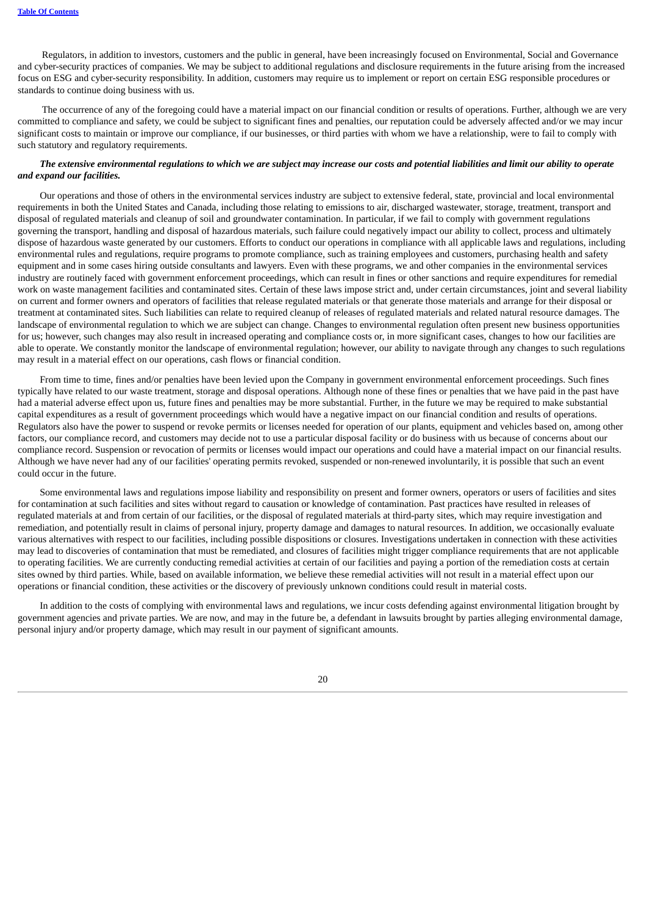Regulators, in addition to investors, customers and the public in general, have been increasingly focused on Environmental, Social and Governance and cyber-security practices of companies. We may be subject to additional regulations and disclosure requirements in the future arising from the increased focus on ESG and cyber-security responsibility. In addition, customers may require us to implement or report on certain ESG responsible procedures or standards to continue doing business with us.

The occurrence of any of the foregoing could have a material impact on our financial condition or results of operations. Further, although we are very committed to compliance and safety, we could be subject to significant fines and penalties, our reputation could be adversely affected and/or we may incur significant costs to maintain or improve our compliance, if our businesses, or third parties with whom we have a relationship, were to fail to comply with such statutory and regulatory requirements.

# The extensive environmental requlations to which we are subject may increase our costs and potential liabilities and limit our ability to operate *and expand our facilities.*

Our operations and those of others in the environmental services industry are subject to extensive federal, state, provincial and local environmental requirements in both the United States and Canada, including those relating to emissions to air, discharged wastewater, storage, treatment, transport and disposal of regulated materials and cleanup of soil and groundwater contamination. In particular, if we fail to comply with government regulations governing the transport, handling and disposal of hazardous materials, such failure could negatively impact our ability to collect, process and ultimately dispose of hazardous waste generated by our customers. Efforts to conduct our operations in compliance with all applicable laws and regulations, including environmental rules and regulations, require programs to promote compliance, such as training employees and customers, purchasing health and safety equipment and in some cases hiring outside consultants and lawyers. Even with these programs, we and other companies in the environmental services industry are routinely faced with government enforcement proceedings, which can result in fines or other sanctions and require expenditures for remedial work on waste management facilities and contaminated sites. Certain of these laws impose strict and, under certain circumstances, joint and several liability on current and former owners and operators of facilities that release regulated materials or that generate those materials and arrange for their disposal or treatment at contaminated sites. Such liabilities can relate to required cleanup of releases of regulated materials and related natural resource damages. The landscape of environmental regulation to which we are subject can change. Changes to environmental regulation often present new business opportunities for us; however, such changes may also result in increased operating and compliance costs or, in more significant cases, changes to how our facilities are able to operate. We constantly monitor the landscape of environmental regulation; however, our ability to navigate through any changes to such regulations may result in a material effect on our operations, cash flows or financial condition.

From time to time, fines and/or penalties have been levied upon the Company in government environmental enforcement proceedings. Such fines typically have related to our waste treatment, storage and disposal operations. Although none of these fines or penalties that we have paid in the past have had a material adverse effect upon us, future fines and penalties may be more substantial. Further, in the future we may be required to make substantial capital expenditures as a result of government proceedings which would have a negative impact on our financial condition and results of operations. Regulators also have the power to suspend or revoke permits or licenses needed for operation of our plants, equipment and vehicles based on, among other factors, our compliance record, and customers may decide not to use a particular disposal facility or do business with us because of concerns about our compliance record. Suspension or revocation of permits or licenses would impact our operations and could have a material impact on our financial results. Although we have never had any of our facilities' operating permits revoked, suspended or non-renewed involuntarily, it is possible that such an event could occur in the future.

Some environmental laws and regulations impose liability and responsibility on present and former owners, operators or users of facilities and sites for contamination at such facilities and sites without regard to causation or knowledge of contamination. Past practices have resulted in releases of regulated materials at and from certain of our facilities, or the disposal of regulated materials at third-party sites, which may require investigation and remediation, and potentially result in claims of personal injury, property damage and damages to natural resources. In addition, we occasionally evaluate various alternatives with respect to our facilities, including possible dispositions or closures. Investigations undertaken in connection with these activities may lead to discoveries of contamination that must be remediated, and closures of facilities might trigger compliance requirements that are not applicable to operating facilities. We are currently conducting remedial activities at certain of our facilities and paying a portion of the remediation costs at certain sites owned by third parties. While, based on available information, we believe these remedial activities will not result in a material effect upon our operations or financial condition, these activities or the discovery of previously unknown conditions could result in material costs.

In addition to the costs of complying with environmental laws and regulations, we incur costs defending against environmental litigation brought by government agencies and private parties. We are now, and may in the future be, a defendant in lawsuits brought by parties alleging environmental damage, personal injury and/or property damage, which may result in our payment of significant amounts.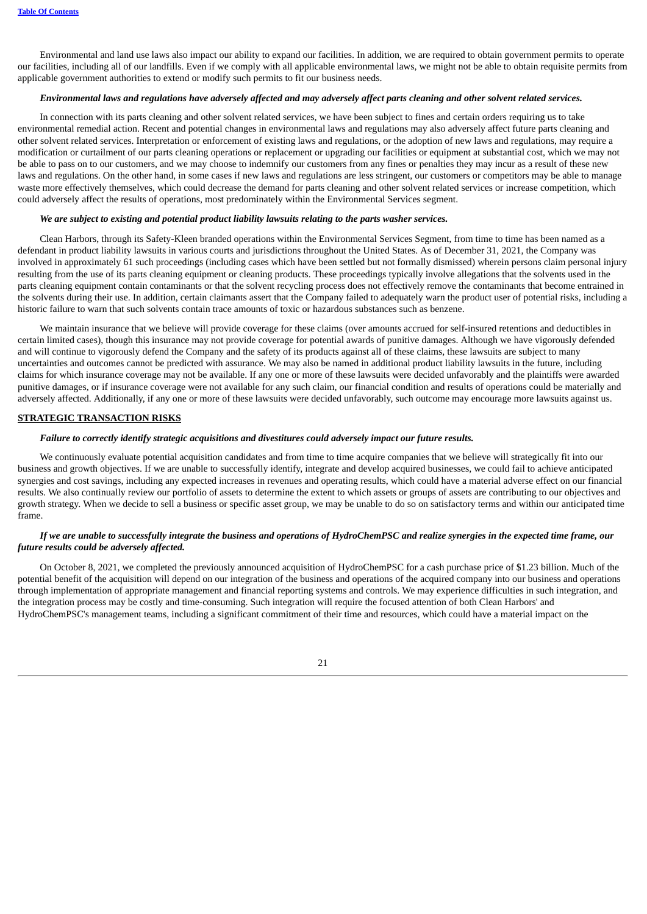Environmental and land use laws also impact our ability to expand our facilities. In addition, we are required to obtain government permits to operate our facilities, including all of our landfills. Even if we comply with all applicable environmental laws, we might not be able to obtain requisite permits from applicable government authorities to extend or modify such permits to fit our business needs.

# Environmental laws and regulations have adversely affected and may adversely affect parts cleaning and other solvent related services.

In connection with its parts cleaning and other solvent related services, we have been subject to fines and certain orders requiring us to take environmental remedial action. Recent and potential changes in environmental laws and regulations may also adversely affect future parts cleaning and other solvent related services. Interpretation or enforcement of existing laws and regulations, or the adoption of new laws and regulations, may require a modification or curtailment of our parts cleaning operations or replacement or upgrading our facilities or equipment at substantial cost, which we may not be able to pass on to our customers, and we may choose to indemnify our customers from any fines or penalties they may incur as a result of these new laws and regulations. On the other hand, in some cases if new laws and regulations are less stringent, our customers or competitors may be able to manage waste more effectively themselves, which could decrease the demand for parts cleaning and other solvent related services or increase competition, which could adversely affect the results of operations, most predominately within the Environmental Services segment.

### *We are subject to existing and potential product liability lawsuits relating to the parts washer services.*

Clean Harbors, through its Safety-Kleen branded operations within the Environmental Services Segment, from time to time has been named as a defendant in product liability lawsuits in various courts and jurisdictions throughout the United States. As of December 31, 2021, the Company was involved in approximately 61 such proceedings (including cases which have been settled but not formally dismissed) wherein persons claim personal injury resulting from the use of its parts cleaning equipment or cleaning products. These proceedings typically involve allegations that the solvents used in the parts cleaning equipment contain contaminants or that the solvent recycling process does not effectively remove the contaminants that become entrained in the solvents during their use. In addition, certain claimants assert that the Company failed to adequately warn the product user of potential risks, including a historic failure to warn that such solvents contain trace amounts of toxic or hazardous substances such as benzene.

We maintain insurance that we believe will provide coverage for these claims (over amounts accrued for self-insured retentions and deductibles in certain limited cases), though this insurance may not provide coverage for potential awards of punitive damages. Although we have vigorously defended and will continue to vigorously defend the Company and the safety of its products against all of these claims, these lawsuits are subject to many uncertainties and outcomes cannot be predicted with assurance. We may also be named in additional product liability lawsuits in the future, including claims for which insurance coverage may not be available. If any one or more of these lawsuits were decided unfavorably and the plaintiffs were awarded punitive damages, or if insurance coverage were not available for any such claim, our financial condition and results of operations could be materially and adversely affected. Additionally, if any one or more of these lawsuits were decided unfavorably, such outcome may encourage more lawsuits against us.

## **STRATEGIC TRANSACTION RISKS**

#### *Failure to correctly identify strategic acquisitions and divestitures could adversely impact our future results.*

We continuously evaluate potential acquisition candidates and from time to time acquire companies that we believe will strategically fit into our business and growth objectives. If we are unable to successfully identify, integrate and develop acquired businesses, we could fail to achieve anticipated synergies and cost savings, including any expected increases in revenues and operating results, which could have a material adverse effect on our financial results. We also continually review our portfolio of assets to determine the extent to which assets or groups of assets are contributing to our objectives and growth strategy. When we decide to sell a business or specific asset group, we may be unable to do so on satisfactory terms and within our anticipated time frame.

## If we are unable to successfully integrate the business and operations of HydroChemPSC and realize synergies in the expected time frame, our *future results could be adversely affected.*

On October 8, 2021, we completed the previously announced acquisition of HydroChemPSC for a cash purchase price of \$1.23 billion. Much of the potential benefit of the acquisition will depend on our integration of the business and operations of the acquired company into our business and operations through implementation of appropriate management and financial reporting systems and controls. We may experience difficulties in such integration, and the integration process may be costly and time-consuming. Such integration will require the focused attention of both Clean Harbors' and HydroChemPSC's management teams, including a significant commitment of their time and resources, which could have a material impact on the

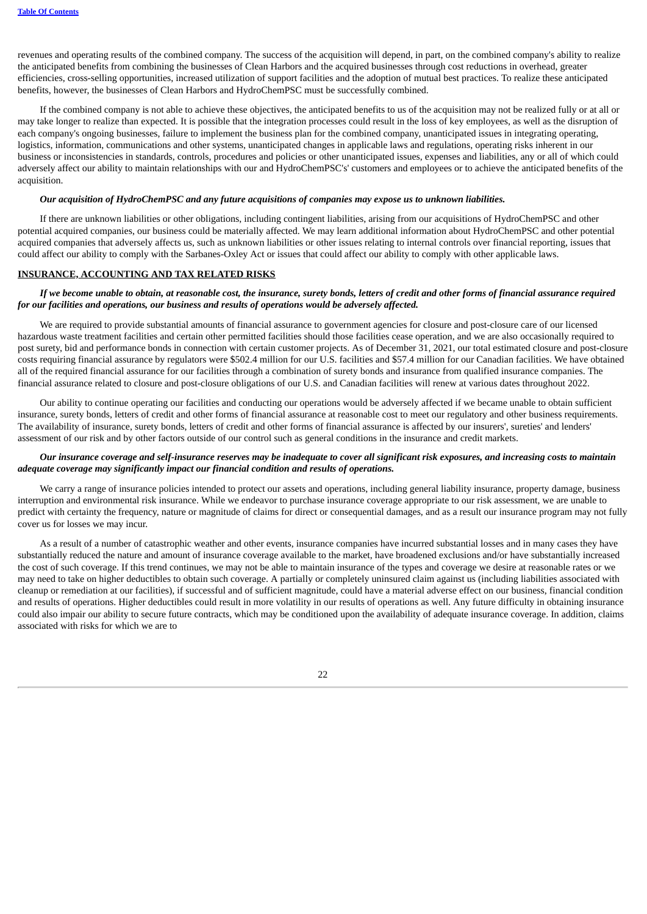revenues and operating results of the combined company. The success of the acquisition will depend, in part, on the combined company's ability to realize the anticipated benefits from combining the businesses of Clean Harbors and the acquired businesses through cost reductions in overhead, greater efficiencies, cross-selling opportunities, increased utilization of support facilities and the adoption of mutual best practices. To realize these anticipated benefits, however, the businesses of Clean Harbors and HydroChemPSC must be successfully combined.

If the combined company is not able to achieve these objectives, the anticipated benefits to us of the acquisition may not be realized fully or at all or may take longer to realize than expected. It is possible that the integration processes could result in the loss of key employees, as well as the disruption of each company's ongoing businesses, failure to implement the business plan for the combined company, unanticipated issues in integrating operating, logistics, information, communications and other systems, unanticipated changes in applicable laws and regulations, operating risks inherent in our business or inconsistencies in standards, controls, procedures and policies or other unanticipated issues, expenses and liabilities, any or all of which could adversely affect our ability to maintain relationships with our and HydroChemPSC's' customers and employees or to achieve the anticipated benefits of the acquisition.

## *Our acquisition of HydroChemPSC and any future acquisitions of companies may expose us to unknown liabilities.*

If there are unknown liabilities or other obligations, including contingent liabilities, arising from our acquisitions of HydroChemPSC and other potential acquired companies, our business could be materially affected. We may learn additional information about HydroChemPSC and other potential acquired companies that adversely affects us, such as unknown liabilities or other issues relating to internal controls over financial reporting, issues that could affect our ability to comply with the Sarbanes-Oxley Act or issues that could affect our ability to comply with other applicable laws.

## **INSURANCE, ACCOUNTING AND TAX RELATED RISKS**

# If we become unable to obtain, at reasonable cost, the insurance, surety bonds, letters of credit and other forms of financial assurance required *for our facilities and operations, our business and results of operations would be adversely affected.*

We are required to provide substantial amounts of financial assurance to government agencies for closure and post-closure care of our licensed hazardous waste treatment facilities and certain other permitted facilities should those facilities cease operation, and we are also occasionally required to post surety, bid and performance bonds in connection with certain customer projects. As of December 31, 2021, our total estimated closure and post-closure costs requiring financial assurance by regulators were \$502.4 million for our U.S. facilities and \$57.4 million for our Canadian facilities. We have obtained all of the required financial assurance for our facilities through a combination of surety bonds and insurance from qualified insurance companies. The financial assurance related to closure and post-closure obligations of our U.S. and Canadian facilities will renew at various dates throughout 2022.

Our ability to continue operating our facilities and conducting our operations would be adversely affected if we became unable to obtain sufficient insurance, surety bonds, letters of credit and other forms of financial assurance at reasonable cost to meet our regulatory and other business requirements. The availability of insurance, surety bonds, letters of credit and other forms of financial assurance is affected by our insurers', sureties' and lenders' assessment of our risk and by other factors outside of our control such as general conditions in the insurance and credit markets.

# Our insurance coverage and self-insurance reserves may be inadequate to cover all significant risk exposures, and increasing costs to maintain *adequate coverage may significantly impact our financial condition and results of operations.*

We carry a range of insurance policies intended to protect our assets and operations, including general liability insurance, property damage, business interruption and environmental risk insurance. While we endeavor to purchase insurance coverage appropriate to our risk assessment, we are unable to predict with certainty the frequency, nature or magnitude of claims for direct or consequential damages, and as a result our insurance program may not fully cover us for losses we may incur.

As a result of a number of catastrophic weather and other events, insurance companies have incurred substantial losses and in many cases they have substantially reduced the nature and amount of insurance coverage available to the market, have broadened exclusions and/or have substantially increased the cost of such coverage. If this trend continues, we may not be able to maintain insurance of the types and coverage we desire at reasonable rates or we may need to take on higher deductibles to obtain such coverage. A partially or completely uninsured claim against us (including liabilities associated with cleanup or remediation at our facilities), if successful and of sufficient magnitude, could have a material adverse effect on our business, financial condition and results of operations. Higher deductibles could result in more volatility in our results of operations as well. Any future difficulty in obtaining insurance could also impair our ability to secure future contracts, which may be conditioned upon the availability of adequate insurance coverage. In addition, claims associated with risks for which we are to

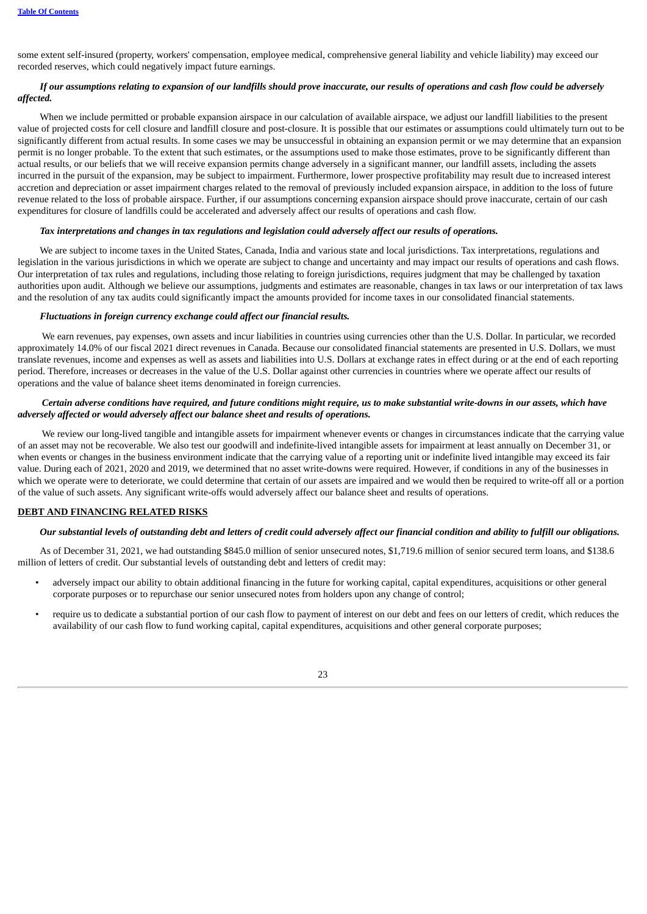some extent self-insured (property, workers' compensation, employee medical, comprehensive general liability and vehicle liability) may exceed our recorded reserves, which could negatively impact future earnings.

# If our assumptions relating to expansion of our landfills should prove inaccurate, our results of operations and cash flow could be adversely *affected.*

When we include permitted or probable expansion airspace in our calculation of available airspace, we adjust our landfill liabilities to the present value of projected costs for cell closure and landfill closure and post-closure. It is possible that our estimates or assumptions could ultimately turn out to be significantly different from actual results. In some cases we may be unsuccessful in obtaining an expansion permit or we may determine that an expansion permit is no longer probable. To the extent that such estimates, or the assumptions used to make those estimates, prove to be significantly different than actual results, or our beliefs that we will receive expansion permits change adversely in a significant manner, our landfill assets, including the assets incurred in the pursuit of the expansion, may be subject to impairment. Furthermore, lower prospective profitability may result due to increased interest accretion and depreciation or asset impairment charges related to the removal of previously included expansion airspace, in addition to the loss of future revenue related to the loss of probable airspace. Further, if our assumptions concerning expansion airspace should prove inaccurate, certain of our cash expenditures for closure of landfills could be accelerated and adversely affect our results of operations and cash flow.

## Tax interpretations and changes in tax regulations and legislation could adversely affect our results of operations.

We are subject to income taxes in the United States, Canada, India and various state and local jurisdictions. Tax interpretations, regulations and legislation in the various jurisdictions in which we operate are subject to change and uncertainty and may impact our results of operations and cash flows. Our interpretation of tax rules and regulations, including those relating to foreign jurisdictions, requires judgment that may be challenged by taxation authorities upon audit. Although we believe our assumptions, judgments and estimates are reasonable, changes in tax laws or our interpretation of tax laws and the resolution of any tax audits could significantly impact the amounts provided for income taxes in our consolidated financial statements.

# *Fluctuations in foreign currency exchange could affect our financial results.*

We earn revenues, pay expenses, own assets and incur liabilities in countries using currencies other than the U.S. Dollar. In particular, we recorded approximately 14.0% of our fiscal 2021 direct revenues in Canada. Because our consolidated financial statements are presented in U.S. Dollars, we must translate revenues, income and expenses as well as assets and liabilities into U.S. Dollars at exchange rates in effect during or at the end of each reporting period. Therefore, increases or decreases in the value of the U.S. Dollar against other currencies in countries where we operate affect our results of operations and the value of balance sheet items denominated in foreign currencies.

# Certain adverse conditions have required, and future conditions might require, us to make substantial write-downs in our assets, which have *adversely affected or would adversely affect our balance sheet and results of operations.*

We review our long-lived tangible and intangible assets for impairment whenever events or changes in circumstances indicate that the carrying value of an asset may not be recoverable. We also test our goodwill and indefinite-lived intangible assets for impairment at least annually on December 31, or when events or changes in the business environment indicate that the carrying value of a reporting unit or indefinite lived intangible may exceed its fair value. During each of 2021, 2020 and 2019, we determined that no asset write-downs were required. However, if conditions in any of the businesses in which we operate were to deteriorate, we could determine that certain of our assets are impaired and we would then be required to write-off all or a portion of the value of such assets. Any significant write-offs would adversely affect our balance sheet and results of operations.

# **DEBT AND FINANCING RELATED RISKS**

## Our substantial levels of outstanding debt and letters of credit could adversely affect our financial condition and ability to fulfill our obligations.

As of December 31, 2021, we had outstanding \$845.0 million of senior unsecured notes, \$1,719.6 million of senior secured term loans, and \$138.6 million of letters of credit. Our substantial levels of outstanding debt and letters of credit may:

- adversely impact our ability to obtain additional financing in the future for working capital, capital expenditures, acquisitions or other general corporate purposes or to repurchase our senior unsecured notes from holders upon any change of control;
- require us to dedicate a substantial portion of our cash flow to payment of interest on our debt and fees on our letters of credit, which reduces the availability of our cash flow to fund working capital, capital expenditures, acquisitions and other general corporate purposes;

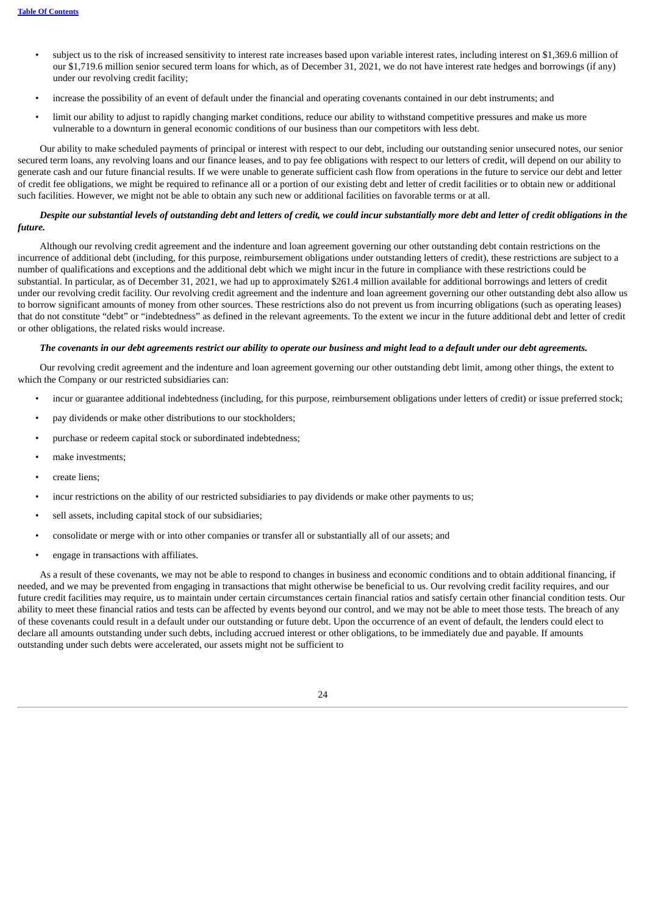- subject us to the risk of increased sensitivity to interest rate increases based upon variable interest rates, including interest on \$1,369.6 million of our \$1,719.6 million senior secured term loans for which, as of December 31, 2021, we do not have interest rate hedges and borrowings (if any) under our revolving credit facility;
- increase the possibility of an event of default under the financial and operating covenants contained in our debt instruments; and
- limit our ability to adjust to rapidly changing market conditions, reduce our ability to withstand competitive pressures and make us more vulnerable to a downturn in general economic conditions of our business than our competitors with less debt.

Our ability to make scheduled payments of principal or interest with respect to our debt, including our outstanding senior unsecured notes, our senior secured term loans, any revolving loans and our finance leases, and to pay fee obligations with respect to our letters of credit, will depend on our ability to generate cash and our future financial results. If we were unable to generate sufficient cash flow from operations in the future to service our debt and letter of credit fee obligations, we might be required to refinance all or a portion of our existing debt and letter of credit facilities or to obtain new or additional such facilities. However, we might not be able to obtain any such new or additional facilities on favorable terms or at all.

# Despite our substantial levels of outstanding debt and letters of credit, we could incur substantially more debt and letter of credit obligations in the *future.*

Although our revolving credit agreement and the indenture and loan agreement governing our other outstanding debt contain restrictions on the incurrence of additional debt (including, for this purpose, reimbursement obligations under outstanding letters of credit), these restrictions are subject to a number of qualifications and exceptions and the additional debt which we might incur in the future in compliance with these restrictions could be substantial. In particular, as of December 31, 2021, we had up to approximately \$261.4 million available for additional borrowings and letters of credit under our revolving credit facility. Our revolving credit agreement and the indenture and loan agreement governing our other outstanding debt also allow us to borrow significant amounts of money from other sources. These restrictions also do not prevent us from incurring obligations (such as operating leases) that do not constitute "debt" or "indebtedness" as defined in the relevant agreements. To the extent we incur in the future additional debt and letter of credit or other obligations, the related risks would increase.

### The covenants in our debt agreements restrict our ability to operate our business and might lead to a default under our debt agreements.

Our revolving credit agreement and the indenture and loan agreement governing our other outstanding debt limit, among other things, the extent to which the Company or our restricted subsidiaries can:

- incur or guarantee additional indebtedness (including, for this purpose, reimbursement obligations under letters of credit) or issue preferred stock;
- pay dividends or make other distributions to our stockholders;
- purchase or redeem capital stock or subordinated indebtedness;
- make investments;
- create liens;
- incur restrictions on the ability of our restricted subsidiaries to pay dividends or make other payments to us;
- sell assets, including capital stock of our subsidiaries;
- consolidate or merge with or into other companies or transfer all or substantially all of our assets; and
- engage in transactions with affiliates.

As a result of these covenants, we may not be able to respond to changes in business and economic conditions and to obtain additional financing, if needed, and we may be prevented from engaging in transactions that might otherwise be beneficial to us. Our revolving credit facility requires, and our future credit facilities may require, us to maintain under certain circumstances certain financial ratios and satisfy certain other financial condition tests. Our ability to meet these financial ratios and tests can be affected by events beyond our control, and we may not be able to meet those tests. The breach of any of these covenants could result in a default under our outstanding or future debt. Upon the occurrence of an event of default, the lenders could elect to declare all amounts outstanding under such debts, including accrued interest or other obligations, to be immediately due and payable. If amounts outstanding under such debts were accelerated, our assets might not be sufficient to

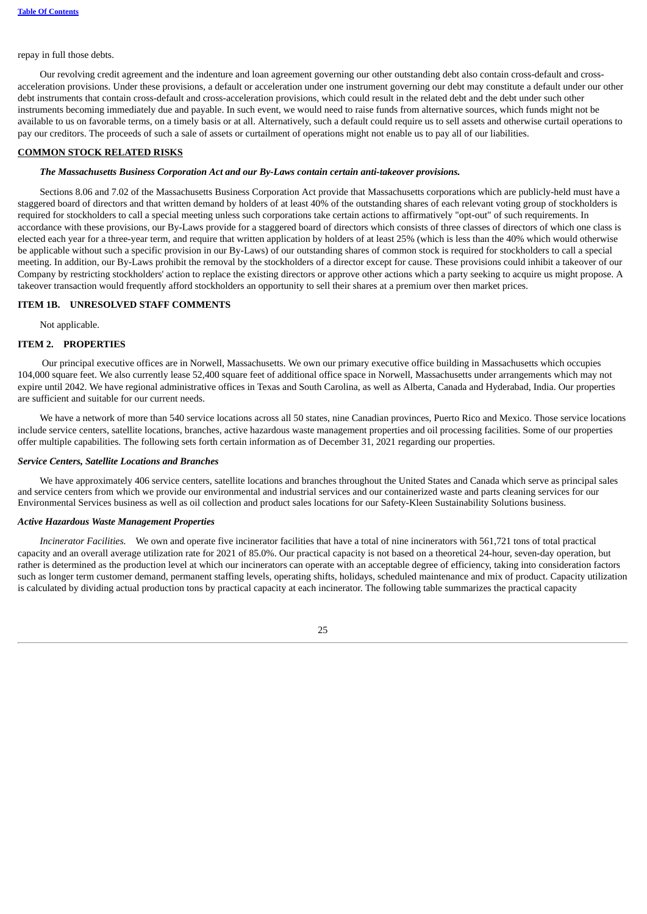# repay in full those debts.

Our revolving credit agreement and the indenture and loan agreement governing our other outstanding debt also contain cross-default and crossacceleration provisions. Under these provisions, a default or acceleration under one instrument governing our debt may constitute a default under our other debt instruments that contain cross-default and cross-acceleration provisions, which could result in the related debt and the debt under such other instruments becoming immediately due and payable. In such event, we would need to raise funds from alternative sources, which funds might not be available to us on favorable terms, on a timely basis or at all. Alternatively, such a default could require us to sell assets and otherwise curtail operations to pay our creditors. The proceeds of such a sale of assets or curtailment of operations might not enable us to pay all of our liabilities.

# **COMMON STOCK RELATED RISKS**

## *The Massachusetts Business Corporation Act and our By-Laws contain certain anti-takeover provisions.*

Sections 8.06 and 7.02 of the Massachusetts Business Corporation Act provide that Massachusetts corporations which are publicly-held must have a staggered board of directors and that written demand by holders of at least 40% of the outstanding shares of each relevant voting group of stockholders is required for stockholders to call a special meeting unless such corporations take certain actions to affirmatively "opt-out" of such requirements. In accordance with these provisions, our By-Laws provide for a staggered board of directors which consists of three classes of directors of which one class is elected each year for a three-year term, and require that written application by holders of at least 25% (which is less than the 40% which would otherwise be applicable without such a specific provision in our By-Laws) of our outstanding shares of common stock is required for stockholders to call a special meeting. In addition, our By-Laws prohibit the removal by the stockholders of a director except for cause. These provisions could inhibit a takeover of our Company by restricting stockholders' action to replace the existing directors or approve other actions which a party seeking to acquire us might propose. A takeover transaction would frequently afford stockholders an opportunity to sell their shares at a premium over then market prices.

# <span id="page-26-0"></span>**ITEM 1B. UNRESOLVED STAFF COMMENTS**

Not applicable.

## <span id="page-26-1"></span>**ITEM 2. PROPERTIES**

Our principal executive offices are in Norwell, Massachusetts. We own our primary executive office building in Massachusetts which occupies 104,000 square feet. We also currently lease 52,400 square feet of additional office space in Norwell, Massachusetts under arrangements which may not expire until 2042. We have regional administrative offices in Texas and South Carolina, as well as Alberta, Canada and Hyderabad, India. Our properties are sufficient and suitable for our current needs.

We have a network of more than 540 service locations across all 50 states, nine Canadian provinces, Puerto Rico and Mexico. Those service locations include service centers, satellite locations, branches, active hazardous waste management properties and oil processing facilities. Some of our properties offer multiple capabilities. The following sets forth certain information as of December 31, 2021 regarding our properties.

#### *Service Centers, Satellite Locations and Branches*

We have approximately 406 service centers, satellite locations and branches throughout the United States and Canada which serve as principal sales and service centers from which we provide our environmental and industrial services and our containerized waste and parts cleaning services for our Environmental Services business as well as oil collection and product sales locations for our Safety-Kleen Sustainability Solutions business.

# *Active Hazardous Waste Management Properties*

*Incinerator Facilities.* We own and operate five incinerator facilities that have a total of nine incinerators with 561,721 tons of total practical capacity and an overall average utilization rate for 2021 of 85.0%. Our practical capacity is not based on a theoretical 24-hour, seven-day operation, but rather is determined as the production level at which our incinerators can operate with an acceptable degree of efficiency, taking into consideration factors such as longer term customer demand, permanent staffing levels, operating shifts, holidays, scheduled maintenance and mix of product. Capacity utilization is calculated by dividing actual production tons by practical capacity at each incinerator. The following table summarizes the practical capacity

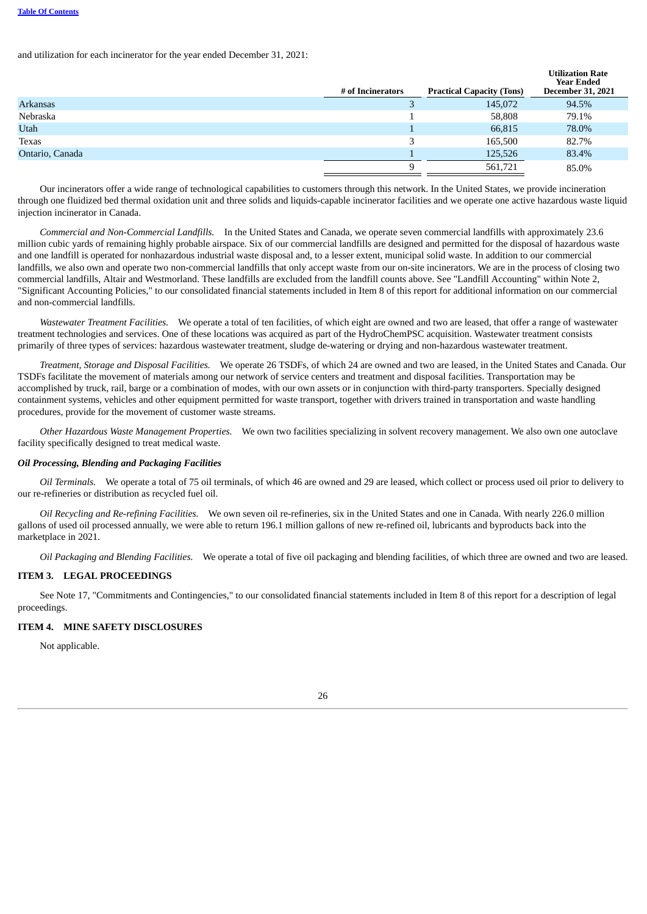and utilization for each incinerator for the year ended December 31, 2021:

|                 | # of Incinerators | <b>Practical Capacity (Tons)</b> | Utilization Rate<br><b>Year Ended</b><br><b>December 31, 2021</b> |
|-----------------|-------------------|----------------------------------|-------------------------------------------------------------------|
| <b>Arkansas</b> |                   | 145,072                          | 94.5%                                                             |
| Nebraska        |                   | 58,808                           | 79.1%                                                             |
| <b>Utah</b>     |                   | 66,815                           | 78.0%                                                             |
| Texas           | 3                 | 165,500                          | 82.7%                                                             |
| Ontario, Canada |                   | 125,526                          | 83.4%                                                             |
|                 | 9                 | 561,721                          | 85.0%                                                             |

**Utilization Rate** 

Our incinerators offer a wide range of technological capabilities to customers through this network. In the United States, we provide incineration through one fluidized bed thermal oxidation unit and three solids and liquids-capable incinerator facilities and we operate one active hazardous waste liquid injection incinerator in Canada.

*Commercial and Non-Commercial Landfills.* In the United States and Canada, we operate seven commercial landfills with approximately 23.6 million cubic yards of remaining highly probable airspace. Six of our commercial landfills are designed and permitted for the disposal of hazardous waste and one landfill is operated for nonhazardous industrial waste disposal and, to a lesser extent, municipal solid waste. In addition to our commercial landfills, we also own and operate two non-commercial landfills that only accept waste from our on-site incinerators. We are in the process of closing two commercial landfills, Altair and Westmorland. These landfills are excluded from the landfill counts above. See "Landfill Accounting" within Note 2, "Significant Accounting Policies," to our consolidated financial statements included in Item 8 of this report for additional information on our commercial and non-commercial landfills.

*Wastewater Treatment Facilities.* We operate a total of ten facilities, of which eight are owned and two are leased, that offer a range of wastewater treatment technologies and services. One of these locations was acquired as part of the HydroChemPSC acquisition. Wastewater treatment consists primarily of three types of services: hazardous wastewater treatment, sludge de-watering or drying and non-hazardous wastewater treatment.

*Treatment, Storage and Disposal Facilities.* We operate 26 TSDFs, of which 24 are owned and two are leased, in the United States and Canada. Our TSDFs facilitate the movement of materials among our network of service centers and treatment and disposal facilities. Transportation may be accomplished by truck, rail, barge or a combination of modes, with our own assets or in conjunction with third-party transporters. Specially designed containment systems, vehicles and other equipment permitted for waste transport, together with drivers trained in transportation and waste handling procedures, provide for the movement of customer waste streams.

*Other Hazardous Waste Management Properties.* We own two facilities specializing in solvent recovery management. We also own one autoclave facility specifically designed to treat medical waste.

## *Oil Processing, Blending and Packaging Facilities*

*Oil Terminals.* We operate a total of 75 oil terminals, of which 46 are owned and 29 are leased, which collect or process used oil prior to delivery to our re-refineries or distribution as recycled fuel oil.

*Oil Recycling and Re-refining Facilities.* We own seven oil re-refineries, six in the United States and one in Canada. With nearly 226.0 million gallons of used oil processed annually, we were able to return 196.1 million gallons of new re-refined oil, lubricants and byproducts back into the marketplace in 2021.

*Oil Packaging and Blending Facilities.* We operate a total of five oil packaging and blending facilities, of which three are owned and two are leased.

# <span id="page-27-0"></span>**ITEM 3. LEGAL PROCEEDINGS**

See Note 17, "Commitments and Contingencies," to our consolidated financial statements included in Item 8 of this report for a description of legal proceedings.

## <span id="page-27-1"></span>**ITEM 4. MINE SAFETY DISCLOSURES**

<span id="page-27-2"></span>Not applicable.

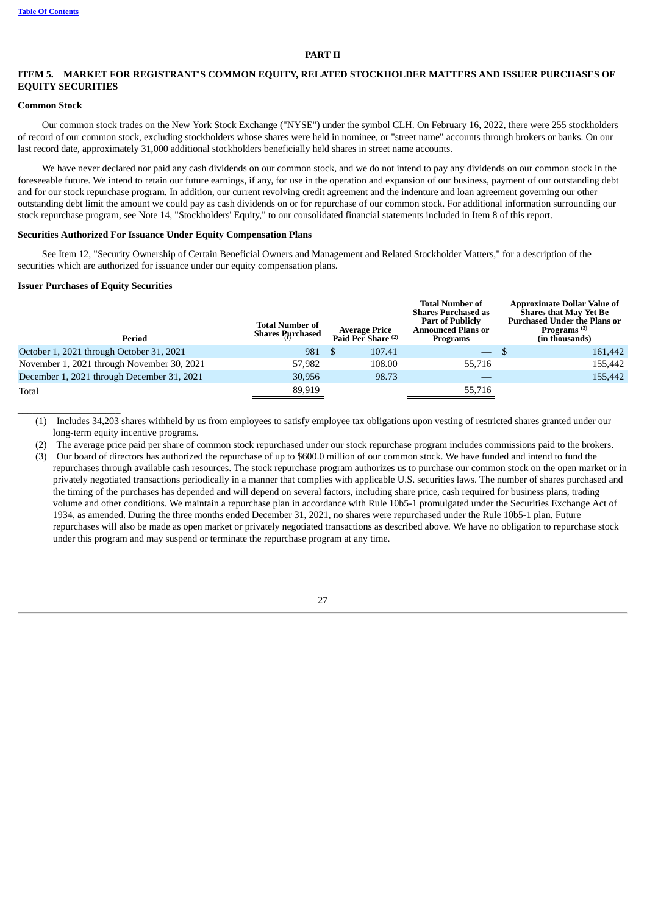## **PART II**

## <span id="page-28-0"></span>**ITEM 5. MARKET FOR REGISTRANT'S COMMON EQUITY, RELATED STOCKHOLDER MATTERS AND ISSUER PURCHASES OF EQUITY SECURITIES**

#### **Common Stock**

Our common stock trades on the New York Stock Exchange ("NYSE") under the symbol CLH. On February 16, 2022, there were 255 stockholders of record of our common stock, excluding stockholders whose shares were held in nominee, or "street name" accounts through brokers or banks. On our last record date, approximately 31,000 additional stockholders beneficially held shares in street name accounts.

We have never declared nor paid any cash dividends on our common stock, and we do not intend to pay any dividends on our common stock in the foreseeable future. We intend to retain our future earnings, if any, for use in the operation and expansion of our business, payment of our outstanding debt and for our stock repurchase program. In addition, our current revolving credit agreement and the indenture and loan agreement governing our other outstanding debt limit the amount we could pay as cash dividends on or for repurchase of our common stock. For additional information surrounding our stock repurchase program, see Note 14, "Stockholders' Equity," to our consolidated financial statements included in Item 8 of this report.

# **Securities Authorized For Issuance Under Equity Compensation Plans**

See Item 12, "Security Ownership of Certain Beneficial Owners and Management and Related Stockholder Matters," for a description of the securities which are authorized for issuance under our equity compensation plans.

#### **Issuer Purchases of Equity Securities**

 $\_$ 

| Period                                     | <b>Total Number of</b><br><b>Shares Purchased</b> |    | <b>Average Price</b><br>Paid Per Share <sup>(2)</sup> | <b>Total Number of</b><br><b>Shares Purchased as</b><br><b>Part of Publicly</b><br><b>Announced Plans or</b><br>Programs | <b>Approximate Dollar Value of</b><br><b>Shares that May Yet Be</b><br><b>Purchased Under the Plans or</b><br>Programs $(3)$<br>(in thousands) |
|--------------------------------------------|---------------------------------------------------|----|-------------------------------------------------------|--------------------------------------------------------------------------------------------------------------------------|------------------------------------------------------------------------------------------------------------------------------------------------|
| October 1, 2021 through October 31, 2021   | 981                                               | -S | 107.41                                                | $\overline{\phantom{a}}$                                                                                                 | 161,442                                                                                                                                        |
| November 1, 2021 through November 30, 2021 | 57,982                                            |    | 108.00                                                | 55.716                                                                                                                   | 155,442                                                                                                                                        |
| December 1, 2021 through December 31, 2021 | 30,956                                            |    | 98.73                                                 |                                                                                                                          | 155,442                                                                                                                                        |
| Total                                      | 89,919                                            |    |                                                       | 55,716                                                                                                                   |                                                                                                                                                |

(1) Includes 34,203 shares withheld by us from employees to satisfy employee tax obligations upon vesting of restricted shares granted under our long-term equity incentive programs.

(2) The average price paid per share of common stock repurchased under our stock repurchase program includes commissions paid to the brokers. (3) Our board of directors has authorized the repurchase of up to \$600.0 million of our common stock. We have funded and intend to fund the repurchases through available cash resources. The stock repurchase program authorizes us to purchase our common stock on the open market or in privately negotiated transactions periodically in a manner that complies with applicable U.S. securities laws. The number of shares purchased and the timing of the purchases has depended and will depend on several factors, including share price, cash required for business plans, trading volume and other conditions. We maintain a repurchase plan in accordance with Rule 10b5-1 promulgated under the Securities Exchange Act of 1934, as amended. During the three months ended December 31, 2021, no shares were repurchased under the Rule 10b5-1 plan. Future repurchases will also be made as open market or privately negotiated transactions as described above. We have no obligation to repurchase stock under this program and may suspend or terminate the repurchase program at any time.

27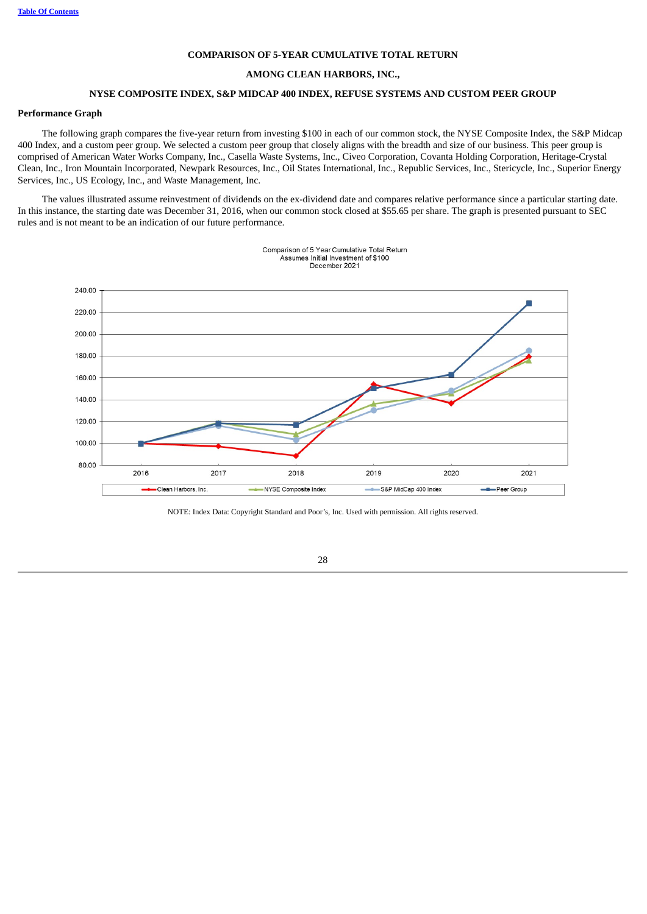## **COMPARISON OF 5-YEAR CUMULATIVE TOTAL RETURN**

#### **AMONG CLEAN HARBORS, INC.,**

# **NYSE COMPOSITE INDEX, S&P MIDCAP 400 INDEX, REFUSE SYSTEMS AND CUSTOM PEER GROUP**

# **Performance Graph**

The following graph compares the five-year return from investing \$100 in each of our common stock, the NYSE Composite Index, the S&P Midcap 400 Index, and a custom peer group. We selected a custom peer group that closely aligns with the breadth and size of our business. This peer group is comprised of American Water Works Company, Inc., Casella Waste Systems, Inc., Civeo Corporation, Covanta Holding Corporation, Heritage-Crystal Clean, Inc., Iron Mountain Incorporated, Newpark Resources, Inc., Oil States International, Inc., Republic Services, Inc., Stericycle, Inc., Superior Energy Services, Inc., US Ecology, Inc., and Waste Management, Inc.

The values illustrated assume reinvestment of dividends on the ex-dividend date and compares relative performance since a particular starting date. In this instance, the starting date was December 31, 2016, when our common stock closed at \$55.65 per share. The graph is presented pursuant to SEC rules and is not meant to be an indication of our future performance.

Comparison of 5 Year Cumulative Total Return



<span id="page-29-0"></span>NOTE: Index Data: Copyright Standard and Poor's, Inc. Used with permission. All rights reserved.

28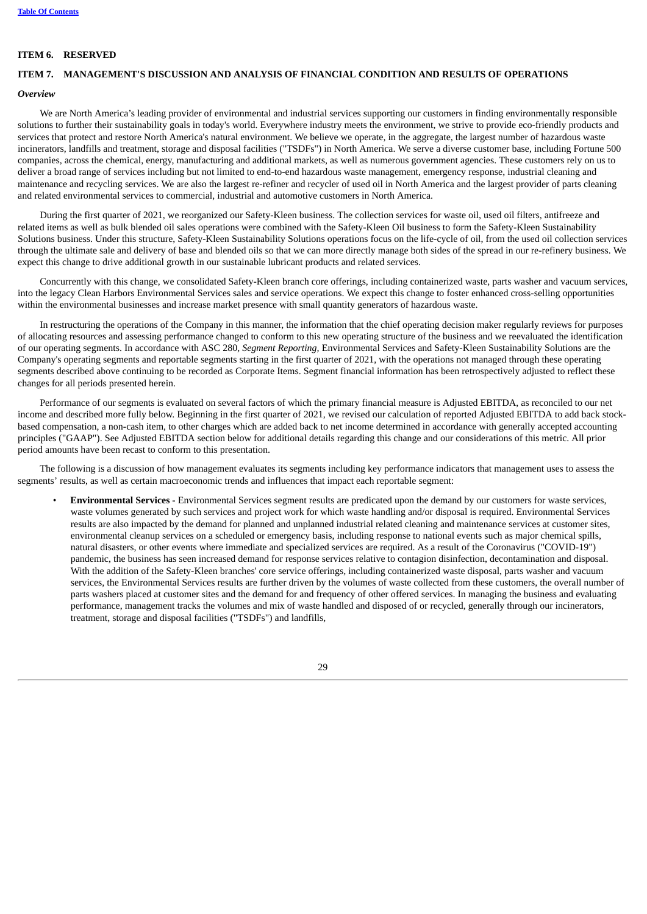# **ITEM 6. RESERVED**

# <span id="page-30-0"></span>**ITEM 7. MANAGEMENT'S DISCUSSION AND ANALYSIS OF FINANCIAL CONDITION AND RESULTS OF OPERATIONS**

## *Overview*

We are North America's leading provider of environmental and industrial services supporting our customers in finding environmentally responsible solutions to further their sustainability goals in today's world. Everywhere industry meets the environment, we strive to provide eco-friendly products and services that protect and restore North America's natural environment. We believe we operate, in the aggregate, the largest number of hazardous waste incinerators, landfills and treatment, storage and disposal facilities ("TSDFs") in North America. We serve a diverse customer base, including Fortune 500 companies, across the chemical, energy, manufacturing and additional markets, as well as numerous government agencies. These customers rely on us to deliver a broad range of services including but not limited to end-to-end hazardous waste management, emergency response, industrial cleaning and maintenance and recycling services. We are also the largest re-refiner and recycler of used oil in North America and the largest provider of parts cleaning and related environmental services to commercial, industrial and automotive customers in North America.

During the first quarter of 2021, we reorganized our Safety-Kleen business. The collection services for waste oil, used oil filters, antifreeze and related items as well as bulk blended oil sales operations were combined with the Safety-Kleen Oil business to form the Safety-Kleen Sustainability Solutions business. Under this structure, Safety-Kleen Sustainability Solutions operations focus on the life-cycle of oil, from the used oil collection services through the ultimate sale and delivery of base and blended oils so that we can more directly manage both sides of the spread in our re-refinery business. We expect this change to drive additional growth in our sustainable lubricant products and related services.

Concurrently with this change, we consolidated Safety-Kleen branch core offerings, including containerized waste, parts washer and vacuum services, into the legacy Clean Harbors Environmental Services sales and service operations. We expect this change to foster enhanced cross-selling opportunities within the environmental businesses and increase market presence with small quantity generators of hazardous waste.

In restructuring the operations of the Company in this manner, the information that the chief operating decision maker regularly reviews for purposes of allocating resources and assessing performance changed to conform to this new operating structure of the business and we reevaluated the identification of our operating segments. In accordance with ASC 280, *Segment Reporting,* Environmental Services and Safety-Kleen Sustainability Solutions are the Company's operating segments and reportable segments starting in the first quarter of 2021, with the operations not managed through these operating segments described above continuing to be recorded as Corporate Items. Segment financial information has been retrospectively adjusted to reflect these changes for all periods presented herein.

Performance of our segments is evaluated on several factors of which the primary financial measure is Adjusted EBITDA, as reconciled to our net income and described more fully below. Beginning in the first quarter of 2021, we revised our calculation of reported Adjusted EBITDA to add back stockbased compensation, a non-cash item, to other charges which are added back to net income determined in accordance with generally accepted accounting principles ("GAAP"). See Adjusted EBITDA section below for additional details regarding this change and our considerations of this metric. All prior period amounts have been recast to conform to this presentation.

The following is a discussion of how management evaluates its segments including key performance indicators that management uses to assess the segments' results, as well as certain macroeconomic trends and influences that impact each reportable segment:

• **Environmental Services -** Environmental Services segment results are predicated upon the demand by our customers for waste services, waste volumes generated by such services and project work for which waste handling and/or disposal is required. Environmental Services results are also impacted by the demand for planned and unplanned industrial related cleaning and maintenance services at customer sites, environmental cleanup services on a scheduled or emergency basis, including response to national events such as major chemical spills, natural disasters, or other events where immediate and specialized services are required. As a result of the Coronavirus ("COVID-19") pandemic, the business has seen increased demand for response services relative to contagion disinfection, decontamination and disposal. With the addition of the Safety-Kleen branches' core service offerings, including containerized waste disposal, parts washer and vacuum services, the Environmental Services results are further driven by the volumes of waste collected from these customers, the overall number of parts washers placed at customer sites and the demand for and frequency of other offered services. In managing the business and evaluating performance, management tracks the volumes and mix of waste handled and disposed of or recycled, generally through our incinerators, treatment, storage and disposal facilities ("TSDFs") and landfills,

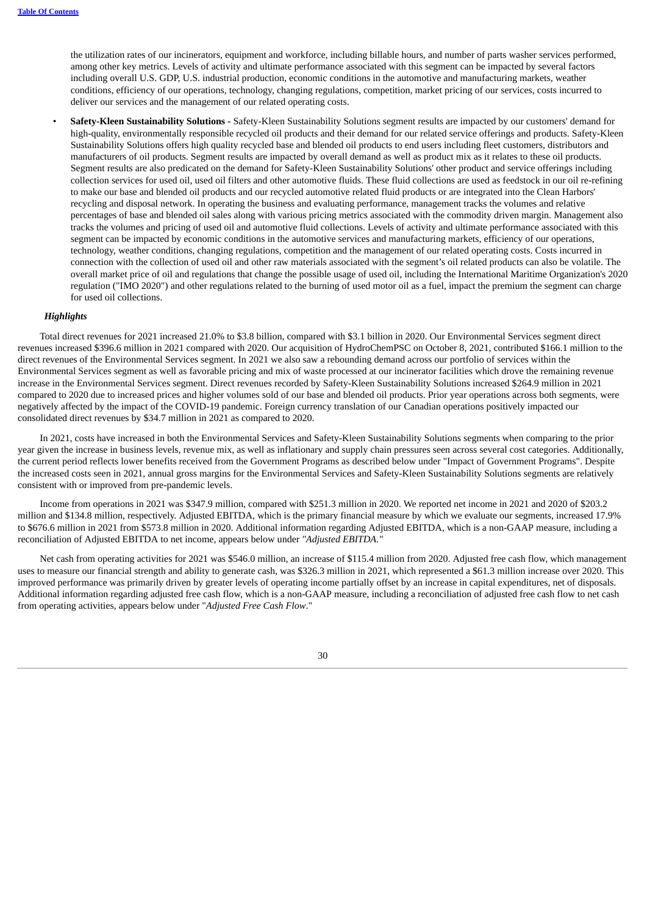the utilization rates of our incinerators, equipment and workforce, including billable hours, and number of parts washer services performed, among other key metrics. Levels of activity and ultimate performance associated with this segment can be impacted by several factors including overall U.S. GDP, U.S. industrial production, economic conditions in the automotive and manufacturing markets, weather conditions, efficiency of our operations, technology, changing regulations, competition, market pricing of our services, costs incurred to deliver our services and the management of our related operating costs.

• **Safety-Kleen Sustainability Solutions -** Safety-Kleen Sustainability Solutions segment results are impacted by our customers' demand for high-quality, environmentally responsible recycled oil products and their demand for our related service offerings and products. Safety-Kleen Sustainability Solutions offers high quality recycled base and blended oil products to end users including fleet customers, distributors and manufacturers of oil products. Segment results are impacted by overall demand as well as product mix as it relates to these oil products. Segment results are also predicated on the demand for Safety-Kleen Sustainability Solutions' other product and service offerings including collection services for used oil, used oil filters and other automotive fluids. These fluid collections are used as feedstock in our oil re-refining to make our base and blended oil products and our recycled automotive related fluid products or are integrated into the Clean Harbors' recycling and disposal network. In operating the business and evaluating performance, management tracks the volumes and relative percentages of base and blended oil sales along with various pricing metrics associated with the commodity driven margin. Management also tracks the volumes and pricing of used oil and automotive fluid collections. Levels of activity and ultimate performance associated with this segment can be impacted by economic conditions in the automotive services and manufacturing markets, efficiency of our operations, technology, weather conditions, changing regulations, competition and the management of our related operating costs. Costs incurred in connection with the collection of used oil and other raw materials associated with the segment's oil related products can also be volatile. The overall market price of oil and regulations that change the possible usage of used oil, including the International Maritime Organization's 2020 regulation ("IMO 2020") and other regulations related to the burning of used motor oil as a fuel, impact the premium the segment can charge for used oil collections.

#### *Highlights*

Total direct revenues for 2021 increased 21.0% to \$3.8 billion, compared with \$3.1 billion in 2020. Our Environmental Services segment direct revenues increased \$396.6 million in 2021 compared with 2020. Our acquisition of HydroChemPSC on October 8, 2021, contributed \$166.1 million to the direct revenues of the Environmental Services segment. In 2021 we also saw a rebounding demand across our portfolio of services within the Environmental Services segment as well as favorable pricing and mix of waste processed at our incinerator facilities which drove the remaining revenue increase in the Environmental Services segment. Direct revenues recorded by Safety-Kleen Sustainability Solutions increased \$264.9 million in 2021 compared to 2020 due to increased prices and higher volumes sold of our base and blended oil products. Prior year operations across both segments, were negatively affected by the impact of the COVID-19 pandemic. Foreign currency translation of our Canadian operations positively impacted our consolidated direct revenues by \$34.7 million in 2021 as compared to 2020.

In 2021, costs have increased in both the Environmental Services and Safety-Kleen Sustainability Solutions segments when comparing to the prior year given the increase in business levels, revenue mix, as well as inflationary and supply chain pressures seen across several cost categories. Additionally, the current period reflects lower benefits received from the Government Programs as described below under "Impact of Government Programs". Despite the increased costs seen in 2021, annual gross margins for the Environmental Services and Safety-Kleen Sustainability Solutions segments are relatively consistent with or improved from pre-pandemic levels.

Income from operations in 2021 was \$347.9 million, compared with \$251.3 million in 2020. We reported net income in 2021 and 2020 of \$203.2 million and \$134.8 million, respectively. Adjusted EBITDA, which is the primary financial measure by which we evaluate our segments, increased 17.9% to \$676.6 million in 2021 from \$573.8 million in 2020. Additional information regarding Adjusted EBITDA, which is a non-GAAP measure, including a reconciliation of Adjusted EBITDA to net income, appears below under *"Adjusted EBITDA."*

Net cash from operating activities for 2021 was \$546.0 million, an increase of \$115.4 million from 2020. Adjusted free cash flow, which management uses to measure our financial strength and ability to generate cash, was \$326.3 million in 2021, which represented a \$61.3 million increase over 2020. This improved performance was primarily driven by greater levels of operating income partially offset by an increase in capital expenditures, net of disposals. Additional information regarding adjusted free cash flow, which is a non-GAAP measure, including a reconciliation of adjusted free cash flow to net cash from operating activities, appears below under "*Adjusted Free Cash Flow*."

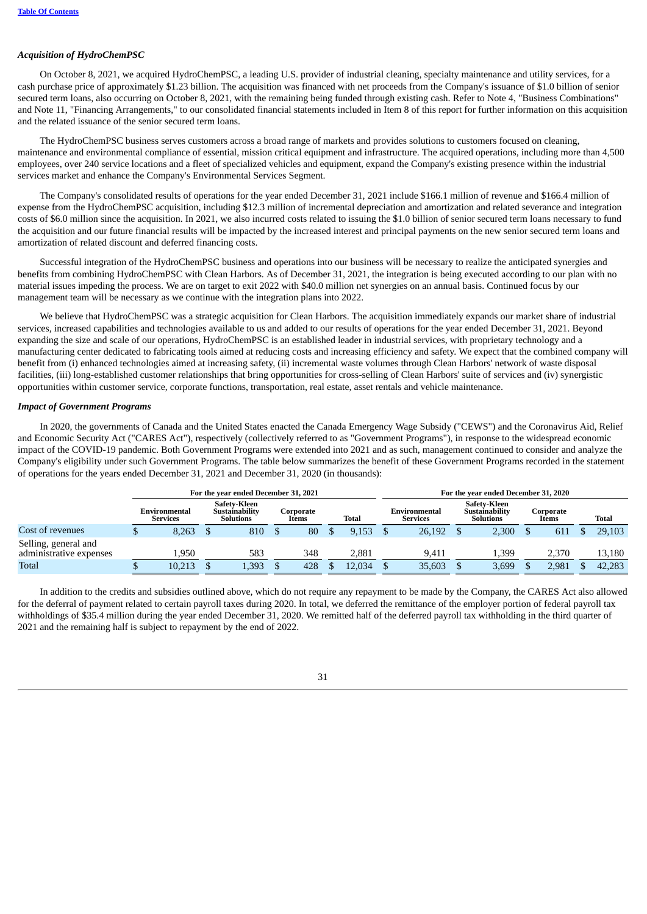# *Acquisition of HydroChemPSC*

On October 8, 2021, we acquired HydroChemPSC, a leading U.S. provider of industrial cleaning, specialty maintenance and utility services, for a cash purchase price of approximately \$1.23 billion. The acquisition was financed with net proceeds from the Company's issuance of \$1.0 billion of senior secured term loans, also occurring on October 8, 2021, with the remaining being funded through existing cash. Refer to Note 4, "Business Combinations" and Note 11, "Financing Arrangements," to our consolidated financial statements included in Item 8 of this report for further information on this acquisition and the related issuance of the senior secured term loans.

The HydroChemPSC business serves customers across a broad range of markets and provides solutions to customers focused on cleaning, maintenance and environmental compliance of essential, mission critical equipment and infrastructure. The acquired operations, including more than 4,500 employees, over 240 service locations and a fleet of specialized vehicles and equipment, expand the Company's existing presence within the industrial services market and enhance the Company's Environmental Services Segment.

The Company's consolidated results of operations for the year ended December 31, 2021 include \$166.1 million of revenue and \$166.4 million of expense from the HydroChemPSC acquisition, including \$12.3 million of incremental depreciation and amortization and related severance and integration costs of \$6.0 million since the acquisition. In 2021, we also incurred costs related to issuing the \$1.0 billion of senior secured term loans necessary to fund the acquisition and our future financial results will be impacted by the increased interest and principal payments on the new senior secured term loans and amortization of related discount and deferred financing costs.

Successful integration of the HydroChemPSC business and operations into our business will be necessary to realize the anticipated synergies and benefits from combining HydroChemPSC with Clean Harbors. As of December 31, 2021, the integration is being executed according to our plan with no material issues impeding the process. We are on target to exit 2022 with \$40.0 million net synergies on an annual basis. Continued focus by our management team will be necessary as we continue with the integration plans into 2022.

We believe that HydroChemPSC was a strategic acquisition for Clean Harbors. The acquisition immediately expands our market share of industrial services, increased capabilities and technologies available to us and added to our results of operations for the year ended December 31, 2021. Beyond expanding the size and scale of our operations, HydroChemPSC is an established leader in industrial services, with proprietary technology and a manufacturing center dedicated to fabricating tools aimed at reducing costs and increasing efficiency and safety. We expect that the combined company will benefit from (i) enhanced technologies aimed at increasing safety, (ii) incremental waste volumes through Clean Harbors' network of waste disposal facilities, (iii) long-established customer relationships that bring opportunities for cross-selling of Clean Harbors' suite of services and (iv) synergistic opportunities within customer service, corporate functions, transportation, real estate, asset rentals and vehicle maintenance.

## *Impact of Government Programs*

In 2020, the governments of Canada and the United States enacted the Canada Emergency Wage Subsidy ("CEWS") and the Coronavirus Aid, Relief and Economic Security Act ("CARES Act"), respectively (collectively referred to as "Government Programs"), in response to the widespread economic impact of the COVID-19 pandemic. Both Government Programs were extended into 2021 and as such, management continued to consider and analyze the Company's eligibility under such Government Programs. The table below summarizes the benefit of these Government Programs recorded in the statement of operations for the years ended December 31, 2021 and December 31, 2020 (in thousands):

|                                                 |                                  | For the year ended December 31, 2021        |                    |              |                                  | For the year ended December 31, 2020               |                    |        |
|-------------------------------------------------|----------------------------------|---------------------------------------------|--------------------|--------------|----------------------------------|----------------------------------------------------|--------------------|--------|
|                                                 | Environmental<br><b>Services</b> | Safety-Kleen<br>Sustainability<br>Solutions | Corporate<br>Items | <b>Total</b> | Environmental<br><b>Services</b> | <b>Safety-Kleen</b><br>Sustainability<br>Solutions | Corporate<br>Items | Total  |
| Cost of revenues                                | 8,263                            | 810                                         | 80                 | 9.153        | 26,192                           | 2,300                                              | 611                | 29,103 |
| Selling, general and<br>administrative expenses | 1.950                            | 583                                         | 348                | 2.881        | 9.411                            | 1,399                                              | 2.370              | 13,180 |
| Total                                           | 10,213                           | 1,393                                       | 428                | 12.034       | 35,603                           | 3,699                                              | 2.981              | 42.283 |

In addition to the credits and subsidies outlined above, which do not require any repayment to be made by the Company, the CARES Act also allowed for the deferral of payment related to certain payroll taxes during 2020. In total, we deferred the remittance of the employer portion of federal payroll tax withholdings of \$35.4 million during the year ended December 31, 2020. We remitted half of the deferred payroll tax withholding in the third quarter of 2021 and the remaining half is subject to repayment by the end of 2022.

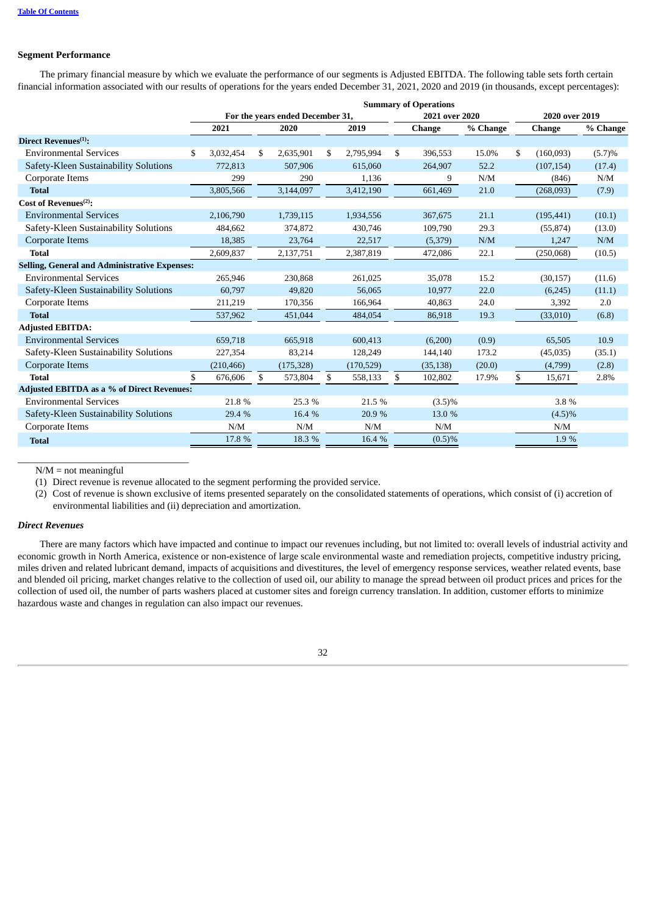# **Segment Performance**

The primary financial measure by which we evaluate the performance of our segments is Adjusted EBITDA. The following table sets forth certain financial information associated with our results of operations for the years ended December 31, 2021, 2020 and 2019 (in thousands, except percentages):

|                                                      |     |            |                                  |                 |     | <b>Summary of Operations</b> |          |     |                |          |  |
|------------------------------------------------------|-----|------------|----------------------------------|-----------------|-----|------------------------------|----------|-----|----------------|----------|--|
|                                                      |     |            | For the years ended December 31, |                 |     | 2021 over 2020               |          |     | 2020 over 2019 |          |  |
|                                                      |     | 2021       | 2020                             | 2019            |     | <b>Change</b>                | % Change |     | <b>Change</b>  | % Change |  |
| Direct Revenues $(1)$ :                              |     |            |                                  |                 |     |                              |          |     |                |          |  |
| <b>Environmental Services</b>                        | \$  | 3,032,454  | \$<br>2,635,901                  | \$<br>2,795,994 | \$  | 396,553                      | 15.0%    | \$  | (160,093)      | (5.7)%   |  |
| Safety-Kleen Sustainability Solutions                |     | 772.813    | 507.906                          | 615.060         |     | 264,907                      | 52.2     |     | (107, 154)     | (17.4)   |  |
| Corporate Items                                      |     | 299        | 290                              | 1,136           |     | 9                            | N/M      |     | (846)          | N/M      |  |
| <b>Total</b>                                         |     | 3,805,566  | 3,144,097                        | 3,412,190       |     | 661,469                      | 21.0     |     | (268,093)      | (7.9)    |  |
| Cost of Revenues $(2)$ :                             |     |            |                                  |                 |     |                              |          |     |                |          |  |
| <b>Environmental Services</b>                        |     | 2,106,790  | 1,739,115                        | 1,934,556       |     | 367,675                      | 21.1     |     | (195, 441)     | (10.1)   |  |
| Safety-Kleen Sustainability Solutions                |     | 484,662    | 374,872                          | 430,746         |     | 109,790                      | 29.3     |     | (55, 874)      | (13.0)   |  |
| Corporate Items                                      |     | 18,385     | 23,764                           | 22,517          |     | (5,379)                      | N/M      |     | 1,247          | N/M      |  |
| <b>Total</b>                                         |     | 2,609,837  | 2,137,751                        | 2,387,819       |     | 472,086                      | 22.1     |     | (250,068)      | (10.5)   |  |
| <b>Selling, General and Administrative Expenses:</b> |     |            |                                  |                 |     |                              |          |     |                |          |  |
| <b>Environmental Services</b>                        |     | 265.946    | 230,868                          | 261,025         |     | 35,078                       | 15.2     |     | (30, 157)      | (11.6)   |  |
| Safety-Kleen Sustainability Solutions                |     | 60,797     | 49.820                           | 56,065          |     | 10,977                       | 22.0     |     | (6,245)        | (11.1)   |  |
| Corporate Items                                      |     | 211,219    | 170,356                          | 166,964         |     | 40,863                       | 24.0     |     | 3,392          | 2.0      |  |
| <b>Total</b>                                         |     | 537,962    | 451,044                          | 484,054         |     | 86,918                       | 19.3     |     | (33,010)       | (6.8)    |  |
| <b>Adjusted EBITDA:</b>                              |     |            |                                  |                 |     |                              |          |     |                |          |  |
| <b>Environmental Services</b>                        |     | 659,718    | 665,918                          | 600,413         |     | (6,200)                      | (0.9)    |     | 65,505         | 10.9     |  |
| Safety-Kleen Sustainability Solutions                |     | 227,354    | 83,214                           | 128,249         |     | 144,140                      | 173.2    |     | (45,035)       | (35.1)   |  |
| Corporate Items                                      |     | (210, 466) | (175, 328)                       | (170, 529)      |     | (35, 138)                    | (20.0)   |     | (4,799)        | (2.8)    |  |
| <b>Total</b>                                         | \$  | 676,606    | \$<br>573,804                    | \$<br>558,133   | \$  | 102,802                      | 17.9%    | \$  | 15,671         | 2.8%     |  |
| <b>Adjusted EBITDA as a % of Direct Revenues:</b>    |     |            |                                  |                 |     |                              |          |     |                |          |  |
| <b>Environmental Services</b>                        |     | 21.8%      | 25.3 %                           | 21.5 %          |     | $(3.5)\%$                    |          |     | 3.8 %          |          |  |
| Safety-Kleen Sustainability Solutions                |     | 29.4 %     | 16.4 %                           | 20.9 %          |     | 13.0 %                       |          |     | $(4.5)\%$      |          |  |
| Corporate Items                                      | N/M |            | N/M                              | N/M             | N/M |                              |          | N/M |                |          |  |
| <b>Total</b>                                         |     | 17.8 %     | 18.3 %                           | 16.4 %          |     | (0.5)%                       |          |     | 1.9%           |          |  |

 $N/M$  = not meaningful

\_\_\_\_\_\_\_\_\_\_\_\_\_\_\_\_\_\_\_\_\_\_\_\_\_\_\_\_\_\_\_\_\_\_\_

(1) Direct revenue is revenue allocated to the segment performing the provided service.

(2) Cost of revenue is shown exclusive of items presented separately on the consolidated statements of operations, which consist of (i) accretion of environmental liabilities and (ii) depreciation and amortization.

# *Direct Revenues*

There are many factors which have impacted and continue to impact our revenues including, but not limited to: overall levels of industrial activity and economic growth in North America, existence or non-existence of large scale environmental waste and remediation projects, competitive industry pricing, miles driven and related lubricant demand, impacts of acquisitions and divestitures, the level of emergency response services, weather related events, base and blended oil pricing, market changes relative to the collection of used oil, our ability to manage the spread between oil product prices and prices for the collection of used oil, the number of parts washers placed at customer sites and foreign currency translation. In addition, customer efforts to minimize hazardous waste and changes in regulation can also impact our revenues.

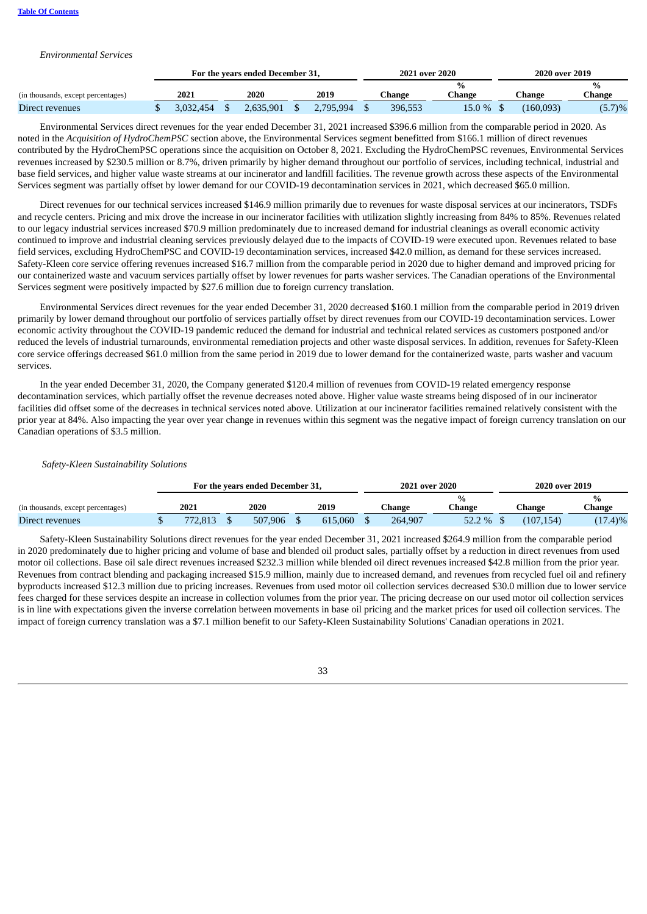# *Environmental Services*

|                                    |           | For the vears ended December 31. |           | 2021 over 2020 |                         | 2020 over 2019 |        |
|------------------------------------|-----------|----------------------------------|-----------|----------------|-------------------------|----------------|--------|
| (in thousands, except percentages) | 2021      | 2020                             | 2019      | ∑hange         | $\frac{0}{0}$<br>∵hange | <b>Change</b>  | Change |
| Direct revenues                    | 3,032,454 | 2.635.901                        | 2,795,994 | 396,553        | 15.0 %                  | (160.093)      | (5.7)% |

Environmental Services direct revenues for the year ended December 31, 2021 increased \$396.6 million from the comparable period in 2020. As noted in the *Acquisition of HydroChemPSC* section above, the Environmental Services segment benefitted from \$166.1 million of direct revenues contributed by the HydroChemPSC operations since the acquisition on October 8, 2021. Excluding the HydroChemPSC revenues, Environmental Services revenues increased by \$230.5 million or 8.7%, driven primarily by higher demand throughout our portfolio of services, including technical, industrial and base field services, and higher value waste streams at our incinerator and landfill facilities. The revenue growth across these aspects of the Environmental Services segment was partially offset by lower demand for our COVID-19 decontamination services in 2021, which decreased \$65.0 million.

Direct revenues for our technical services increased \$146.9 million primarily due to revenues for waste disposal services at our incinerators, TSDFs and recycle centers. Pricing and mix drove the increase in our incinerator facilities with utilization slightly increasing from 84% to 85%. Revenues related to our legacy industrial services increased \$70.9 million predominately due to increased demand for industrial cleanings as overall economic activity continued to improve and industrial cleaning services previously delayed due to the impacts of COVID-19 were executed upon. Revenues related to base field services, excluding HydroChemPSC and COVID-19 decontamination services, increased \$42.0 million, as demand for these services increased. Safety-Kleen core service offering revenues increased \$16.7 million from the comparable period in 2020 due to higher demand and improved pricing for our containerized waste and vacuum services partially offset by lower revenues for parts washer services. The Canadian operations of the Environmental Services segment were positively impacted by \$27.6 million due to foreign currency translation.

Environmental Services direct revenues for the year ended December 31, 2020 decreased \$160.1 million from the comparable period in 2019 driven primarily by lower demand throughout our portfolio of services partially offset by direct revenues from our COVID-19 decontamination services. Lower economic activity throughout the COVID-19 pandemic reduced the demand for industrial and technical related services as customers postponed and/or reduced the levels of industrial turnarounds, environmental remediation projects and other waste disposal services. In addition, revenues for Safety-Kleen core service offerings decreased \$61.0 million from the same period in 2019 due to lower demand for the containerized waste, parts washer and vacuum services.

In the year ended December 31, 2020, the Company generated \$120.4 million of revenues from COVID-19 related emergency response decontamination services, which partially offset the revenue decreases noted above. Higher value waste streams being disposed of in our incinerator facilities did offset some of the decreases in technical services noted above. Utilization at our incinerator facilities remained relatively consistent with the prior year at 84%. Also impacting the year over year change in revenues within this segment was the negative impact of foreign currency translation on our Canadian operations of \$3.5 million.

### *Safety-Kleen Sustainability Solutions*

|                                    |         | For the years ended December 31, |         | 2021 over 2020 |        | 2020 over 2019 |                         |
|------------------------------------|---------|----------------------------------|---------|----------------|--------|----------------|-------------------------|
| (in thousands, except percentages) | 2021    | 2020                             | 2019    | Change         | Change | Change         | $\frac{0}{0}$<br>Change |
| Direct revenues                    | 772.813 | 507.906                          | 615.060 | 264,907        | 52.2 % | (107.154)      | $(17.4)\%$              |

Safety-Kleen Sustainability Solutions direct revenues for the year ended December 31, 2021 increased \$264.9 million from the comparable period in 2020 predominately due to higher pricing and volume of base and blended oil product sales, partially offset by a reduction in direct revenues from used motor oil collections. Base oil sale direct revenues increased \$232.3 million while blended oil direct revenues increased \$42.8 million from the prior year. Revenues from contract blending and packaging increased \$15.9 million, mainly due to increased demand, and revenues from recycled fuel oil and refinery byproducts increased \$12.3 million due to pricing increases. Revenues from used motor oil collection services decreased \$30.0 million due to lower service fees charged for these services despite an increase in collection volumes from the prior year. The pricing decrease on our used motor oil collection services is in line with expectations given the inverse correlation between movements in base oil pricing and the market prices for used oil collection services. The impact of foreign currency translation was a \$7.1 million benefit to our Safety-Kleen Sustainability Solutions' Canadian operations in 2021.

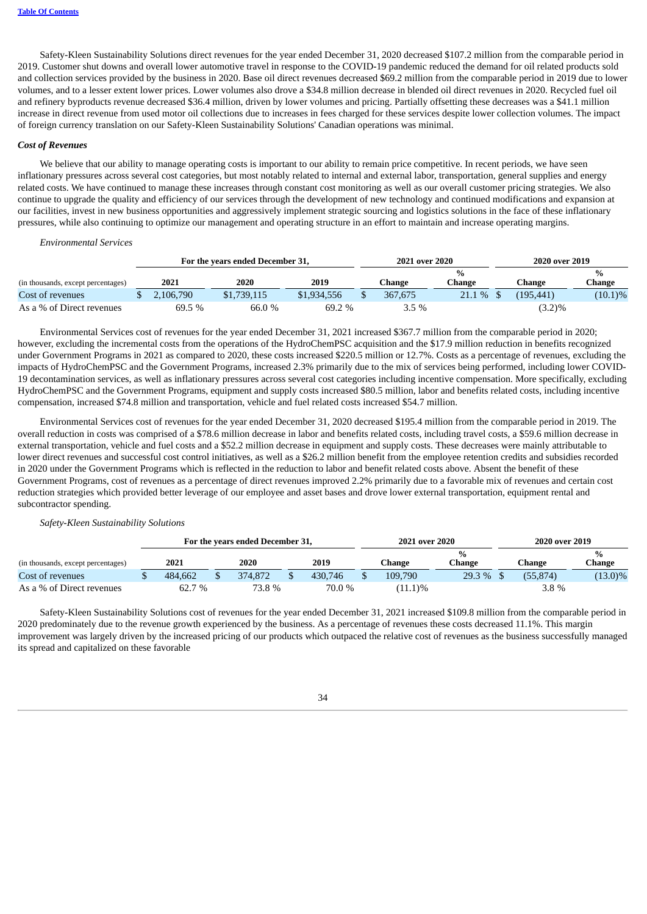Safety-Kleen Sustainability Solutions direct revenues for the year ended December 31, 2020 decreased \$107.2 million from the comparable period in 2019. Customer shut downs and overall lower automotive travel in response to the COVID-19 pandemic reduced the demand for oil related products sold and collection services provided by the business in 2020. Base oil direct revenues decreased \$69.2 million from the comparable period in 2019 due to lower volumes, and to a lesser extent lower prices. Lower volumes also drove a \$34.8 million decrease in blended oil direct revenues in 2020. Recycled fuel oil and refinery byproducts revenue decreased \$36.4 million, driven by lower volumes and pricing. Partially offsetting these decreases was a \$41.1 million increase in direct revenue from used motor oil collections due to increases in fees charged for these services despite lower collection volumes. The impact of foreign currency translation on our Safety-Kleen Sustainability Solutions' Canadian operations was minimal.

#### *Cost of Revenues*

We believe that our ability to manage operating costs is important to our ability to remain price competitive. In recent periods, we have seen inflationary pressures across several cost categories, but most notably related to internal and external labor, transportation, general supplies and energy related costs. We have continued to manage these increases through constant cost monitoring as well as our overall customer pricing strategies. We also continue to upgrade the quality and efficiency of our services through the development of new technology and continued modifications and expansion at our facilities, invest in new business opportunities and aggressively implement strategic sourcing and logistics solutions in the face of these inflationary pressures, while also continuing to optimize our management and operating structure in an effort to maintain and increase operating margins.

#### *Environmental Services*

|                                    |           | For the years ended December 31, |             | 2021 over 2020 |             | 2020 over 2019 |           |            |
|------------------------------------|-----------|----------------------------------|-------------|----------------|-------------|----------------|-----------|------------|
| (in thousands, except percentages) | 2021      | 2020                             | 2019        | ∑hange         | %<br>Change |                | Change    | Change     |
| Cost of revenues                   | 2.106.790 | \$1,739,115                      | \$1,934,556 | 367,675        | $21.1\%$ \$ |                | (195.441) | $(10.1)\%$ |
| As a % of Direct revenues          | 69.5 %    | 66.0 %                           | 69.2 %      | 3.5%           |             |                | $(3.2)\%$ |            |

Environmental Services cost of revenues for the year ended December 31, 2021 increased \$367.7 million from the comparable period in 2020; however, excluding the incremental costs from the operations of the HydroChemPSC acquisition and the \$17.9 million reduction in benefits recognized under Government Programs in 2021 as compared to 2020, these costs increased \$220.5 million or 12.7%. Costs as a percentage of revenues, excluding the impacts of HydroChemPSC and the Government Programs, increased 2.3% primarily due to the mix of services being performed, including lower COVID-19 decontamination services, as well as inflationary pressures across several cost categories including incentive compensation. More specifically, excluding HydroChemPSC and the Government Programs, equipment and supply costs increased \$80.5 million, labor and benefits related costs, including incentive compensation, increased \$74.8 million and transportation, vehicle and fuel related costs increased \$54.7 million.

Environmental Services cost of revenues for the year ended December 31, 2020 decreased \$195.4 million from the comparable period in 2019. The overall reduction in costs was comprised of a \$78.6 million decrease in labor and benefits related costs, including travel costs, a \$59.6 million decrease in external transportation, vehicle and fuel costs and a \$52.2 million decrease in equipment and supply costs. These decreases were mainly attributable to lower direct revenues and successful cost control initiatives, as well as a \$26.2 million benefit from the employee retention credits and subsidies recorded in 2020 under the Government Programs which is reflected in the reduction to labor and benefit related costs above. Absent the benefit of these Government Programs, cost of revenues as a percentage of direct revenues improved 2.2% primarily due to a favorable mix of revenues and certain cost reduction strategies which provided better leverage of our employee and asset bases and drove lower external transportation, equipment rental and subcontractor spending.

#### *Safety-Kleen Sustainability Solutions*

|                                    |         | For the years ended December 31, |         | 2021 over 2020 |                | 2020 over 2019 |          |                         |  |
|------------------------------------|---------|----------------------------------|---------|----------------|----------------|----------------|----------|-------------------------|--|
| (in thousands, except percentages) | 2021    | 2020                             | 2019    | <br>Change     | $\%$<br>Change |                | Change   | $\frac{0}{0}$<br>Change |  |
| Cost of revenues                   | 484,662 | 374,872                          | 430.746 | 109.790        | 29.3 %         |                | (55.874) | $(13.0)\%$              |  |
| As a % of Direct revenues          | 62.7 %  | 73.8 %                           | 70.0 %  | $(11.1)\%$     |                |                | $3.8\%$  |                         |  |

Safety-Kleen Sustainability Solutions cost of revenues for the year ended December 31, 2021 increased \$109.8 million from the comparable period in 2020 predominately due to the revenue growth experienced by the business. As a percentage of revenues these costs decreased 11.1%. This margin improvement was largely driven by the increased pricing of our products which outpaced the relative cost of revenues as the business successfully managed its spread and capitalized on these favorable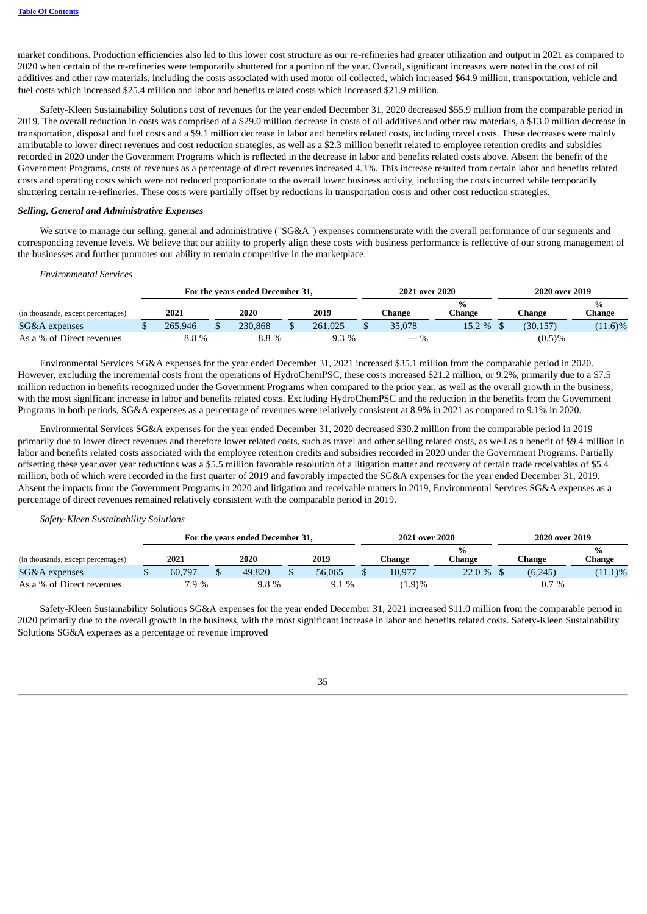market conditions. Production efficiencies also led to this lower cost structure as our re-refineries had greater utilization and output in 2021 as compared to 2020 when certain of the re-refineries were temporarily shuttered for a portion of the year. Overall, significant increases were noted in the cost of oil additives and other raw materials, including the costs associated with used motor oil collected, which increased \$64.9 million, transportation, vehicle and fuel costs which increased \$25.4 million and labor and benefits related costs which increased \$21.9 million.

Safety-Kleen Sustainability Solutions cost of revenues for the year ended December 31, 2020 decreased \$55.9 million from the comparable period in 2019. The overall reduction in costs was comprised of a \$29.0 million decrease in costs of oil additives and other raw materials, a \$13.0 million decrease in transportation, disposal and fuel costs and a \$9.1 million decrease in labor and benefits related costs, including travel costs. These decreases were mainly attributable to lower direct revenues and cost reduction strategies, as well as a \$2.3 million benefit related to employee retention credits and subsidies recorded in 2020 under the Government Programs which is reflected in the decrease in labor and benefits related costs above. Absent the benefit of the Government Programs, costs of revenues as a percentage of direct revenues increased 4.3%. This increase resulted from certain labor and benefits related costs and operating costs which were not reduced proportionate to the overall lower business activity, including the costs incurred while temporarily shuttering certain re-refineries. These costs were partially offset by reductions in transportation costs and other cost reduction strategies.

# *Selling, General and Administrative Expenses*

We strive to manage our selling, general and administrative ("SG&A") expenses commensurate with the overall performance of our segments and corresponding revenue levels. We believe that our ability to properly align these costs with business performance is reflective of our strong management of the businesses and further promotes our ability to remain competitive in the marketplace.

#### *Environmental Services*

|                                    |         | For the years ended December 31, |         | 2021 over 2020 |                         | 2020 over 2019 |           |                         |  |
|------------------------------------|---------|----------------------------------|---------|----------------|-------------------------|----------------|-----------|-------------------------|--|
| (in thousands, except percentages) | 2021    | 2020                             | 2019    | Change         | $\frac{0}{0}$<br>Change |                | Change    | $\frac{0}{0}$<br>Change |  |
| SG&A expenses                      | 265.946 | 230.868                          | 261.025 | 35,078         | 15.2 %                  |                | (30, 157) | $(11.6)\%$              |  |
| As a % of Direct revenues          | 8.8%    | 8.8%                             | $9.3\%$ | $-$ %          |                         |                | $(0.5)\%$ |                         |  |

Environmental Services SG&A expenses for the year ended December 31, 2021 increased \$35.1 million from the comparable period in 2020. However, excluding the incremental costs from the operations of HydroChemPSC, these costs increased \$21.2 million, or 9.2%, primarily due to a \$7.5 million reduction in benefits recognized under the Government Programs when compared to the prior year, as well as the overall growth in the business, with the most significant increase in labor and benefits related costs. Excluding HydroChemPSC and the reduction in the benefits from the Government Programs in both periods, SG&A expenses as a percentage of revenues were relatively consistent at 8.9% in 2021 as compared to 9.1% in 2020.

Environmental Services SG&A expenses for the year ended December 31, 2020 decreased \$30.2 million from the comparable period in 2019 primarily due to lower direct revenues and therefore lower related costs, such as travel and other selling related costs, as well as a benefit of \$9.4 million in labor and benefits related costs associated with the employee retention credits and subsidies recorded in 2020 under the Government Programs. Partially offsetting these year over year reductions was a \$5.5 million favorable resolution of a litigation matter and recovery of certain trade receivables of \$5.4 million, both of which were recorded in the first quarter of 2019 and favorably impacted the SG&A expenses for the year ended December 31, 2019. Absent the impacts from the Government Programs in 2020 and litigation and receivable matters in 2019, Environmental Services SG&A expenses as a percentage of direct revenues remained relatively consistent with the comparable period in 2019.

## *Safety-Kleen Sustainability Solutions*

|                                    |        | For the years ended December 31, |        | 2021 over 2020 |        | 2020 over 2019 |         |                         |  |
|------------------------------------|--------|----------------------------------|--------|----------------|--------|----------------|---------|-------------------------|--|
| (in thousands, except percentages) | 2021   | 2020                             | 2019   | Change         | Change |                | Change  | $\frac{0}{0}$<br>Change |  |
| SG&A expenses                      | 60.797 | 49,820                           | 56,065 | 10,977         | 22.0 % |                | (6,245) | $(11.1)\%$              |  |
| As a % of Direct revenues          | 7.9 %  | $9.8\%$                          | 9.1 %  | (1.9)%         |        |                | $0.7\%$ |                         |  |

Safety-Kleen Sustainability Solutions SG&A expenses for the year ended December 31, 2021 increased \$11.0 million from the comparable period in 2020 primarily due to the overall growth in the business, with the most significant increase in labor and benefits related costs. Safety-Kleen Sustainability Solutions SG&A expenses as a percentage of revenue improved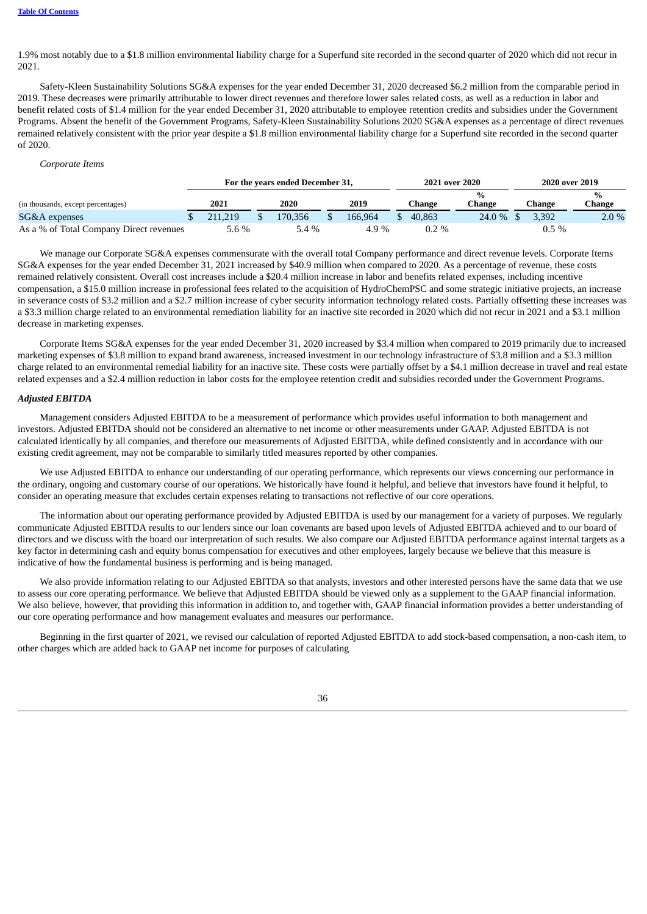1.9% most notably due to a \$1.8 million environmental liability charge for a Superfund site recorded in the second quarter of 2020 which did not recur in 2021.

Safety-Kleen Sustainability Solutions SG&A expenses for the year ended December 31, 2020 decreased \$6.2 million from the comparable period in 2019. These decreases were primarily attributable to lower direct revenues and therefore lower sales related costs, as well as a reduction in labor and benefit related costs of \$1.4 million for the year ended December 31, 2020 attributable to employee retention credits and subsidies under the Government Programs. Absent the benefit of the Government Programs, Safety-Kleen Sustainability Solutions 2020 SG&A expenses as a percentage of direct revenues remained relatively consistent with the prior year despite a \$1.8 million environmental liability charge for a Superfund site recorded in the second quarter of 2020.

# *Corporate Items*

|                                         | For the years ended December 31, |  |         |  |         |  | 2021 over 2020 |        | 2020 over 2019 |                         |  |
|-----------------------------------------|----------------------------------|--|---------|--|---------|--|----------------|--------|----------------|-------------------------|--|
| (in thousands, except percentages)      | 2021                             |  | 2020    |  | 2019    |  | Change         | ∑hange | Change         | $\frac{1}{2}$<br>Change |  |
| SG&A expenses                           | 211.219                          |  | 170.356 |  | 166.964 |  | 40.863         | 24.0 % | 3.392          | $2.0 \%$                |  |
| As a % of Total Company Direct revenues | $5.6\%$                          |  | 5.4 %   |  | 4.9 %   |  | $0.2\%$        |        | $0.5\%$        |                         |  |

We manage our Corporate SG&A expenses commensurate with the overall total Company performance and direct revenue levels. Corporate Items SG&A expenses for the year ended December 31, 2021 increased by \$40.9 million when compared to 2020. As a percentage of revenue, these costs remained relatively consistent. Overall cost increases include a \$20.4 million increase in labor and benefits related expenses, including incentive compensation, a \$15.0 million increase in professional fees related to the acquisition of HydroChemPSC and some strategic initiative projects, an increase in severance costs of \$3.2 million and a \$2.7 million increase of cyber security information technology related costs. Partially offsetting these increases was a \$3.3 million charge related to an environmental remediation liability for an inactive site recorded in 2020 which did not recur in 2021 and a \$3.1 million decrease in marketing expenses.

Corporate Items SG&A expenses for the year ended December 31, 2020 increased by \$3.4 million when compared to 2019 primarily due to increased marketing expenses of \$3.8 million to expand brand awareness, increased investment in our technology infrastructure of \$3.8 million and a \$3.3 million charge related to an environmental remedial liability for an inactive site. These costs were partially offset by a \$4.1 million decrease in travel and real estate related expenses and a \$2.4 million reduction in labor costs for the employee retention credit and subsidies recorded under the Government Programs.

# *Adjusted EBITDA*

Management considers Adjusted EBITDA to be a measurement of performance which provides useful information to both management and investors. Adjusted EBITDA should not be considered an alternative to net income or other measurements under GAAP. Adjusted EBITDA is not calculated identically by all companies, and therefore our measurements of Adjusted EBITDA, while defined consistently and in accordance with our existing credit agreement, may not be comparable to similarly titled measures reported by other companies.

We use Adjusted EBITDA to enhance our understanding of our operating performance, which represents our views concerning our performance in the ordinary, ongoing and customary course of our operations. We historically have found it helpful, and believe that investors have found it helpful, to consider an operating measure that excludes certain expenses relating to transactions not reflective of our core operations.

The information about our operating performance provided by Adjusted EBITDA is used by our management for a variety of purposes. We regularly communicate Adjusted EBITDA results to our lenders since our loan covenants are based upon levels of Adjusted EBITDA achieved and to our board of directors and we discuss with the board our interpretation of such results. We also compare our Adjusted EBITDA performance against internal targets as a key factor in determining cash and equity bonus compensation for executives and other employees, largely because we believe that this measure is indicative of how the fundamental business is performing and is being managed.

We also provide information relating to our Adjusted EBITDA so that analysts, investors and other interested persons have the same data that we use to assess our core operating performance. We believe that Adjusted EBITDA should be viewed only as a supplement to the GAAP financial information. We also believe, however, that providing this information in addition to, and together with, GAAP financial information provides a better understanding of our core operating performance and how management evaluates and measures our performance.

Beginning in the first quarter of 2021, we revised our calculation of reported Adjusted EBITDA to add stock-based compensation, a non-cash item, to other charges which are added back to GAAP net income for purposes of calculating

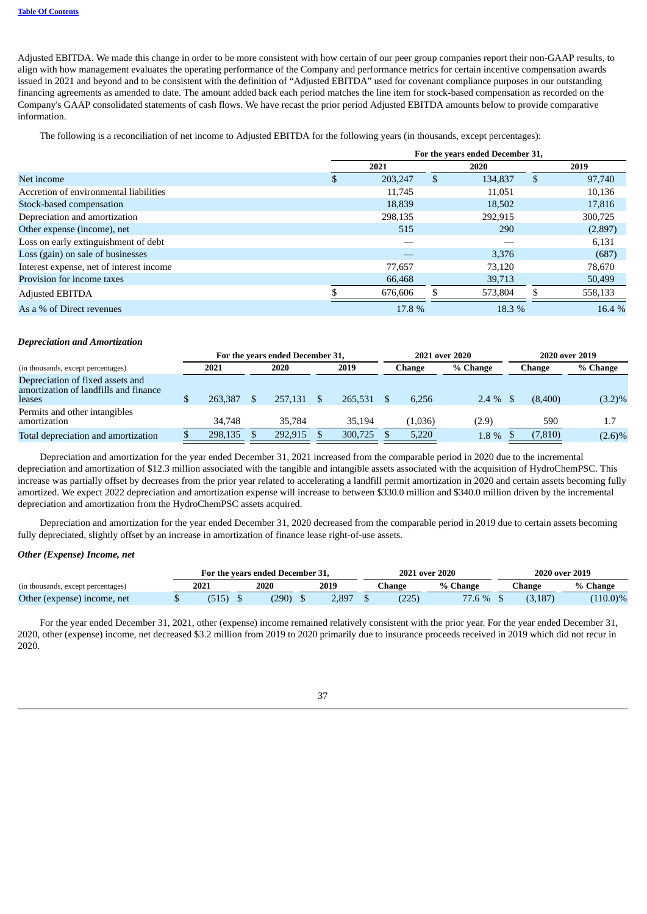Adjusted EBITDA. We made this change in order to be more consistent with how certain of our peer group companies report their non-GAAP results, to align with how management evaluates the operating performance of the Company and performance metrics for certain incentive compensation awards issued in 2021 and beyond and to be consistent with the definition of "Adjusted EBITDA" used for covenant compliance purposes in our outstanding financing agreements as amended to date. The amount added back each period matches the line item for stock-based compensation as recorded on the Company's GAAP consolidated statements of cash flows. We have recast the prior period Adjusted EBITDA amounts below to provide comparative information.

The following is a reconciliation of net income to Adjusted EBITDA for the following years (in thousands, except percentages):

|                                          | For the years ended December 31, |   |         |   |         |  |  |  |
|------------------------------------------|----------------------------------|---|---------|---|---------|--|--|--|
|                                          | 2021                             |   | 2020    |   | 2019    |  |  |  |
| Net income                               | 203,247                          | Ъ | 134,837 | S | 97,740  |  |  |  |
| Accretion of environmental liabilities   | 11,745                           |   | 11,051  |   | 10,136  |  |  |  |
| Stock-based compensation                 | 18,839                           |   | 18,502  |   | 17,816  |  |  |  |
| Depreciation and amortization            | 298.135                          |   | 292.915 |   | 300,725 |  |  |  |
| Other expense (income), net              | 515                              |   | 290     |   | (2,897) |  |  |  |
| Loss on early extinguishment of debt     |                                  |   |         |   | 6,131   |  |  |  |
| Loss (gain) on sale of businesses        |                                  |   | 3,376   |   | (687)   |  |  |  |
| Interest expense, net of interest income | 77,657                           |   | 73,120  |   | 78,670  |  |  |  |
| Provision for income taxes               | 66,468                           |   | 39,713  |   | 50,499  |  |  |  |
| <b>Adjusted EBITDA</b>                   | 676,606                          |   | 573,804 |   | 558,133 |  |  |  |
| As a % of Direct revenues                | 17.8 %                           |   | 18.3 %  |   | 16.4 %  |  |  |  |

#### *Depreciation and Amortization*

|                                                                                            | For the years ended December 31, |         |  |         |         |         | 2021 over 2020 | 2020 over 2019 |           |  |
|--------------------------------------------------------------------------------------------|----------------------------------|---------|--|---------|---------|---------|----------------|----------------|-----------|--|
| (in thousands, except percentages)                                                         |                                  | 2021    |  | 2020    | 2019    | Change  | % Change       | Change         | % Change  |  |
| Depreciation of fixed assets and<br>amortization of landfills and finance<br><b>leases</b> |                                  | 263,387 |  | 257,131 | 265,531 | 6.256   | $2.4\%$        | (8.400)        | $(3.2)\%$ |  |
| Permits and other intangibles<br>amortization                                              |                                  | 34,748  |  | 35,784  | 35.194  | (1,036) | (2.9)          | 590            | 1.7       |  |
| Total depreciation and amortization                                                        |                                  | 298,135 |  | 292,915 | 300,725 | 5,220   | 1.8%           | (7, 810)       | $(2.6)\%$ |  |

Depreciation and amortization for the year ended December 31, 2021 increased from the comparable period in 2020 due to the incremental depreciation and amortization of \$12.3 million associated with the tangible and intangible assets associated with the acquisition of HydroChemPSC. This increase was partially offset by decreases from the prior year related to accelerating a landfill permit amortization in 2020 and certain assets becoming fully amortized. We expect 2022 depreciation and amortization expense will increase to between \$330.0 million and \$340.0 million driven by the incremental depreciation and amortization from the HydroChemPSC assets acquired.

Depreciation and amortization for the year ended December 31, 2020 decreased from the comparable period in 2019 due to certain assets becoming fully depreciated, slightly offset by an increase in amortization of finance lease right-of-use assets.

# *Other (Expense) Income, net*

|                                    |      | For the years ended December 31. |  |        | 2021 over 2020 |          |  | 2020 over 2019 |             |
|------------------------------------|------|----------------------------------|--|--------|----------------|----------|--|----------------|-------------|
| (in thousands, except percentages) | 2021 | 2019<br>2020                     |  | 7hange | % Change       | Change : |  | % Change       |             |
| Other (expense) income, net        |      | (290)                            |  | 2.897  | (225)          | 77.6 %   |  | (3.187)        | $(110.0)\%$ |

For the year ended December 31, 2021, other (expense) income remained relatively consistent with the prior year. For the year ended December 31, 2020, other (expense) income, net decreased \$3.2 million from 2019 to 2020 primarily due to insurance proceeds received in 2019 which did not recur in 2020.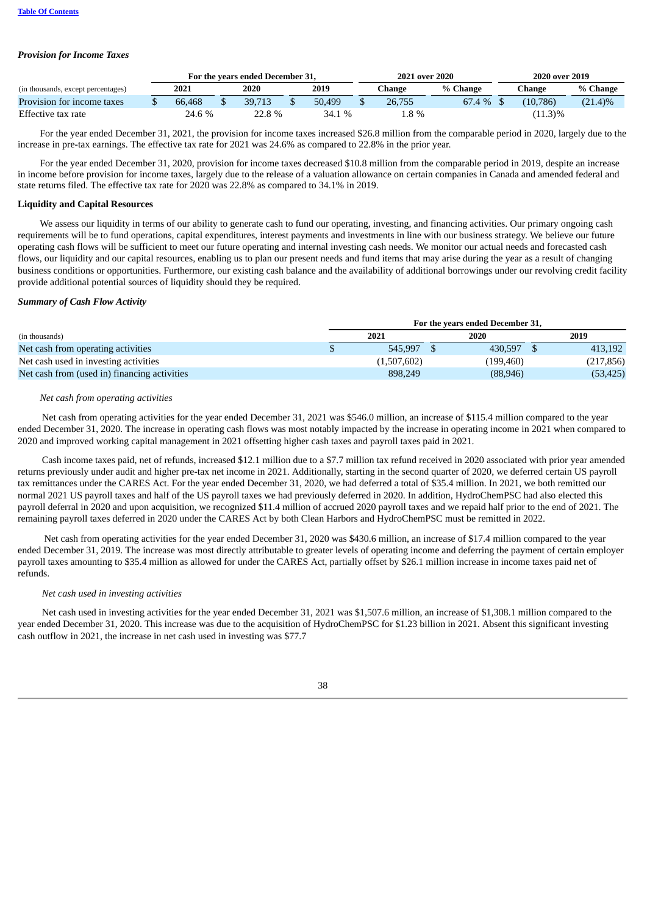# *Provision for Income Taxes*

|                                    |        | For the years ended December 31, |        | 2021 over 2020 |             |  | 2020 over 2019 |            |
|------------------------------------|--------|----------------------------------|--------|----------------|-------------|--|----------------|------------|
| (in thousands, except percentages) | 2021   | 2020                             | 2019   | Change         | % Change    |  | ∑hange ∶       | % Change   |
| Provision for income taxes         | 66.468 | 39.713                           | 50,499 | 26,755         | $67.4\%$ \$ |  | (10.786)       | $(21.4)\%$ |
| Effective tax rate                 | 24.6 % | 22.8 %                           | 34.1 % | 1.8 %          |             |  | $(11.3)\%$     |            |

For the year ended December 31, 2021, the provision for income taxes increased \$26.8 million from the comparable period in 2020, largely due to the increase in pre-tax earnings. The effective tax rate for 2021 was 24.6% as compared to 22.8% in the prior year.

For the year ended December 31, 2020, provision for income taxes decreased \$10.8 million from the comparable period in 2019, despite an increase in income before provision for income taxes, largely due to the release of a valuation allowance on certain companies in Canada and amended federal and state returns filed. The effective tax rate for 2020 was 22.8% as compared to 34.1% in 2019.

# **Liquidity and Capital Resources**

We assess our liquidity in terms of our ability to generate cash to fund our operating, investing, and financing activities. Our primary ongoing cash requirements will be to fund operations, capital expenditures, interest payments and investments in line with our business strategy. We believe our future operating cash flows will be sufficient to meet our future operating and internal investing cash needs. We monitor our actual needs and forecasted cash flows, our liquidity and our capital resources, enabling us to plan our present needs and fund items that may arise during the year as a result of changing business conditions or opportunities. Furthermore, our existing cash balance and the availability of additional borrowings under our revolving credit facility provide additional potential sources of liquidity should they be required.

# *Summary of Cash Flow Activity*

|                                              |             | For the years ended December 31, |  |            |
|----------------------------------------------|-------------|----------------------------------|--|------------|
| (in thousands)                               | 2021        | 2020                             |  | 2019       |
| Net cash from operating activities           | 545.997     | 430.597                          |  | 413.192    |
| Net cash used in investing activities        | (1,507,602) | (199,460)                        |  | (217, 856) |
| Net cash from (used in) financing activities | 898,249     | (88, 946)                        |  | (53, 425)  |

# *Net cash from operating activities*

Net cash from operating activities for the year ended December 31, 2021 was \$546.0 million, an increase of \$115.4 million compared to the year ended December 31, 2020. The increase in operating cash flows was most notably impacted by the increase in operating income in 2021 when compared to 2020 and improved working capital management in 2021 offsetting higher cash taxes and payroll taxes paid in 2021.

Cash income taxes paid, net of refunds, increased \$12.1 million due to a \$7.7 million tax refund received in 2020 associated with prior year amended returns previously under audit and higher pre-tax net income in 2021. Additionally, starting in the second quarter of 2020, we deferred certain US payroll tax remittances under the CARES Act. For the year ended December 31, 2020, we had deferred a total of \$35.4 million. In 2021, we both remitted our normal 2021 US payroll taxes and half of the US payroll taxes we had previously deferred in 2020. In addition, HydroChemPSC had also elected this payroll deferral in 2020 and upon acquisition, we recognized \$11.4 million of accrued 2020 payroll taxes and we repaid half prior to the end of 2021. The remaining payroll taxes deferred in 2020 under the CARES Act by both Clean Harbors and HydroChemPSC must be remitted in 2022.

Net cash from operating activities for the year ended December 31, 2020 was \$430.6 million, an increase of \$17.4 million compared to the year ended December 31, 2019. The increase was most directly attributable to greater levels of operating income and deferring the payment of certain employer payroll taxes amounting to \$35.4 million as allowed for under the CARES Act, partially offset by \$26.1 million increase in income taxes paid net of refunds.

# *Net cash used in investing activities*

Net cash used in investing activities for the year ended December 31, 2021 was \$1,507.6 million, an increase of \$1,308.1 million compared to the year ended December 31, 2020. This increase was due to the acquisition of HydroChemPSC for \$1.23 billion in 2021. Absent this significant investing cash outflow in 2021, the increase in net cash used in investing was \$77.7

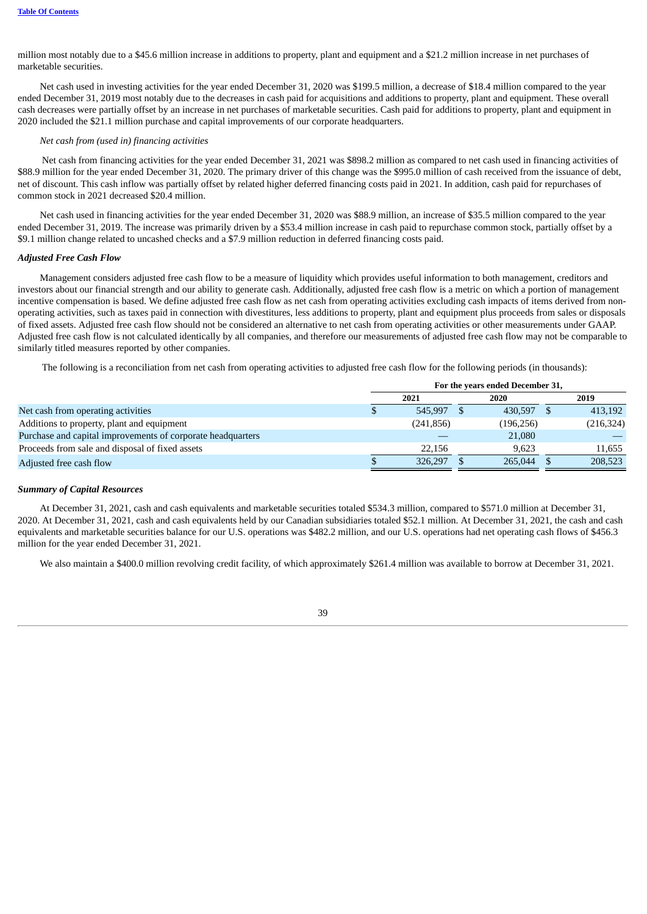million most notably due to a \$45.6 million increase in additions to property, plant and equipment and a \$21.2 million increase in net purchases of marketable securities.

Net cash used in investing activities for the year ended December 31, 2020 was \$199.5 million, a decrease of \$18.4 million compared to the year ended December 31, 2019 most notably due to the decreases in cash paid for acquisitions and additions to property, plant and equipment. These overall cash decreases were partially offset by an increase in net purchases of marketable securities. Cash paid for additions to property, plant and equipment in 2020 included the \$21.1 million purchase and capital improvements of our corporate headquarters.

# *Net cash from (used in) financing activities*

Net cash from financing activities for the year ended December 31, 2021 was \$898.2 million as compared to net cash used in financing activities of \$88.9 million for the year ended December 31, 2020. The primary driver of this change was the \$995.0 million of cash received from the issuance of debt, net of discount. This cash inflow was partially offset by related higher deferred financing costs paid in 2021. In addition, cash paid for repurchases of common stock in 2021 decreased \$20.4 million.

Net cash used in financing activities for the year ended December 31, 2020 was \$88.9 million, an increase of \$35.5 million compared to the year ended December 31, 2019. The increase was primarily driven by a \$53.4 million increase in cash paid to repurchase common stock, partially offset by a \$9.1 million change related to uncashed checks and a \$7.9 million reduction in deferred financing costs paid.

# *Adjusted Free Cash Flow*

Management considers adjusted free cash flow to be a measure of liquidity which provides useful information to both management, creditors and investors about our financial strength and our ability to generate cash. Additionally, adjusted free cash flow is a metric on which a portion of management incentive compensation is based. We define adjusted free cash flow as net cash from operating activities excluding cash impacts of items derived from nonoperating activities, such as taxes paid in connection with divestitures, less additions to property, plant and equipment plus proceeds from sales or disposals of fixed assets. Adjusted free cash flow should not be considered an alternative to net cash from operating activities or other measurements under GAAP. Adjusted free cash flow is not calculated identically by all companies, and therefore our measurements of adjusted free cash flow may not be comparable to similarly titled measures reported by other companies.

The following is a reconciliation from net cash from operating activities to adjusted free cash flow for the following periods (in thousands):

|                                                             | For the years ended December 31, |            |      |            |  |            |  |  |  |
|-------------------------------------------------------------|----------------------------------|------------|------|------------|--|------------|--|--|--|
|                                                             |                                  | 2021       | 2020 |            |  | 2019       |  |  |  |
| Net cash from operating activities                          |                                  | 545.997    |      | 430.597    |  | 413,192    |  |  |  |
| Additions to property, plant and equipment                  |                                  | (241, 856) |      | (196, 256) |  | (216, 324) |  |  |  |
| Purchase and capital improvements of corporate headquarters |                                  |            |      | 21,080     |  |            |  |  |  |
| Proceeds from sale and disposal of fixed assets             |                                  | 22.156     |      | 9.623      |  | 11,655     |  |  |  |
| Adjusted free cash flow                                     |                                  | 326,297    |      | 265,044    |  | 208,523    |  |  |  |

#### *Summary of Capital Resources*

At December 31, 2021, cash and cash equivalents and marketable securities totaled \$534.3 million, compared to \$571.0 million at December 31, 2020. At December 31, 2021, cash and cash equivalents held by our Canadian subsidiaries totaled \$52.1 million. At December 31, 2021, the cash and cash equivalents and marketable securities balance for our U.S. operations was \$482.2 million, and our U.S. operations had net operating cash flows of \$456.3 million for the year ended December 31, 2021.

We also maintain a \$400.0 million revolving credit facility, of which approximately \$261.4 million was available to borrow at December 31, 2021.

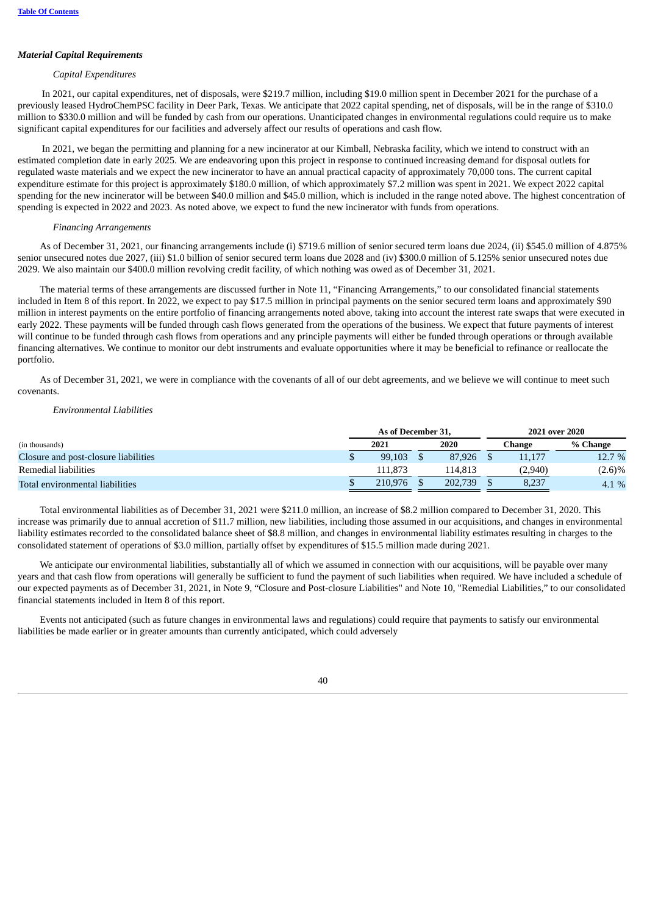# *Material Capital Requirements*

#### *Capital Expenditures*

In 2021, our capital expenditures, net of disposals, were \$219.7 million, including \$19.0 million spent in December 2021 for the purchase of a previously leased HydroChemPSC facility in Deer Park, Texas. We anticipate that 2022 capital spending, net of disposals, will be in the range of \$310.0 million to \$330.0 million and will be funded by cash from our operations. Unanticipated changes in environmental regulations could require us to make significant capital expenditures for our facilities and adversely affect our results of operations and cash flow.

In 2021, we began the permitting and planning for a new incinerator at our Kimball, Nebraska facility, which we intend to construct with an estimated completion date in early 2025. We are endeavoring upon this project in response to continued increasing demand for disposal outlets for regulated waste materials and we expect the new incinerator to have an annual practical capacity of approximately 70,000 tons. The current capital expenditure estimate for this project is approximately \$180.0 million, of which approximately \$7.2 million was spent in 2021. We expect 2022 capital spending for the new incinerator will be between \$40.0 million and \$45.0 million, which is included in the range noted above. The highest concentration of spending is expected in 2022 and 2023. As noted above, we expect to fund the new incinerator with funds from operations.

#### *Financing Arrangements*

As of December 31, 2021, our financing arrangements include (i) \$719.6 million of senior secured term loans due 2024, (ii) \$545.0 million of 4.875% senior unsecured notes due 2027, (iii) \$1.0 billion of senior secured term loans due 2028 and (iv) \$300.0 million of 5.125% senior unsecured notes due 2029. We also maintain our \$400.0 million revolving credit facility, of which nothing was owed as of December 31, 2021.

The material terms of these arrangements are discussed further in Note 11, "Financing Arrangements," to our consolidated financial statements included in Item 8 of this report. In 2022, we expect to pay \$17.5 million in principal payments on the senior secured term loans and approximately \$90 million in interest payments on the entire portfolio of financing arrangements noted above, taking into account the interest rate swaps that were executed in early 2022. These payments will be funded through cash flows generated from the operations of the business. We expect that future payments of interest will continue to be funded through cash flows from operations and any principle payments will either be funded through operations or through available financing alternatives. We continue to monitor our debt instruments and evaluate opportunities where it may be beneficial to refinance or reallocate the portfolio.

As of December 31, 2021, we were in compliance with the covenants of all of our debt agreements, and we believe we will continue to meet such covenants.

#### *Environmental Liabilities*

|                                      | As of December 31, |  |         | 2021 over 2020 |           |
|--------------------------------------|--------------------|--|---------|----------------|-----------|
| (in thousands)                       | 2021               |  | 2020    | Change         | % Change  |
| Closure and post-closure liabilities | 99.103             |  | 87.926  | 11.177         | 12.7 %    |
| Remedial liabilities                 | 111.873            |  | 114.813 | (2,940)        | $(2.6)\%$ |
| Total environmental liabilities      | 210.976            |  | 202.739 | 8.237          | $4.1\%$   |

Total environmental liabilities as of December 31, 2021 were \$211.0 million, an increase of \$8.2 million compared to December 31, 2020. This increase was primarily due to annual accretion of \$11.7 million, new liabilities, including those assumed in our acquisitions, and changes in environmental liability estimates recorded to the consolidated balance sheet of \$8.8 million, and changes in environmental liability estimates resulting in charges to the consolidated statement of operations of \$3.0 million, partially offset by expenditures of \$15.5 million made during 2021.

We anticipate our environmental liabilities, substantially all of which we assumed in connection with our acquisitions, will be payable over many years and that cash flow from operations will generally be sufficient to fund the payment of such liabilities when required. We have included a schedule of our expected payments as of December 31, 2021, in Note 9, "Closure and Post-closure Liabilities" and Note 10, "Remedial Liabilities," to our consolidated financial statements included in Item 8 of this report.

Events not anticipated (such as future changes in environmental laws and regulations) could require that payments to satisfy our environmental liabilities be made earlier or in greater amounts than currently anticipated, which could adversely

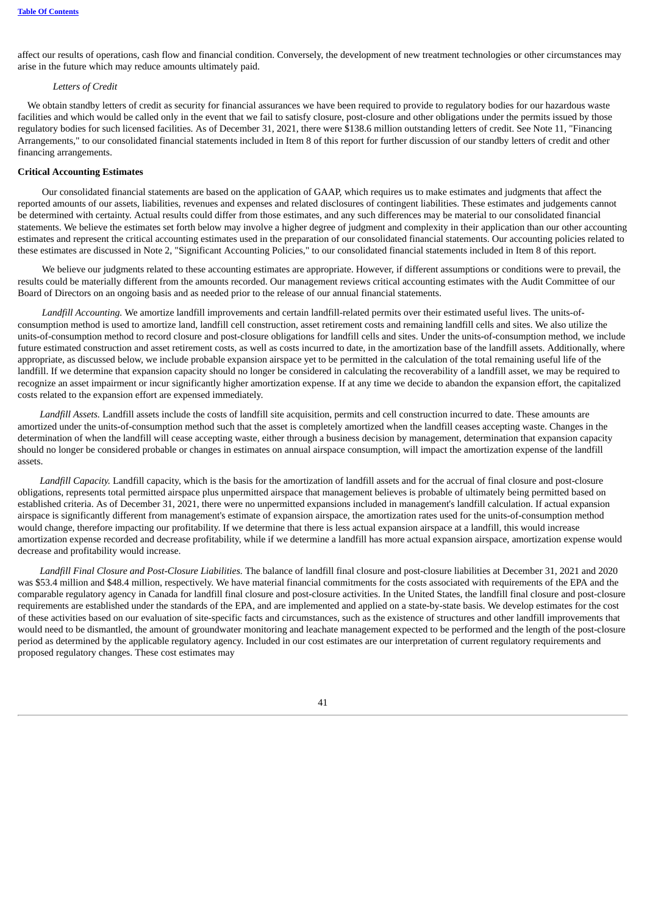affect our results of operations, cash flow and financial condition. Conversely, the development of new treatment technologies or other circumstances may arise in the future which may reduce amounts ultimately paid.

#### *Letters of Credit*

We obtain standby letters of credit as security for financial assurances we have been required to provide to regulatory bodies for our hazardous waste facilities and which would be called only in the event that we fail to satisfy closure, post-closure and other obligations under the permits issued by those regulatory bodies for such licensed facilities. As of December 31, 2021, there were \$138.6 million outstanding letters of credit. See Note 11, "Financing Arrangements," to our consolidated financial statements included in Item 8 of this report for further discussion of our standby letters of credit and other financing arrangements.

#### **Critical Accounting Estimates**

Our consolidated financial statements are based on the application of GAAP, which requires us to make estimates and judgments that affect the reported amounts of our assets, liabilities, revenues and expenses and related disclosures of contingent liabilities. These estimates and judgements cannot be determined with certainty. Actual results could differ from those estimates, and any such differences may be material to our consolidated financial statements. We believe the estimates set forth below may involve a higher degree of judgment and complexity in their application than our other accounting estimates and represent the critical accounting estimates used in the preparation of our consolidated financial statements. Our accounting policies related to these estimates are discussed in Note 2, "Significant Accounting Policies," to our consolidated financial statements included in Item 8 of this report.

We believe our judgments related to these accounting estimates are appropriate. However, if different assumptions or conditions were to prevail, the results could be materially different from the amounts recorded. Our management reviews critical accounting estimates with the Audit Committee of our Board of Directors on an ongoing basis and as needed prior to the release of our annual financial statements.

*Landfill Accounting.* We amortize landfill improvements and certain landfill-related permits over their estimated useful lives. The units-ofconsumption method is used to amortize land, landfill cell construction, asset retirement costs and remaining landfill cells and sites. We also utilize the units-of-consumption method to record closure and post-closure obligations for landfill cells and sites. Under the units-of-consumption method, we include future estimated construction and asset retirement costs, as well as costs incurred to date, in the amortization base of the landfill assets. Additionally, where appropriate, as discussed below, we include probable expansion airspace yet to be permitted in the calculation of the total remaining useful life of the landfill. If we determine that expansion capacity should no longer be considered in calculating the recoverability of a landfill asset, we may be required to recognize an asset impairment or incur significantly higher amortization expense. If at any time we decide to abandon the expansion effort, the capitalized costs related to the expansion effort are expensed immediately.

*Landfill Assets.* Landfill assets include the costs of landfill site acquisition, permits and cell construction incurred to date. These amounts are amortized under the units-of-consumption method such that the asset is completely amortized when the landfill ceases accepting waste. Changes in the determination of when the landfill will cease accepting waste, either through a business decision by management, determination that expansion capacity should no longer be considered probable or changes in estimates on annual airspace consumption, will impact the amortization expense of the landfill assets.

*Landfill Capacity.* Landfill capacity, which is the basis for the amortization of landfill assets and for the accrual of final closure and post-closure obligations, represents total permitted airspace plus unpermitted airspace that management believes is probable of ultimately being permitted based on established criteria. As of December 31, 2021, there were no unpermitted expansions included in management's landfill calculation. If actual expansion airspace is significantly different from management's estimate of expansion airspace, the amortization rates used for the units-of-consumption method would change, therefore impacting our profitability. If we determine that there is less actual expansion airspace at a landfill, this would increase amortization expense recorded and decrease profitability, while if we determine a landfill has more actual expansion airspace, amortization expense would decrease and profitability would increase.

*Landfill Final Closure and Post-Closure Liabilities.* The balance of landfill final closure and post-closure liabilities at December 31, 2021 and 2020 was \$53.4 million and \$48.4 million, respectively. We have material financial commitments for the costs associated with requirements of the EPA and the comparable regulatory agency in Canada for landfill final closure and post-closure activities. In the United States, the landfill final closure and post-closure requirements are established under the standards of the EPA, and are implemented and applied on a state-by-state basis. We develop estimates for the cost of these activities based on our evaluation of site-specific facts and circumstances, such as the existence of structures and other landfill improvements that would need to be dismantled, the amount of groundwater monitoring and leachate management expected to be performed and the length of the post-closure period as determined by the applicable regulatory agency. Included in our cost estimates are our interpretation of current regulatory requirements and proposed regulatory changes. These cost estimates may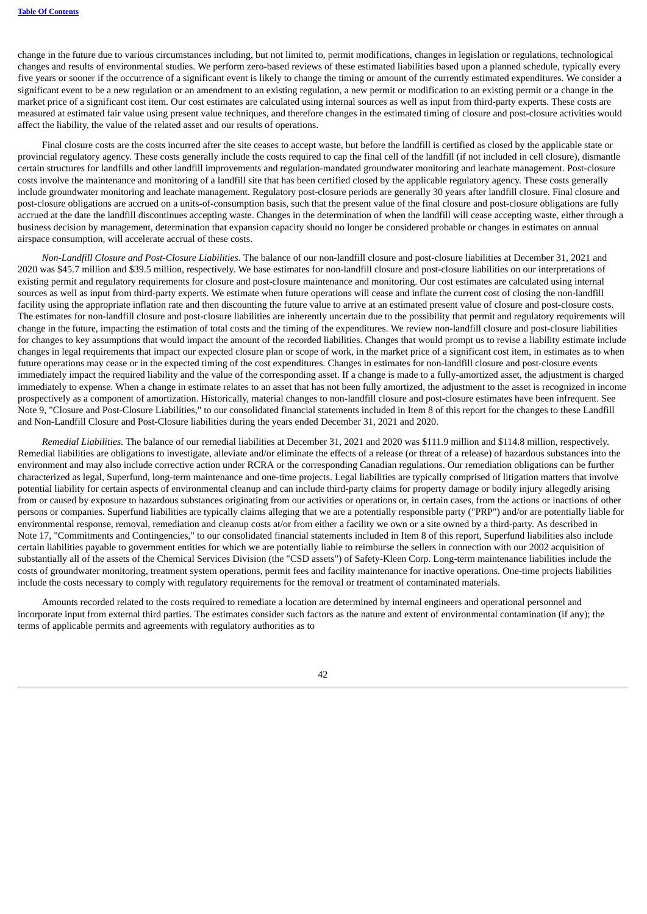change in the future due to various circumstances including, but not limited to, permit modifications, changes in legislation or regulations, technological changes and results of environmental studies. We perform zero-based reviews of these estimated liabilities based upon a planned schedule, typically every five years or sooner if the occurrence of a significant event is likely to change the timing or amount of the currently estimated expenditures. We consider a significant event to be a new regulation or an amendment to an existing regulation, a new permit or modification to an existing permit or a change in the market price of a significant cost item. Our cost estimates are calculated using internal sources as well as input from third-party experts. These costs are measured at estimated fair value using present value techniques, and therefore changes in the estimated timing of closure and post-closure activities would affect the liability, the value of the related asset and our results of operations.

Final closure costs are the costs incurred after the site ceases to accept waste, but before the landfill is certified as closed by the applicable state or provincial regulatory agency. These costs generally include the costs required to cap the final cell of the landfill (if not included in cell closure), dismantle certain structures for landfills and other landfill improvements and regulation-mandated groundwater monitoring and leachate management. Post-closure costs involve the maintenance and monitoring of a landfill site that has been certified closed by the applicable regulatory agency. These costs generally include groundwater monitoring and leachate management. Regulatory post-closure periods are generally 30 years after landfill closure. Final closure and post-closure obligations are accrued on a units-of-consumption basis, such that the present value of the final closure and post-closure obligations are fully accrued at the date the landfill discontinues accepting waste. Changes in the determination of when the landfill will cease accepting waste, either through a business decision by management, determination that expansion capacity should no longer be considered probable or changes in estimates on annual airspace consumption, will accelerate accrual of these costs.

*Non-Landfill Closure and Post-Closure Liabilities.* The balance of our non-landfill closure and post-closure liabilities at December 31, 2021 and 2020 was \$45.7 million and \$39.5 million, respectively. We base estimates for non-landfill closure and post-closure liabilities on our interpretations of existing permit and regulatory requirements for closure and post-closure maintenance and monitoring. Our cost estimates are calculated using internal sources as well as input from third-party experts. We estimate when future operations will cease and inflate the current cost of closing the non-landfill facility using the appropriate inflation rate and then discounting the future value to arrive at an estimated present value of closure and post-closure costs. The estimates for non-landfill closure and post-closure liabilities are inherently uncertain due to the possibility that permit and regulatory requirements will change in the future, impacting the estimation of total costs and the timing of the expenditures. We review non-landfill closure and post-closure liabilities for changes to key assumptions that would impact the amount of the recorded liabilities. Changes that would prompt us to revise a liability estimate include changes in legal requirements that impact our expected closure plan or scope of work, in the market price of a significant cost item, in estimates as to when future operations may cease or in the expected timing of the cost expenditures. Changes in estimates for non-landfill closure and post-closure events immediately impact the required liability and the value of the corresponding asset. If a change is made to a fully-amortized asset, the adjustment is charged immediately to expense. When a change in estimate relates to an asset that has not been fully amortized, the adjustment to the asset is recognized in income prospectively as a component of amortization. Historically, material changes to non-landfill closure and post-closure estimates have been infrequent. See Note 9, "Closure and Post-Closure Liabilities," to our consolidated financial statements included in Item 8 of this report for the changes to these Landfill and Non-Landfill Closure and Post-Closure liabilities during the years ended December 31, 2021 and 2020.

*Remedial Liabilities.* The balance of our remedial liabilities at December 31, 2021 and 2020 was \$111.9 million and \$114.8 million, respectively. Remedial liabilities are obligations to investigate, alleviate and/or eliminate the effects of a release (or threat of a release) of hazardous substances into the environment and may also include corrective action under RCRA or the corresponding Canadian regulations. Our remediation obligations can be further characterized as legal, Superfund, long-term maintenance and one-time projects. Legal liabilities are typically comprised of litigation matters that involve potential liability for certain aspects of environmental cleanup and can include third-party claims for property damage or bodily injury allegedly arising from or caused by exposure to hazardous substances originating from our activities or operations or, in certain cases, from the actions or inactions of other persons or companies. Superfund liabilities are typically claims alleging that we are a potentially responsible party ("PRP") and/or are potentially liable for environmental response, removal, remediation and cleanup costs at/or from either a facility we own or a site owned by a third-party. As described in Note 17, "Commitments and Contingencies," to our consolidated financial statements included in Item 8 of this report, Superfund liabilities also include certain liabilities payable to government entities for which we are potentially liable to reimburse the sellers in connection with our 2002 acquisition of substantially all of the assets of the Chemical Services Division (the "CSD assets") of Safety-Kleen Corp. Long-term maintenance liabilities include the costs of groundwater monitoring, treatment system operations, permit fees and facility maintenance for inactive operations. One-time projects liabilities include the costs necessary to comply with regulatory requirements for the removal or treatment of contaminated materials.

Amounts recorded related to the costs required to remediate a location are determined by internal engineers and operational personnel and incorporate input from external third parties. The estimates consider such factors as the nature and extent of environmental contamination (if any); the terms of applicable permits and agreements with regulatory authorities as to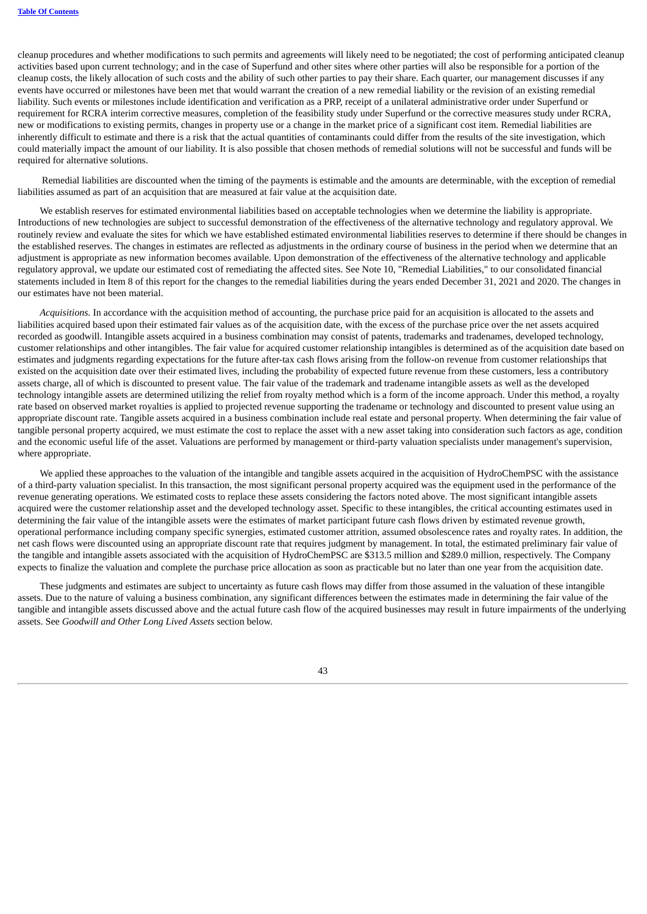cleanup procedures and whether modifications to such permits and agreements will likely need to be negotiated; the cost of performing anticipated cleanup activities based upon current technology; and in the case of Superfund and other sites where other parties will also be responsible for a portion of the cleanup costs, the likely allocation of such costs and the ability of such other parties to pay their share. Each quarter, our management discusses if any events have occurred or milestones have been met that would warrant the creation of a new remedial liability or the revision of an existing remedial liability. Such events or milestones include identification and verification as a PRP, receipt of a unilateral administrative order under Superfund or requirement for RCRA interim corrective measures, completion of the feasibility study under Superfund or the corrective measures study under RCRA, new or modifications to existing permits, changes in property use or a change in the market price of a significant cost item. Remedial liabilities are inherently difficult to estimate and there is a risk that the actual quantities of contaminants could differ from the results of the site investigation, which could materially impact the amount of our liability. It is also possible that chosen methods of remedial solutions will not be successful and funds will be required for alternative solutions.

Remedial liabilities are discounted when the timing of the payments is estimable and the amounts are determinable, with the exception of remedial liabilities assumed as part of an acquisition that are measured at fair value at the acquisition date.

We establish reserves for estimated environmental liabilities based on acceptable technologies when we determine the liability is appropriate. Introductions of new technologies are subject to successful demonstration of the effectiveness of the alternative technology and regulatory approval. We routinely review and evaluate the sites for which we have established estimated environmental liabilities reserves to determine if there should be changes in the established reserves. The changes in estimates are reflected as adjustments in the ordinary course of business in the period when we determine that an adjustment is appropriate as new information becomes available. Upon demonstration of the effectiveness of the alternative technology and applicable regulatory approval, we update our estimated cost of remediating the affected sites. See Note 10, "Remedial Liabilities," to our consolidated financial statements included in Item 8 of this report for the changes to the remedial liabilities during the years ended December 31, 2021 and 2020. The changes in our estimates have not been material.

*Acquisitions.* In accordance with the acquisition method of accounting, the purchase price paid for an acquisition is allocated to the assets and liabilities acquired based upon their estimated fair values as of the acquisition date, with the excess of the purchase price over the net assets acquired recorded as goodwill. Intangible assets acquired in a business combination may consist of patents, trademarks and tradenames, developed technology, customer relationships and other intangibles. The fair value for acquired customer relationship intangibles is determined as of the acquisition date based on estimates and judgments regarding expectations for the future after-tax cash flows arising from the follow-on revenue from customer relationships that existed on the acquisition date over their estimated lives, including the probability of expected future revenue from these customers, less a contributory assets charge, all of which is discounted to present value. The fair value of the trademark and tradename intangible assets as well as the developed technology intangible assets are determined utilizing the relief from royalty method which is a form of the income approach. Under this method, a royalty rate based on observed market royalties is applied to projected revenue supporting the tradename or technology and discounted to present value using an appropriate discount rate. Tangible assets acquired in a business combination include real estate and personal property. When determining the fair value of tangible personal property acquired, we must estimate the cost to replace the asset with a new asset taking into consideration such factors as age, condition and the economic useful life of the asset. Valuations are performed by management or third-party valuation specialists under management's supervision, where appropriate.

We applied these approaches to the valuation of the intangible and tangible assets acquired in the acquisition of HydroChemPSC with the assistance of a third-party valuation specialist. In this transaction, the most significant personal property acquired was the equipment used in the performance of the revenue generating operations. We estimated costs to replace these assets considering the factors noted above. The most significant intangible assets acquired were the customer relationship asset and the developed technology asset. Specific to these intangibles, the critical accounting estimates used in determining the fair value of the intangible assets were the estimates of market participant future cash flows driven by estimated revenue growth, operational performance including company specific synergies, estimated customer attrition, assumed obsolescence rates and royalty rates. In addition, the net cash flows were discounted using an appropriate discount rate that requires judgment by management. In total, the estimated preliminary fair value of the tangible and intangible assets associated with the acquisition of HydroChemPSC are \$313.5 million and \$289.0 million, respectively. The Company expects to finalize the valuation and complete the purchase price allocation as soon as practicable but no later than one year from the acquisition date.

These judgments and estimates are subject to uncertainty as future cash flows may differ from those assumed in the valuation of these intangible assets. Due to the nature of valuing a business combination, any significant differences between the estimates made in determining the fair value of the tangible and intangible assets discussed above and the actual future cash flow of the acquired businesses may result in future impairments of the underlying assets. See *Goodwill and Other Long Lived Assets* section below.

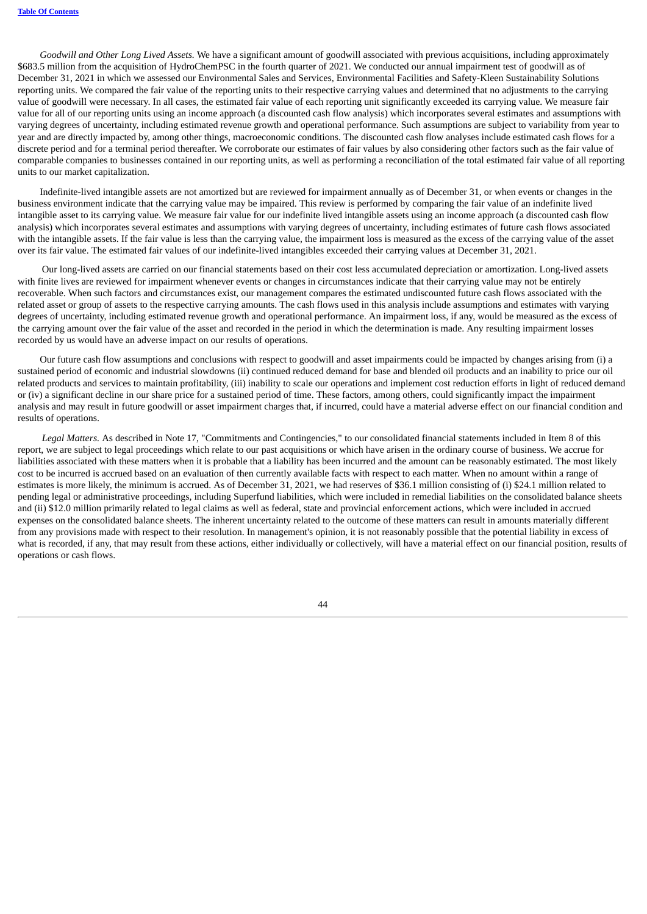*Goodwill and Other Long Lived Assets.* We have a significant amount of goodwill associated with previous acquisitions, including approximately \$683.5 million from the acquisition of HydroChemPSC in the fourth quarter of 2021. We conducted our annual impairment test of goodwill as of December 31, 2021 in which we assessed our Environmental Sales and Services, Environmental Facilities and Safety-Kleen Sustainability Solutions reporting units. We compared the fair value of the reporting units to their respective carrying values and determined that no adjustments to the carrying value of goodwill were necessary. In all cases, the estimated fair value of each reporting unit significantly exceeded its carrying value. We measure fair value for all of our reporting units using an income approach (a discounted cash flow analysis) which incorporates several estimates and assumptions with varying degrees of uncertainty, including estimated revenue growth and operational performance. Such assumptions are subject to variability from year to year and are directly impacted by, among other things, macroeconomic conditions. The discounted cash flow analyses include estimated cash flows for a discrete period and for a terminal period thereafter. We corroborate our estimates of fair values by also considering other factors such as the fair value of comparable companies to businesses contained in our reporting units, as well as performing a reconciliation of the total estimated fair value of all reporting units to our market capitalization.

Indefinite-lived intangible assets are not amortized but are reviewed for impairment annually as of December 31, or when events or changes in the business environment indicate that the carrying value may be impaired. This review is performed by comparing the fair value of an indefinite lived intangible asset to its carrying value. We measure fair value for our indefinite lived intangible assets using an income approach (a discounted cash flow analysis) which incorporates several estimates and assumptions with varying degrees of uncertainty, including estimates of future cash flows associated with the intangible assets. If the fair value is less than the carrying value, the impairment loss is measured as the excess of the carrying value of the asset over its fair value. The estimated fair values of our indefinite-lived intangibles exceeded their carrying values at December 31, 2021.

Our long-lived assets are carried on our financial statements based on their cost less accumulated depreciation or amortization. Long-lived assets with finite lives are reviewed for impairment whenever events or changes in circumstances indicate that their carrying value may not be entirely recoverable. When such factors and circumstances exist, our management compares the estimated undiscounted future cash flows associated with the related asset or group of assets to the respective carrying amounts. The cash flows used in this analysis include assumptions and estimates with varying degrees of uncertainty, including estimated revenue growth and operational performance. An impairment loss, if any, would be measured as the excess of the carrying amount over the fair value of the asset and recorded in the period in which the determination is made. Any resulting impairment losses recorded by us would have an adverse impact on our results of operations.

Our future cash flow assumptions and conclusions with respect to goodwill and asset impairments could be impacted by changes arising from (i) a sustained period of economic and industrial slowdowns (ii) continued reduced demand for base and blended oil products and an inability to price our oil related products and services to maintain profitability, (iii) inability to scale our operations and implement cost reduction efforts in light of reduced demand or (iv) a significant decline in our share price for a sustained period of time. These factors, among others, could significantly impact the impairment analysis and may result in future goodwill or asset impairment charges that, if incurred, could have a material adverse effect on our financial condition and results of operations.

*Legal Matters.* As described in Note 17, "Commitments and Contingencies," to our consolidated financial statements included in Item 8 of this report, we are subject to legal proceedings which relate to our past acquisitions or which have arisen in the ordinary course of business. We accrue for liabilities associated with these matters when it is probable that a liability has been incurred and the amount can be reasonably estimated. The most likely cost to be incurred is accrued based on an evaluation of then currently available facts with respect to each matter. When no amount within a range of estimates is more likely, the minimum is accrued. As of December 31, 2021, we had reserves of \$36.1 million consisting of (i) \$24.1 million related to pending legal or administrative proceedings, including Superfund liabilities, which were included in remedial liabilities on the consolidated balance sheets and (ii) \$12.0 million primarily related to legal claims as well as federal, state and provincial enforcement actions, which were included in accrued expenses on the consolidated balance sheets. The inherent uncertainty related to the outcome of these matters can result in amounts materially different from any provisions made with respect to their resolution. In management's opinion, it is not reasonably possible that the potential liability in excess of what is recorded, if any, that may result from these actions, either individually or collectively, will have a material effect on our financial position, results of operations or cash flows.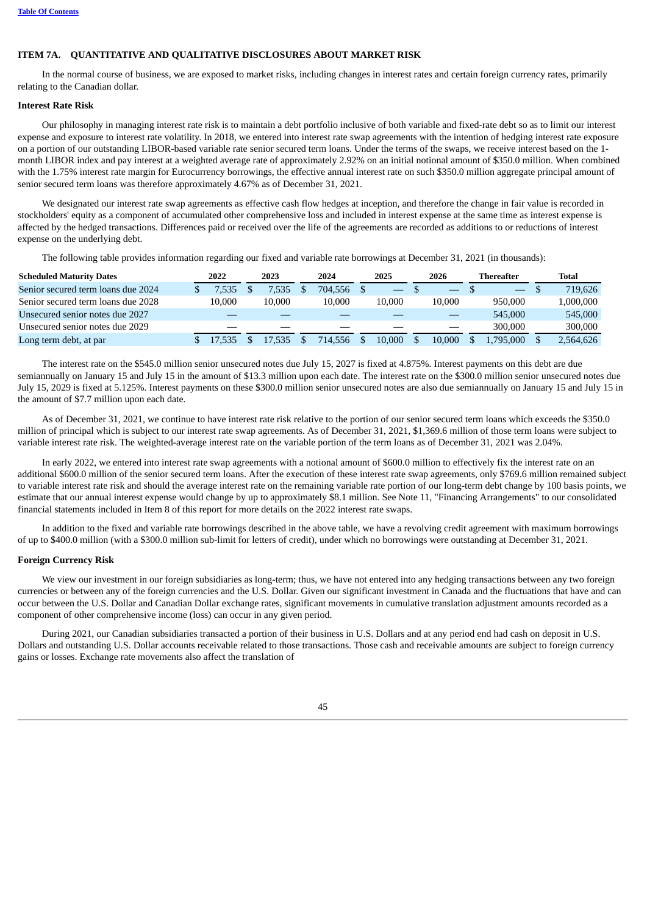# **ITEM 7A. QUANTITATIVE AND QUALITATIVE DISCLOSURES ABOUT MARKET RISK**

In the normal course of business, we are exposed to market risks, including changes in interest rates and certain foreign currency rates, primarily relating to the Canadian dollar.

#### **Interest Rate Risk**

Our philosophy in managing interest rate risk is to maintain a debt portfolio inclusive of both variable and fixed-rate debt so as to limit our interest expense and exposure to interest rate volatility. In 2018, we entered into interest rate swap agreements with the intention of hedging interest rate exposure on a portion of our outstanding LIBOR-based variable rate senior secured term loans. Under the terms of the swaps, we receive interest based on the 1 month LIBOR index and pay interest at a weighted average rate of approximately 2.92% on an initial notional amount of \$350.0 million. When combined with the 1.75% interest rate margin for Eurocurrency borrowings, the effective annual interest rate on such \$350.0 million aggregate principal amount of senior secured term loans was therefore approximately 4.67% as of December 31, 2021.

We designated our interest rate swap agreements as effective cash flow hedges at inception, and therefore the change in fair value is recorded in stockholders' equity as a component of accumulated other comprehensive loss and included in interest expense at the same time as interest expense is affected by the hedged transactions. Differences paid or received over the life of the agreements are recorded as additions to or reductions of interest expense on the underlying debt.

The following table provides information regarding our fixed and variable rate borrowings at December 31, 2021 (in thousands):

| <b>Scheduled Maturity Dates</b>    | 2022   | 2023   | 2024    |     | 2025   | 2026 |        | Thereafter               |  | Total     |
|------------------------------------|--------|--------|---------|-----|--------|------|--------|--------------------------|--|-----------|
| Senior secured term loans due 2024 | 7.535  | .535   | 704.556 |     |        |      |        | $\overline{\phantom{m}}$ |  | 719.626   |
| Senior secured term loans due 2028 | 10.000 | 10.000 | 10.000  |     | 10.000 |      | 10.000 | 950.000                  |  | 000,000.1 |
| Unsecured senior notes due 2027    |        |        |         |     |        |      |        | 545,000                  |  | 545,000   |
| Unsecured senior notes due 2029    |        |        |         |     |        |      |        | 300,000                  |  | 300,000   |
| Long term debt, at par             |        | 17.535 | 714.556 | \$. | 10.000 |      | 10.000 | .795.000                 |  | 2,564,626 |

The interest rate on the \$545.0 million senior unsecured notes due July 15, 2027 is fixed at 4.875%. Interest payments on this debt are due semiannually on January 15 and July 15 in the amount of \$13.3 million upon each date. The interest rate on the \$300.0 million senior unsecured notes due July 15, 2029 is fixed at 5.125%. Interest payments on these \$300.0 million senior unsecured notes are also due semiannually on January 15 and July 15 in the amount of \$7.7 million upon each date.

As of December 31, 2021, we continue to have interest rate risk relative to the portion of our senior secured term loans which exceeds the \$350.0 million of principal which is subject to our interest rate swap agreements. As of December 31, 2021, \$1,369.6 million of those term loans were subject to variable interest rate risk. The weighted-average interest rate on the variable portion of the term loans as of December 31, 2021 was 2.04%.

In early 2022, we entered into interest rate swap agreements with a notional amount of \$600.0 million to effectively fix the interest rate on an additional \$600.0 million of the senior secured term loans. After the execution of these interest rate swap agreements, only \$769.6 million remained subject to variable interest rate risk and should the average interest rate on the remaining variable rate portion of our long-term debt change by 100 basis points, we estimate that our annual interest expense would change by up to approximately \$8.1 million. See Note 11, "Financing Arrangements" to our consolidated financial statements included in Item 8 of this report for more details on the 2022 interest rate swaps.

In addition to the fixed and variable rate borrowings described in the above table, we have a revolving credit agreement with maximum borrowings of up to \$400.0 million (with a \$300.0 million sub-limit for letters of credit), under which no borrowings were outstanding at December 31, 2021.

#### **Foreign Currency Risk**

We view our investment in our foreign subsidiaries as long-term; thus, we have not entered into any hedging transactions between any two foreign currencies or between any of the foreign currencies and the U.S. Dollar. Given our significant investment in Canada and the fluctuations that have and can occur between the U.S. Dollar and Canadian Dollar exchange rates, significant movements in cumulative translation adjustment amounts recorded as a component of other comprehensive income (loss) can occur in any given period.

During 2021, our Canadian subsidiaries transacted a portion of their business in U.S. Dollars and at any period end had cash on deposit in U.S. Dollars and outstanding U.S. Dollar accounts receivable related to those transactions. Those cash and receivable amounts are subject to foreign currency gains or losses. Exchange rate movements also affect the translation of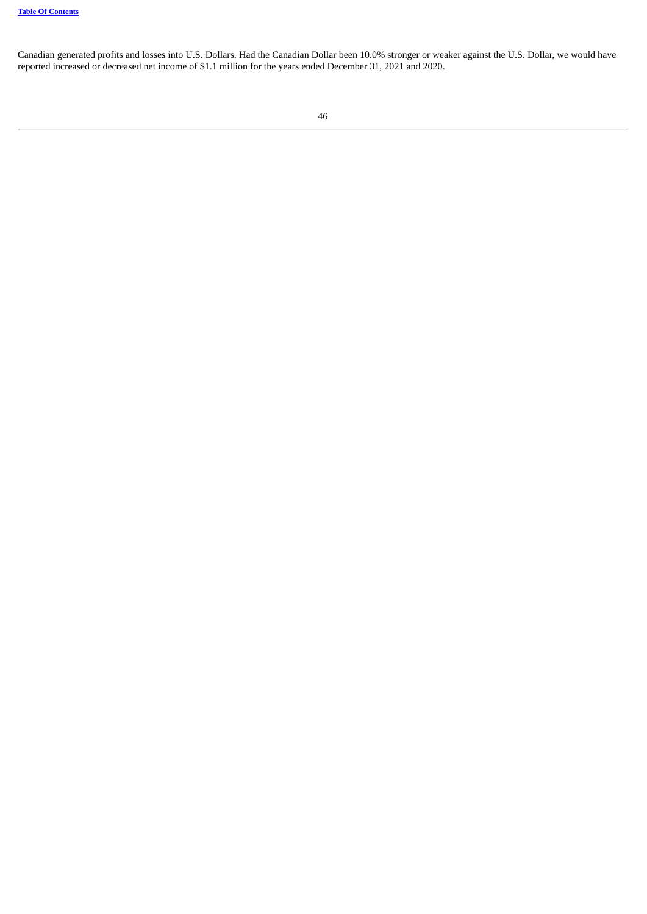Canadian generated profits and losses into U.S. Dollars. Had the Canadian Dollar been 10.0% stronger or weaker against the U.S. Dollar, we would have reported increased or decreased net income of \$1.1 million for the years ended December 31, 2021 and 2020.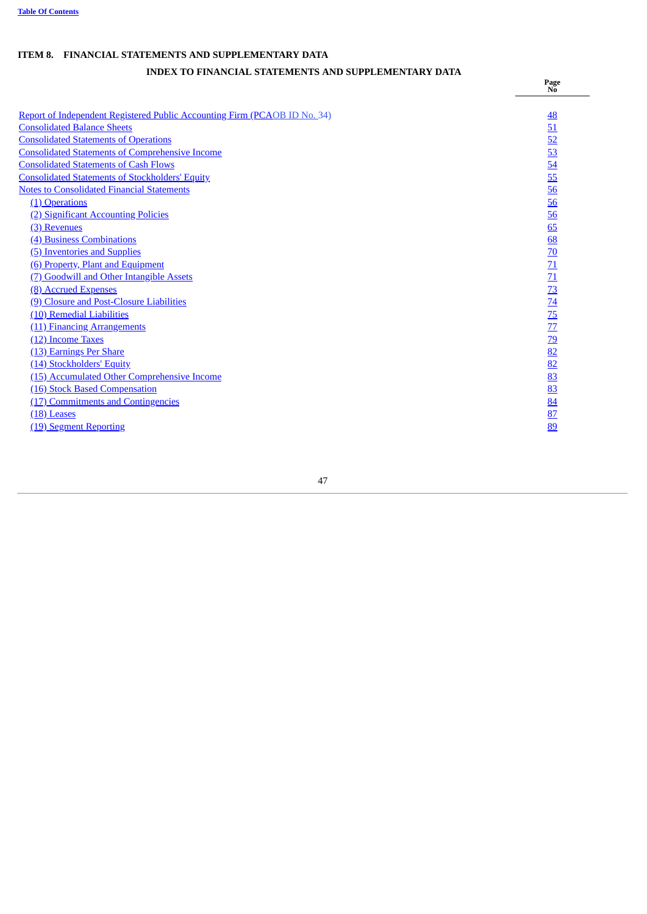# **ITEM 8. FINANCIAL STATEMENTS AND SUPPLEMENTARY DATA**

# **INDEX TO FINANCIAL STATEMENTS AND SUPPLEMENTARY DATA**

**Page No**

<span id="page-48-0"></span>

| Report of Independent Registered Public Accounting Firm (PCAOB ID No. 34)<br><b>Consolidated Balance Sheets</b> | <u>48</u><br>51                                                                                                                 |
|-----------------------------------------------------------------------------------------------------------------|---------------------------------------------------------------------------------------------------------------------------------|
| <b>Consolidated Statements of Operations</b>                                                                    |                                                                                                                                 |
| <b>Consolidated Statements of Comprehensive Income</b>                                                          | $rac{52}{53}$<br>$rac{53}{54}$                                                                                                  |
| <b>Consolidated Statements of Cash Flows</b>                                                                    |                                                                                                                                 |
| <b>Consolidated Statements of Stockholders' Equity</b>                                                          |                                                                                                                                 |
| <b>Notes to Consolidated Financial Statements</b>                                                               |                                                                                                                                 |
| (1) Operations                                                                                                  |                                                                                                                                 |
| (2) Significant Accounting Policies                                                                             | $\frac{56}{56}$                                                                                                                 |
| (3) Revenues                                                                                                    | 65                                                                                                                              |
| (4) Business Combinations                                                                                       | 68                                                                                                                              |
| (5) Inventories and Supplies                                                                                    |                                                                                                                                 |
| (6) Property, Plant and Equipment                                                                               | $\frac{70}{11} \frac{71}{11} \frac{73}{13} \frac{74}{15} \frac{77}{17} \frac{79}{19} \frac{82}{18} \frac{83}{83} \frac{83}{83}$ |
| (7) Goodwill and Other Intangible Assets                                                                        |                                                                                                                                 |
| (8) Accrued Expenses                                                                                            |                                                                                                                                 |
| (9) Closure and Post-Closure Liabilities                                                                        |                                                                                                                                 |
| (10) Remedial Liabilities                                                                                       |                                                                                                                                 |
| (11) Financing Arrangements                                                                                     |                                                                                                                                 |
| (12) Income Taxes                                                                                               |                                                                                                                                 |
| (13) Earnings Per Share                                                                                         |                                                                                                                                 |
| (14) Stockholders' Equity                                                                                       |                                                                                                                                 |
| (15) Accumulated Other Comprehensive Income                                                                     |                                                                                                                                 |
| (16) Stock Based Compensation                                                                                   |                                                                                                                                 |
| (17) Commitments and Contingencies                                                                              | $\frac{84}{5}$                                                                                                                  |
| (18) Leases                                                                                                     | $\frac{87}{2}$                                                                                                                  |
| (19) Segment Reporting                                                                                          | 89                                                                                                                              |
|                                                                                                                 |                                                                                                                                 |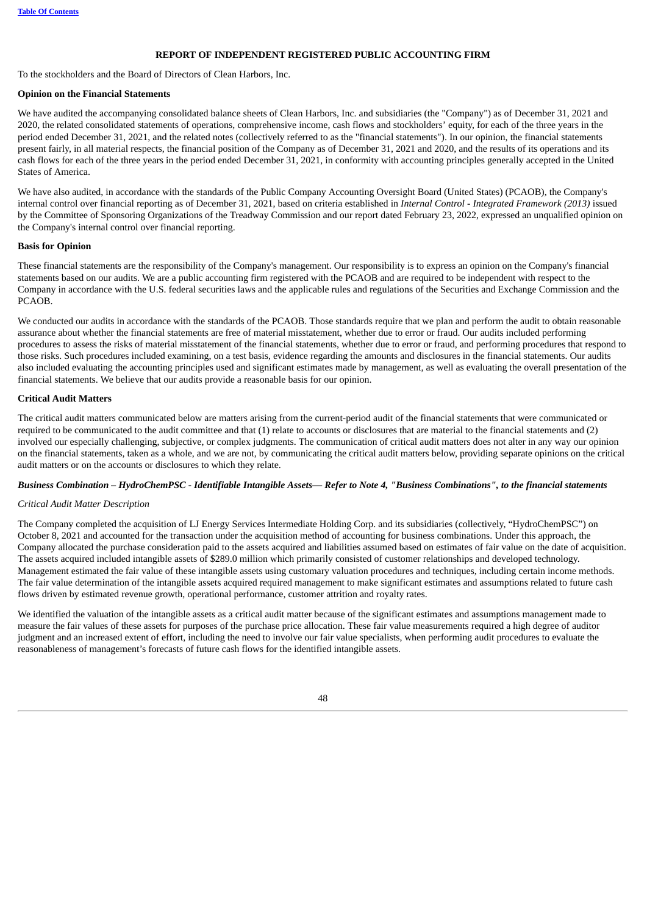# **REPORT OF INDEPENDENT REGISTERED PUBLIC ACCOUNTING FIRM**

To the stockholders and the Board of Directors of Clean Harbors, Inc.

#### **Opinion on the Financial Statements**

We have audited the accompanying consolidated balance sheets of Clean Harbors, Inc. and subsidiaries (the "Company") as of December 31, 2021 and 2020, the related consolidated statements of operations, comprehensive income, cash flows and stockholders' equity, for each of the three years in the period ended December 31, 2021, and the related notes (collectively referred to as the "financial statements"). In our opinion, the financial statements present fairly, in all material respects, the financial position of the Company as of December 31, 2021 and 2020, and the results of its operations and its cash flows for each of the three years in the period ended December 31, 2021, in conformity with accounting principles generally accepted in the United States of America.

We have also audited, in accordance with the standards of the Public Company Accounting Oversight Board (United States) (PCAOB), the Company's internal control over financial reporting as of December 31, 2021, based on criteria established in *Internal Control - Integrated Framework (2013)* issued by the Committee of Sponsoring Organizations of the Treadway Commission and our report dated February 23, 2022, expressed an unqualified opinion on the Company's internal control over financial reporting.

#### **Basis for Opinion**

These financial statements are the responsibility of the Company's management. Our responsibility is to express an opinion on the Company's financial statements based on our audits. We are a public accounting firm registered with the PCAOB and are required to be independent with respect to the Company in accordance with the U.S. federal securities laws and the applicable rules and regulations of the Securities and Exchange Commission and the PCAOB.

We conducted our audits in accordance with the standards of the PCAOB. Those standards require that we plan and perform the audit to obtain reasonable assurance about whether the financial statements are free of material misstatement, whether due to error or fraud. Our audits included performing procedures to assess the risks of material misstatement of the financial statements, whether due to error or fraud, and performing procedures that respond to those risks. Such procedures included examining, on a test basis, evidence regarding the amounts and disclosures in the financial statements. Our audits also included evaluating the accounting principles used and significant estimates made by management, as well as evaluating the overall presentation of the financial statements. We believe that our audits provide a reasonable basis for our opinion.

# **Critical Audit Matters**

The critical audit matters communicated below are matters arising from the current-period audit of the financial statements that were communicated or required to be communicated to the audit committee and that (1) relate to accounts or disclosures that are material to the financial statements and (2) involved our especially challenging, subjective, or complex judgments. The communication of critical audit matters does not alter in any way our opinion on the financial statements, taken as a whole, and we are not, by communicating the critical audit matters below, providing separate opinions on the critical audit matters or on the accounts or disclosures to which they relate.

# Business Combination - HydroChemPSC - Identifiable Intangible Assets— Refer to Note 4, "Business Combinations", to the financial statements

# *Critical Audit Matter Description*

The Company completed the acquisition of LJ Energy Services Intermediate Holding Corp. and its subsidiaries (collectively, "HydroChemPSC") on October 8, 2021 and accounted for the transaction under the acquisition method of accounting for business combinations. Under this approach, the Company allocated the purchase consideration paid to the assets acquired and liabilities assumed based on estimates of fair value on the date of acquisition. The assets acquired included intangible assets of \$289.0 million which primarily consisted of customer relationships and developed technology. Management estimated the fair value of these intangible assets using customary valuation procedures and techniques, including certain income methods. The fair value determination of the intangible assets acquired required management to make significant estimates and assumptions related to future cash flows driven by estimated revenue growth, operational performance, customer attrition and royalty rates.

We identified the valuation of the intangible assets as a critical audit matter because of the significant estimates and assumptions management made to measure the fair values of these assets for purposes of the purchase price allocation. These fair value measurements required a high degree of auditor judgment and an increased extent of effort, including the need to involve our fair value specialists, when performing audit procedures to evaluate the reasonableness of management's forecasts of future cash flows for the identified intangible assets.

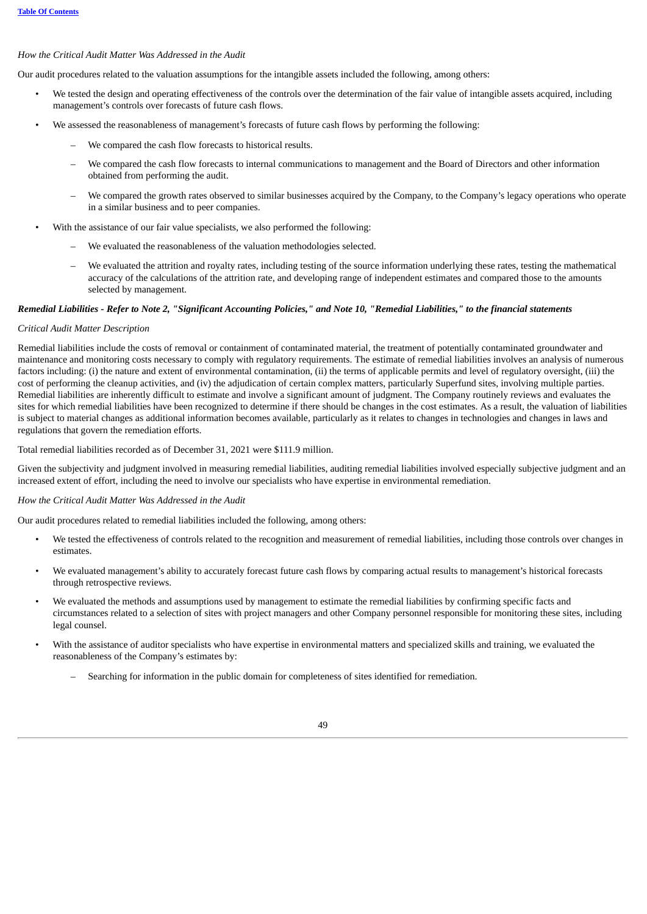# *How the Critical Audit Matter Was Addressed in the Audit*

Our audit procedures related to the valuation assumptions for the intangible assets included the following, among others:

- We tested the design and operating effectiveness of the controls over the determination of the fair value of intangible assets acquired, including management's controls over forecasts of future cash flows.
- We assessed the reasonableness of management's forecasts of future cash flows by performing the following:
	- We compared the cash flow forecasts to historical results.
	- We compared the cash flow forecasts to internal communications to management and the Board of Directors and other information obtained from performing the audit.
	- We compared the growth rates observed to similar businesses acquired by the Company, to the Company's legacy operations who operate in a similar business and to peer companies.
- With the assistance of our fair value specialists, we also performed the following:
	- We evaluated the reasonableness of the valuation methodologies selected.
	- We evaluated the attrition and royalty rates, including testing of the source information underlying these rates, testing the mathematical accuracy of the calculations of the attrition rate, and developing range of independent estimates and compared those to the amounts selected by management.

# Remedial Liabilities - Refer to Note 2, "Significant Accounting Policies," and Note 10, "Remedial Liabilities," to the financial statements

#### *Critical Audit Matter Description*

Remedial liabilities include the costs of removal or containment of contaminated material, the treatment of potentially contaminated groundwater and maintenance and monitoring costs necessary to comply with regulatory requirements. The estimate of remedial liabilities involves an analysis of numerous factors including: (i) the nature and extent of environmental contamination, (ii) the terms of applicable permits and level of regulatory oversight, (iii) the cost of performing the cleanup activities, and (iv) the adjudication of certain complex matters, particularly Superfund sites, involving multiple parties. Remedial liabilities are inherently difficult to estimate and involve a significant amount of judgment. The Company routinely reviews and evaluates the sites for which remedial liabilities have been recognized to determine if there should be changes in the cost estimates. As a result, the valuation of liabilities is subject to material changes as additional information becomes available, particularly as it relates to changes in technologies and changes in laws and regulations that govern the remediation efforts.

Total remedial liabilities recorded as of December 31, 2021 were \$111.9 million.

Given the subjectivity and judgment involved in measuring remedial liabilities, auditing remedial liabilities involved especially subjective judgment and an increased extent of effort, including the need to involve our specialists who have expertise in environmental remediation.

#### *How the Critical Audit Matter Was Addressed in the Audit*

Our audit procedures related to remedial liabilities included the following, among others:

- We tested the effectiveness of controls related to the recognition and measurement of remedial liabilities, including those controls over changes in estimates.
- We evaluated management's ability to accurately forecast future cash flows by comparing actual results to management's historical forecasts through retrospective reviews.
- We evaluated the methods and assumptions used by management to estimate the remedial liabilities by confirming specific facts and circumstances related to a selection of sites with project managers and other Company personnel responsible for monitoring these sites, including legal counsel.
- With the assistance of auditor specialists who have expertise in environmental matters and specialized skills and training, we evaluated the reasonableness of the Company's estimates by:
	- Searching for information in the public domain for completeness of sites identified for remediation.

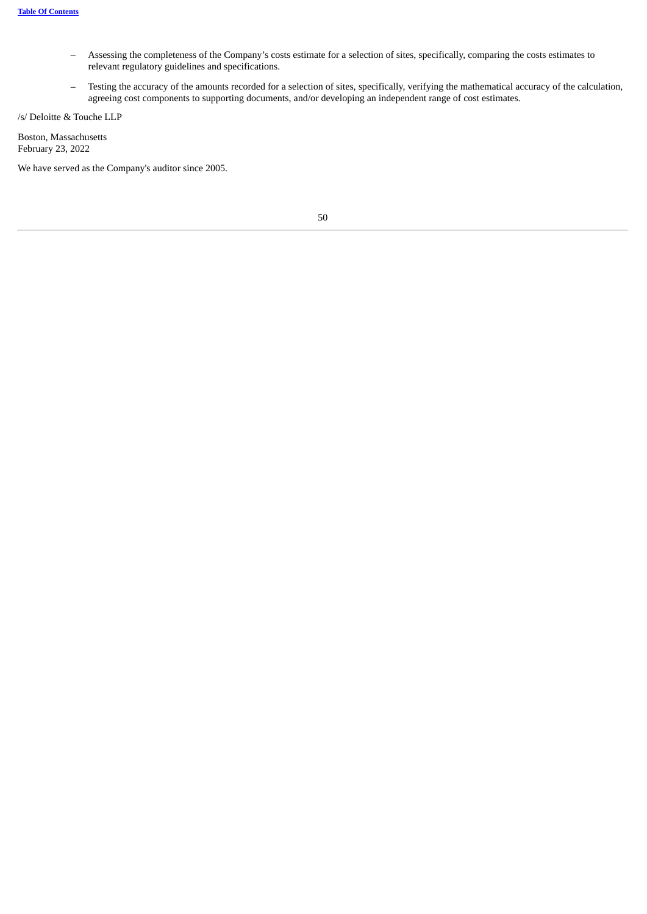- Assessing the completeness of the Company's costs estimate for a selection of sites, specifically, comparing the costs estimates to relevant regulatory guidelines and specifications.
- Testing the accuracy of the amounts recorded for a selection of sites, specifically, verifying the mathematical accuracy of the calculation, agreeing cost components to supporting documents, and/or developing an independent range of cost estimates.

/s/ Deloitte & Touche LLP

Boston, Massachusetts February 23, 2022

<span id="page-51-0"></span>We have served as the Company's auditor since 2005.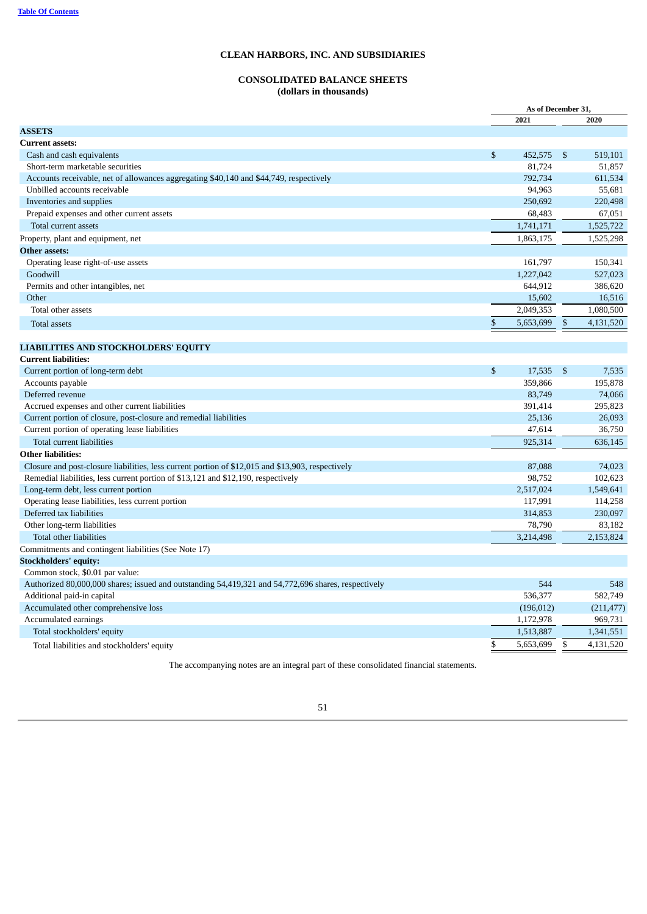# **CONSOLIDATED BALANCE SHEETS (dollars in thousands)**

| 2021<br>2020<br><b>ASSETS</b><br><b>Current assets:</b><br>\$<br>519,101<br>452,575<br>-\$<br>Cash and cash equivalents<br>Short-term marketable securities<br>81,724<br>51,857<br>792,734<br>611,534<br>Accounts receivable, net of allowances aggregating \$40,140 and \$44,749, respectively<br>94,963<br>55,681<br>Unbilled accounts receivable<br>Inventories and supplies<br>250,692<br>220,498<br>68,483<br>67,051<br>Prepaid expenses and other current assets<br>1,525,722<br>Total current assets<br>1,741,171<br>Property, plant and equipment, net<br>1,863,175<br>1,525,298<br><b>Other assets:</b><br>Operating lease right-of-use assets<br>161,797<br>150,341<br>527,023<br>Goodwill<br>1,227,042<br>Permits and other intangibles, net<br>644,912<br>386,620<br>Other<br>15,602<br>16,516<br>2,049,353<br>1,080,500<br>Total other assets<br>\$<br>5,653,699<br>$\mathfrak{S}$<br>4,131,520<br>Total assets<br><b>LIABILITIES AND STOCKHOLDERS' EQUITY</b><br><b>Current liabilities:</b><br>\$<br>Current portion of long-term debt<br>17,535<br>-\$<br>7,535<br>Accounts payable<br>359,866<br>195,878<br>74,066<br>Deferred revenue<br>83,749<br>Accrued expenses and other current liabilities<br>295,823<br>391,414<br>Current portion of closure, post-closure and remedial liabilities<br>25,136<br>26,093<br>36,750<br>Current portion of operating lease liabilities<br>47,614<br>Total current liabilities<br>925,314<br>636,145<br><b>Other liabilities:</b><br>Closure and post-closure liabilities, less current portion of \$12,015 and \$13,903, respectively<br>74,023<br>87,088<br>98,752<br>102,623<br>Remedial liabilities, less current portion of \$13,121 and \$12,190, respectively<br>2,517,024<br>1,549,641<br>Long-term debt, less current portion<br>114,258<br>Operating lease liabilities, less current portion<br>117,991<br>230,097<br>Deferred tax liabilities<br>314,853<br>78,790<br>83,182<br>Other long-term liabilities<br>2,153,824<br>3,214,498<br>Total other liabilities<br>Commitments and contingent liabilities (See Note 17)<br><b>Stockholders' equity:</b><br>Common stock, \$0.01 par value:<br>Authorized 80,000,000 shares; issued and outstanding 54,419,321 and 54,772,696 shares, respectively<br>544<br>548<br>536,377<br>582,749<br>Additional paid-in capital<br>Accumulated other comprehensive loss<br>(196, 012)<br>(211, 477)<br>1,172,978<br>969,731<br>Accumulated earnings<br>1,513,887<br>1,341,551<br>Total stockholders' equity<br>\$<br>\$<br>4,131,520<br>5,653,699<br>Total liabilities and stockholders' equity |  | As of December 31 |  |  |
|--------------------------------------------------------------------------------------------------------------------------------------------------------------------------------------------------------------------------------------------------------------------------------------------------------------------------------------------------------------------------------------------------------------------------------------------------------------------------------------------------------------------------------------------------------------------------------------------------------------------------------------------------------------------------------------------------------------------------------------------------------------------------------------------------------------------------------------------------------------------------------------------------------------------------------------------------------------------------------------------------------------------------------------------------------------------------------------------------------------------------------------------------------------------------------------------------------------------------------------------------------------------------------------------------------------------------------------------------------------------------------------------------------------------------------------------------------------------------------------------------------------------------------------------------------------------------------------------------------------------------------------------------------------------------------------------------------------------------------------------------------------------------------------------------------------------------------------------------------------------------------------------------------------------------------------------------------------------------------------------------------------------------------------------------------------------------------------------------------------------------------------------------------------------------------------------------------------------------------------------------------------------------------------------------------------------------------------------------------------------------------------------------------------------------------------------------------------------------------------------------------------------------------------------------------------------------------------------------------|--|-------------------|--|--|
|                                                                                                                                                                                                                                                                                                                                                                                                                                                                                                                                                                                                                                                                                                                                                                                                                                                                                                                                                                                                                                                                                                                                                                                                                                                                                                                                                                                                                                                                                                                                                                                                                                                                                                                                                                                                                                                                                                                                                                                                                                                                                                                                                                                                                                                                                                                                                                                                                                                                                                                                                                                                        |  |                   |  |  |
|                                                                                                                                                                                                                                                                                                                                                                                                                                                                                                                                                                                                                                                                                                                                                                                                                                                                                                                                                                                                                                                                                                                                                                                                                                                                                                                                                                                                                                                                                                                                                                                                                                                                                                                                                                                                                                                                                                                                                                                                                                                                                                                                                                                                                                                                                                                                                                                                                                                                                                                                                                                                        |  |                   |  |  |
|                                                                                                                                                                                                                                                                                                                                                                                                                                                                                                                                                                                                                                                                                                                                                                                                                                                                                                                                                                                                                                                                                                                                                                                                                                                                                                                                                                                                                                                                                                                                                                                                                                                                                                                                                                                                                                                                                                                                                                                                                                                                                                                                                                                                                                                                                                                                                                                                                                                                                                                                                                                                        |  |                   |  |  |
|                                                                                                                                                                                                                                                                                                                                                                                                                                                                                                                                                                                                                                                                                                                                                                                                                                                                                                                                                                                                                                                                                                                                                                                                                                                                                                                                                                                                                                                                                                                                                                                                                                                                                                                                                                                                                                                                                                                                                                                                                                                                                                                                                                                                                                                                                                                                                                                                                                                                                                                                                                                                        |  |                   |  |  |
|                                                                                                                                                                                                                                                                                                                                                                                                                                                                                                                                                                                                                                                                                                                                                                                                                                                                                                                                                                                                                                                                                                                                                                                                                                                                                                                                                                                                                                                                                                                                                                                                                                                                                                                                                                                                                                                                                                                                                                                                                                                                                                                                                                                                                                                                                                                                                                                                                                                                                                                                                                                                        |  |                   |  |  |
|                                                                                                                                                                                                                                                                                                                                                                                                                                                                                                                                                                                                                                                                                                                                                                                                                                                                                                                                                                                                                                                                                                                                                                                                                                                                                                                                                                                                                                                                                                                                                                                                                                                                                                                                                                                                                                                                                                                                                                                                                                                                                                                                                                                                                                                                                                                                                                                                                                                                                                                                                                                                        |  |                   |  |  |
|                                                                                                                                                                                                                                                                                                                                                                                                                                                                                                                                                                                                                                                                                                                                                                                                                                                                                                                                                                                                                                                                                                                                                                                                                                                                                                                                                                                                                                                                                                                                                                                                                                                                                                                                                                                                                                                                                                                                                                                                                                                                                                                                                                                                                                                                                                                                                                                                                                                                                                                                                                                                        |  |                   |  |  |
|                                                                                                                                                                                                                                                                                                                                                                                                                                                                                                                                                                                                                                                                                                                                                                                                                                                                                                                                                                                                                                                                                                                                                                                                                                                                                                                                                                                                                                                                                                                                                                                                                                                                                                                                                                                                                                                                                                                                                                                                                                                                                                                                                                                                                                                                                                                                                                                                                                                                                                                                                                                                        |  |                   |  |  |
|                                                                                                                                                                                                                                                                                                                                                                                                                                                                                                                                                                                                                                                                                                                                                                                                                                                                                                                                                                                                                                                                                                                                                                                                                                                                                                                                                                                                                                                                                                                                                                                                                                                                                                                                                                                                                                                                                                                                                                                                                                                                                                                                                                                                                                                                                                                                                                                                                                                                                                                                                                                                        |  |                   |  |  |
|                                                                                                                                                                                                                                                                                                                                                                                                                                                                                                                                                                                                                                                                                                                                                                                                                                                                                                                                                                                                                                                                                                                                                                                                                                                                                                                                                                                                                                                                                                                                                                                                                                                                                                                                                                                                                                                                                                                                                                                                                                                                                                                                                                                                                                                                                                                                                                                                                                                                                                                                                                                                        |  |                   |  |  |
|                                                                                                                                                                                                                                                                                                                                                                                                                                                                                                                                                                                                                                                                                                                                                                                                                                                                                                                                                                                                                                                                                                                                                                                                                                                                                                                                                                                                                                                                                                                                                                                                                                                                                                                                                                                                                                                                                                                                                                                                                                                                                                                                                                                                                                                                                                                                                                                                                                                                                                                                                                                                        |  |                   |  |  |
|                                                                                                                                                                                                                                                                                                                                                                                                                                                                                                                                                                                                                                                                                                                                                                                                                                                                                                                                                                                                                                                                                                                                                                                                                                                                                                                                                                                                                                                                                                                                                                                                                                                                                                                                                                                                                                                                                                                                                                                                                                                                                                                                                                                                                                                                                                                                                                                                                                                                                                                                                                                                        |  |                   |  |  |
|                                                                                                                                                                                                                                                                                                                                                                                                                                                                                                                                                                                                                                                                                                                                                                                                                                                                                                                                                                                                                                                                                                                                                                                                                                                                                                                                                                                                                                                                                                                                                                                                                                                                                                                                                                                                                                                                                                                                                                                                                                                                                                                                                                                                                                                                                                                                                                                                                                                                                                                                                                                                        |  |                   |  |  |
|                                                                                                                                                                                                                                                                                                                                                                                                                                                                                                                                                                                                                                                                                                                                                                                                                                                                                                                                                                                                                                                                                                                                                                                                                                                                                                                                                                                                                                                                                                                                                                                                                                                                                                                                                                                                                                                                                                                                                                                                                                                                                                                                                                                                                                                                                                                                                                                                                                                                                                                                                                                                        |  |                   |  |  |
|                                                                                                                                                                                                                                                                                                                                                                                                                                                                                                                                                                                                                                                                                                                                                                                                                                                                                                                                                                                                                                                                                                                                                                                                                                                                                                                                                                                                                                                                                                                                                                                                                                                                                                                                                                                                                                                                                                                                                                                                                                                                                                                                                                                                                                                                                                                                                                                                                                                                                                                                                                                                        |  |                   |  |  |
|                                                                                                                                                                                                                                                                                                                                                                                                                                                                                                                                                                                                                                                                                                                                                                                                                                                                                                                                                                                                                                                                                                                                                                                                                                                                                                                                                                                                                                                                                                                                                                                                                                                                                                                                                                                                                                                                                                                                                                                                                                                                                                                                                                                                                                                                                                                                                                                                                                                                                                                                                                                                        |  |                   |  |  |
|                                                                                                                                                                                                                                                                                                                                                                                                                                                                                                                                                                                                                                                                                                                                                                                                                                                                                                                                                                                                                                                                                                                                                                                                                                                                                                                                                                                                                                                                                                                                                                                                                                                                                                                                                                                                                                                                                                                                                                                                                                                                                                                                                                                                                                                                                                                                                                                                                                                                                                                                                                                                        |  |                   |  |  |
|                                                                                                                                                                                                                                                                                                                                                                                                                                                                                                                                                                                                                                                                                                                                                                                                                                                                                                                                                                                                                                                                                                                                                                                                                                                                                                                                                                                                                                                                                                                                                                                                                                                                                                                                                                                                                                                                                                                                                                                                                                                                                                                                                                                                                                                                                                                                                                                                                                                                                                                                                                                                        |  |                   |  |  |
|                                                                                                                                                                                                                                                                                                                                                                                                                                                                                                                                                                                                                                                                                                                                                                                                                                                                                                                                                                                                                                                                                                                                                                                                                                                                                                                                                                                                                                                                                                                                                                                                                                                                                                                                                                                                                                                                                                                                                                                                                                                                                                                                                                                                                                                                                                                                                                                                                                                                                                                                                                                                        |  |                   |  |  |
|                                                                                                                                                                                                                                                                                                                                                                                                                                                                                                                                                                                                                                                                                                                                                                                                                                                                                                                                                                                                                                                                                                                                                                                                                                                                                                                                                                                                                                                                                                                                                                                                                                                                                                                                                                                                                                                                                                                                                                                                                                                                                                                                                                                                                                                                                                                                                                                                                                                                                                                                                                                                        |  |                   |  |  |
|                                                                                                                                                                                                                                                                                                                                                                                                                                                                                                                                                                                                                                                                                                                                                                                                                                                                                                                                                                                                                                                                                                                                                                                                                                                                                                                                                                                                                                                                                                                                                                                                                                                                                                                                                                                                                                                                                                                                                                                                                                                                                                                                                                                                                                                                                                                                                                                                                                                                                                                                                                                                        |  |                   |  |  |
|                                                                                                                                                                                                                                                                                                                                                                                                                                                                                                                                                                                                                                                                                                                                                                                                                                                                                                                                                                                                                                                                                                                                                                                                                                                                                                                                                                                                                                                                                                                                                                                                                                                                                                                                                                                                                                                                                                                                                                                                                                                                                                                                                                                                                                                                                                                                                                                                                                                                                                                                                                                                        |  |                   |  |  |
|                                                                                                                                                                                                                                                                                                                                                                                                                                                                                                                                                                                                                                                                                                                                                                                                                                                                                                                                                                                                                                                                                                                                                                                                                                                                                                                                                                                                                                                                                                                                                                                                                                                                                                                                                                                                                                                                                                                                                                                                                                                                                                                                                                                                                                                                                                                                                                                                                                                                                                                                                                                                        |  |                   |  |  |
|                                                                                                                                                                                                                                                                                                                                                                                                                                                                                                                                                                                                                                                                                                                                                                                                                                                                                                                                                                                                                                                                                                                                                                                                                                                                                                                                                                                                                                                                                                                                                                                                                                                                                                                                                                                                                                                                                                                                                                                                                                                                                                                                                                                                                                                                                                                                                                                                                                                                                                                                                                                                        |  |                   |  |  |
|                                                                                                                                                                                                                                                                                                                                                                                                                                                                                                                                                                                                                                                                                                                                                                                                                                                                                                                                                                                                                                                                                                                                                                                                                                                                                                                                                                                                                                                                                                                                                                                                                                                                                                                                                                                                                                                                                                                                                                                                                                                                                                                                                                                                                                                                                                                                                                                                                                                                                                                                                                                                        |  |                   |  |  |
|                                                                                                                                                                                                                                                                                                                                                                                                                                                                                                                                                                                                                                                                                                                                                                                                                                                                                                                                                                                                                                                                                                                                                                                                                                                                                                                                                                                                                                                                                                                                                                                                                                                                                                                                                                                                                                                                                                                                                                                                                                                                                                                                                                                                                                                                                                                                                                                                                                                                                                                                                                                                        |  |                   |  |  |
|                                                                                                                                                                                                                                                                                                                                                                                                                                                                                                                                                                                                                                                                                                                                                                                                                                                                                                                                                                                                                                                                                                                                                                                                                                                                                                                                                                                                                                                                                                                                                                                                                                                                                                                                                                                                                                                                                                                                                                                                                                                                                                                                                                                                                                                                                                                                                                                                                                                                                                                                                                                                        |  |                   |  |  |
|                                                                                                                                                                                                                                                                                                                                                                                                                                                                                                                                                                                                                                                                                                                                                                                                                                                                                                                                                                                                                                                                                                                                                                                                                                                                                                                                                                                                                                                                                                                                                                                                                                                                                                                                                                                                                                                                                                                                                                                                                                                                                                                                                                                                                                                                                                                                                                                                                                                                                                                                                                                                        |  |                   |  |  |
|                                                                                                                                                                                                                                                                                                                                                                                                                                                                                                                                                                                                                                                                                                                                                                                                                                                                                                                                                                                                                                                                                                                                                                                                                                                                                                                                                                                                                                                                                                                                                                                                                                                                                                                                                                                                                                                                                                                                                                                                                                                                                                                                                                                                                                                                                                                                                                                                                                                                                                                                                                                                        |  |                   |  |  |
|                                                                                                                                                                                                                                                                                                                                                                                                                                                                                                                                                                                                                                                                                                                                                                                                                                                                                                                                                                                                                                                                                                                                                                                                                                                                                                                                                                                                                                                                                                                                                                                                                                                                                                                                                                                                                                                                                                                                                                                                                                                                                                                                                                                                                                                                                                                                                                                                                                                                                                                                                                                                        |  |                   |  |  |
|                                                                                                                                                                                                                                                                                                                                                                                                                                                                                                                                                                                                                                                                                                                                                                                                                                                                                                                                                                                                                                                                                                                                                                                                                                                                                                                                                                                                                                                                                                                                                                                                                                                                                                                                                                                                                                                                                                                                                                                                                                                                                                                                                                                                                                                                                                                                                                                                                                                                                                                                                                                                        |  |                   |  |  |
|                                                                                                                                                                                                                                                                                                                                                                                                                                                                                                                                                                                                                                                                                                                                                                                                                                                                                                                                                                                                                                                                                                                                                                                                                                                                                                                                                                                                                                                                                                                                                                                                                                                                                                                                                                                                                                                                                                                                                                                                                                                                                                                                                                                                                                                                                                                                                                                                                                                                                                                                                                                                        |  |                   |  |  |
|                                                                                                                                                                                                                                                                                                                                                                                                                                                                                                                                                                                                                                                                                                                                                                                                                                                                                                                                                                                                                                                                                                                                                                                                                                                                                                                                                                                                                                                                                                                                                                                                                                                                                                                                                                                                                                                                                                                                                                                                                                                                                                                                                                                                                                                                                                                                                                                                                                                                                                                                                                                                        |  |                   |  |  |
|                                                                                                                                                                                                                                                                                                                                                                                                                                                                                                                                                                                                                                                                                                                                                                                                                                                                                                                                                                                                                                                                                                                                                                                                                                                                                                                                                                                                                                                                                                                                                                                                                                                                                                                                                                                                                                                                                                                                                                                                                                                                                                                                                                                                                                                                                                                                                                                                                                                                                                                                                                                                        |  |                   |  |  |
|                                                                                                                                                                                                                                                                                                                                                                                                                                                                                                                                                                                                                                                                                                                                                                                                                                                                                                                                                                                                                                                                                                                                                                                                                                                                                                                                                                                                                                                                                                                                                                                                                                                                                                                                                                                                                                                                                                                                                                                                                                                                                                                                                                                                                                                                                                                                                                                                                                                                                                                                                                                                        |  |                   |  |  |
|                                                                                                                                                                                                                                                                                                                                                                                                                                                                                                                                                                                                                                                                                                                                                                                                                                                                                                                                                                                                                                                                                                                                                                                                                                                                                                                                                                                                                                                                                                                                                                                                                                                                                                                                                                                                                                                                                                                                                                                                                                                                                                                                                                                                                                                                                                                                                                                                                                                                                                                                                                                                        |  |                   |  |  |
|                                                                                                                                                                                                                                                                                                                                                                                                                                                                                                                                                                                                                                                                                                                                                                                                                                                                                                                                                                                                                                                                                                                                                                                                                                                                                                                                                                                                                                                                                                                                                                                                                                                                                                                                                                                                                                                                                                                                                                                                                                                                                                                                                                                                                                                                                                                                                                                                                                                                                                                                                                                                        |  |                   |  |  |
|                                                                                                                                                                                                                                                                                                                                                                                                                                                                                                                                                                                                                                                                                                                                                                                                                                                                                                                                                                                                                                                                                                                                                                                                                                                                                                                                                                                                                                                                                                                                                                                                                                                                                                                                                                                                                                                                                                                                                                                                                                                                                                                                                                                                                                                                                                                                                                                                                                                                                                                                                                                                        |  |                   |  |  |
|                                                                                                                                                                                                                                                                                                                                                                                                                                                                                                                                                                                                                                                                                                                                                                                                                                                                                                                                                                                                                                                                                                                                                                                                                                                                                                                                                                                                                                                                                                                                                                                                                                                                                                                                                                                                                                                                                                                                                                                                                                                                                                                                                                                                                                                                                                                                                                                                                                                                                                                                                                                                        |  |                   |  |  |
|                                                                                                                                                                                                                                                                                                                                                                                                                                                                                                                                                                                                                                                                                                                                                                                                                                                                                                                                                                                                                                                                                                                                                                                                                                                                                                                                                                                                                                                                                                                                                                                                                                                                                                                                                                                                                                                                                                                                                                                                                                                                                                                                                                                                                                                                                                                                                                                                                                                                                                                                                                                                        |  |                   |  |  |
|                                                                                                                                                                                                                                                                                                                                                                                                                                                                                                                                                                                                                                                                                                                                                                                                                                                                                                                                                                                                                                                                                                                                                                                                                                                                                                                                                                                                                                                                                                                                                                                                                                                                                                                                                                                                                                                                                                                                                                                                                                                                                                                                                                                                                                                                                                                                                                                                                                                                                                                                                                                                        |  |                   |  |  |
|                                                                                                                                                                                                                                                                                                                                                                                                                                                                                                                                                                                                                                                                                                                                                                                                                                                                                                                                                                                                                                                                                                                                                                                                                                                                                                                                                                                                                                                                                                                                                                                                                                                                                                                                                                                                                                                                                                                                                                                                                                                                                                                                                                                                                                                                                                                                                                                                                                                                                                                                                                                                        |  |                   |  |  |
|                                                                                                                                                                                                                                                                                                                                                                                                                                                                                                                                                                                                                                                                                                                                                                                                                                                                                                                                                                                                                                                                                                                                                                                                                                                                                                                                                                                                                                                                                                                                                                                                                                                                                                                                                                                                                                                                                                                                                                                                                                                                                                                                                                                                                                                                                                                                                                                                                                                                                                                                                                                                        |  |                   |  |  |
|                                                                                                                                                                                                                                                                                                                                                                                                                                                                                                                                                                                                                                                                                                                                                                                                                                                                                                                                                                                                                                                                                                                                                                                                                                                                                                                                                                                                                                                                                                                                                                                                                                                                                                                                                                                                                                                                                                                                                                                                                                                                                                                                                                                                                                                                                                                                                                                                                                                                                                                                                                                                        |  |                   |  |  |

<span id="page-52-0"></span>The accompanying notes are an integral part of these consolidated financial statements.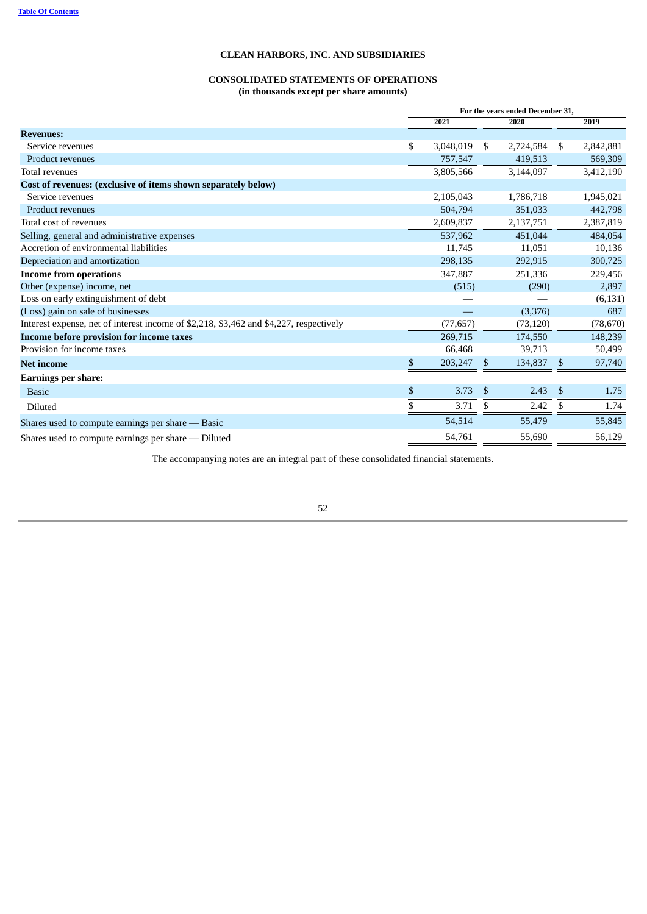# **CONSOLIDATED STATEMENTS OF OPERATIONS (in thousands except per share amounts)**

|                                                                                        | For the years ended December 31, |           |    |           |      |           |  |
|----------------------------------------------------------------------------------------|----------------------------------|-----------|----|-----------|------|-----------|--|
|                                                                                        |                                  | 2021      |    | 2020      |      | 2019      |  |
| <b>Revenues:</b>                                                                       |                                  |           |    |           |      |           |  |
| Service revenues                                                                       | \$                               | 3,048,019 | \$ | 2,724,584 | - \$ | 2,842,881 |  |
| Product revenues                                                                       |                                  | 757,547   |    | 419,513   |      | 569,309   |  |
| Total revenues                                                                         |                                  | 3,805,566 |    | 3,144,097 |      | 3,412,190 |  |
| Cost of revenues: (exclusive of items shown separately below)                          |                                  |           |    |           |      |           |  |
| Service revenues                                                                       |                                  | 2,105,043 |    | 1,786,718 |      | 1,945,021 |  |
| <b>Product revenues</b>                                                                |                                  | 504,794   |    | 351,033   |      | 442,798   |  |
| Total cost of revenues                                                                 |                                  | 2,609,837 |    | 2,137,751 |      | 2,387,819 |  |
| Selling, general and administrative expenses                                           |                                  | 537,962   |    | 451,044   |      | 484,054   |  |
| Accretion of environmental liabilities                                                 |                                  | 11,745    |    | 11,051    |      | 10,136    |  |
| Depreciation and amortization                                                          |                                  | 298,135   |    | 292,915   |      | 300,725   |  |
| <b>Income from operations</b>                                                          |                                  | 347,887   |    | 251,336   |      | 229,456   |  |
| Other (expense) income, net                                                            |                                  | (515)     |    | (290)     |      | 2,897     |  |
| Loss on early extinguishment of debt                                                   |                                  |           |    |           |      | (6, 131)  |  |
| (Loss) gain on sale of businesses                                                      |                                  |           |    | (3,376)   |      | 687       |  |
| Interest expense, net of interest income of \$2,218, \$3,462 and \$4,227, respectively |                                  | (77, 657) |    | (73, 120) |      | (78, 670) |  |
| Income before provision for income taxes                                               |                                  | 269,715   |    | 174,550   |      | 148,239   |  |
| Provision for income taxes                                                             |                                  | 66.468    |    | 39,713    |      | 50,499    |  |
| <b>Net income</b>                                                                      | \$                               | 203,247   | \$ | 134,837   | \$   | 97,740    |  |
| <b>Earnings per share:</b>                                                             |                                  |           |    |           |      |           |  |
| <b>Basic</b>                                                                           | \$                               | 3.73      | \$ | 2.43      | \$   | 1.75      |  |
| Diluted                                                                                | \$                               | 3.71      | S  | 2.42      | S    | 1.74      |  |
| Shares used to compute earnings per share - Basic                                      |                                  | 54,514    |    | 55,479    |      | 55,845    |  |
| Shares used to compute earnings per share - Diluted                                    |                                  | 54,761    |    | 55,690    |      | 56,129    |  |

<span id="page-53-0"></span>The accompanying notes are an integral part of these consolidated financial statements.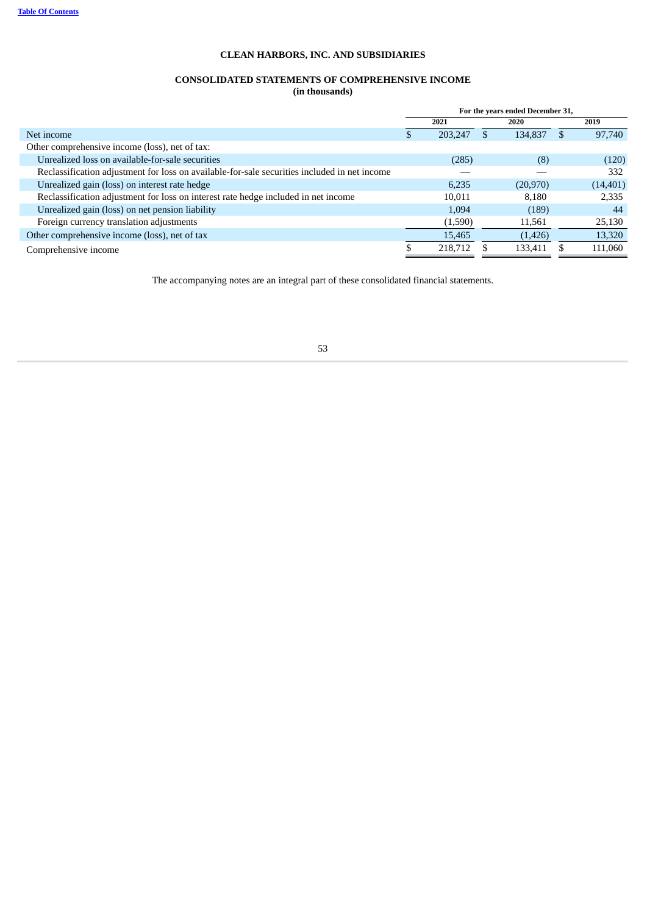# **CONSOLIDATED STATEMENTS OF COMPREHENSIVE INCOME (in thousands)**

|                                                                                              |   | For the years ended December 31, |          |           |  |           |  |  |
|----------------------------------------------------------------------------------------------|---|----------------------------------|----------|-----------|--|-----------|--|--|
|                                                                                              |   | 2021                             |          | 2020      |  | 2019      |  |  |
| Net income                                                                                   | æ | 203,247                          | <b>S</b> | 134,837   |  | 97,740    |  |  |
| Other comprehensive income (loss), net of tax:                                               |   |                                  |          |           |  |           |  |  |
| Unrealized loss on available-for-sale securities                                             |   | (285)                            |          | (8)       |  | (120)     |  |  |
| Reclassification adjustment for loss on available-for-sale securities included in net income |   |                                  |          |           |  | 332       |  |  |
| Unrealized gain (loss) on interest rate hedge                                                |   | 6,235                            |          | (20, 970) |  | (14, 401) |  |  |
| Reclassification adjustment for loss on interest rate hedge included in net income           |   | 10,011                           |          | 8.180     |  | 2,335     |  |  |
| Unrealized gain (loss) on net pension liability                                              |   | 1,094                            |          | (189)     |  | 44        |  |  |
| Foreign currency translation adjustments                                                     |   | (1,590)                          |          | 11,561    |  | 25,130    |  |  |
| Other comprehensive income (loss), net of tax                                                |   | 15,465                           |          | (1,426)   |  | 13,320    |  |  |
| Comprehensive income                                                                         |   | 218,712                          |          | 133,411   |  | 111,060   |  |  |

<span id="page-54-0"></span>The accompanying notes are an integral part of these consolidated financial statements.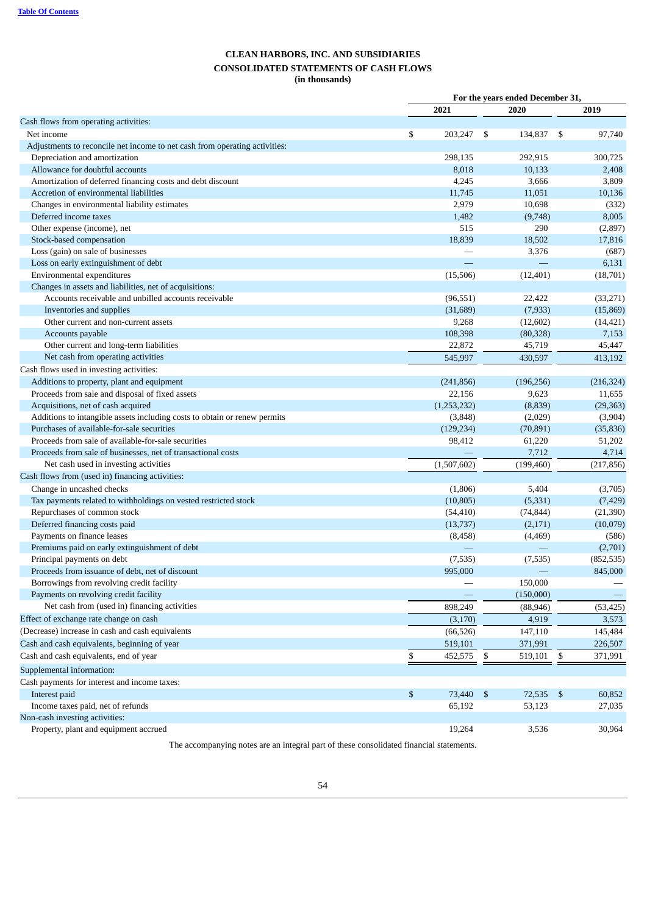# **CLEAN HARBORS, INC. AND SUBSIDIARIES CONSOLIDATED STATEMENTS OF CASH FLOWS (in thousands)**

|                                                                            | For the years ended December 31, |                  |    |                  |    |            |  |  |
|----------------------------------------------------------------------------|----------------------------------|------------------|----|------------------|----|------------|--|--|
|                                                                            |                                  | 2021             |    | 2020             |    | 2019       |  |  |
| Cash flows from operating activities:                                      |                                  |                  |    |                  |    |            |  |  |
| Net income                                                                 | \$                               | 203,247          | \$ | 134,837          | \$ | 97,740     |  |  |
| Adjustments to reconcile net income to net cash from operating activities: |                                  |                  |    |                  |    |            |  |  |
| Depreciation and amortization                                              |                                  | 298,135          |    | 292,915          |    | 300,725    |  |  |
| Allowance for doubtful accounts                                            |                                  | 8,018            |    | 10,133           |    | 2,408      |  |  |
| Amortization of deferred financing costs and debt discount                 |                                  | 4,245            |    | 3,666            |    | 3,809      |  |  |
| Accretion of environmental liabilities                                     |                                  | 11,745           |    | 11,051           |    | 10,136     |  |  |
| Changes in environmental liability estimates                               |                                  | 2,979            |    | 10,698           |    | (332)      |  |  |
| Deferred income taxes                                                      |                                  | 1,482            |    | (9,748)          |    | 8,005      |  |  |
| Other expense (income), net                                                |                                  | 515              |    | 290              |    | (2,897)    |  |  |
| Stock-based compensation                                                   |                                  | 18,839           |    | 18,502           |    | 17,816     |  |  |
| Loss (gain) on sale of businesses                                          |                                  |                  |    | 3,376            |    | (687)      |  |  |
| Loss on early extinguishment of debt                                       |                                  |                  |    |                  |    | 6,131      |  |  |
| Environmental expenditures                                                 |                                  | (15,506)         |    | (12, 401)        |    | (18,701)   |  |  |
| Changes in assets and liabilities, net of acquisitions:                    |                                  |                  |    |                  |    |            |  |  |
| Accounts receivable and unbilled accounts receivable                       |                                  | (96, 551)        |    | 22,422           |    | (33, 271)  |  |  |
| Inventories and supplies                                                   |                                  | (31,689)         |    | (7,933)          |    | (15,869)   |  |  |
| Other current and non-current assets                                       |                                  | 9,268            |    | (12,602)         |    | (14, 421)  |  |  |
| Accounts payable                                                           |                                  | 108,398          |    | (80, 328)        |    | 7,153      |  |  |
| Other current and long-term liabilities                                    |                                  | 22,872           |    | 45,719           |    | 45,447     |  |  |
| Net cash from operating activities                                         |                                  | 545,997          |    | 430,597          |    | 413,192    |  |  |
| Cash flows used in investing activities:                                   |                                  |                  |    |                  |    |            |  |  |
| Additions to property, plant and equipment                                 |                                  | (241, 856)       |    | (196, 256)       |    | (216, 324) |  |  |
| Proceeds from sale and disposal of fixed assets                            |                                  | 22,156           |    | 9,623            |    | 11,655     |  |  |
| Acquisitions, net of cash acquired                                         |                                  | (1,253,232)      |    | (8,839)          |    | (29, 363)  |  |  |
| Additions to intangible assets including costs to obtain or renew permits  |                                  | (3, 848)         |    | (2,029)          |    | (3,904)    |  |  |
| Purchases of available-for-sale securities                                 |                                  | (129, 234)       |    | (70, 891)        |    | (35, 836)  |  |  |
| Proceeds from sale of available-for-sale securities                        |                                  | 98,412           |    | 61,220           |    | 51,202     |  |  |
| Proceeds from sale of businesses, net of transactional costs               |                                  |                  |    | 7,712            |    | 4,714      |  |  |
| Net cash used in investing activities                                      |                                  | (1,507,602)      |    | (199, 460)       |    | (217, 856) |  |  |
| Cash flows from (used in) financing activities:                            |                                  |                  |    |                  |    |            |  |  |
| Change in uncashed checks                                                  |                                  | (1,806)          |    | 5,404            |    | (3,705)    |  |  |
| Tax payments related to withholdings on vested restricted stock            |                                  | (10, 805)        |    | (5, 331)         |    | (7, 429)   |  |  |
| Repurchases of common stock                                                |                                  | (54, 410)        |    | (74, 844)        |    | (21, 390)  |  |  |
| Deferred financing costs paid                                              |                                  | (13, 737)        |    | (2,171)          |    | (10,079)   |  |  |
| Payments on finance leases                                                 |                                  | (8, 458)         |    | (4,469)          |    | (586)      |  |  |
| Premiums paid on early extinguishment of debt                              |                                  |                  |    |                  |    | (2,701)    |  |  |
| Principal payments on debt                                                 |                                  | (7,535)          |    | (7,535)          |    | (852, 535) |  |  |
| Proceeds from issuance of debt, net of discount                            |                                  | 995,000          |    |                  |    | 845,000    |  |  |
| Borrowings from revolving credit facility                                  |                                  |                  |    | 150,000          |    |            |  |  |
| Payments on revolving credit facility                                      |                                  |                  |    | (150,000)        |    |            |  |  |
| Net cash from (used in) financing activities                               |                                  | 898,249          |    | (88, 946)        |    | (53, 425)  |  |  |
| Effect of exchange rate change on cash                                     |                                  | (3, 170)         |    | 4,919            |    | 3,573      |  |  |
| (Decrease) increase in cash and cash equivalents                           |                                  | (66, 526)        |    | 147,110          |    | 145,484    |  |  |
| Cash and cash equivalents, beginning of year                               |                                  | 519,101          |    | 371,991          |    | 226,507    |  |  |
| Cash and cash equivalents, end of year                                     | \$                               | 452,575          | \$ | 519,101 \$       |    | 371,991    |  |  |
| Supplemental information:                                                  |                                  |                  |    |                  |    |            |  |  |
| Cash payments for interest and income taxes:                               |                                  |                  |    |                  |    |            |  |  |
| Interest paid                                                              |                                  |                  |    |                  |    |            |  |  |
| Income taxes paid, net of refunds                                          | \$                               | 73,440<br>65,192 | \$ | 72,535<br>53,123 | \$ | 60,852     |  |  |
| Non-cash investing activities:                                             |                                  |                  |    |                  |    | 27,035     |  |  |
| Property, plant and equipment accrued                                      |                                  | 19,264           |    | 3,536            |    | 30,964     |  |  |
|                                                                            |                                  |                  |    |                  |    |            |  |  |

<span id="page-55-0"></span>The accompanying notes are an integral part of these consolidated financial statements.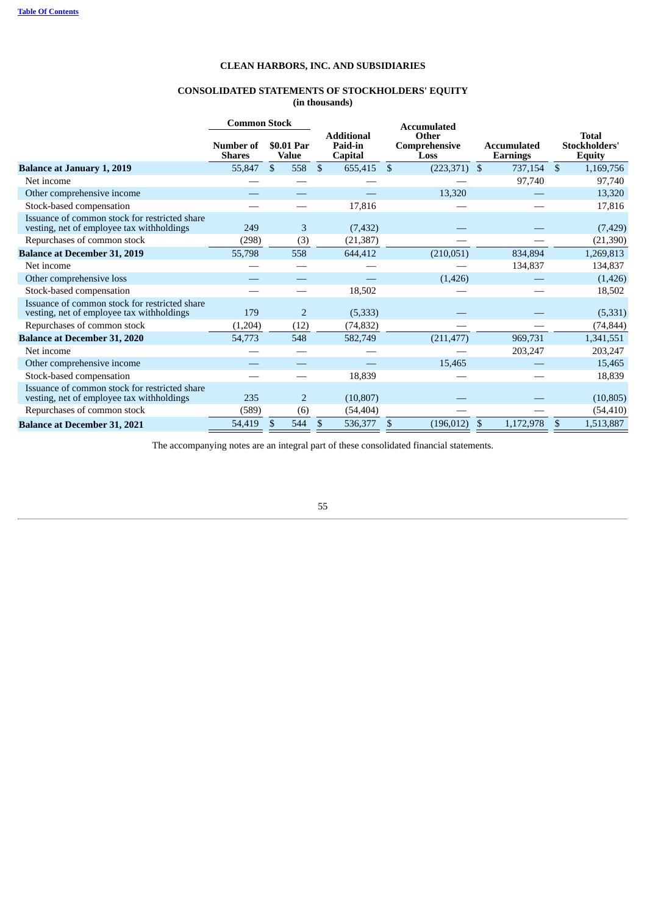# **CONSOLIDATED STATEMENTS OF STOCKHOLDERS' EQUITY (in thousands)**

|                                                                                            | <b>Common Stock</b>        |                            |                                                | <b>Accumulated</b>             |                                       |              |                                                |
|--------------------------------------------------------------------------------------------|----------------------------|----------------------------|------------------------------------------------|--------------------------------|---------------------------------------|--------------|------------------------------------------------|
|                                                                                            | Number of<br><b>Shares</b> | \$0.01 Par<br><b>Value</b> | <b>Additional</b><br>Paid-in<br><b>Capital</b> | Other<br>Comprehensive<br>Loss | <b>Accumulated</b><br><b>Earnings</b> |              | <b>Total</b><br>Stockholders'<br><b>Equity</b> |
| <b>Balance at January 1, 2019</b>                                                          | 55,847                     | \$<br>558                  | $\sqrt[6]{\frac{1}{2}}$<br>655,415             | -\$<br>$(223,371)$ \$          | 737,154                               | $\mathbb{S}$ | 1,169,756                                      |
| Net income                                                                                 |                            |                            |                                                |                                | 97,740                                |              | 97,740                                         |
| Other comprehensive income                                                                 |                            |                            |                                                | 13,320                         |                                       |              | 13,320                                         |
| Stock-based compensation                                                                   |                            |                            | 17,816                                         |                                |                                       |              | 17,816                                         |
| Issuance of common stock for restricted share<br>vesting, net of employee tax withholdings | 249                        | 3                          | (7, 432)                                       |                                |                                       |              | (7, 429)                                       |
| Repurchases of common stock                                                                | (298)                      | (3)                        | (21, 387)                                      |                                |                                       |              | (21,390)                                       |
| <b>Balance at December 31, 2019</b>                                                        | 55,798                     | 558                        | 644,412                                        | (210, 051)                     | 834,894                               |              | 1,269,813                                      |
| Net income                                                                                 |                            |                            |                                                |                                | 134,837                               |              | 134,837                                        |
| Other comprehensive loss                                                                   |                            |                            |                                                | (1,426)                        |                                       |              | (1,426)                                        |
| Stock-based compensation                                                                   |                            |                            | 18,502                                         |                                |                                       |              | 18,502                                         |
| Issuance of common stock for restricted share<br>vesting, net of employee tax withholdings | 179                        | $\overline{2}$             | (5,333)                                        |                                |                                       |              | (5,331)                                        |
| Repurchases of common stock                                                                | (1,204)                    | (12)                       | (74, 832)                                      |                                |                                       |              | (74, 844)                                      |
| <b>Balance at December 31, 2020</b>                                                        | 54,773                     | 548                        | 582,749                                        | (211, 477)                     | 969,731                               |              | 1,341,551                                      |
| Net income                                                                                 |                            |                            |                                                |                                | 203,247                               |              | 203,247                                        |
| Other comprehensive income                                                                 |                            |                            |                                                | 15,465                         |                                       |              | 15,465                                         |
| Stock-based compensation                                                                   |                            |                            | 18,839                                         |                                |                                       |              | 18,839                                         |
| Issuance of common stock for restricted share<br>vesting, net of employee tax withholdings | 235                        | $\overline{2}$             | (10, 807)                                      |                                |                                       |              | (10, 805)                                      |
| Repurchases of common stock                                                                | (589)                      | (6)                        | (54, 404)                                      |                                |                                       |              | (54, 410)                                      |
| <b>Balance at December 31, 2021</b>                                                        | 54,419                     | \$<br>544                  | $\mathbb{S}$<br>536,377                        | $(196, 012)$ \$<br>\$          | 1,172,978                             | \$           | 1,513,887                                      |

<span id="page-56-0"></span>The accompanying notes are an integral part of these consolidated financial statements.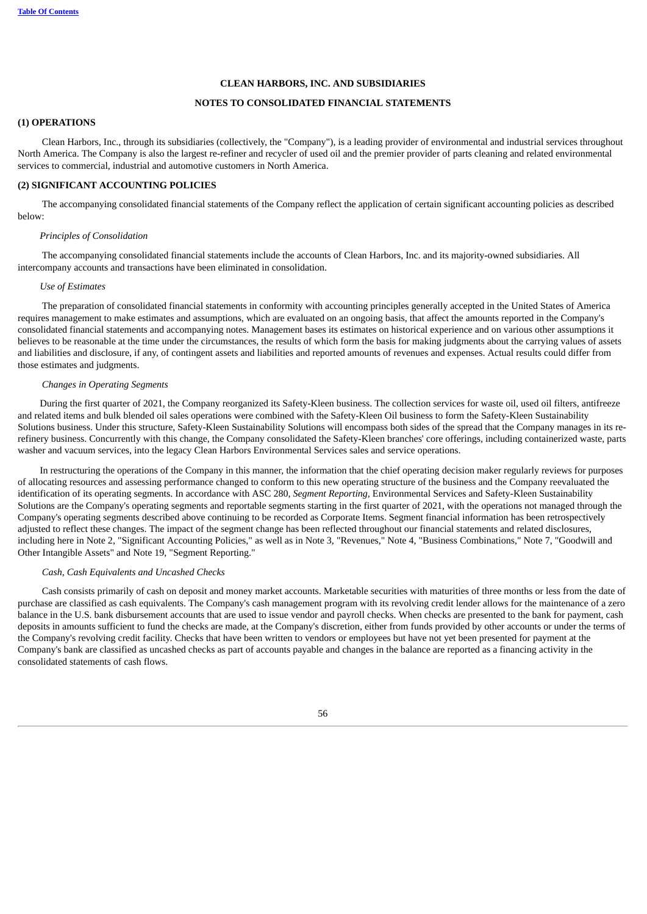# **NOTES TO CONSOLIDATED FINANCIAL STATEMENTS**

# <span id="page-57-0"></span>**(1) OPERATIONS**

Clean Harbors, Inc., through its subsidiaries (collectively, the "Company"), is a leading provider of environmental and industrial services throughout North America. The Company is also the largest re-refiner and recycler of used oil and the premier provider of parts cleaning and related environmental services to commercial, industrial and automotive customers in North America.

# <span id="page-57-1"></span>**(2) SIGNIFICANT ACCOUNTING POLICIES**

The accompanying consolidated financial statements of the Company reflect the application of certain significant accounting policies as described below:

### *Principles of Consolidation*

The accompanying consolidated financial statements include the accounts of Clean Harbors, Inc. and its majority-owned subsidiaries. All intercompany accounts and transactions have been eliminated in consolidation.

#### *Use of Estimates*

The preparation of consolidated financial statements in conformity with accounting principles generally accepted in the United States of America requires management to make estimates and assumptions, which are evaluated on an ongoing basis, that affect the amounts reported in the Company's consolidated financial statements and accompanying notes. Management bases its estimates on historical experience and on various other assumptions it believes to be reasonable at the time under the circumstances, the results of which form the basis for making judgments about the carrying values of assets and liabilities and disclosure, if any, of contingent assets and liabilities and reported amounts of revenues and expenses. Actual results could differ from those estimates and judgments.

### *Changes in Operating Segments*

During the first quarter of 2021, the Company reorganized its Safety-Kleen business. The collection services for waste oil, used oil filters, antifreeze and related items and bulk blended oil sales operations were combined with the Safety-Kleen Oil business to form the Safety-Kleen Sustainability Solutions business. Under this structure, Safety-Kleen Sustainability Solutions will encompass both sides of the spread that the Company manages in its rerefinery business. Concurrently with this change, the Company consolidated the Safety-Kleen branches' core offerings, including containerized waste, parts washer and vacuum services, into the legacy Clean Harbors Environmental Services sales and service operations.

In restructuring the operations of the Company in this manner, the information that the chief operating decision maker regularly reviews for purposes of allocating resources and assessing performance changed to conform to this new operating structure of the business and the Company reevaluated the identification of its operating segments. In accordance with ASC 280, *Segment Reporting,* Environmental Services and Safety-Kleen Sustainability Solutions are the Company's operating segments and reportable segments starting in the first quarter of 2021, with the operations not managed through the Company's operating segments described above continuing to be recorded as Corporate Items. Segment financial information has been retrospectively adjusted to reflect these changes. The impact of the segment change has been reflected throughout our financial statements and related disclosures, including here in Note 2, "Significant Accounting Policies," as well as in Note 3, "Revenues," Note 4, "Business Combinations," Note 7, "Goodwill and Other Intangible Assets" and Note 19, "Segment Reporting."

#### *Cash, Cash Equivalents and Uncashed Checks*

Cash consists primarily of cash on deposit and money market accounts. Marketable securities with maturities of three months or less from the date of purchase are classified as cash equivalents. The Company's cash management program with its revolving credit lender allows for the maintenance of a zero balance in the U.S. bank disbursement accounts that are used to issue vendor and payroll checks. When checks are presented to the bank for payment, cash deposits in amounts sufficient to fund the checks are made, at the Company's discretion, either from funds provided by other accounts or under the terms of the Company's revolving credit facility. Checks that have been written to vendors or employees but have not yet been presented for payment at the Company's bank are classified as uncashed checks as part of accounts payable and changes in the balance are reported as a financing activity in the consolidated statements of cash flows.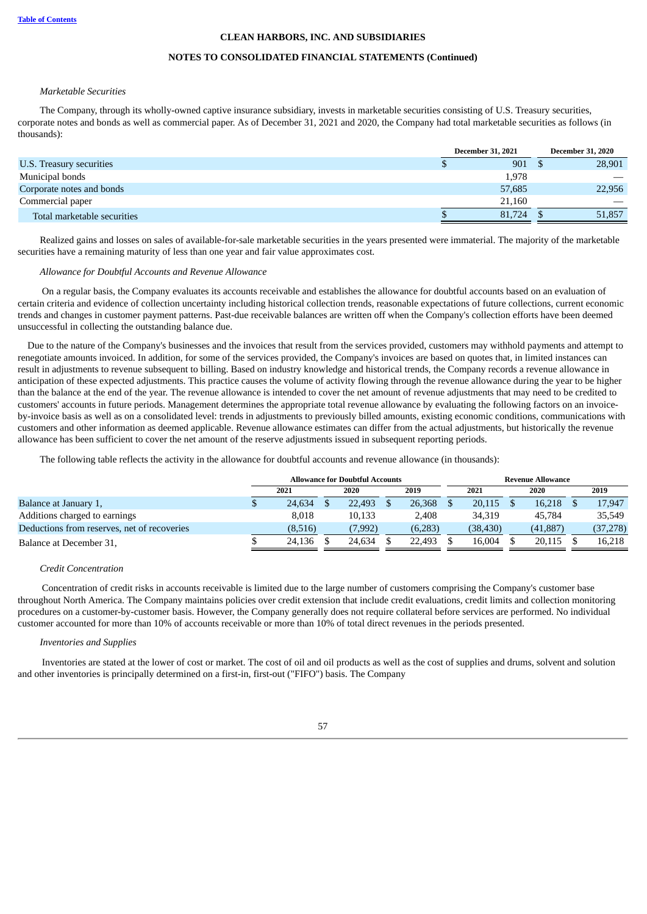#### **NOTES TO CONSOLIDATED FINANCIAL STATEMENTS (Continued)**

#### *Marketable Securities*

The Company, through its wholly-owned captive insurance subsidiary, invests in marketable securities consisting of U.S. Treasury securities, corporate notes and bonds as well as commercial paper. As of December 31, 2021 and 2020, the Company had total marketable securities as follows (in thousands):

|                             | <b>December 31, 2021</b> |        |  | <b>December 31, 2020</b> |  |  |
|-----------------------------|--------------------------|--------|--|--------------------------|--|--|
| U.S. Treasury securities    |                          | 901    |  | 28,901                   |  |  |
| Municipal bonds             |                          | 1,978  |  |                          |  |  |
| Corporate notes and bonds   |                          | 57,685 |  | 22,956                   |  |  |
| Commercial paper            |                          | 21.160 |  |                          |  |  |
| Total marketable securities |                          | 81,724 |  | 51,857                   |  |  |

Realized gains and losses on sales of available-for-sale marketable securities in the years presented were immaterial. The majority of the marketable securities have a remaining maturity of less than one year and fair value approximates cost.

#### *Allowance for Doubtful Accounts and Revenue Allowance*

On a regular basis, the Company evaluates its accounts receivable and establishes the allowance for doubtful accounts based on an evaluation of certain criteria and evidence of collection uncertainty including historical collection trends, reasonable expectations of future collections, current economic trends and changes in customer payment patterns. Past-due receivable balances are written off when the Company's collection efforts have been deemed unsuccessful in collecting the outstanding balance due.

Due to the nature of the Company's businesses and the invoices that result from the services provided, customers may withhold payments and attempt to renegotiate amounts invoiced. In addition, for some of the services provided, the Company's invoices are based on quotes that, in limited instances can result in adjustments to revenue subsequent to billing. Based on industry knowledge and historical trends, the Company records a revenue allowance in anticipation of these expected adjustments. This practice causes the volume of activity flowing through the revenue allowance during the year to be higher than the balance at the end of the year. The revenue allowance is intended to cover the net amount of revenue adjustments that may need to be credited to customers' accounts in future periods. Management determines the appropriate total revenue allowance by evaluating the following factors on an invoiceby-invoice basis as well as on a consolidated level: trends in adjustments to previously billed amounts, existing economic conditions, communications with customers and other information as deemed applicable. Revenue allowance estimates can differ from the actual adjustments, but historically the revenue allowance has been sufficient to cover the net amount of the reserve adjustments issued in subsequent reporting periods.

The following table reflects the activity in the allowance for doubtful accounts and revenue allowance (in thousands):

|                                             |                      |  | <b>Allowance for Doubtful Accounts</b> |  | <b>Revenue Allowance</b> |  |          |      |           |  |           |
|---------------------------------------------|----------------------|--|----------------------------------------|--|--------------------------|--|----------|------|-----------|--|-----------|
|                                             | 2021<br>2020<br>2019 |  |                                        |  | 2021                     |  |          | 2020 | 2019      |  |           |
| Balance at January 1,                       | 24,634               |  | 22,493                                 |  | 26,368                   |  | 20,115   |      | 16,218    |  | 17,947    |
| Additions charged to earnings               | 8.018                |  | 10,133                                 |  | 2,408                    |  | 34.319   |      | 45,784    |  | 35,549    |
| Deductions from reserves, net of recoveries | (8,516)              |  | (7,992)                                |  | (6,283)                  |  | (38,430) |      | (41, 887) |  | (37, 278) |
| Balance at December 31,                     | 24.136               |  | 24.634                                 |  | 22,493                   |  | 16.004   |      | 20,115    |  | 16,218    |

### *Credit Concentration*

Concentration of credit risks in accounts receivable is limited due to the large number of customers comprising the Company's customer base throughout North America. The Company maintains policies over credit extension that include credit evaluations, credit limits and collection monitoring procedures on a customer-by-customer basis. However, the Company generally does not require collateral before services are performed. No individual customer accounted for more than 10% of accounts receivable or more than 10% of total direct revenues in the periods presented.

#### *Inventories and Supplies*

Inventories are stated at the lower of cost or market. The cost of oil and oil products as well as the cost of supplies and drums, solvent and solution and other inventories is principally determined on a first-in, first-out ("FIFO") basis. The Company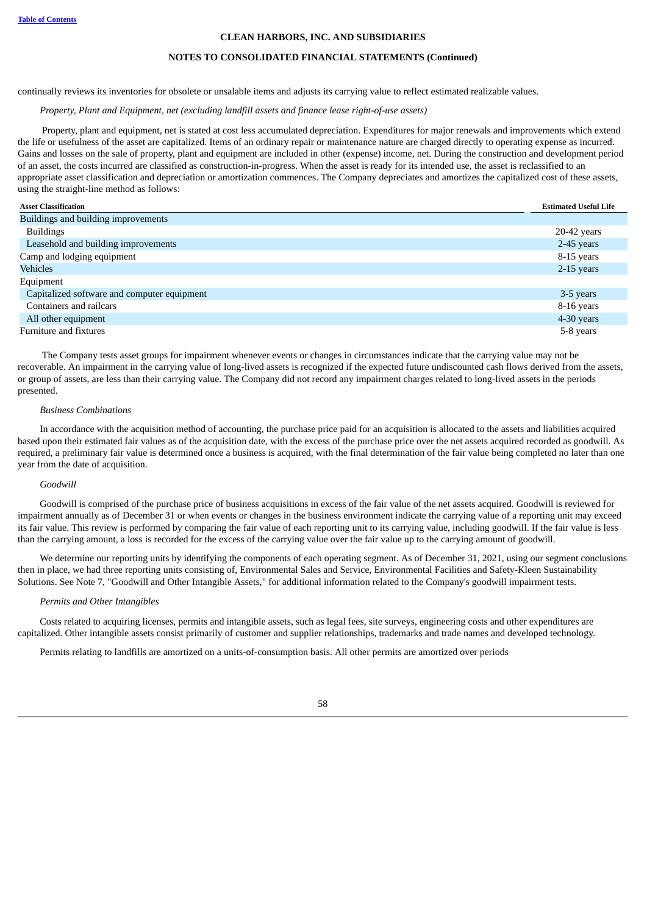#### **NOTES TO CONSOLIDATED FINANCIAL STATEMENTS (Continued)**

continually reviews its inventories for obsolete or unsalable items and adjusts its carrying value to reflect estimated realizable values.

# *Property, Plant and Equipment, net (excluding landfill assets and finance lease right-of-use assets)*

Property, plant and equipment, net is stated at cost less accumulated depreciation. Expenditures for major renewals and improvements which extend the life or usefulness of the asset are capitalized. Items of an ordinary repair or maintenance nature are charged directly to operating expense as incurred. Gains and losses on the sale of property, plant and equipment are included in other (expense) income, net. During the construction and development period of an asset, the costs incurred are classified as construction-in-progress. When the asset is ready for its intended use, the asset is reclassified to an appropriate asset classification and depreciation or amortization commences. The Company depreciates and amortizes the capitalized cost of these assets, using the straight-line method as follows:

| <b>Asset Classification</b>                 | <b>Estimated Useful Life</b> |
|---------------------------------------------|------------------------------|
| Buildings and building improvements         |                              |
| <b>Buildings</b>                            | $20-42$ years                |
| Leasehold and building improvements         | 2-45 years                   |
| Camp and lodging equipment                  | 8-15 years                   |
| <b>Vehicles</b>                             | $2-15$ years                 |
| Equipment                                   |                              |
| Capitalized software and computer equipment | 3-5 years                    |
| Containers and railcars                     | 8-16 years                   |
| All other equipment                         | 4-30 years                   |
| Furniture and fixtures                      | 5-8 years                    |

The Company tests asset groups for impairment whenever events or changes in circumstances indicate that the carrying value may not be recoverable. An impairment in the carrying value of long-lived assets is recognized if the expected future undiscounted cash flows derived from the assets, or group of assets, are less than their carrying value. The Company did not record any impairment charges related to long-lived assets in the periods presented.

### *Business Combinations*

In accordance with the acquisition method of accounting, the purchase price paid for an acquisition is allocated to the assets and liabilities acquired based upon their estimated fair values as of the acquisition date, with the excess of the purchase price over the net assets acquired recorded as goodwill. As required, a preliminary fair value is determined once a business is acquired, with the final determination of the fair value being completed no later than one year from the date of acquisition.

# *Goodwill*

Goodwill is comprised of the purchase price of business acquisitions in excess of the fair value of the net assets acquired. Goodwill is reviewed for impairment annually as of December 31 or when events or changes in the business environment indicate the carrying value of a reporting unit may exceed its fair value. This review is performed by comparing the fair value of each reporting unit to its carrying value, including goodwill. If the fair value is less than the carrying amount, a loss is recorded for the excess of the carrying value over the fair value up to the carrying amount of goodwill.

We determine our reporting units by identifying the components of each operating segment. As of December 31, 2021, using our segment conclusions then in place, we had three reporting units consisting of, Environmental Sales and Service, Environmental Facilities and Safety-Kleen Sustainability Solutions. See Note 7, "Goodwill and Other Intangible Assets," for additional information related to the Company's goodwill impairment tests.

### *Permits and Other Intangibles*

Costs related to acquiring licenses, permits and intangible assets, such as legal fees, site surveys, engineering costs and other expenditures are capitalized. Other intangible assets consist primarily of customer and supplier relationships, trademarks and trade names and developed technology.

Permits relating to landfills are amortized on a units-of-consumption basis. All other permits are amortized over periods

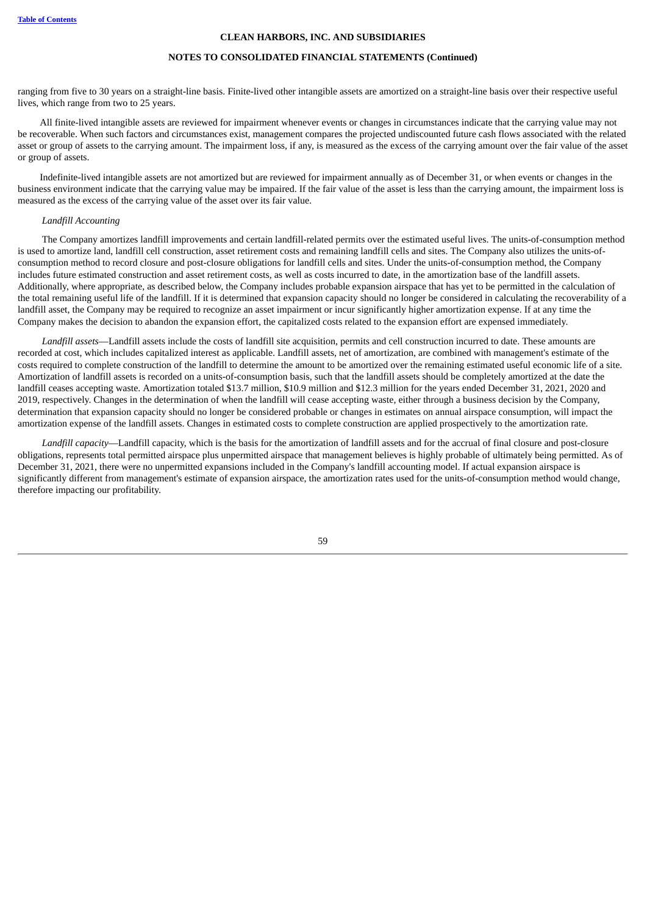# **NOTES TO CONSOLIDATED FINANCIAL STATEMENTS (Continued)**

ranging from five to 30 years on a straight-line basis. Finite-lived other intangible assets are amortized on a straight-line basis over their respective useful lives, which range from two to 25 years.

All finite-lived intangible assets are reviewed for impairment whenever events or changes in circumstances indicate that the carrying value may not be recoverable. When such factors and circumstances exist, management compares the projected undiscounted future cash flows associated with the related asset or group of assets to the carrying amount. The impairment loss, if any, is measured as the excess of the carrying amount over the fair value of the asset or group of assets.

Indefinite-lived intangible assets are not amortized but are reviewed for impairment annually as of December 31, or when events or changes in the business environment indicate that the carrying value may be impaired. If the fair value of the asset is less than the carrying amount, the impairment loss is measured as the excess of the carrying value of the asset over its fair value.

# *Landfill Accounting*

The Company amortizes landfill improvements and certain landfill-related permits over the estimated useful lives. The units-of-consumption method is used to amortize land, landfill cell construction, asset retirement costs and remaining landfill cells and sites. The Company also utilizes the units-ofconsumption method to record closure and post-closure obligations for landfill cells and sites. Under the units-of-consumption method, the Company includes future estimated construction and asset retirement costs, as well as costs incurred to date, in the amortization base of the landfill assets. Additionally, where appropriate, as described below, the Company includes probable expansion airspace that has yet to be permitted in the calculation of the total remaining useful life of the landfill. If it is determined that expansion capacity should no longer be considered in calculating the recoverability of a landfill asset, the Company may be required to recognize an asset impairment or incur significantly higher amortization expense. If at any time the Company makes the decision to abandon the expansion effort, the capitalized costs related to the expansion effort are expensed immediately.

*Landfill assets*—Landfill assets include the costs of landfill site acquisition, permits and cell construction incurred to date. These amounts are recorded at cost, which includes capitalized interest as applicable. Landfill assets, net of amortization, are combined with management's estimate of the costs required to complete construction of the landfill to determine the amount to be amortized over the remaining estimated useful economic life of a site. Amortization of landfill assets is recorded on a units-of-consumption basis, such that the landfill assets should be completely amortized at the date the landfill ceases accepting waste. Amortization totaled \$13.7 million, \$10.9 million and \$12.3 million for the years ended December 31, 2021, 2020 and 2019, respectively. Changes in the determination of when the landfill will cease accepting waste, either through a business decision by the Company, determination that expansion capacity should no longer be considered probable or changes in estimates on annual airspace consumption, will impact the amortization expense of the landfill assets. Changes in estimated costs to complete construction are applied prospectively to the amortization rate.

*Landfill capacity*—Landfill capacity, which is the basis for the amortization of landfill assets and for the accrual of final closure and post-closure obligations, represents total permitted airspace plus unpermitted airspace that management believes is highly probable of ultimately being permitted. As of December 31, 2021, there were no unpermitted expansions included in the Company's landfill accounting model. If actual expansion airspace is significantly different from management's estimate of expansion airspace, the amortization rates used for the units-of-consumption method would change, therefore impacting our profitability.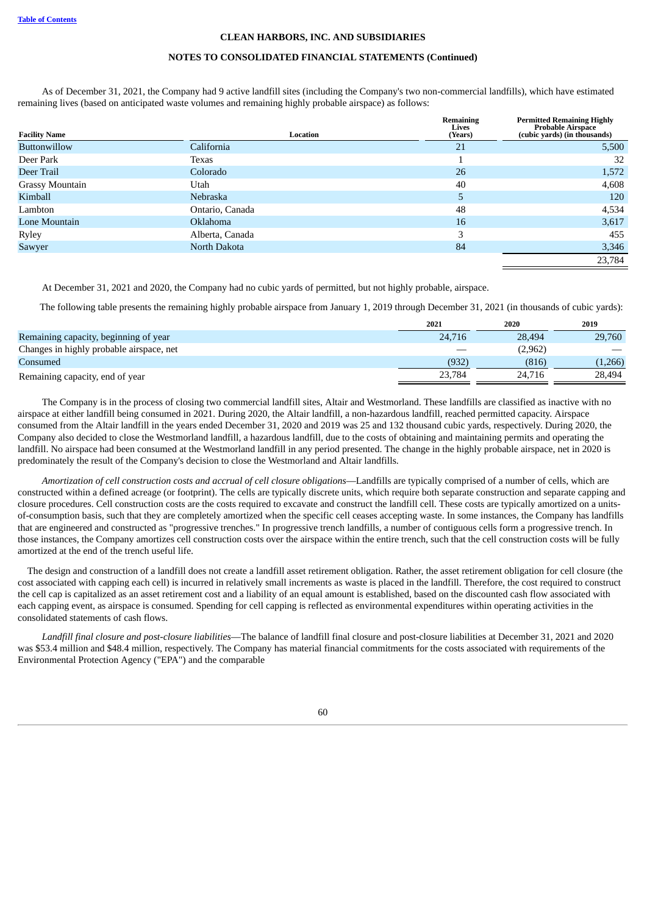### **NOTES TO CONSOLIDATED FINANCIAL STATEMENTS (Continued)**

As of December 31, 2021, the Company had 9 active landfill sites (including the Company's two non-commercial landfills), which have estimated remaining lives (based on anticipated waste volumes and remaining highly probable airspace) as follows:

| <b>Facility Name</b>   | Location        | Remaining<br>Lives<br>(Years) | <b>Permitted Remaining Highly</b><br>Probable Airspace<br>(cubic yards) (in thousands) |
|------------------------|-----------------|-------------------------------|----------------------------------------------------------------------------------------|
| <b>Buttonwillow</b>    | California      | 21                            | 5,500                                                                                  |
| Deer Park              | Texas           |                               | 32                                                                                     |
| Deer Trail             | Colorado        | 26                            | 1,572                                                                                  |
| <b>Grassy Mountain</b> | Utah            | 40                            | 4,608                                                                                  |
| Kimball                | Nebraska        | 5                             | 120                                                                                    |
| Lambton                | Ontario, Canada | 48                            | 4,534                                                                                  |
| Lone Mountain          | <b>Oklahoma</b> | 16                            | 3,617                                                                                  |
| Ryley                  | Alberta, Canada | 3                             | 455                                                                                    |
| Sawyer                 | North Dakota    | 84                            | 3,346                                                                                  |
|                        |                 |                               | 23,784                                                                                 |

At December 31, 2021 and 2020, the Company had no cubic yards of permitted, but not highly probable, airspace.

The following table presents the remaining highly probable airspace from January 1, 2019 through December 31, 2021 (in thousands of cubic yards):

|        | 2020    | 2019    |
|--------|---------|---------|
| 24,716 | 28,494  | 29,760  |
|        | (2,962) |         |
| (932)  | (816)   | (1,266) |
| 23.784 | 24,716  | 28.494  |
|        | 2021    |         |

The Company is in the process of closing two commercial landfill sites, Altair and Westmorland. These landfills are classified as inactive with no airspace at either landfill being consumed in 2021. During 2020, the Altair landfill, a non-hazardous landfill, reached permitted capacity. Airspace consumed from the Altair landfill in the years ended December 31, 2020 and 2019 was 25 and 132 thousand cubic yards, respectively. During 2020, the Company also decided to close the Westmorland landfill, a hazardous landfill, due to the costs of obtaining and maintaining permits and operating the landfill. No airspace had been consumed at the Westmorland landfill in any period presented. The change in the highly probable airspace, net in 2020 is predominately the result of the Company's decision to close the Westmorland and Altair landfills.

*Amortization of cell construction costs and accrual of cell closure obligations*—Landfills are typically comprised of a number of cells, which are constructed within a defined acreage (or footprint). The cells are typically discrete units, which require both separate construction and separate capping and closure procedures. Cell construction costs are the costs required to excavate and construct the landfill cell. These costs are typically amortized on a unitsof-consumption basis, such that they are completely amortized when the specific cell ceases accepting waste. In some instances, the Company has landfills that are engineered and constructed as "progressive trenches." In progressive trench landfills, a number of contiguous cells form a progressive trench. In those instances, the Company amortizes cell construction costs over the airspace within the entire trench, such that the cell construction costs will be fully amortized at the end of the trench useful life.

The design and construction of a landfill does not create a landfill asset retirement obligation. Rather, the asset retirement obligation for cell closure (the cost associated with capping each cell) is incurred in relatively small increments as waste is placed in the landfill. Therefore, the cost required to construct the cell cap is capitalized as an asset retirement cost and a liability of an equal amount is established, based on the discounted cash flow associated with each capping event, as airspace is consumed. Spending for cell capping is reflected as environmental expenditures within operating activities in the consolidated statements of cash flows.

*Landfill final closure and post-closure liabilities*—The balance of landfill final closure and post-closure liabilities at December 31, 2021 and 2020 was \$53.4 million and \$48.4 million, respectively. The Company has material financial commitments for the costs associated with requirements of the Environmental Protection Agency ("EPA") and the comparable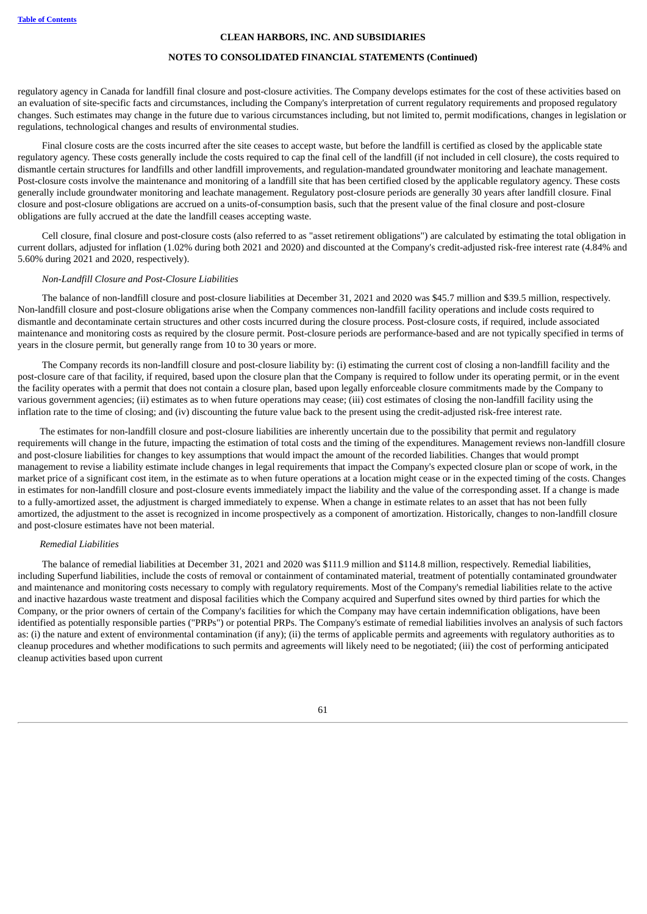# **NOTES TO CONSOLIDATED FINANCIAL STATEMENTS (Continued)**

regulatory agency in Canada for landfill final closure and post-closure activities. The Company develops estimates for the cost of these activities based on an evaluation of site-specific facts and circumstances, including the Company's interpretation of current regulatory requirements and proposed regulatory changes. Such estimates may change in the future due to various circumstances including, but not limited to, permit modifications, changes in legislation or regulations, technological changes and results of environmental studies.

Final closure costs are the costs incurred after the site ceases to accept waste, but before the landfill is certified as closed by the applicable state regulatory agency. These costs generally include the costs required to cap the final cell of the landfill (if not included in cell closure), the costs required to dismantle certain structures for landfills and other landfill improvements, and regulation-mandated groundwater monitoring and leachate management. Post-closure costs involve the maintenance and monitoring of a landfill site that has been certified closed by the applicable regulatory agency. These costs generally include groundwater monitoring and leachate management. Regulatory post-closure periods are generally 30 years after landfill closure. Final closure and post-closure obligations are accrued on a units-of-consumption basis, such that the present value of the final closure and post-closure obligations are fully accrued at the date the landfill ceases accepting waste.

Cell closure, final closure and post-closure costs (also referred to as "asset retirement obligations") are calculated by estimating the total obligation in current dollars, adjusted for inflation (1.02% during both 2021 and 2020) and discounted at the Company's credit-adjusted risk-free interest rate (4.84% and 5.60% during 2021 and 2020, respectively).

#### *Non-Landfill Closure and Post-Closure Liabilities*

The balance of non-landfill closure and post-closure liabilities at December 31, 2021 and 2020 was \$45.7 million and \$39.5 million, respectively. Non-landfill closure and post-closure obligations arise when the Company commences non-landfill facility operations and include costs required to dismantle and decontaminate certain structures and other costs incurred during the closure process. Post-closure costs, if required, include associated maintenance and monitoring costs as required by the closure permit. Post-closure periods are performance-based and are not typically specified in terms of years in the closure permit, but generally range from 10 to 30 years or more.

The Company records its non-landfill closure and post-closure liability by: (i) estimating the current cost of closing a non-landfill facility and the post-closure care of that facility, if required, based upon the closure plan that the Company is required to follow under its operating permit, or in the event the facility operates with a permit that does not contain a closure plan, based upon legally enforceable closure commitments made by the Company to various government agencies; (ii) estimates as to when future operations may cease; (iii) cost estimates of closing the non-landfill facility using the inflation rate to the time of closing; and (iv) discounting the future value back to the present using the credit-adjusted risk-free interest rate.

The estimates for non-landfill closure and post-closure liabilities are inherently uncertain due to the possibility that permit and regulatory requirements will change in the future, impacting the estimation of total costs and the timing of the expenditures. Management reviews non-landfill closure and post-closure liabilities for changes to key assumptions that would impact the amount of the recorded liabilities. Changes that would prompt management to revise a liability estimate include changes in legal requirements that impact the Company's expected closure plan or scope of work, in the market price of a significant cost item, in the estimate as to when future operations at a location might cease or in the expected timing of the costs. Changes in estimates for non-landfill closure and post-closure events immediately impact the liability and the value of the corresponding asset. If a change is made to a fully-amortized asset, the adjustment is charged immediately to expense. When a change in estimate relates to an asset that has not been fully amortized, the adjustment to the asset is recognized in income prospectively as a component of amortization. Historically, changes to non-landfill closure and post-closure estimates have not been material.

#### *Remedial Liabilities*

The balance of remedial liabilities at December 31, 2021 and 2020 was \$111.9 million and \$114.8 million, respectively. Remedial liabilities, including Superfund liabilities, include the costs of removal or containment of contaminated material, treatment of potentially contaminated groundwater and maintenance and monitoring costs necessary to comply with regulatory requirements. Most of the Company's remedial liabilities relate to the active and inactive hazardous waste treatment and disposal facilities which the Company acquired and Superfund sites owned by third parties for which the Company, or the prior owners of certain of the Company's facilities for which the Company may have certain indemnification obligations, have been identified as potentially responsible parties ("PRPs") or potential PRPs. The Company's estimate of remedial liabilities involves an analysis of such factors as: (i) the nature and extent of environmental contamination (if any); (ii) the terms of applicable permits and agreements with regulatory authorities as to cleanup procedures and whether modifications to such permits and agreements will likely need to be negotiated; (iii) the cost of performing anticipated cleanup activities based upon current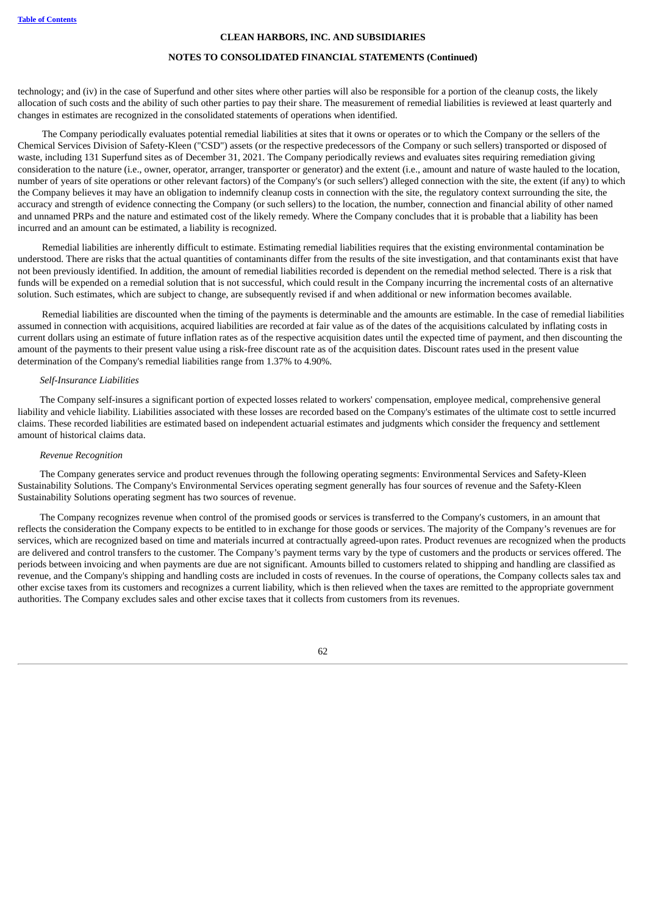# **NOTES TO CONSOLIDATED FINANCIAL STATEMENTS (Continued)**

technology; and (iv) in the case of Superfund and other sites where other parties will also be responsible for a portion of the cleanup costs, the likely allocation of such costs and the ability of such other parties to pay their share. The measurement of remedial liabilities is reviewed at least quarterly and changes in estimates are recognized in the consolidated statements of operations when identified.

The Company periodically evaluates potential remedial liabilities at sites that it owns or operates or to which the Company or the sellers of the Chemical Services Division of Safety-Kleen ("CSD") assets (or the respective predecessors of the Company or such sellers) transported or disposed of waste, including 131 Superfund sites as of December 31, 2021. The Company periodically reviews and evaluates sites requiring remediation giving consideration to the nature (i.e., owner, operator, arranger, transporter or generator) and the extent (i.e., amount and nature of waste hauled to the location, number of years of site operations or other relevant factors) of the Company's (or such sellers') alleged connection with the site, the extent (if any) to which the Company believes it may have an obligation to indemnify cleanup costs in connection with the site, the regulatory context surrounding the site, the accuracy and strength of evidence connecting the Company (or such sellers) to the location, the number, connection and financial ability of other named and unnamed PRPs and the nature and estimated cost of the likely remedy. Where the Company concludes that it is probable that a liability has been incurred and an amount can be estimated, a liability is recognized.

Remedial liabilities are inherently difficult to estimate. Estimating remedial liabilities requires that the existing environmental contamination be understood. There are risks that the actual quantities of contaminants differ from the results of the site investigation, and that contaminants exist that have not been previously identified. In addition, the amount of remedial liabilities recorded is dependent on the remedial method selected. There is a risk that funds will be expended on a remedial solution that is not successful, which could result in the Company incurring the incremental costs of an alternative solution. Such estimates, which are subject to change, are subsequently revised if and when additional or new information becomes available.

Remedial liabilities are discounted when the timing of the payments is determinable and the amounts are estimable. In the case of remedial liabilities assumed in connection with acquisitions, acquired liabilities are recorded at fair value as of the dates of the acquisitions calculated by inflating costs in current dollars using an estimate of future inflation rates as of the respective acquisition dates until the expected time of payment, and then discounting the amount of the payments to their present value using a risk-free discount rate as of the acquisition dates. Discount rates used in the present value determination of the Company's remedial liabilities range from 1.37% to 4.90%.

#### *Self-Insurance Liabilities*

The Company self-insures a significant portion of expected losses related to workers' compensation, employee medical, comprehensive general liability and vehicle liability. Liabilities associated with these losses are recorded based on the Company's estimates of the ultimate cost to settle incurred claims. These recorded liabilities are estimated based on independent actuarial estimates and judgments which consider the frequency and settlement amount of historical claims data.

#### *Revenue Recognition*

The Company generates service and product revenues through the following operating segments: Environmental Services and Safety-Kleen Sustainability Solutions. The Company's Environmental Services operating segment generally has four sources of revenue and the Safety-Kleen Sustainability Solutions operating segment has two sources of revenue.

The Company recognizes revenue when control of the promised goods or services is transferred to the Company's customers, in an amount that reflects the consideration the Company expects to be entitled to in exchange for those goods or services. The majority of the Company's revenues are for services, which are recognized based on time and materials incurred at contractually agreed-upon rates. Product revenues are recognized when the products are delivered and control transfers to the customer. The Company's payment terms vary by the type of customers and the products or services offered. The periods between invoicing and when payments are due are not significant. Amounts billed to customers related to shipping and handling are classified as revenue, and the Company's shipping and handling costs are included in costs of revenues. In the course of operations, the Company collects sales tax and other excise taxes from its customers and recognizes a current liability, which is then relieved when the taxes are remitted to the appropriate government authorities. The Company excludes sales and other excise taxes that it collects from customers from its revenues.

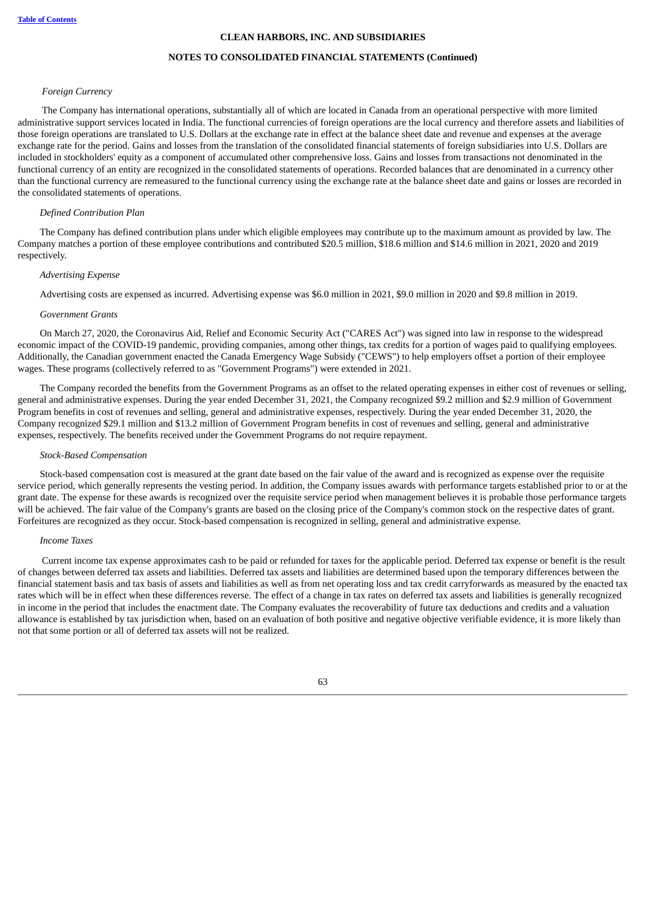#### **NOTES TO CONSOLIDATED FINANCIAL STATEMENTS (Continued)**

#### *Foreign Currency*

The Company has international operations, substantially all of which are located in Canada from an operational perspective with more limited administrative support services located in India. The functional currencies of foreign operations are the local currency and therefore assets and liabilities of those foreign operations are translated to U.S. Dollars at the exchange rate in effect at the balance sheet date and revenue and expenses at the average exchange rate for the period. Gains and losses from the translation of the consolidated financial statements of foreign subsidiaries into U.S. Dollars are included in stockholders' equity as a component of accumulated other comprehensive loss. Gains and losses from transactions not denominated in the functional currency of an entity are recognized in the consolidated statements of operations. Recorded balances that are denominated in a currency other than the functional currency are remeasured to the functional currency using the exchange rate at the balance sheet date and gains or losses are recorded in the consolidated statements of operations.

#### *Defined Contribution Plan*

The Company has defined contribution plans under which eligible employees may contribute up to the maximum amount as provided by law. The Company matches a portion of these employee contributions and contributed \$20.5 million, \$18.6 million and \$14.6 million in 2021, 2020 and 2019 respectively.

#### *Advertising Expense*

Advertising costs are expensed as incurred. Advertising expense was \$6.0 million in 2021, \$9.0 million in 2020 and \$9.8 million in 2019.

#### *Government Grants*

On March 27, 2020, the Coronavirus Aid, Relief and Economic Security Act ("CARES Act") was signed into law in response to the widespread economic impact of the COVID-19 pandemic, providing companies, among other things, tax credits for a portion of wages paid to qualifying employees. Additionally, the Canadian government enacted the Canada Emergency Wage Subsidy ("CEWS") to help employers offset a portion of their employee wages. These programs (collectively referred to as "Government Programs") were extended in 2021.

The Company recorded the benefits from the Government Programs as an offset to the related operating expenses in either cost of revenues or selling, general and administrative expenses. During the year ended December 31, 2021, the Company recognized \$9.2 million and \$2.9 million of Government Program benefits in cost of revenues and selling, general and administrative expenses, respectively. During the year ended December 31, 2020, the Company recognized \$29.1 million and \$13.2 million of Government Program benefits in cost of revenues and selling, general and administrative expenses, respectively. The benefits received under the Government Programs do not require repayment.

#### *Stock-Based Compensation*

Stock-based compensation cost is measured at the grant date based on the fair value of the award and is recognized as expense over the requisite service period, which generally represents the vesting period. In addition, the Company issues awards with performance targets established prior to or at the grant date. The expense for these awards is recognized over the requisite service period when management believes it is probable those performance targets will be achieved. The fair value of the Company's grants are based on the closing price of the Company's common stock on the respective dates of grant. Forfeitures are recognized as they occur. Stock-based compensation is recognized in selling, general and administrative expense.

#### *Income Taxes*

Current income tax expense approximates cash to be paid or refunded for taxes for the applicable period. Deferred tax expense or benefit is the result of changes between deferred tax assets and liabilities. Deferred tax assets and liabilities are determined based upon the temporary differences between the financial statement basis and tax basis of assets and liabilities as well as from net operating loss and tax credit carryforwards as measured by the enacted tax rates which will be in effect when these differences reverse. The effect of a change in tax rates on deferred tax assets and liabilities is generally recognized in income in the period that includes the enactment date. The Company evaluates the recoverability of future tax deductions and credits and a valuation allowance is established by tax jurisdiction when, based on an evaluation of both positive and negative objective verifiable evidence, it is more likely than not that some portion or all of deferred tax assets will not be realized.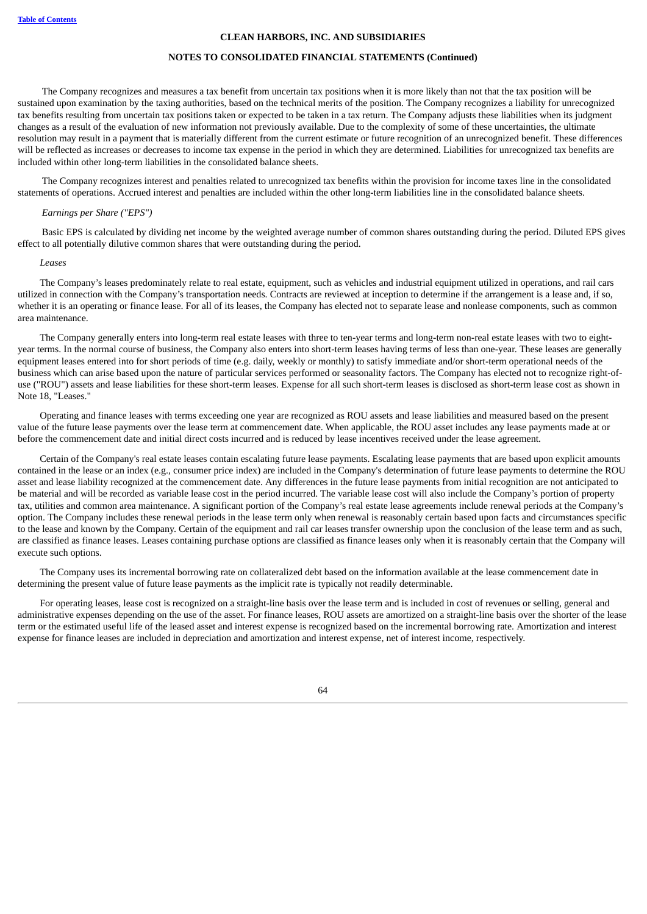#### **NOTES TO CONSOLIDATED FINANCIAL STATEMENTS (Continued)**

The Company recognizes and measures a tax benefit from uncertain tax positions when it is more likely than not that the tax position will be sustained upon examination by the taxing authorities, based on the technical merits of the position. The Company recognizes a liability for unrecognized tax benefits resulting from uncertain tax positions taken or expected to be taken in a tax return. The Company adjusts these liabilities when its judgment changes as a result of the evaluation of new information not previously available. Due to the complexity of some of these uncertainties, the ultimate resolution may result in a payment that is materially different from the current estimate or future recognition of an unrecognized benefit. These differences will be reflected as increases or decreases to income tax expense in the period in which they are determined. Liabilities for unrecognized tax benefits are included within other long-term liabilities in the consolidated balance sheets.

The Company recognizes interest and penalties related to unrecognized tax benefits within the provision for income taxes line in the consolidated statements of operations. Accrued interest and penalties are included within the other long-term liabilities line in the consolidated balance sheets.

### *Earnings per Share ("EPS")*

Basic EPS is calculated by dividing net income by the weighted average number of common shares outstanding during the period. Diluted EPS gives effect to all potentially dilutive common shares that were outstanding during the period.

#### *Leases*

The Company's leases predominately relate to real estate, equipment, such as vehicles and industrial equipment utilized in operations, and rail cars utilized in connection with the Company's transportation needs. Contracts are reviewed at inception to determine if the arrangement is a lease and, if so, whether it is an operating or finance lease. For all of its leases, the Company has elected not to separate lease and nonlease components, such as common area maintenance.

The Company generally enters into long-term real estate leases with three to ten-year terms and long-term non-real estate leases with two to eightyear terms. In the normal course of business, the Company also enters into short-term leases having terms of less than one-year. These leases are generally equipment leases entered into for short periods of time (e.g. daily, weekly or monthly) to satisfy immediate and/or short-term operational needs of the business which can arise based upon the nature of particular services performed or seasonality factors. The Company has elected not to recognize right-ofuse ("ROU") assets and lease liabilities for these short-term leases. Expense for all such short-term leases is disclosed as short-term lease cost as shown in Note 18, "Leases."

Operating and finance leases with terms exceeding one year are recognized as ROU assets and lease liabilities and measured based on the present value of the future lease payments over the lease term at commencement date. When applicable, the ROU asset includes any lease payments made at or before the commencement date and initial direct costs incurred and is reduced by lease incentives received under the lease agreement.

Certain of the Company's real estate leases contain escalating future lease payments. Escalating lease payments that are based upon explicit amounts contained in the lease or an index (e.g., consumer price index) are included in the Company's determination of future lease payments to determine the ROU asset and lease liability recognized at the commencement date. Any differences in the future lease payments from initial recognition are not anticipated to be material and will be recorded as variable lease cost in the period incurred. The variable lease cost will also include the Company's portion of property tax, utilities and common area maintenance. A significant portion of the Company's real estate lease agreements include renewal periods at the Company's option. The Company includes these renewal periods in the lease term only when renewal is reasonably certain based upon facts and circumstances specific to the lease and known by the Company. Certain of the equipment and rail car leases transfer ownership upon the conclusion of the lease term and as such, are classified as finance leases. Leases containing purchase options are classified as finance leases only when it is reasonably certain that the Company will execute such options.

The Company uses its incremental borrowing rate on collateralized debt based on the information available at the lease commencement date in determining the present value of future lease payments as the implicit rate is typically not readily determinable.

<span id="page-65-0"></span>For operating leases, lease cost is recognized on a straight-line basis over the lease term and is included in cost of revenues or selling, general and administrative expenses depending on the use of the asset. For finance leases, ROU assets are amortized on a straight-line basis over the shorter of the lease term or the estimated useful life of the leased asset and interest expense is recognized based on the incremental borrowing rate. Amortization and interest expense for finance leases are included in depreciation and amortization and interest expense, net of interest income, respectively.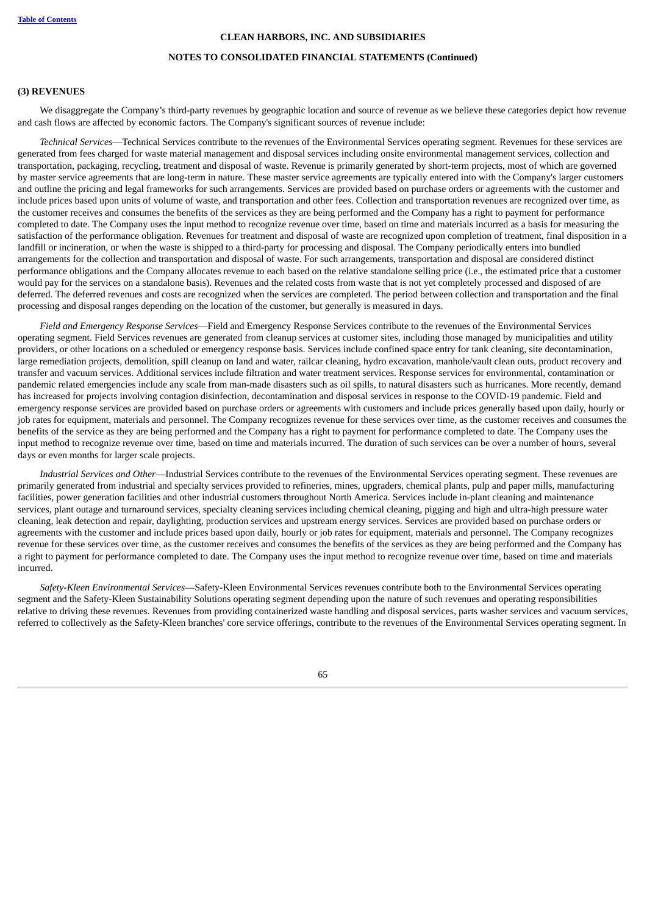#### **NOTES TO CONSOLIDATED FINANCIAL STATEMENTS (Continued)**

#### **(3) REVENUES**

We disaggregate the Company's third-party revenues by geographic location and source of revenue as we believe these categories depict how revenue and cash flows are affected by economic factors. The Company's significant sources of revenue include:

*Technical Services*—Technical Services contribute to the revenues of the Environmental Services operating segment. Revenues for these services are generated from fees charged for waste material management and disposal services including onsite environmental management services, collection and transportation, packaging, recycling, treatment and disposal of waste. Revenue is primarily generated by short-term projects, most of which are governed by master service agreements that are long-term in nature. These master service agreements are typically entered into with the Company's larger customers and outline the pricing and legal frameworks for such arrangements. Services are provided based on purchase orders or agreements with the customer and include prices based upon units of volume of waste, and transportation and other fees. Collection and transportation revenues are recognized over time, as the customer receives and consumes the benefits of the services as they are being performed and the Company has a right to payment for performance completed to date. The Company uses the input method to recognize revenue over time, based on time and materials incurred as a basis for measuring the satisfaction of the performance obligation. Revenues for treatment and disposal of waste are recognized upon completion of treatment, final disposition in a landfill or incineration, or when the waste is shipped to a third-party for processing and disposal. The Company periodically enters into bundled arrangements for the collection and transportation and disposal of waste. For such arrangements, transportation and disposal are considered distinct performance obligations and the Company allocates revenue to each based on the relative standalone selling price (i.e., the estimated price that a customer would pay for the services on a standalone basis). Revenues and the related costs from waste that is not yet completely processed and disposed of are deferred. The deferred revenues and costs are recognized when the services are completed. The period between collection and transportation and the final processing and disposal ranges depending on the location of the customer, but generally is measured in days.

*Field and Emergency Response Services*—Field and Emergency Response Services contribute to the revenues of the Environmental Services operating segment. Field Services revenues are generated from cleanup services at customer sites, including those managed by municipalities and utility providers, or other locations on a scheduled or emergency response basis. Services include confined space entry for tank cleaning, site decontamination, large remediation projects, demolition, spill cleanup on land and water, railcar cleaning, hydro excavation, manhole/vault clean outs, product recovery and transfer and vacuum services. Additional services include filtration and water treatment services. Response services for environmental, contamination or pandemic related emergencies include any scale from man-made disasters such as oil spills, to natural disasters such as hurricanes. More recently, demand has increased for projects involving contagion disinfection, decontamination and disposal services in response to the COVID-19 pandemic. Field and emergency response services are provided based on purchase orders or agreements with customers and include prices generally based upon daily, hourly or job rates for equipment, materials and personnel. The Company recognizes revenue for these services over time, as the customer receives and consumes the benefits of the service as they are being performed and the Company has a right to payment for performance completed to date. The Company uses the input method to recognize revenue over time, based on time and materials incurred. The duration of such services can be over a number of hours, several days or even months for larger scale projects.

*Industrial Services and Other*—Industrial Services contribute to the revenues of the Environmental Services operating segment. These revenues are primarily generated from industrial and specialty services provided to refineries, mines, upgraders, chemical plants, pulp and paper mills, manufacturing facilities, power generation facilities and other industrial customers throughout North America. Services include in-plant cleaning and maintenance services, plant outage and turnaround services, specialty cleaning services including chemical cleaning, pigging and high and ultra-high pressure water cleaning, leak detection and repair, daylighting, production services and upstream energy services. Services are provided based on purchase orders or agreements with the customer and include prices based upon daily, hourly or job rates for equipment, materials and personnel. The Company recognizes revenue for these services over time, as the customer receives and consumes the benefits of the services as they are being performed and the Company has a right to payment for performance completed to date. The Company uses the input method to recognize revenue over time, based on time and materials incurred.

*Safety-Kleen Environmental Services*—Safety-Kleen Environmental Services revenues contribute both to the Environmental Services operating segment and the Safety-Kleen Sustainability Solutions operating segment depending upon the nature of such revenues and operating responsibilities relative to driving these revenues. Revenues from providing containerized waste handling and disposal services, parts washer services and vacuum services, referred to collectively as the Safety-Kleen branches' core service offerings, contribute to the revenues of the Environmental Services operating segment. In

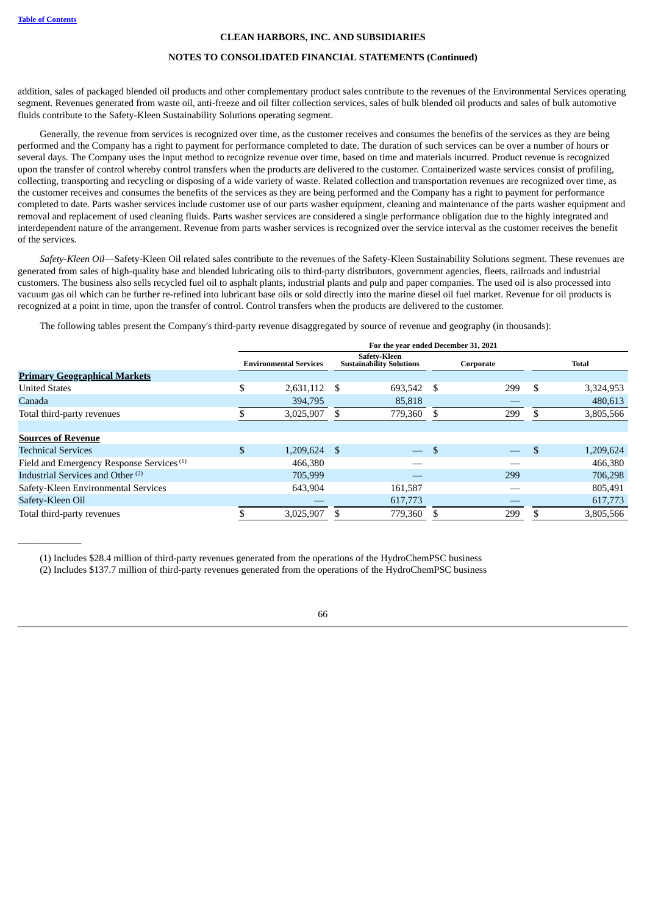$\overline{\phantom{a}}$  , where  $\overline{\phantom{a}}$ 

# **CLEAN HARBORS, INC. AND SUBSIDIARIES**

# **NOTES TO CONSOLIDATED FINANCIAL STATEMENTS (Continued)**

addition, sales of packaged blended oil products and other complementary product sales contribute to the revenues of the Environmental Services operating segment. Revenues generated from waste oil, anti-freeze and oil filter collection services, sales of bulk blended oil products and sales of bulk automotive fluids contribute to the Safety-Kleen Sustainability Solutions operating segment.

Generally, the revenue from services is recognized over time, as the customer receives and consumes the benefits of the services as they are being performed and the Company has a right to payment for performance completed to date. The duration of such services can be over a number of hours or several days. The Company uses the input method to recognize revenue over time, based on time and materials incurred. Product revenue is recognized upon the transfer of control whereby control transfers when the products are delivered to the customer. Containerized waste services consist of profiling, collecting, transporting and recycling or disposing of a wide variety of waste. Related collection and transportation revenues are recognized over time, as the customer receives and consumes the benefits of the services as they are being performed and the Company has a right to payment for performance completed to date. Parts washer services include customer use of our parts washer equipment, cleaning and maintenance of the parts washer equipment and removal and replacement of used cleaning fluids. Parts washer services are considered a single performance obligation due to the highly integrated and interdependent nature of the arrangement. Revenue from parts washer services is recognized over the service interval as the customer receives the benefit of the services.

*Safety-Kleen Oil*—Safety-Kleen Oil related sales contribute to the revenues of the Safety-Kleen Sustainability Solutions segment. These revenues are generated from sales of high-quality base and blended lubricating oils to third-party distributors, government agencies, fleets, railroads and industrial customers. The business also sells recycled fuel oil to asphalt plants, industrial plants and pulp and paper companies. The used oil is also processed into vacuum gas oil which can be further re-refined into lubricant base oils or sold directly into the marine diesel oil fuel market. Revenue for oil products is recognized at a point in time, upon the transfer of control. Control transfers when the products are delivered to the customer.

The following tables present the Company's third-party revenue disaggregated by source of revenue and geography (in thousands):

|                                                      | For the year ended December 31, 2021 |                |                                                 |                          |           |     |               |           |  |  |
|------------------------------------------------------|--------------------------------------|----------------|-------------------------------------------------|--------------------------|-----------|-----|---------------|-----------|--|--|
|                                                      | <b>Environmental Services</b>        |                | Safetv-Kleen<br><b>Sustainability Solutions</b> |                          | Corporate |     |               | Total     |  |  |
| <b>Primary Geographical Markets</b>                  |                                      |                |                                                 |                          |           |     |               |           |  |  |
| <b>United States</b>                                 | \$                                   | 2,631,112      | \$                                              | 693,542                  | -S        | 299 | \$            | 3,324,953 |  |  |
| Canada                                               |                                      | 394,795        |                                                 | 85,818                   |           |     |               | 480,613   |  |  |
| Total third-party revenues                           |                                      | 3,025,907      |                                                 | 779,360                  | S.        | 299 |               | 3,805,566 |  |  |
|                                                      |                                      |                |                                                 |                          |           |     |               |           |  |  |
| <b>Sources of Revenue</b>                            |                                      |                |                                                 |                          |           |     |               |           |  |  |
| <b>Technical Services</b>                            | \$                                   | $1,209,624$ \$ |                                                 | $\overline{\phantom{a}}$ | \$        |     | <sup>\$</sup> | 1,209,624 |  |  |
| Field and Emergency Response Services <sup>(1)</sup> |                                      | 466,380        |                                                 |                          |           |     |               | 466,380   |  |  |
| Industrial Services and Other <sup>(2)</sup>         |                                      | 705,999        |                                                 |                          |           | 299 |               | 706,298   |  |  |
| Safety-Kleen Environmental Services                  |                                      | 643,904        |                                                 | 161,587                  |           |     |               | 805,491   |  |  |
| Safety-Kleen Oil                                     |                                      |                |                                                 | 617,773                  |           |     |               | 617,773   |  |  |
| Total third-party revenues                           |                                      | 3,025,907      |                                                 | 779,360                  | \$        | 299 |               | 3,805,566 |  |  |

(1) Includes \$28.4 million of third-party revenues generated from the operations of the HydroChemPSC business

(2) Includes \$137.7 million of third-party revenues generated from the operations of the HydroChemPSC business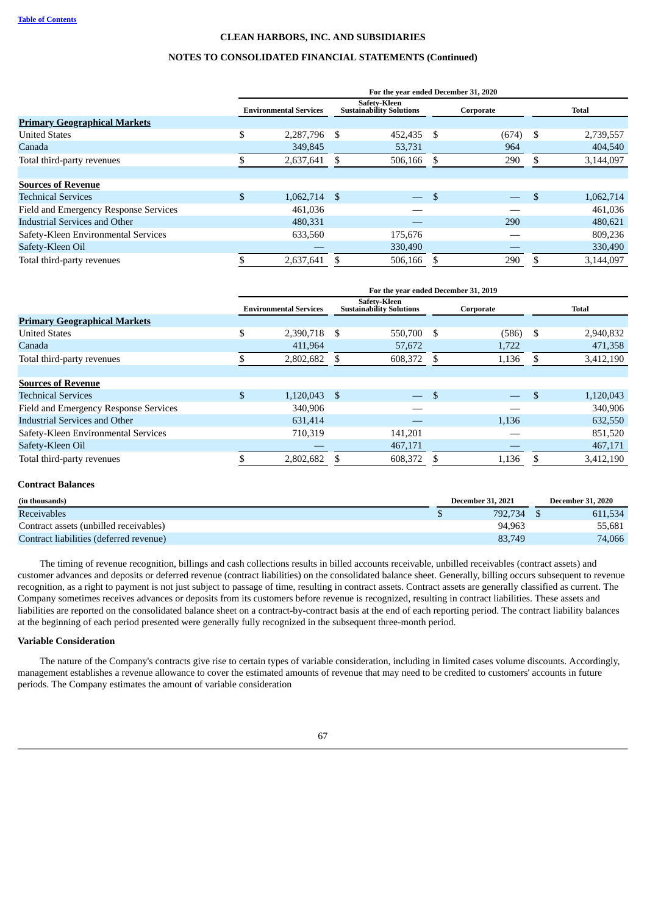# **NOTES TO CONSOLIDATED FINANCIAL STATEMENTS (Continued)**

|                                       | For the year ended December 31, 2020 |                               |    |                                                 |     |           |     |           |  |  |  |
|---------------------------------------|--------------------------------------|-------------------------------|----|-------------------------------------------------|-----|-----------|-----|-----------|--|--|--|
|                                       |                                      | <b>Environmental Services</b> |    | Safetv-Kleen<br><b>Sustainability Solutions</b> |     | Corporate |     | Total     |  |  |  |
| <b>Primary Geographical Markets</b>   |                                      |                               |    |                                                 |     |           |     |           |  |  |  |
| <b>United States</b>                  | \$                                   | 2,287,796                     | \$ | 452,435 \$                                      |     | (674)     | -S  | 2,739,557 |  |  |  |
| Canada                                |                                      | 349,845                       |    | 53,731                                          |     | 964       |     | 404,540   |  |  |  |
| Total third-party revenues            |                                      | 2,637,641                     |    | 506,166                                         | S   | 290       | S   | 3,144,097 |  |  |  |
|                                       |                                      |                               |    |                                                 |     |           |     |           |  |  |  |
| <b>Sources of Revenue</b>             |                                      |                               |    |                                                 |     |           |     |           |  |  |  |
| <b>Technical Services</b>             | \$                                   | $1,062,714$ \$                |    | $\overline{\phantom{0}}$                        | \$. |           | \$  | 1,062,714 |  |  |  |
| Field and Emergency Response Services |                                      | 461,036                       |    |                                                 |     |           |     | 461,036   |  |  |  |
| <b>Industrial Services and Other</b>  |                                      | 480,331                       |    |                                                 |     | 290       |     | 480.621   |  |  |  |
| Safety-Kleen Environmental Services   |                                      | 633,560                       |    | 175,676                                         |     |           |     | 809,236   |  |  |  |
| Safety-Kleen Oil                      |                                      |                               |    | 330,490                                         |     |           |     | 330,490   |  |  |  |
| Total third-party revenues            | J.                                   | 2.637.641                     |    | 506.166                                         | \$. | 290       | \$. | 3.144.097 |  |  |  |

|                                       | For the year ended December 31, 2019 |                               |                                                 |                          |     |           |               |              |
|---------------------------------------|--------------------------------------|-------------------------------|-------------------------------------------------|--------------------------|-----|-----------|---------------|--------------|
|                                       |                                      | <b>Environmental Services</b> | Safetv-Kleen<br><b>Sustainability Solutions</b> |                          |     | Corporate |               | <b>Total</b> |
| <b>Primary Geographical Markets</b>   |                                      |                               |                                                 |                          |     |           |               |              |
| <b>United States</b>                  | \$                                   | 2,390,718                     | \$                                              | 550,700                  | \$. | (586)     | S.            | 2,940,832    |
| Canada                                |                                      | 411,964                       |                                                 | 57,672                   |     | 1,722     |               | 471,358      |
| Total third-party revenues            |                                      | 2,802,682                     |                                                 | 608,372                  | \$. | 1,136     |               | 3,412,190    |
|                                       |                                      |                               |                                                 |                          |     |           |               |              |
| <b>Sources of Revenue</b>             |                                      |                               |                                                 |                          |     |           |               |              |
| <b>Technical Services</b>             | \$                                   | $1,120,043$ \$                |                                                 | $\overline{\phantom{0}}$ | \$  |           | $\mathcal{S}$ | 1,120,043    |
| Field and Emergency Response Services |                                      | 340,906                       |                                                 |                          |     |           |               | 340,906      |
| <b>Industrial Services and Other</b>  |                                      | 631,414                       |                                                 |                          |     | 1,136     |               | 632,550      |
| Safety-Kleen Environmental Services   |                                      | 710,319                       |                                                 | 141,201                  |     |           |               | 851,520      |
| Safety-Kleen Oil                      |                                      |                               |                                                 | 467,171                  |     |           |               | 467,171      |
| Total third-party revenues            |                                      | 2,802,682                     |                                                 | 608,372                  |     | 1,136     |               | 3,412,190    |

# **Contract Balances**

| (in thousands)                          | <b>December 31, 2021</b> |         | <b>December 31, 2020</b> |  |  |
|-----------------------------------------|--------------------------|---------|--------------------------|--|--|
| <b>Receivables</b>                      |                          | 792,734 | 611.534                  |  |  |
| Contract assets (unbilled receivables)  |                          | 94,963  | 55,681                   |  |  |
| Contract liabilities (deferred revenue) |                          | 83,749  | 74,066                   |  |  |

The timing of revenue recognition, billings and cash collections results in billed accounts receivable, unbilled receivables (contract assets) and customer advances and deposits or deferred revenue (contract liabilities) on the consolidated balance sheet. Generally, billing occurs subsequent to revenue recognition, as a right to payment is not just subject to passage of time, resulting in contract assets. Contract assets are generally classified as current. The Company sometimes receives advances or deposits from its customers before revenue is recognized, resulting in contract liabilities. These assets and liabilities are reported on the consolidated balance sheet on a contract-by-contract basis at the end of each reporting period. The contract liability balances at the beginning of each period presented were generally fully recognized in the subsequent three-month period.

# **Variable Consideration**

The nature of the Company's contracts give rise to certain types of variable consideration, including in limited cases volume discounts. Accordingly, management establishes a revenue allowance to cover the estimated amounts of revenue that may need to be credited to customers' accounts in future periods. The Company estimates the amount of variable consideration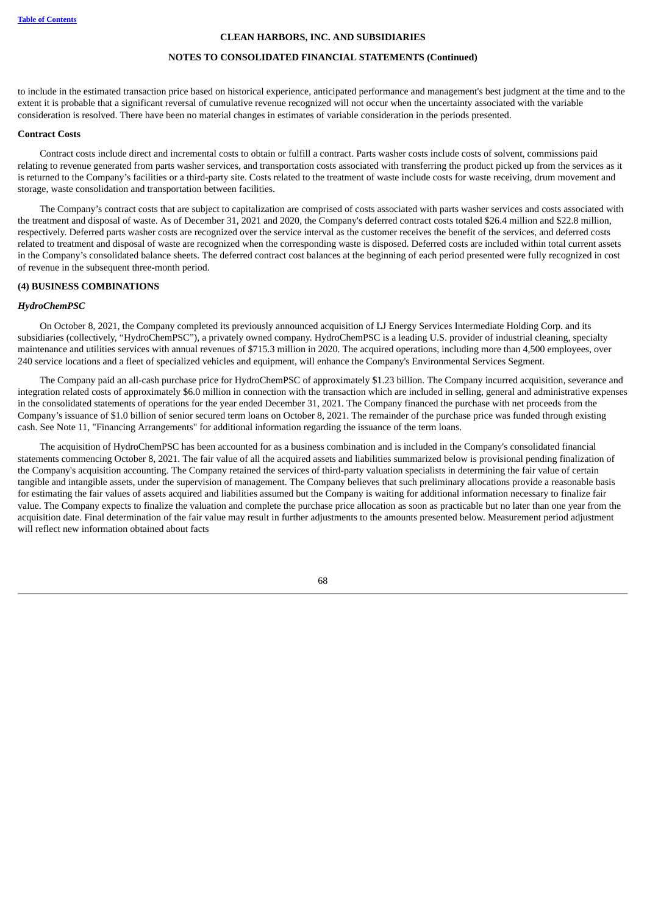# **NOTES TO CONSOLIDATED FINANCIAL STATEMENTS (Continued)**

to include in the estimated transaction price based on historical experience, anticipated performance and management's best judgment at the time and to the extent it is probable that a significant reversal of cumulative revenue recognized will not occur when the uncertainty associated with the variable consideration is resolved. There have been no material changes in estimates of variable consideration in the periods presented.

#### **Contract Costs**

Contract costs include direct and incremental costs to obtain or fulfill a contract. Parts washer costs include costs of solvent, commissions paid relating to revenue generated from parts washer services, and transportation costs associated with transferring the product picked up from the services as it is returned to the Company's facilities or a third-party site. Costs related to the treatment of waste include costs for waste receiving, drum movement and storage, waste consolidation and transportation between facilities.

The Company's contract costs that are subject to capitalization are comprised of costs associated with parts washer services and costs associated with the treatment and disposal of waste. As of December 31, 2021 and 2020, the Company's deferred contract costs totaled \$26.4 million and \$22.8 million, respectively. Deferred parts washer costs are recognized over the service interval as the customer receives the benefit of the services, and deferred costs related to treatment and disposal of waste are recognized when the corresponding waste is disposed. Deferred costs are included within total current assets in the Company's consolidated balance sheets. The deferred contract cost balances at the beginning of each period presented were fully recognized in cost of revenue in the subsequent three-month period.

# <span id="page-69-0"></span>**(4) BUSINESS COMBINATIONS**

### *HydroChemPSC*

On October 8, 2021, the Company completed its previously announced acquisition of LJ Energy Services Intermediate Holding Corp. and its subsidiaries (collectively, "HydroChemPSC"), a privately owned company. HydroChemPSC is a leading U.S. provider of industrial cleaning, specialty maintenance and utilities services with annual revenues of \$715.3 million in 2020. The acquired operations, including more than 4,500 employees, over 240 service locations and a fleet of specialized vehicles and equipment, will enhance the Company's Environmental Services Segment.

The Company paid an all-cash purchase price for HydroChemPSC of approximately \$1.23 billion. The Company incurred acquisition, severance and integration related costs of approximately \$6.0 million in connection with the transaction which are included in selling, general and administrative expenses in the consolidated statements of operations for the year ended December 31, 2021. The Company financed the purchase with net proceeds from the Company's issuance of \$1.0 billion of senior secured term loans on October 8, 2021. The remainder of the purchase price was funded through existing cash. See Note 11, "Financing Arrangements" for additional information regarding the issuance of the term loans.

The acquisition of HydroChemPSC has been accounted for as a business combination and is included in the Company's consolidated financial statements commencing October 8, 2021. The fair value of all the acquired assets and liabilities summarized below is provisional pending finalization of the Company's acquisition accounting. The Company retained the services of third-party valuation specialists in determining the fair value of certain tangible and intangible assets, under the supervision of management. The Company believes that such preliminary allocations provide a reasonable basis for estimating the fair values of assets acquired and liabilities assumed but the Company is waiting for additional information necessary to finalize fair value. The Company expects to finalize the valuation and complete the purchase price allocation as soon as practicable but no later than one year from the acquisition date. Final determination of the fair value may result in further adjustments to the amounts presented below. Measurement period adjustment will reflect new information obtained about facts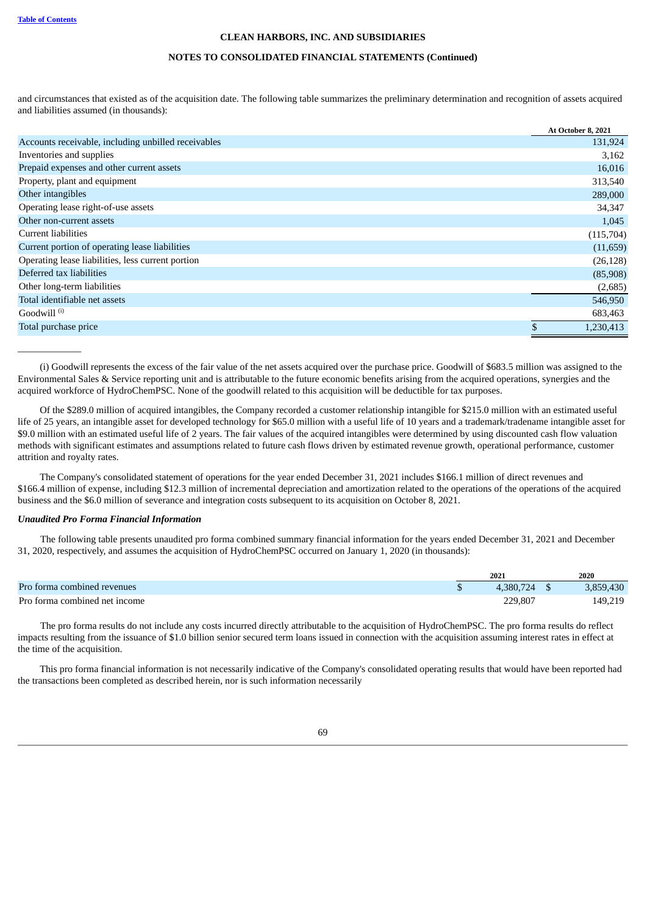\_\_\_\_\_\_\_\_\_\_\_\_\_

# **CLEAN HARBORS, INC. AND SUBSIDIARIES**

#### **NOTES TO CONSOLIDATED FINANCIAL STATEMENTS (Continued)**

and circumstances that existed as of the acquisition date. The following table summarizes the preliminary determination and recognition of assets acquired and liabilities assumed (in thousands):

|                                                     | At October 8, 2021 |
|-----------------------------------------------------|--------------------|
| Accounts receivable, including unbilled receivables | 131,924            |
| Inventories and supplies                            | 3,162              |
| Prepaid expenses and other current assets           | 16,016             |
| Property, plant and equipment                       | 313,540            |
| Other intangibles                                   | 289,000            |
| Operating lease right-of-use assets                 | 34,347             |
| Other non-current assets                            | 1,045              |
| Current liabilities                                 | (115,704)          |
| Current portion of operating lease liabilities      | (11, 659)          |
| Operating lease liabilities, less current portion   | (26, 128)          |
| Deferred tax liabilities                            | (85,908)           |
| Other long-term liabilities                         | (2,685)            |
| Total identifiable net assets                       | 546,950            |
| Goodwill <sup>(i)</sup>                             | 683,463            |
| Total purchase price                                | 1,230,413          |

(i) Goodwill represents the excess of the fair value of the net assets acquired over the purchase price. Goodwill of \$683.5 million was assigned to the Environmental Sales & Service reporting unit and is attributable to the future economic benefits arising from the acquired operations, synergies and the acquired workforce of HydroChemPSC. None of the goodwill related to this acquisition will be deductible for tax purposes.

Of the \$289.0 million of acquired intangibles, the Company recorded a customer relationship intangible for \$215.0 million with an estimated useful life of 25 years, an intangible asset for developed technology for \$65.0 million with a useful life of 10 years and a trademark/tradename intangible asset for \$9.0 million with an estimated useful life of 2 years. The fair values of the acquired intangibles were determined by using discounted cash flow valuation methods with significant estimates and assumptions related to future cash flows driven by estimated revenue growth, operational performance, customer attrition and royalty rates.

The Company's consolidated statement of operations for the year ended December 31, 2021 includes \$166.1 million of direct revenues and \$166.4 million of expense, including \$12.3 million of incremental depreciation and amortization related to the operations of the operations of the acquired business and the \$6.0 million of severance and integration costs subsequent to its acquisition on October 8, 2021.

# *Unaudited Pro Forma Financial Information*

The following table presents unaudited pro forma combined summary financial information for the years ended December 31, 2021 and December 31, 2020, respectively, and assumes the acquisition of HydroChemPSC occurred on January 1, 2020 (in thousands):

|                               | 2021      | 2020      |
|-------------------------------|-----------|-----------|
| Pro forma combined revenues   | 4.380.724 | 3,859,430 |
| Pro forma combined net income | 229.807   | 149,219   |

The pro forma results do not include any costs incurred directly attributable to the acquisition of HydroChemPSC. The pro forma results do reflect impacts resulting from the issuance of \$1.0 billion senior secured term loans issued in connection with the acquisition assuming interest rates in effect at the time of the acquisition.

This pro forma financial information is not necessarily indicative of the Company's consolidated operating results that would have been reported had the transactions been completed as described herein, nor is such information necessarily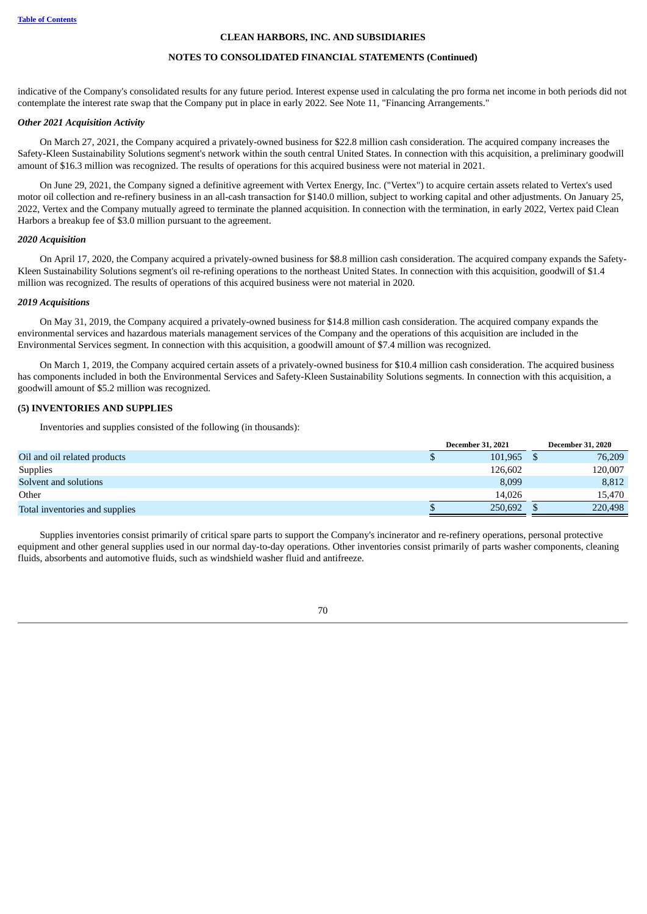#### **NOTES TO CONSOLIDATED FINANCIAL STATEMENTS (Continued)**

indicative of the Company's consolidated results for any future period. Interest expense used in calculating the pro forma net income in both periods did not contemplate the interest rate swap that the Company put in place in early 2022. See Note 11, "Financing Arrangements."

#### *Other 2021 Acquisition Activity*

On March 27, 2021, the Company acquired a privately-owned business for \$22.8 million cash consideration. The acquired company increases the Safety-Kleen Sustainability Solutions segment's network within the south central United States. In connection with this acquisition, a preliminary goodwill amount of \$16.3 million was recognized. The results of operations for this acquired business were not material in 2021.

On June 29, 2021, the Company signed a definitive agreement with Vertex Energy, Inc. ("Vertex") to acquire certain assets related to Vertex's used motor oil collection and re-refinery business in an all-cash transaction for \$140.0 million, subject to working capital and other adjustments. On January 25, 2022, Vertex and the Company mutually agreed to terminate the planned acquisition. In connection with the termination, in early 2022, Vertex paid Clean Harbors a breakup fee of \$3.0 million pursuant to the agreement.

#### *2020 Acquisition*

On April 17, 2020, the Company acquired a privately-owned business for \$8.8 million cash consideration. The acquired company expands the Safety-Kleen Sustainability Solutions segment's oil re-refining operations to the northeast United States. In connection with this acquisition, goodwill of \$1.4 million was recognized. The results of operations of this acquired business were not material in 2020.

#### *2019 Acquisitions*

On May 31, 2019, the Company acquired a privately-owned business for \$14.8 million cash consideration. The acquired company expands the environmental services and hazardous materials management services of the Company and the operations of this acquisition are included in the Environmental Services segment. In connection with this acquisition, a goodwill amount of \$7.4 million was recognized.

On March 1, 2019, the Company acquired certain assets of a privately-owned business for \$10.4 million cash consideration. The acquired business has components included in both the Environmental Services and Safety-Kleen Sustainability Solutions segments. In connection with this acquisition, a goodwill amount of \$5.2 million was recognized.

# <span id="page-71-0"></span>**(5) INVENTORIES AND SUPPLIES**

Inventories and supplies consisted of the following (in thousands):

|                                | <b>December 31, 2021</b> |         | <b>December 31, 2020</b> |
|--------------------------------|--------------------------|---------|--------------------------|
| Oil and oil related products   |                          | 101.965 | 76,209                   |
| <b>Supplies</b>                |                          | 126.602 | 120,007                  |
| Solvent and solutions          |                          | 8,099   | 8,812                    |
| Other                          |                          | 14.026  | 15.470                   |
| Total inventories and supplies |                          | 250,692 | 220,498                  |

<span id="page-71-1"></span>Supplies inventories consist primarily of critical spare parts to support the Company's incinerator and re-refinery operations, personal protective equipment and other general supplies used in our normal day-to-day operations. Other inventories consist primarily of parts washer components, cleaning fluids, absorbents and automotive fluids, such as windshield washer fluid and antifreeze.

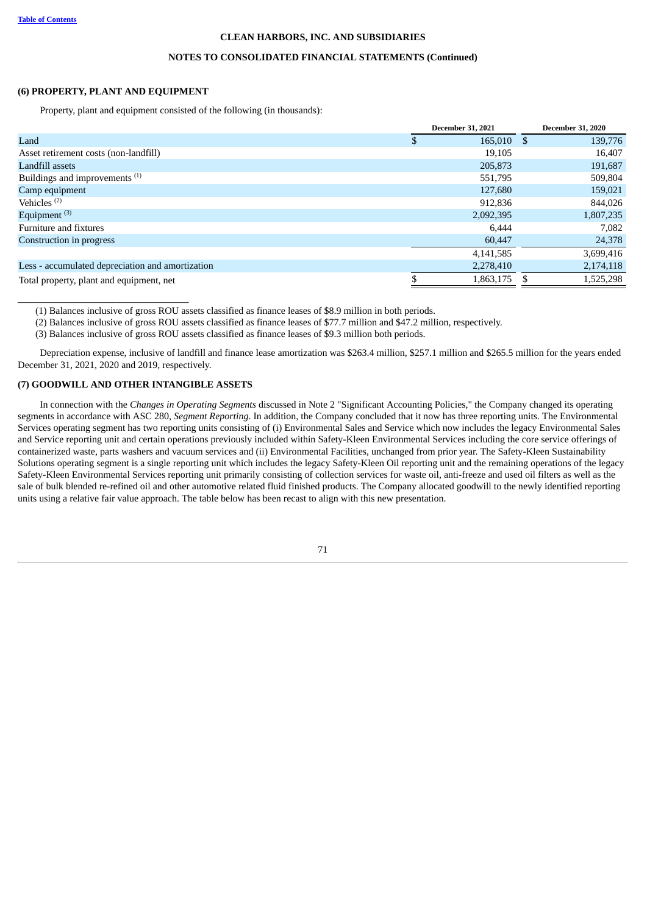# **NOTES TO CONSOLIDATED FINANCIAL STATEMENTS (Continued)**

#### **(6) PROPERTY, PLANT AND EQUIPMENT**

Property, plant and equipment consisted of the following (in thousands):

| <b>December 31, 2021</b> | <b>December 31, 2020</b> |
|--------------------------|--------------------------|
|                          | 139,776                  |
| 19,105                   | 16,407                   |
| 205,873                  | 191,687                  |
| 551,795                  | 509,804                  |
| 127,680                  | 159,021                  |
| 912.836                  | 844,026                  |
| 2,092,395                | 1,807,235                |
| 6.444                    | 7,082                    |
| 60,447                   | 24,378                   |
| 4,141,585                | 3,699,416                |
| 2,278,410                | 2,174,118                |
| 1,863,175                | 1,525,298                |
|                          | 165,010 \$               |

(1) Balances inclusive of gross ROU assets classified as finance leases of \$8.9 million in both periods.

(2) Balances inclusive of gross ROU assets classified as finance leases of \$77.7 million and \$47.2 million, respectively.

(3) Balances inclusive of gross ROU assets classified as finance leases of \$9.3 million both periods.

Depreciation expense, inclusive of landfill and finance lease amortization was \$263.4 million, \$257.1 million and \$265.5 million for the years ended December 31, 2021, 2020 and 2019, respectively.

# **(7) GOODWILL AND OTHER INTANGIBLE ASSETS**

\_\_\_\_\_\_\_\_\_\_\_\_\_\_\_\_\_\_\_\_\_\_\_\_\_\_\_\_\_\_\_\_\_\_\_

In connection with the *Changes in Operating Segments* discussed in Note 2 "Significant Accounting Policies," the Company changed its operating segments in accordance with ASC 280, *Segment Reporting*. In addition, the Company concluded that it now has three reporting units. The Environmental Services operating segment has two reporting units consisting of (i) Environmental Sales and Service which now includes the legacy Environmental Sales and Service reporting unit and certain operations previously included within Safety-Kleen Environmental Services including the core service offerings of containerized waste, parts washers and vacuum services and (ii) Environmental Facilities, unchanged from prior year. The Safety-Kleen Sustainability Solutions operating segment is a single reporting unit which includes the legacy Safety-Kleen Oil reporting unit and the remaining operations of the legacy Safety-Kleen Environmental Services reporting unit primarily consisting of collection services for waste oil, anti-freeze and used oil filters as well as the sale of bulk blended re-refined oil and other automotive related fluid finished products. The Company allocated goodwill to the newly identified reporting units using a relative fair value approach. The table below has been recast to align with this new presentation.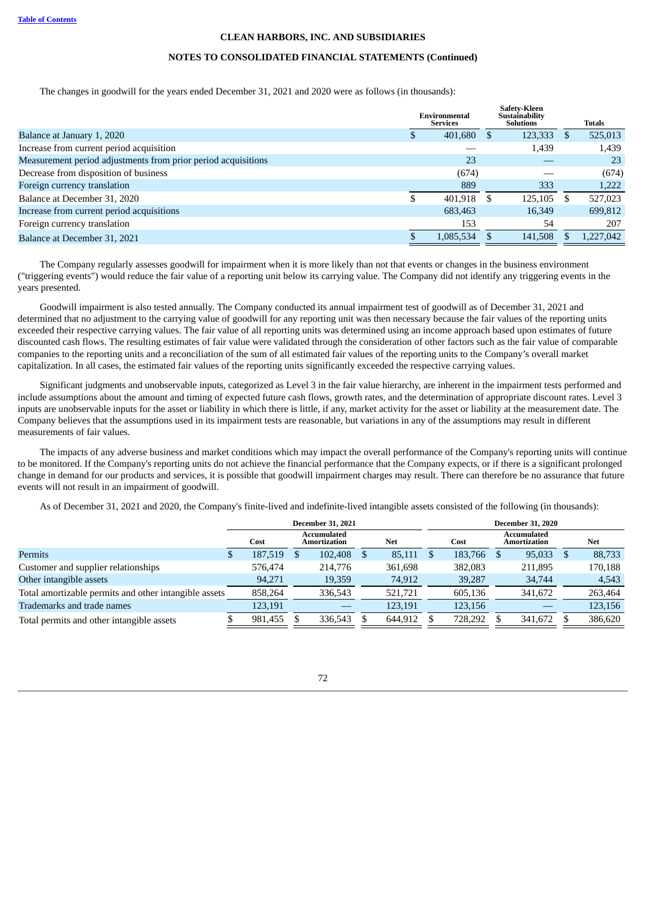#### **NOTES TO CONSOLIDATED FINANCIAL STATEMENTS (Continued)**

The changes in goodwill for the years ended December 31, 2021 and 2020 were as follows (in thousands):

|                                                               | Environmental<br><b>Services</b> |           |   | Safety-Kleen<br>Sustainability<br><b>Solutions</b> |    | <b>Totals</b> |
|---------------------------------------------------------------|----------------------------------|-----------|---|----------------------------------------------------|----|---------------|
| Balance at January 1, 2020                                    |                                  | 401,680   |   | 123,333                                            | -8 | 525,013       |
| Increase from current period acquisition                      |                                  |           |   | 1,439                                              |    | 1,439         |
| Measurement period adjustments from prior period acquisitions |                                  | 23        |   |                                                    |    | 23            |
| Decrease from disposition of business                         |                                  | (674)     |   |                                                    |    | (674)         |
| Foreign currency translation                                  |                                  | 889       |   | 333                                                |    | 1,222         |
| Balance at December 31, 2020                                  |                                  | 401.918   | S | 125.105                                            | -S | 527,023       |
| Increase from current period acquisitions                     |                                  | 683,463   |   | 16,349                                             |    | 699,812       |
| Foreign currency translation                                  |                                  | 153       |   | 54                                                 |    | 207           |
| Balance at December 31, 2021                                  |                                  | 1,085,534 |   | 141,508                                            |    | 1.227.042     |

The Company regularly assesses goodwill for impairment when it is more likely than not that events or changes in the business environment ("triggering events") would reduce the fair value of a reporting unit below its carrying value. The Company did not identify any triggering events in the years presented.

Goodwill impairment is also tested annually. The Company conducted its annual impairment test of goodwill as of December 31, 2021 and determined that no adjustment to the carrying value of goodwill for any reporting unit was then necessary because the fair values of the reporting units exceeded their respective carrying values. The fair value of all reporting units was determined using an income approach based upon estimates of future discounted cash flows. The resulting estimates of fair value were validated through the consideration of other factors such as the fair value of comparable companies to the reporting units and a reconciliation of the sum of all estimated fair values of the reporting units to the Company's overall market capitalization. In all cases, the estimated fair values of the reporting units significantly exceeded the respective carrying values.

Significant judgments and unobservable inputs, categorized as Level 3 in the fair value hierarchy, are inherent in the impairment tests performed and include assumptions about the amount and timing of expected future cash flows, growth rates, and the determination of appropriate discount rates. Level 3 inputs are unobservable inputs for the asset or liability in which there is little, if any, market activity for the asset or liability at the measurement date. The Company believes that the assumptions used in its impairment tests are reasonable, but variations in any of the assumptions may result in different measurements of fair values.

The impacts of any adverse business and market conditions which may impact the overall performance of the Company's reporting units will continue to be monitored. If the Company's reporting units do not achieve the financial performance that the Company expects, or if there is a significant prolonged change in demand for our products and services, it is possible that goodwill impairment charges may result. There can therefore be no assurance that future events will not result in an impairment of goodwill.

As of December 31, 2021 and 2020, the Company's finite-lived and indefinite-lived intangible assets consisted of the following (in thousands):

|                                                       | <b>December 31, 2021</b> |         |  |                                           |  |         | <b>December 31, 2020</b> |         |  |                             |  |         |
|-------------------------------------------------------|--------------------------|---------|--|-------------------------------------------|--|---------|--------------------------|---------|--|-----------------------------|--|---------|
|                                                       |                          | Cost    |  | Accumulated<br><b>Net</b><br>Amortization |  |         |                          | Cost    |  | Accumulated<br>Amortization |  | Net     |
| Permits                                               |                          | 187,519 |  | 102,408 \$                                |  | 85,111  |                          | 183,766 |  | 95,033                      |  | 88,733  |
| Customer and supplier relationships                   |                          | 576.474 |  | 214,776                                   |  | 361.698 |                          | 382,083 |  | 211,895                     |  | 170,188 |
| Other intangible assets                               |                          | 94,271  |  | 19,359                                    |  | 74,912  |                          | 39,287  |  | 34,744                      |  | 4,543   |
| Total amortizable permits and other intangible assets |                          | 858,264 |  | 336,543                                   |  | 521,721 |                          | 605,136 |  | 341,672                     |  | 263,464 |
| Trademarks and trade names                            |                          | 123.191 |  |                                           |  | 123,191 |                          | 123,156 |  |                             |  | 123,156 |
| Total permits and other intangible assets             |                          | 981,455 |  | 336,543                                   |  | 644.912 |                          | 728.292 |  | 341,672                     |  | 386,620 |
|                                                       |                          |         |  |                                           |  |         |                          |         |  |                             |  |         |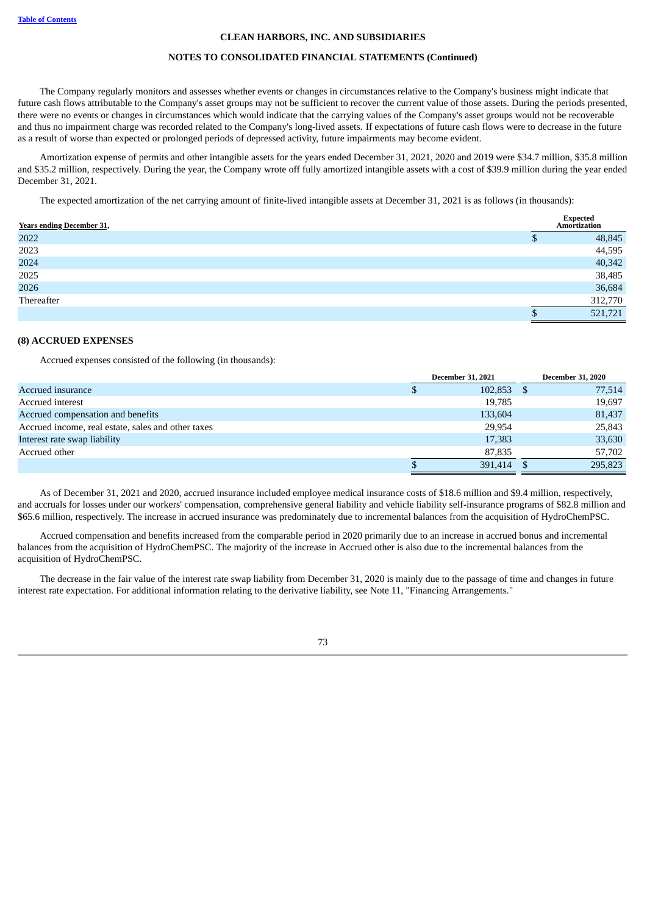#### **NOTES TO CONSOLIDATED FINANCIAL STATEMENTS (Continued)**

The Company regularly monitors and assesses whether events or changes in circumstances relative to the Company's business might indicate that future cash flows attributable to the Company's asset groups may not be sufficient to recover the current value of those assets. During the periods presented, there were no events or changes in circumstances which would indicate that the carrying values of the Company's asset groups would not be recoverable and thus no impairment charge was recorded related to the Company's long-lived assets. If expectations of future cash flows were to decrease in the future as a result of worse than expected or prolonged periods of depressed activity, future impairments may become evident.

Amortization expense of permits and other intangible assets for the years ended December 31, 2021, 2020 and 2019 were \$34.7 million, \$35.8 million and \$35.2 million, respectively. During the year, the Company wrote off fully amortized intangible assets with a cost of \$39.9 million during the year ended December 31, 2021.

The expected amortization of the net carrying amount of finite-lived intangible assets at December 31, 2021 is as follows (in thousands):

| <b>Years ending December 31,</b> | <b>Expected</b><br>Amortization |
|----------------------------------|---------------------------------|
| 2022                             | 48,845                          |
| 2023                             | 44,595                          |
| 2024                             | 40,342                          |
| 2025                             | 38,485                          |
| 2026                             | 36,684                          |
| Thereafter                       | 312,770                         |
|                                  | 521,721                         |

## **(8) ACCRUED EXPENSES**

Accrued expenses consisted of the following (in thousands):

|                                                    | <b>December 31, 2021</b> | <b>December 31, 2020</b> |
|----------------------------------------------------|--------------------------|--------------------------|
| Accrued insurance                                  | 102,853                  | 77,514                   |
| Accrued interest                                   | 19,785                   | 19,697                   |
| Accrued compensation and benefits                  | 133,604                  | 81,437                   |
| Accrued income, real estate, sales and other taxes | 29.954                   | 25,843                   |
| Interest rate swap liability                       | 17,383                   | 33,630                   |
| Accrued other                                      | 87,835                   | 57,702                   |
|                                                    | 391,414                  | 295,823                  |

As of December 31, 2021 and 2020, accrued insurance included employee medical insurance costs of \$18.6 million and \$9.4 million, respectively, and accruals for losses under our workers' compensation, comprehensive general liability and vehicle liability self-insurance programs of \$82.8 million and \$65.6 million, respectively. The increase in accrued insurance was predominately due to incremental balances from the acquisition of HydroChemPSC.

Accrued compensation and benefits increased from the comparable period in 2020 primarily due to an increase in accrued bonus and incremental balances from the acquisition of HydroChemPSC. The majority of the increase in Accrued other is also due to the incremental balances from the acquisition of HydroChemPSC.

The decrease in the fair value of the interest rate swap liability from December 31, 2020 is mainly due to the passage of time and changes in future interest rate expectation. For additional information relating to the derivative liability, see Note 11, "Financing Arrangements."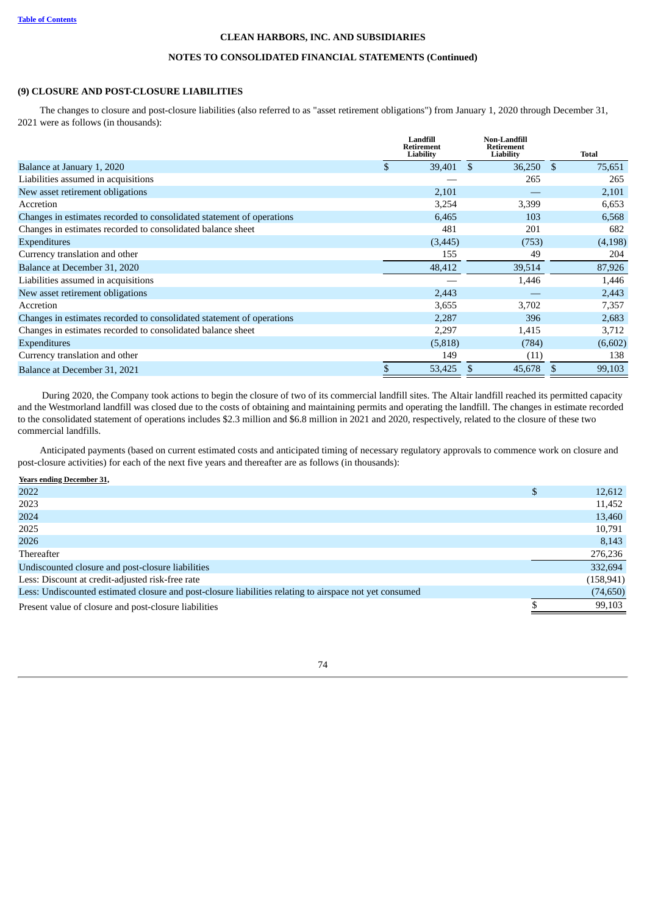# **NOTES TO CONSOLIDATED FINANCIAL STATEMENTS (Continued)**

# **(9) CLOSURE AND POST-CLOSURE LIABILITIES**

The changes to closure and post-closure liabilities (also referred to as "asset retirement obligations") from January 1, 2020 through December 31, 2021 were as follows (in thousands):

|                                                                       |    | Landfill<br><b>Retirement</b><br>Liability |              | <b>Non-Landfill</b><br>Retirement<br><b>Liability</b> |      | <b>Total</b> |
|-----------------------------------------------------------------------|----|--------------------------------------------|--------------|-------------------------------------------------------|------|--------------|
| Balance at January 1, 2020                                            | \$ | 39,401                                     | -\$          | 36,250                                                | - \$ | 75,651       |
| Liabilities assumed in acquisitions                                   |    |                                            |              | 265                                                   |      | 265          |
| New asset retirement obligations                                      |    | 2,101                                      |              |                                                       |      | 2,101        |
| Accretion                                                             |    | 3,254                                      |              | 3,399                                                 |      | 6,653        |
| Changes in estimates recorded to consolidated statement of operations |    | 6,465                                      |              | 103                                                   |      | 6,568        |
| Changes in estimates recorded to consolidated balance sheet           |    | 481                                        |              | 201                                                   |      | 682          |
| <b>Expenditures</b>                                                   |    | (3, 445)                                   |              | (753)                                                 |      | (4, 198)     |
| Currency translation and other                                        |    | 155                                        |              | 49                                                    |      | 204          |
| Balance at December 31, 2020                                          |    | 48,412                                     |              | 39,514                                                |      | 87,926       |
| Liabilities assumed in acquisitions                                   |    |                                            |              | 1,446                                                 |      | 1,446        |
| New asset retirement obligations                                      |    | 2,443                                      |              |                                                       |      | 2,443        |
| Accretion                                                             |    | 3,655                                      |              | 3,702                                                 |      | 7,357        |
| Changes in estimates recorded to consolidated statement of operations |    | 2,287                                      |              | 396                                                   |      | 2,683        |
| Changes in estimates recorded to consolidated balance sheet           |    | 2,297                                      |              | 1,415                                                 |      | 3,712        |
| <b>Expenditures</b>                                                   |    | (5,818)                                    |              | (784)                                                 |      | (6,602)      |
| Currency translation and other                                        |    | 149                                        |              | (11)                                                  |      | 138          |
| Balance at December 31, 2021                                          | Ъ  | 53,425                                     | <sup>S</sup> | 45,678                                                |      | 99,103       |

During 2020, the Company took actions to begin the closure of two of its commercial landfill sites. The Altair landfill reached its permitted capacity and the Westmorland landfill was closed due to the costs of obtaining and maintaining permits and operating the landfill. The changes in estimate recorded to the consolidated statement of operations includes \$2.3 million and \$6.8 million in 2021 and 2020, respectively, related to the closure of these two commercial landfills.

Anticipated payments (based on current estimated costs and anticipated timing of necessary regulatory approvals to commence work on closure and post-closure activities) for each of the next five years and thereafter are as follows (in thousands):

**Years ending December 31,**

| 2022                                                                                                    | 12,612     |
|---------------------------------------------------------------------------------------------------------|------------|
| 2023                                                                                                    | 11,452     |
| 2024                                                                                                    | 13,460     |
| 2025                                                                                                    | 10,791     |
| 2026                                                                                                    | 8,143      |
| Thereafter                                                                                              | 276,236    |
| Undiscounted closure and post-closure liabilities                                                       | 332,694    |
| Less: Discount at credit-adjusted risk-free rate                                                        | (158, 941) |
| Less: Undiscounted estimated closure and post-closure liabilities relating to airspace not yet consumed | (74, 650)  |
| Present value of closure and post-closure liabilities                                                   | 99,103     |
|                                                                                                         |            |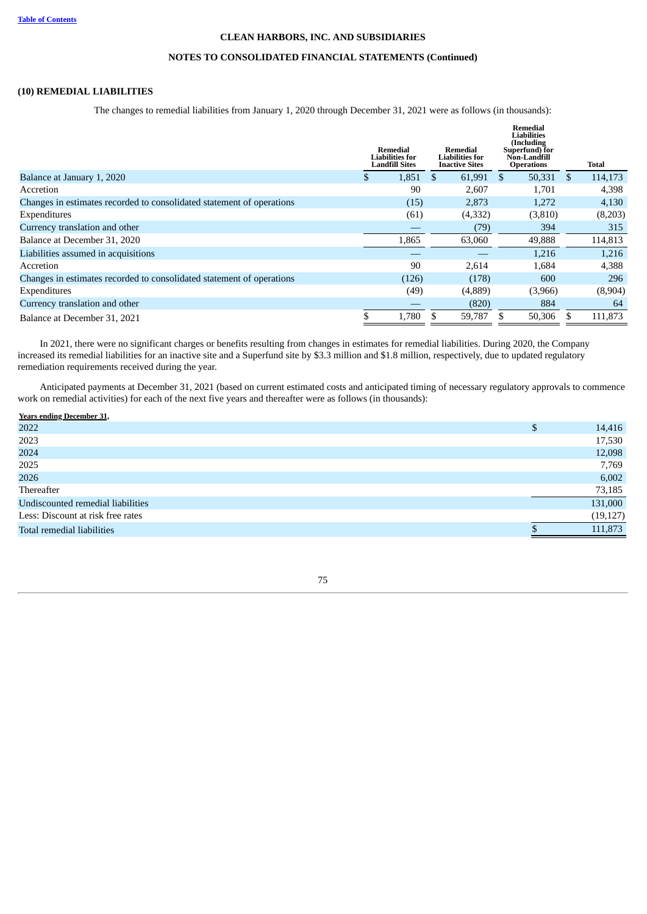# **NOTES TO CONSOLIDATED FINANCIAL STATEMENTS (Continued)**

# **(10) REMEDIAL LIABILITIES**

The changes to remedial liabilities from January 1, 2020 through December 31, 2021 were as follows (in thousands):

|                                                                       |               | Remedial<br>Remedial<br><b>Liabilities for</b><br><b>Liabilities for</b><br>Landfill Sites<br><b>Inactive Sites</b> |     |         | Remedial<br>Liabilities<br>(Including<br>Superfund) for<br>Non-Landfill<br><b>Operations</b> |         |      | Total   |
|-----------------------------------------------------------------------|---------------|---------------------------------------------------------------------------------------------------------------------|-----|---------|----------------------------------------------------------------------------------------------|---------|------|---------|
| Balance at January 1, 2020                                            | <sup>\$</sup> | 1,851                                                                                                               | \$. | 61,991  | \$                                                                                           | 50,331  | - \$ | 114,173 |
| Accretion                                                             |               | 90                                                                                                                  |     | 2,607   |                                                                                              | 1,701   |      | 4,398   |
| Changes in estimates recorded to consolidated statement of operations |               | (15)                                                                                                                |     | 2,873   |                                                                                              | 1,272   |      | 4,130   |
| Expenditures                                                          |               | (61)                                                                                                                |     | (4,332) |                                                                                              | (3,810) |      | (8,203) |
| Currency translation and other                                        |               |                                                                                                                     |     | (79)    |                                                                                              | 394     |      | 315     |
| Balance at December 31, 2020                                          |               | 1,865                                                                                                               |     | 63,060  |                                                                                              | 49,888  |      | 114,813 |
| Liabilities assumed in acquisitions                                   |               |                                                                                                                     |     |         |                                                                                              | 1,216   |      | 1,216   |
| Accretion                                                             |               | 90                                                                                                                  |     | 2,614   |                                                                                              | 1.684   |      | 4,388   |
| Changes in estimates recorded to consolidated statement of operations |               | (126)                                                                                                               |     | (178)   |                                                                                              | 600     |      | 296     |
| Expenditures                                                          |               | (49)                                                                                                                |     | (4,889) |                                                                                              | (3,966) |      | (8,904) |
| Currency translation and other                                        |               |                                                                                                                     |     | (820)   |                                                                                              | 884     |      | 64      |
| Balance at December 31, 2021                                          |               | 1,780                                                                                                               |     | 59,787  |                                                                                              | 50,306  |      | 111,873 |

In 2021, there were no significant charges or benefits resulting from changes in estimates for remedial liabilities. During 2020, the Company increased its remedial liabilities for an inactive site and a Superfund site by \$3.3 million and \$1.8 million, respectively, due to updated regulatory remediation requirements received during the year.

Anticipated payments at December 31, 2021 (based on current estimated costs and anticipated timing of necessary regulatory approvals to commence work on remedial activities) for each of the next five years and thereafter were as follows (in thousands):

| <b>Years ending December 31,</b>  |              |
|-----------------------------------|--------------|
| 2022                              | \$<br>14,416 |
| 2023                              | 17,530       |
| 2024                              | 12,098       |
| 2025                              | 7,769        |
| 2026                              | 6,002        |
| Thereafter                        | 73,185       |
| Undiscounted remedial liabilities | 131,000      |
| Less: Discount at risk free rates | (19, 127)    |
| Total remedial liabilities        | 111,873      |
|                                   |              |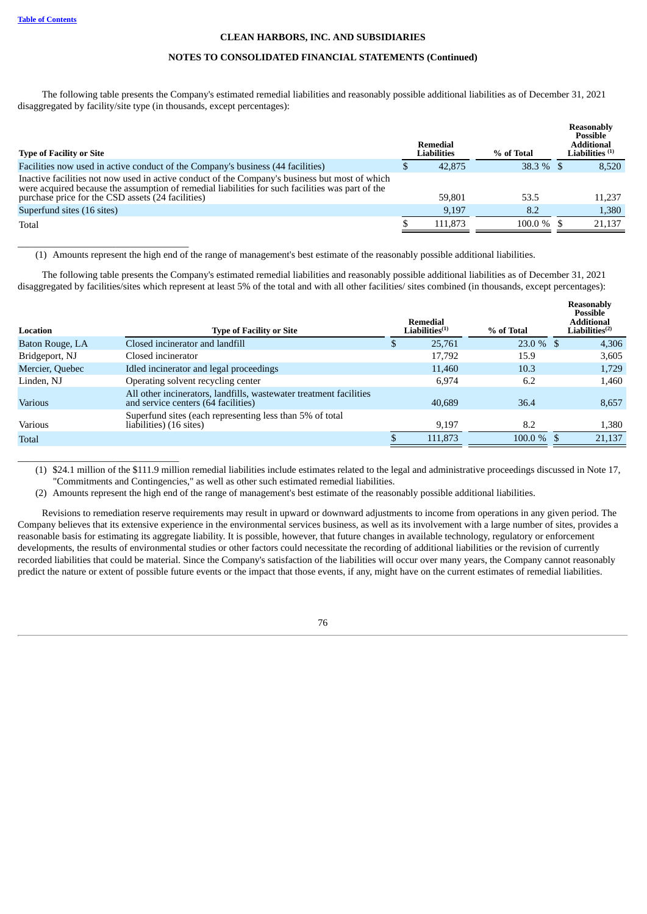\_\_\_\_\_\_\_\_\_\_\_\_\_\_\_\_\_\_\_\_\_\_\_\_\_\_\_\_\_\_\_\_\_\_\_

\_\_\_\_\_\_\_\_\_\_\_\_\_\_\_\_\_\_\_\_\_\_\_\_\_\_\_\_\_\_\_\_\_

# **CLEAN HARBORS, INC. AND SUBSIDIARIES**

# **NOTES TO CONSOLIDATED FINANCIAL STATEMENTS (Continued)**

The following table presents the Company's estimated remedial liabilities and reasonably possible additional liabilities as of December 31, 2021 disaggregated by facility/site type (in thousands, except percentages):

| <b>Type of Facility or Site</b>                                                                                                                                                                    | Remedial<br><b>Liabilities</b> | % of Total   | Reasonably<br><b>Possible</b><br><b>Additional</b><br>Liabilities $(1)$ |
|----------------------------------------------------------------------------------------------------------------------------------------------------------------------------------------------------|--------------------------------|--------------|-------------------------------------------------------------------------|
| Facilities now used in active conduct of the Company's business (44 facilities)                                                                                                                    | 42,875                         | $38.3\%$ \$  | 8,520                                                                   |
| Inactive facilities not now used in active conduct of the Company's business but most of which<br>were acquired because the assumption of remedial liabilities for such facilities was part of the |                                |              |                                                                         |
| purchase price for the CSD assets (24 facilities)                                                                                                                                                  | 59,801                         | 53.5         | 11,237                                                                  |
| Superfund sites (16 sites)                                                                                                                                                                         | 9,197                          | 8.2          | 1,380                                                                   |
| Total                                                                                                                                                                                              | 111,873                        | $100.0\%$ \$ | 21,137                                                                  |

(1) Amounts represent the high end of the range of management's best estimate of the reasonably possible additional liabilities.

The following table presents the Company's estimated remedial liabilities and reasonably possible additional liabilities as of December 31, 2021 disaggregated by facilities/sites which represent at least 5% of the total and with all other facilities/ sites combined (in thousands, except percentages):

| Location        | <b>Type of Facility or Site</b>                                                                           |   | Remedial<br>$\rm Liabilities^{(1)}$ | % of Total    | <b>Reasonably</b><br><b>Possible</b><br><b>Additional</b><br>$\mathbf{Liabilities}^{(2)}$ |
|-----------------|-----------------------------------------------------------------------------------------------------------|---|-------------------------------------|---------------|-------------------------------------------------------------------------------------------|
| Baton Rouge, LA | Closed incinerator and landfill                                                                           | D | 25,761                              | $23.0\%$ \$   | 4,306                                                                                     |
| Bridgeport, NJ  | Closed incinerator                                                                                        |   | 17,792                              | 15.9          | 3,605                                                                                     |
| Mercier, Quebec | Idled incinerator and legal proceedings                                                                   |   | 11,460                              | 10.3          | 1,729                                                                                     |
| Linden, NJ      | Operating solvent recycling center                                                                        |   | 6.974                               | 6.2           | 1,460                                                                                     |
| <b>Various</b>  | All other incinerators, landfills, wastewater treatment facilities<br>and service centers (64 facilities) |   | 40.689                              | 36.4          | 8,657                                                                                     |
| Various         | Superfund sites (each representing less than 5% of total<br>liabilities) (16 sites)                       |   | 9,197                               | 8.2           | 1,380                                                                                     |
| Total           |                                                                                                           |   | 111,873                             | $100.0 \%$ \$ | 21,137                                                                                    |
|                 |                                                                                                           |   |                                     |               |                                                                                           |

(1) \$24.1 million of the \$111.9 million remedial liabilities include estimates related to the legal and administrative proceedings discussed in Note 17, "Commitments and Contingencies," as well as other such estimated remedial liabilities.

(2) Amounts represent the high end of the range of management's best estimate of the reasonably possible additional liabilities.

Revisions to remediation reserve requirements may result in upward or downward adjustments to income from operations in any given period. The Company believes that its extensive experience in the environmental services business, as well as its involvement with a large number of sites, provides a reasonable basis for estimating its aggregate liability. It is possible, however, that future changes in available technology, regulatory or enforcement developments, the results of environmental studies or other factors could necessitate the recording of additional liabilities or the revision of currently recorded liabilities that could be material. Since the Company's satisfaction of the liabilities will occur over many years, the Company cannot reasonably predict the nature or extent of possible future events or the impact that those events, if any, might have on the current estimates of remedial liabilities.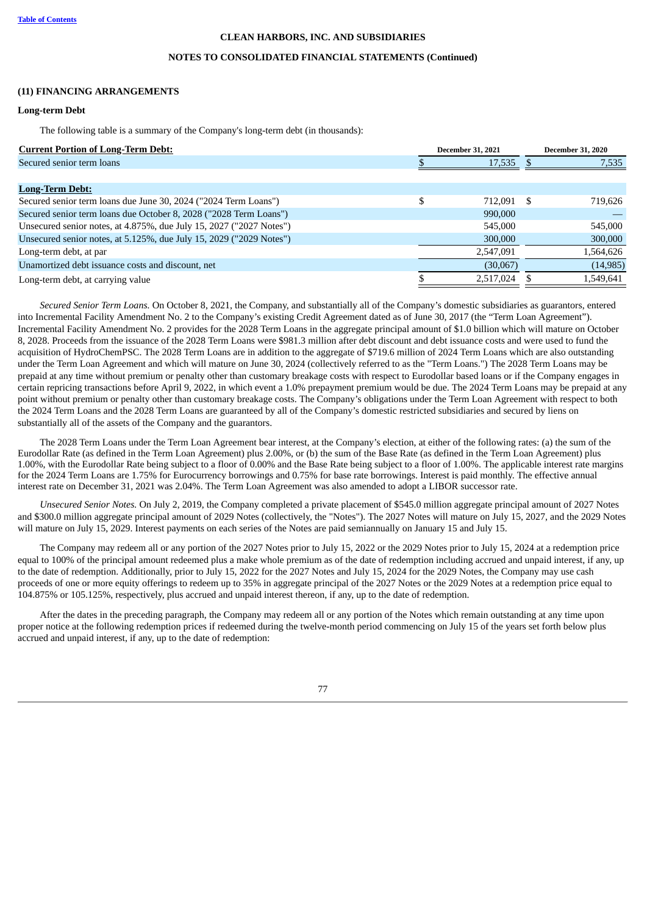#### **NOTES TO CONSOLIDATED FINANCIAL STATEMENTS (Continued)**

#### **(11) FINANCING ARRANGEMENTS**

### **Long-term Debt**

The following table is a summary of the Company's long-term debt (in thousands):

| <b>Current Portion of Long-Term Debt:</b>                           | <b>December 31, 2021</b> |           |      | <b>December 31, 2020</b> |
|---------------------------------------------------------------------|--------------------------|-----------|------|--------------------------|
| Secured senior term loans                                           |                          | 17,535    |      | 7,535                    |
|                                                                     |                          |           |      |                          |
| <b>Long-Term Debt:</b>                                              |                          |           |      |                          |
| Secured senior term loans due June 30, 2024 ("2024 Term Loans")     |                          | 712.091   | - \$ | 719,626                  |
| Secured senior term loans due October 8, 2028 ("2028 Term Loans")   |                          | 990,000   |      |                          |
| Unsecured senior notes, at 4.875%, due July 15, 2027 ("2027 Notes") |                          | 545,000   |      | 545,000                  |
| Unsecured senior notes, at 5.125%, due July 15, 2029 ("2029 Notes") |                          | 300,000   |      | 300,000                  |
| Long-term debt, at par                                              |                          | 2,547,091 |      | 1,564,626                |
| Unamortized debt issuance costs and discount, net                   |                          | (30,067)  |      | (14, 985)                |
| Long-term debt, at carrying value                                   |                          | 2,517,024 |      | 1,549,641                |

*Secured Senior Term Loans.* On October 8, 2021, the Company, and substantially all of the Company's domestic subsidiaries as guarantors, entered into Incremental Facility Amendment No. 2 to the Company's existing Credit Agreement dated as of June 30, 2017 (the "Term Loan Agreement"). Incremental Facility Amendment No. 2 provides for the 2028 Term Loans in the aggregate principal amount of \$1.0 billion which will mature on October 8, 2028. Proceeds from the issuance of the 2028 Term Loans were \$981.3 million after debt discount and debt issuance costs and were used to fund the acquisition of HydroChemPSC. The 2028 Term Loans are in addition to the aggregate of \$719.6 million of 2024 Term Loans which are also outstanding under the Term Loan Agreement and which will mature on June 30, 2024 (collectively referred to as the "Term Loans.") The 2028 Term Loans may be prepaid at any time without premium or penalty other than customary breakage costs with respect to Eurodollar based loans or if the Company engages in certain repricing transactions before April 9, 2022, in which event a 1.0% prepayment premium would be due. The 2024 Term Loans may be prepaid at any point without premium or penalty other than customary breakage costs. The Company's obligations under the Term Loan Agreement with respect to both the 2024 Term Loans and the 2028 Term Loans are guaranteed by all of the Company's domestic restricted subsidiaries and secured by liens on substantially all of the assets of the Company and the guarantors.

The 2028 Term Loans under the Term Loan Agreement bear interest, at the Company's election, at either of the following rates: (a) the sum of the Eurodollar Rate (as defined in the Term Loan Agreement) plus 2.00%, or (b) the sum of the Base Rate (as defined in the Term Loan Agreement) plus 1.00%, with the Eurodollar Rate being subject to a floor of 0.00% and the Base Rate being subject to a floor of 1.00%. The applicable interest rate margins for the 2024 Term Loans are 1.75% for Eurocurrency borrowings and 0.75% for base rate borrowings. Interest is paid monthly. The effective annual interest rate on December 31, 2021 was 2.04%. The Term Loan Agreement was also amended to adopt a LIBOR successor rate.

*Unsecured Senior Notes.* On July 2, 2019, the Company completed a private placement of \$545.0 million aggregate principal amount of 2027 Notes and \$300.0 million aggregate principal amount of 2029 Notes (collectively, the "Notes"). The 2027 Notes will mature on July 15, 2027, and the 2029 Notes will mature on July 15, 2029. Interest payments on each series of the Notes are paid semiannually on January 15 and July 15.

The Company may redeem all or any portion of the 2027 Notes prior to July 15, 2022 or the 2029 Notes prior to July 15, 2024 at a redemption price equal to 100% of the principal amount redeemed plus a make whole premium as of the date of redemption including accrued and unpaid interest, if any, up to the date of redemption. Additionally, prior to July 15, 2022 for the 2027 Notes and July 15, 2024 for the 2029 Notes, the Company may use cash proceeds of one or more equity offerings to redeem up to 35% in aggregate principal of the 2027 Notes or the 2029 Notes at a redemption price equal to 104.875% or 105.125%, respectively, plus accrued and unpaid interest thereon, if any, up to the date of redemption.

After the dates in the preceding paragraph, the Company may redeem all or any portion of the Notes which remain outstanding at any time upon proper notice at the following redemption prices if redeemed during the twelve-month period commencing on July 15 of the years set forth below plus accrued and unpaid interest, if any, up to the date of redemption:

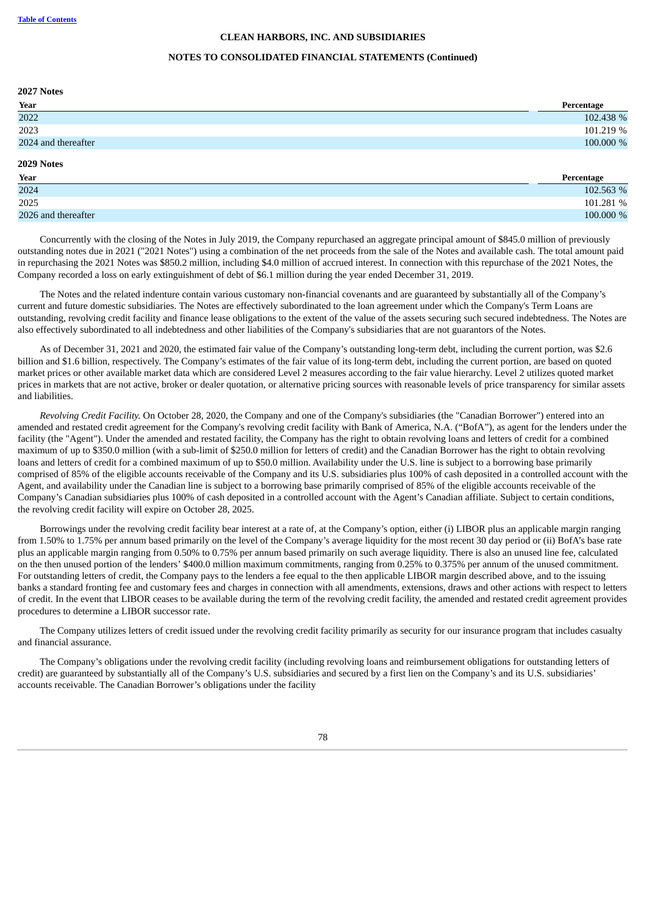#### **NOTES TO CONSOLIDATED FINANCIAL STATEMENTS (Continued)**

| 2027 Notes          |            |
|---------------------|------------|
| Year                | Percentage |
| 2022                | 102.438 %  |
| 2023                | 101.219 %  |
| 2024 and thereafter | 100.000 %  |
| 2029 Notes          |            |
| Year                | Percentage |
| 2024                | 102.563 %  |
| 2025                | 101.281 %  |
| 2026 and thereafter | 100.000 %  |

Concurrently with the closing of the Notes in July 2019, the Company repurchased an aggregate principal amount of \$845.0 million of previously outstanding notes due in 2021 ("2021 Notes") using a combination of the net proceeds from the sale of the Notes and available cash. The total amount paid in repurchasing the 2021 Notes was \$850.2 million, including \$4.0 million of accrued interest. In connection with this repurchase of the 2021 Notes, the Company recorded a loss on early extinguishment of debt of \$6.1 million during the year ended December 31, 2019.

The Notes and the related indenture contain various customary non-financial covenants and are guaranteed by substantially all of the Company's current and future domestic subsidiaries. The Notes are effectively subordinated to the loan agreement under which the Company's Term Loans are outstanding, revolving credit facility and finance lease obligations to the extent of the value of the assets securing such secured indebtedness. The Notes are also effectively subordinated to all indebtedness and other liabilities of the Company's subsidiaries that are not guarantors of the Notes.

As of December 31, 2021 and 2020, the estimated fair value of the Company's outstanding long-term debt, including the current portion, was \$2.6 billion and \$1.6 billion, respectively. The Company's estimates of the fair value of its long-term debt, including the current portion, are based on quoted market prices or other available market data which are considered Level 2 measures according to the fair value hierarchy. Level 2 utilizes quoted market prices in markets that are not active, broker or dealer quotation, or alternative pricing sources with reasonable levels of price transparency for similar assets and liabilities.

*Revolving Credit Facility.* On October 28, 2020, the Company and one of the Company's subsidiaries (the "Canadian Borrower") entered into an amended and restated credit agreement for the Company's revolving credit facility with Bank of America, N.A. ("BofA"), as agent for the lenders under the facility (the "Agent"). Under the amended and restated facility, the Company has the right to obtain revolving loans and letters of credit for a combined maximum of up to \$350.0 million (with a sub-limit of \$250.0 million for letters of credit) and the Canadian Borrower has the right to obtain revolving loans and letters of credit for a combined maximum of up to \$50.0 million. Availability under the U.S. line is subject to a borrowing base primarily comprised of 85% of the eligible accounts receivable of the Company and its U.S. subsidiaries plus 100% of cash deposited in a controlled account with the Agent, and availability under the Canadian line is subject to a borrowing base primarily comprised of 85% of the eligible accounts receivable of the Company's Canadian subsidiaries plus 100% of cash deposited in a controlled account with the Agent's Canadian affiliate. Subject to certain conditions, the revolving credit facility will expire on October 28, 2025.

Borrowings under the revolving credit facility bear interest at a rate of, at the Company's option, either (i) LIBOR plus an applicable margin ranging from 1.50% to 1.75% per annum based primarily on the level of the Company's average liquidity for the most recent 30 day period or (ii) BofA's base rate plus an applicable margin ranging from 0.50% to 0.75% per annum based primarily on such average liquidity. There is also an unused line fee, calculated on the then unused portion of the lenders' \$400.0 million maximum commitments, ranging from 0.25% to 0.375% per annum of the unused commitment. For outstanding letters of credit, the Company pays to the lenders a fee equal to the then applicable LIBOR margin described above, and to the issuing banks a standard fronting fee and customary fees and charges in connection with all amendments, extensions, draws and other actions with respect to letters of credit. In the event that LIBOR ceases to be available during the term of the revolving credit facility, the amended and restated credit agreement provides procedures to determine a LIBOR successor rate.

The Company utilizes letters of credit issued under the revolving credit facility primarily as security for our insurance program that includes casualty and financial assurance.

The Company's obligations under the revolving credit facility (including revolving loans and reimbursement obligations for outstanding letters of credit) are guaranteed by substantially all of the Company's U.S. subsidiaries and secured by a first lien on the Company's and its U.S. subsidiaries' accounts receivable. The Canadian Borrower's obligations under the facility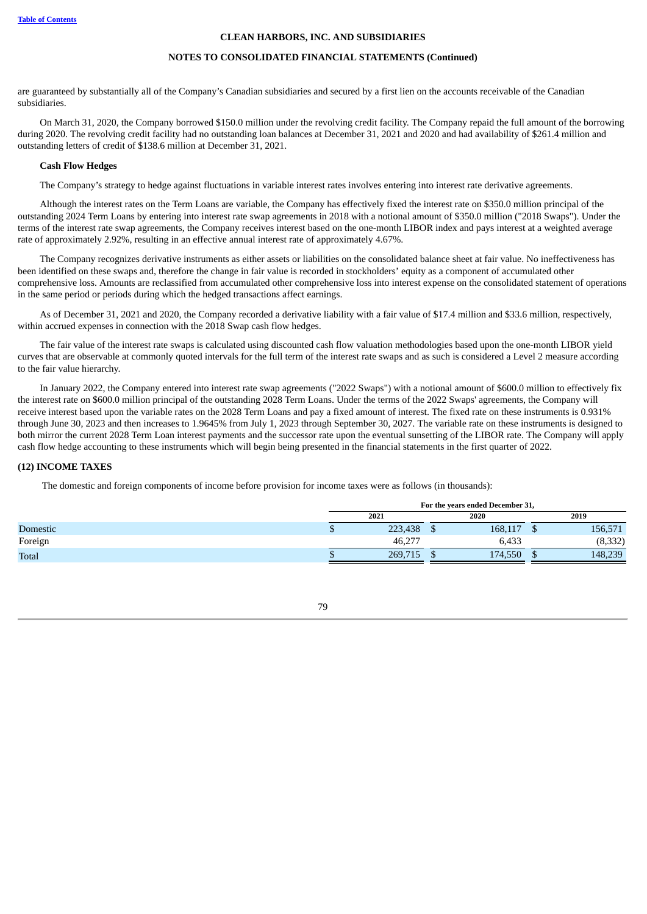#### **NOTES TO CONSOLIDATED FINANCIAL STATEMENTS (Continued)**

are guaranteed by substantially all of the Company's Canadian subsidiaries and secured by a first lien on the accounts receivable of the Canadian subsidiaries.

On March 31, 2020, the Company borrowed \$150.0 million under the revolving credit facility. The Company repaid the full amount of the borrowing during 2020. The revolving credit facility had no outstanding loan balances at December 31, 2021 and 2020 and had availability of \$261.4 million and outstanding letters of credit of \$138.6 million at December 31, 2021.

# **Cash Flow Hedges**

The Company's strategy to hedge against fluctuations in variable interest rates involves entering into interest rate derivative agreements.

Although the interest rates on the Term Loans are variable, the Company has effectively fixed the interest rate on \$350.0 million principal of the outstanding 2024 Term Loans by entering into interest rate swap agreements in 2018 with a notional amount of \$350.0 million ("2018 Swaps"). Under the terms of the interest rate swap agreements, the Company receives interest based on the one-month LIBOR index and pays interest at a weighted average rate of approximately 2.92%, resulting in an effective annual interest rate of approximately 4.67%.

The Company recognizes derivative instruments as either assets or liabilities on the consolidated balance sheet at fair value. No ineffectiveness has been identified on these swaps and, therefore the change in fair value is recorded in stockholders' equity as a component of accumulated other comprehensive loss. Amounts are reclassified from accumulated other comprehensive loss into interest expense on the consolidated statement of operations in the same period or periods during which the hedged transactions affect earnings.

As of December 31, 2021 and 2020, the Company recorded a derivative liability with a fair value of \$17.4 million and \$33.6 million, respectively, within accrued expenses in connection with the 2018 Swap cash flow hedges.

The fair value of the interest rate swaps is calculated using discounted cash flow valuation methodologies based upon the one-month LIBOR yield curves that are observable at commonly quoted intervals for the full term of the interest rate swaps and as such is considered a Level 2 measure according to the fair value hierarchy.

In January 2022, the Company entered into interest rate swap agreements ("2022 Swaps") with a notional amount of \$600.0 million to effectively fix the interest rate on \$600.0 million principal of the outstanding 2028 Term Loans. Under the terms of the 2022 Swaps' agreements, the Company will receive interest based upon the variable rates on the 2028 Term Loans and pay a fixed amount of interest. The fixed rate on these instruments is 0.931% through June 30, 2023 and then increases to 1.9645% from July 1, 2023 through September 30, 2027. The variable rate on these instruments is designed to both mirror the current 2028 Term Loan interest payments and the successor rate upon the eventual sunsetting of the LIBOR rate. The Company will apply cash flow hedge accounting to these instruments which will begin being presented in the financial statements in the first quarter of 2022.

## **(12) INCOME TAXES**

The domestic and foreign components of income before provision for income taxes were as follows (in thousands):

| For the years ended December 31, |         |      |         |    |         |  |  |
|----------------------------------|---------|------|---------|----|---------|--|--|
|                                  | 2021    | 2020 |         |    | 2019    |  |  |
| w                                | 223,438 |      | 168,117 |    | 156,571 |  |  |
|                                  | 46,277  |      | 6.433   |    | (8,332) |  |  |
|                                  | 269,715 |      | 174,550 | ۰D | 148,239 |  |  |
|                                  |         |      |         |    |         |  |  |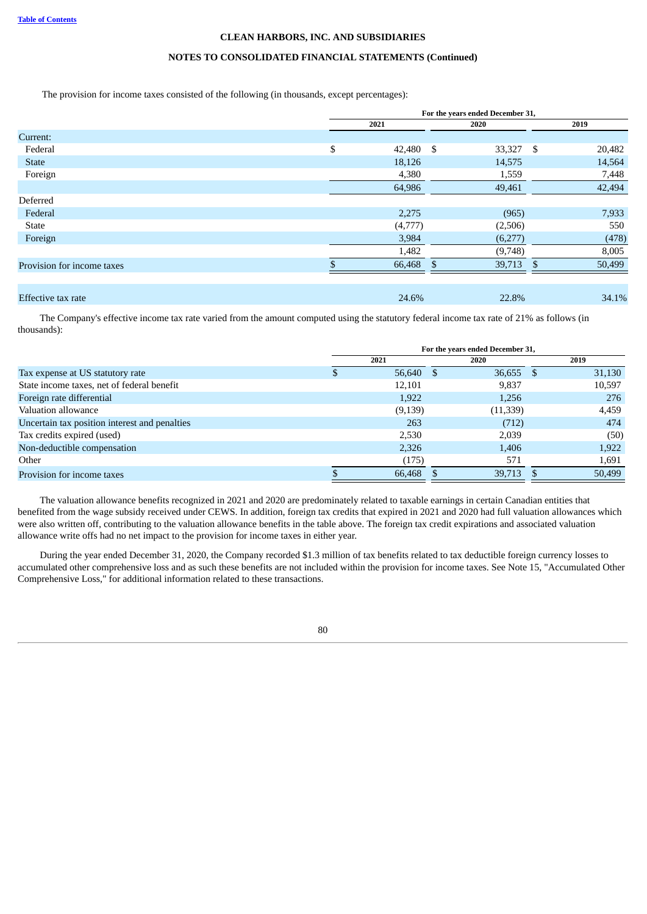# **NOTES TO CONSOLIDATED FINANCIAL STATEMENTS (Continued)**

The provision for income taxes consisted of the following (in thousands, except percentages):

|                            | For the years ended December 31, |         |              |                         |  |  |  |
|----------------------------|----------------------------------|---------|--------------|-------------------------|--|--|--|
|                            |                                  | 2021    | 2020         | 2019                    |  |  |  |
| Current:                   |                                  |         |              |                         |  |  |  |
| Federal                    | \$                               | 42,480  | \$<br>33,327 | \$<br>20,482            |  |  |  |
| <b>State</b>               |                                  | 18,126  | 14,575       | 14,564                  |  |  |  |
| Foreign                    |                                  | 4,380   | 1,559        | 7,448                   |  |  |  |
|                            |                                  | 64,986  | 49,461       | 42,494                  |  |  |  |
| Deferred                   |                                  |         |              |                         |  |  |  |
| Federal                    |                                  | 2,275   | (965)        | 7,933                   |  |  |  |
| <b>State</b>               |                                  | (4,777) | (2,506)      | 550                     |  |  |  |
| Foreign                    |                                  | 3,984   | (6,277)      | (478)                   |  |  |  |
|                            |                                  | 1,482   | (9,748)      | 8,005                   |  |  |  |
| Provision for income taxes |                                  | 66,468  | 39,713<br>\$ | 50,499<br><sup>\$</sup> |  |  |  |
|                            |                                  |         |              |                         |  |  |  |
| Effective tax rate         |                                  | 24.6%   | 22.8%        | 34.1%                   |  |  |  |

The Company's effective income tax rate varied from the amount computed using the statutory federal income tax rate of 21% as follows (in thousands):

|                                               | For the years ended December 31, |          |      |           |      |        |  |  |
|-----------------------------------------------|----------------------------------|----------|------|-----------|------|--------|--|--|
|                                               |                                  | 2021     | 2020 |           |      | 2019   |  |  |
| Tax expense at US statutory rate              |                                  | 56,640   | -S   | 36,655    | - \$ | 31,130 |  |  |
| State income taxes, net of federal benefit    |                                  | 12,101   |      | 9,837     |      | 10,597 |  |  |
| Foreign rate differential                     |                                  | 1,922    |      | 1,256     |      | 276    |  |  |
| Valuation allowance                           |                                  | (9, 139) |      | (11, 339) |      | 4,459  |  |  |
| Uncertain tax position interest and penalties |                                  | 263      |      | (712)     |      | 474    |  |  |
| Tax credits expired (used)                    |                                  | 2.530    |      | 2,039     |      | (50)   |  |  |
| Non-deductible compensation                   |                                  | 2,326    |      | 1,406     |      | 1,922  |  |  |
| Other                                         |                                  | (175)    |      | 571       |      | 1,691  |  |  |
| Provision for income taxes                    |                                  | 66,468   |      | 39,713    |      | 50,499 |  |  |

The valuation allowance benefits recognized in 2021 and 2020 are predominately related to taxable earnings in certain Canadian entities that benefited from the wage subsidy received under CEWS. In addition, foreign tax credits that expired in 2021 and 2020 had full valuation allowances which were also written off, contributing to the valuation allowance benefits in the table above. The foreign tax credit expirations and associated valuation allowance write offs had no net impact to the provision for income taxes in either year.

During the year ended December 31, 2020, the Company recorded \$1.3 million of tax benefits related to tax deductible foreign currency losses to accumulated other comprehensive loss and as such these benefits are not included within the provision for income taxes. See Note 15, "Accumulated Other Comprehensive Loss," for additional information related to these transactions.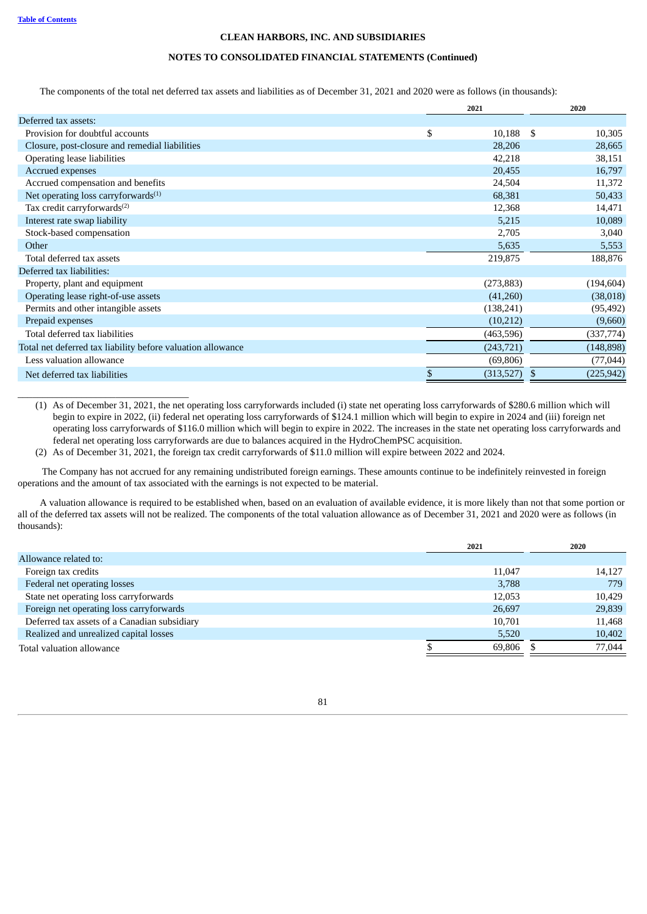\_\_\_\_\_\_\_\_\_\_\_\_\_\_\_\_\_\_\_\_\_\_\_\_\_\_\_\_\_\_\_\_\_\_\_

## **CLEAN HARBORS, INC. AND SUBSIDIARIES**

# **NOTES TO CONSOLIDATED FINANCIAL STATEMENTS (Continued)**

The components of the total net deferred tax assets and liabilities as of December 31, 2021 and 2020 were as follows (in thousands):

|                                                             | 2021            | 2020            |
|-------------------------------------------------------------|-----------------|-----------------|
| Deferred tax assets:                                        |                 |                 |
| Provision for doubtful accounts                             | \$<br>10,188    | 10,305<br>S     |
| Closure, post-closure and remedial liabilities              | 28,206          | 28,665          |
| Operating lease liabilities                                 | 42,218          | 38,151          |
| Accrued expenses                                            | 20,455          | 16,797          |
| Accrued compensation and benefits                           | 24,504          | 11,372          |
| Net operating loss carryforwards $(1)$                      | 68,381          | 50,433          |
| Tax credit carryforwards <sup>(2)</sup>                     | 12,368          | 14,471          |
| Interest rate swap liability                                | 5,215           | 10,089          |
| Stock-based compensation                                    | 2,705           | 3,040           |
| Other                                                       | 5,635           | 5,553           |
| Total deferred tax assets                                   | 219,875         | 188,876         |
| Deferred tax liabilities:                                   |                 |                 |
| Property, plant and equipment                               | (273, 883)      | (194, 604)      |
| Operating lease right-of-use assets                         | (41,260)        | (38,018)        |
| Permits and other intangible assets                         | (138, 241)      | (95, 492)       |
| Prepaid expenses                                            | (10,212)        | (9,660)         |
| Total deferred tax liabilities                              | (463, 596)      | (337,774)       |
| Total net deferred tax liability before valuation allowance | (243, 721)      | (148, 898)      |
| Less valuation allowance                                    | (69, 806)       | (77, 044)       |
| Net deferred tax liabilities                                | \$<br>(313,527) | (225, 942)<br>S |

(1) As of December 31, 2021, the net operating loss carryforwards included (i) state net operating loss carryforwards of \$280.6 million which will begin to expire in 2022, (ii) federal net operating loss carryforwards of \$124.1 million which will begin to expire in 2024 and (iii) foreign net operating loss carryforwards of \$116.0 million which will begin to expire in 2022. The increases in the state net operating loss carryforwards and federal net operating loss carryforwards are due to balances acquired in the HydroChemPSC acquisition.

(2) As of December 31, 2021, the foreign tax credit carryforwards of \$11.0 million will expire between 2022 and 2024.

The Company has not accrued for any remaining undistributed foreign earnings. These amounts continue to be indefinitely reinvested in foreign operations and the amount of tax associated with the earnings is not expected to be material.

A valuation allowance is required to be established when, based on an evaluation of available evidence, it is more likely than not that some portion or all of the deferred tax assets will not be realized. The components of the total valuation allowance as of December 31, 2021 and 2020 were as follows (in thousands):

|                                              | 2021   | 2020   |
|----------------------------------------------|--------|--------|
| Allowance related to:                        |        |        |
| Foreign tax credits                          | 11,047 | 14,127 |
| Federal net operating losses                 | 3,788  | 779    |
| State net operating loss carryforwards       | 12,053 | 10,429 |
| Foreign net operating loss carryforwards     | 26,697 | 29,839 |
| Deferred tax assets of a Canadian subsidiary | 10,701 | 11,468 |
| Realized and unrealized capital losses       | 5,520  | 10,402 |
| Total valuation allowance                    | 69,806 | 77,044 |
|                                              |        |        |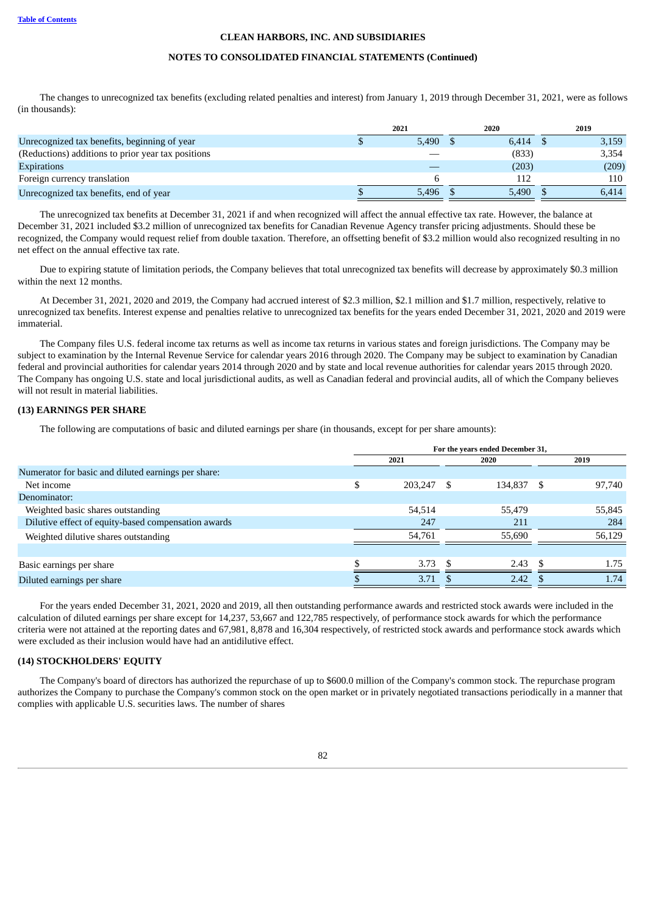### **NOTES TO CONSOLIDATED FINANCIAL STATEMENTS (Continued)**

The changes to unrecognized tax benefits (excluding related penalties and interest) from January 1, 2019 through December 31, 2021, were as follows (in thousands):

|                                                    | 2021  | 2020  | 2019  |
|----------------------------------------------------|-------|-------|-------|
| Unrecognized tax benefits, beginning of year       | 5.490 | 6.414 | 3,159 |
| (Reductions) additions to prior year tax positions |       | (833) | 3,354 |
| <b>Expirations</b>                                 |       | (203) | (209) |
| Foreign currency translation                       |       | 112   | 110   |
| Unrecognized tax benefits, end of year             | 5.496 | 5.490 | 6,414 |

The unrecognized tax benefits at December 31, 2021 if and when recognized will affect the annual effective tax rate. However, the balance at December 31, 2021 included \$3.2 million of unrecognized tax benefits for Canadian Revenue Agency transfer pricing adjustments. Should these be recognized, the Company would request relief from double taxation. Therefore, an offsetting benefit of \$3.2 million would also recognized resulting in no net effect on the annual effective tax rate.

Due to expiring statute of limitation periods, the Company believes that total unrecognized tax benefits will decrease by approximately \$0.3 million within the next 12 months.

At December 31, 2021, 2020 and 2019, the Company had accrued interest of \$2.3 million, \$2.1 million and \$1.7 million, respectively, relative to unrecognized tax benefits. Interest expense and penalties relative to unrecognized tax benefits for the years ended December 31, 2021, 2020 and 2019 were immaterial.

The Company files U.S. federal income tax returns as well as income tax returns in various states and foreign jurisdictions. The Company may be subject to examination by the Internal Revenue Service for calendar years 2016 through 2020. The Company may be subject to examination by Canadian federal and provincial authorities for calendar years 2014 through 2020 and by state and local revenue authorities for calendar years 2015 through 2020. The Company has ongoing U.S. state and local jurisdictional audits, as well as Canadian federal and provincial audits, all of which the Company believes will not result in material liabilities.

# **(13) EARNINGS PER SHARE**

The following are computations of basic and diluted earnings per share (in thousands, except for per share amounts):

|                                                     | For the years ended December 31, |         |      |         |      |        |  |  |
|-----------------------------------------------------|----------------------------------|---------|------|---------|------|--------|--|--|
|                                                     |                                  | 2021    | 2020 |         | 2019 |        |  |  |
| Numerator for basic and diluted earnings per share: |                                  |         |      |         |      |        |  |  |
| Net income                                          | \$                               | 203,247 | S    | 134,837 | - \$ | 97,740 |  |  |
| Denominator:                                        |                                  |         |      |         |      |        |  |  |
| Weighted basic shares outstanding                   |                                  | 54,514  |      | 55,479  |      | 55,845 |  |  |
| Dilutive effect of equity-based compensation awards |                                  | 247     |      | 211     |      | 284    |  |  |
| Weighted dilutive shares outstanding                |                                  | 54,761  |      | 55,690  |      | 56,129 |  |  |
|                                                     |                                  |         |      |         |      |        |  |  |
| Basic earnings per share                            |                                  | 3.73    |      | 2.43    |      | 1.75   |  |  |
| Diluted earnings per share                          |                                  | 3.71    |      | 2.42    |      | 1.74   |  |  |

For the years ended December 31, 2021, 2020 and 2019, all then outstanding performance awards and restricted stock awards were included in the calculation of diluted earnings per share except for 14,237, 53,667 and 122,785 respectively, of performance stock awards for which the performance criteria were not attained at the reporting dates and 67,981, 8,878 and 16,304 respectively, of restricted stock awards and performance stock awards which were excluded as their inclusion would have had an antidilutive effect.

# **(14) STOCKHOLDERS' EQUITY**

The Company's board of directors has authorized the repurchase of up to \$600.0 million of the Company's common stock. The repurchase program authorizes the Company to purchase the Company's common stock on the open market or in privately negotiated transactions periodically in a manner that complies with applicable U.S. securities laws. The number of shares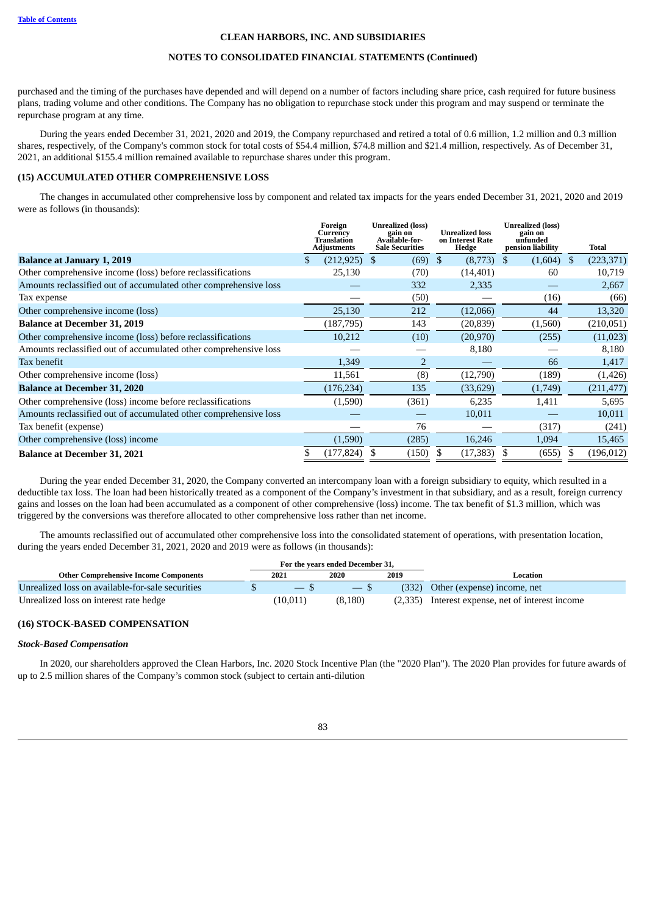#### **NOTES TO CONSOLIDATED FINANCIAL STATEMENTS (Continued)**

purchased and the timing of the purchases have depended and will depend on a number of factors including share price, cash required for future business plans, trading volume and other conditions. The Company has no obligation to repurchase stock under this program and may suspend or terminate the repurchase program at any time.

During the years ended December 31, 2021, 2020 and 2019, the Company repurchased and retired a total of 0.6 million, 1.2 million and 0.3 million shares, respectively, of the Company's common stock for total costs of \$54.4 million, \$74.8 million and \$21.4 million, respectively. As of December 31, 2021, an additional \$155.4 million remained available to repurchase shares under this program.

# **(15) ACCUMULATED OTHER COMPREHENSIVE LOSS**

The changes in accumulated other comprehensive loss by component and related tax impacts for the years ended December 31, 2021, 2020 and 2019 were as follows (in thousands):

|                                                                  | Foreign<br>Currency<br>Translation<br><b>Adjustments</b> | <b>Unrealized (loss)</b><br>gain on<br>Available-for-<br><b>Sale Securities</b> | <b>Unrealized loss</b><br>on Interest Rate<br>Hedge |      | <b>Unrealized (loss)</b><br>gain on<br>unfunded<br>pension liability | Total      |
|------------------------------------------------------------------|----------------------------------------------------------|---------------------------------------------------------------------------------|-----------------------------------------------------|------|----------------------------------------------------------------------|------------|
| <b>Balance at January 1, 2019</b>                                | $(212, 925)$ \$                                          | $(69)$ \$                                                                       | (8,773)                                             | - \$ | $(1,604)$ \$                                                         | (223, 371) |
| Other comprehensive income (loss) before reclassifications       | 25,130                                                   | (70)                                                                            | (14, 401)                                           |      | 60                                                                   | 10,719     |
| Amounts reclassified out of accumulated other comprehensive loss |                                                          | 332                                                                             | 2,335                                               |      |                                                                      | 2,667      |
| Tax expense                                                      |                                                          | (50)                                                                            |                                                     |      | (16)                                                                 | (66)       |
| Other comprehensive income (loss)                                | 25,130                                                   | 212                                                                             | (12,066)                                            |      | 44                                                                   | 13,320     |
| <b>Balance at December 31, 2019</b>                              | (187, 795)                                               | 143                                                                             | (20, 839)                                           |      | (1,560)                                                              | (210,051)  |
| Other comprehensive income (loss) before reclassifications       | 10,212                                                   | (10)                                                                            | (20, 970)                                           |      | (255)                                                                | (11,023)   |
| Amounts reclassified out of accumulated other comprehensive loss |                                                          |                                                                                 | 8,180                                               |      |                                                                      | 8,180      |
| Tax benefit                                                      | 1,349                                                    | 2                                                                               |                                                     |      | 66                                                                   | 1,417      |
| Other comprehensive income (loss)                                | 11,561                                                   | (8)                                                                             | (12,790)                                            |      | (189)                                                                | (1,426)    |
| <b>Balance at December 31, 2020</b>                              | (176, 234)                                               | 135                                                                             | (33, 629)                                           |      | (1,749)                                                              | (211, 477) |
| Other comprehensive (loss) income before reclassifications       | (1,590)                                                  | (361)                                                                           | 6,235                                               |      | 1,411                                                                | 5,695      |
| Amounts reclassified out of accumulated other comprehensive loss |                                                          |                                                                                 | 10,011                                              |      |                                                                      | 10,011     |
| Tax benefit (expense)                                            |                                                          | 76                                                                              |                                                     |      | (317)                                                                | (241)      |
| Other comprehensive (loss) income                                | (1,590)                                                  | (285)                                                                           | 16,246                                              |      | 1,094                                                                | 15,465     |
| <b>Balance at December 31, 2021</b>                              | (177, 824)                                               | (150)                                                                           | (17, 383)                                           |      | (655)                                                                | (196, 012) |
|                                                                  |                                                          |                                                                                 |                                                     |      |                                                                      |            |

During the year ended December 31, 2020, the Company converted an intercompany loan with a foreign subsidiary to equity, which resulted in a deductible tax loss. The loan had been historically treated as a component of the Company's investment in that subsidiary, and as a result, foreign currency gains and losses on the loan had been accumulated as a component of other comprehensive (loss) income. The tax benefit of \$1.3 million, which was triggered by the conversions was therefore allocated to other comprehensive loss rather than net income.

The amounts reclassified out of accumulated other comprehensive loss into the consolidated statement of operations, with presentation location, during the years ended December 31, 2021, 2020 and 2019 were as follows (in thousands):

|                                                  |                                 | For the years ended December 31, |      |                                                  |
|--------------------------------------------------|---------------------------------|----------------------------------|------|--------------------------------------------------|
| <b>Other Comprehensive Income Components</b>     | 2021                            | 2020                             | 2019 | Location                                         |
| Unrealized loss on available-for-sale securities | $\hspace{0.1mm}-\hspace{0.1mm}$ | $-$ S                            |      | (332) Other (expense) income, net                |
| Unrealized loss on interest rate hedge           | (10,011)                        | (8,180)                          |      | (2,335) Interest expense, net of interest income |

#### **(16) STOCK-BASED COMPENSATION**

#### *Stock-Based Compensation*

In 2020, our shareholders approved the Clean Harbors, Inc. 2020 Stock Incentive Plan (the "2020 Plan"). The 2020 Plan provides for future awards of up to 2.5 million shares of the Company's common stock (subject to certain anti-dilution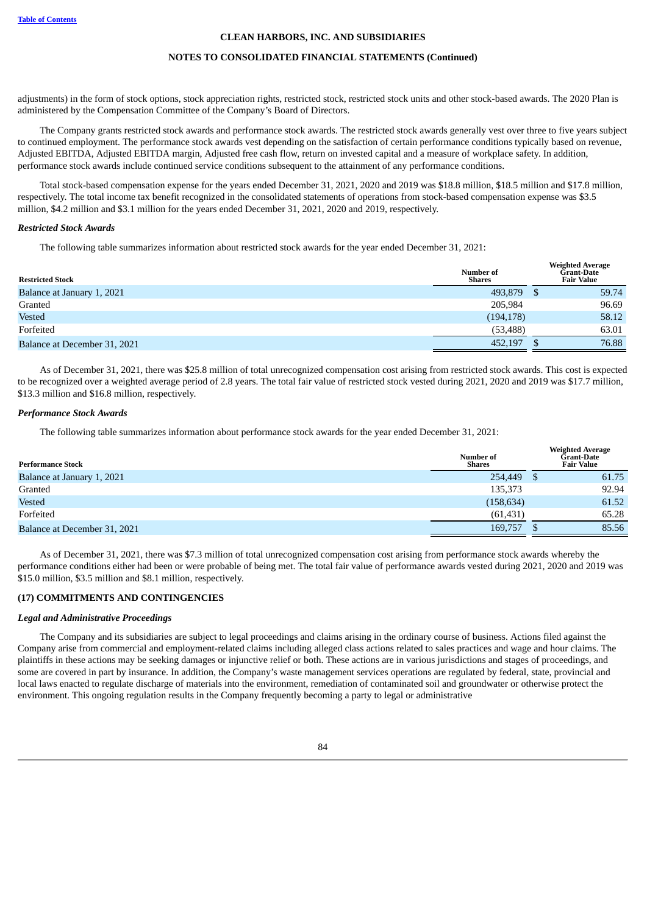#### **NOTES TO CONSOLIDATED FINANCIAL STATEMENTS (Continued)**

adjustments) in the form of stock options, stock appreciation rights, restricted stock, restricted stock units and other stock-based awards. The 2020 Plan is administered by the Compensation Committee of the Company's Board of Directors.

The Company grants restricted stock awards and performance stock awards. The restricted stock awards generally vest over three to five years subject to continued employment. The performance stock awards vest depending on the satisfaction of certain performance conditions typically based on revenue, Adjusted EBITDA, Adjusted EBITDA margin, Adjusted free cash flow, return on invested capital and a measure of workplace safety. In addition, performance stock awards include continued service conditions subsequent to the attainment of any performance conditions.

Total stock-based compensation expense for the years ended December 31, 2021, 2020 and 2019 was \$18.8 million, \$18.5 million and \$17.8 million, respectively. The total income tax benefit recognized in the consolidated statements of operations from stock-based compensation expense was \$3.5 million, \$4.2 million and \$3.1 million for the years ended December 31, 2021, 2020 and 2019, respectively.

#### *Restricted Stock Awards*

The following table summarizes information about restricted stock awards for the year ended December 31, 2021:

| <b>Restricted Stock</b>      | Number of<br><b>Shares</b> | <b>Weighted Average</b><br><b>Grant-Date</b><br><b>Fair Value</b> |       |
|------------------------------|----------------------------|-------------------------------------------------------------------|-------|
| Balance at January 1, 2021   | 493,879                    |                                                                   | 59.74 |
| Granted                      | 205,984                    |                                                                   | 96.69 |
| <b>Vested</b>                | (194, 178)                 |                                                                   | 58.12 |
| Forfeited                    | (53, 488)                  |                                                                   | 63.01 |
| Balance at December 31, 2021 | 452,197                    |                                                                   | 76.88 |

As of December 31, 2021, there was \$25.8 million of total unrecognized compensation cost arising from restricted stock awards. This cost is expected to be recognized over a weighted average period of 2.8 years. The total fair value of restricted stock vested during 2021, 2020 and 2019 was \$17.7 million, \$13.3 million and \$16.8 million, respectively.

#### *Performance Stock Awards*

The following table summarizes information about performance stock awards for the year ended December 31, 2021:

| <b>Performance Stock</b>     | Number of<br><b>Shares</b> | <b>Weighted Average</b><br>Grant-Date<br><b>Fair Value</b> |
|------------------------------|----------------------------|------------------------------------------------------------|
| Balance at January 1, 2021   | 254,449                    | 61.75                                                      |
| Granted                      | 135,373                    | 92.94                                                      |
| <b>Vested</b>                | (158, 634)                 | 61.52                                                      |
| Forfeited                    | (61, 431)                  | 65.28                                                      |
| Balance at December 31, 2021 | 169,757                    | 85.56                                                      |

As of December 31, 2021, there was \$7.3 million of total unrecognized compensation cost arising from performance stock awards whereby the performance conditions either had been or were probable of being met. The total fair value of performance awards vested during 2021, 2020 and 2019 was \$15.0 million, \$3.5 million and \$8.1 million, respectively.

# **(17) COMMITMENTS AND CONTINGENCIES**

#### *Legal and Administrative Proceedings*

The Company and its subsidiaries are subject to legal proceedings and claims arising in the ordinary course of business. Actions filed against the Company arise from commercial and employment-related claims including alleged class actions related to sales practices and wage and hour claims. The plaintiffs in these actions may be seeking damages or injunctive relief or both. These actions are in various jurisdictions and stages of proceedings, and some are covered in part by insurance. In addition, the Company's waste management services operations are regulated by federal, state, provincial and local laws enacted to regulate discharge of materials into the environment, remediation of contaminated soil and groundwater or otherwise protect the environment. This ongoing regulation results in the Company frequently becoming a party to legal or administrative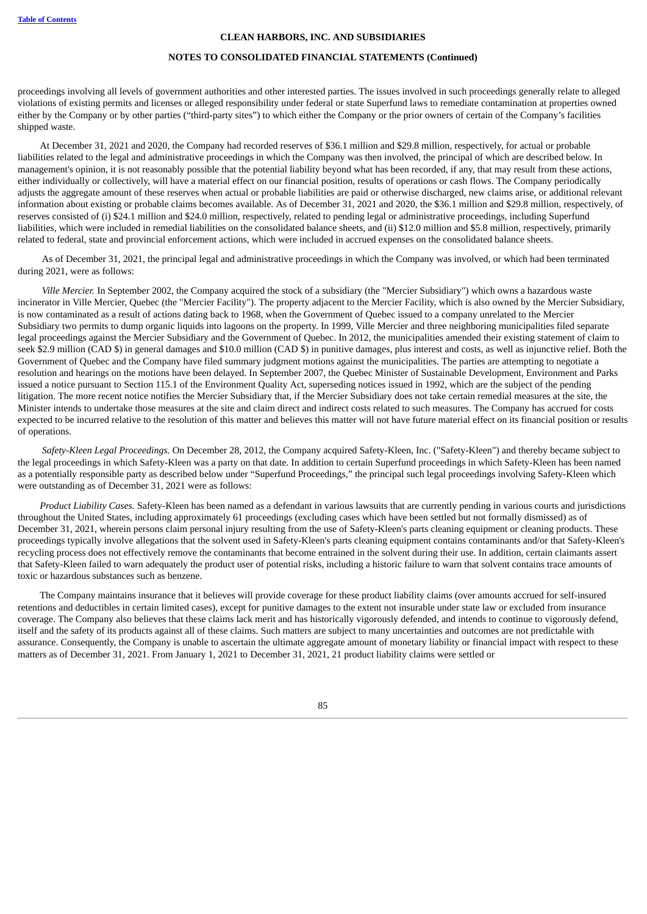# **NOTES TO CONSOLIDATED FINANCIAL STATEMENTS (Continued)**

proceedings involving all levels of government authorities and other interested parties. The issues involved in such proceedings generally relate to alleged violations of existing permits and licenses or alleged responsibility under federal or state Superfund laws to remediate contamination at properties owned either by the Company or by other parties ("third-party sites") to which either the Company or the prior owners of certain of the Company's facilities shipped waste.

At December 31, 2021 and 2020, the Company had recorded reserves of \$36.1 million and \$29.8 million, respectively, for actual or probable liabilities related to the legal and administrative proceedings in which the Company was then involved, the principal of which are described below. In management's opinion, it is not reasonably possible that the potential liability beyond what has been recorded, if any, that may result from these actions, either individually or collectively, will have a material effect on our financial position, results of operations or cash flows. The Company periodically adjusts the aggregate amount of these reserves when actual or probable liabilities are paid or otherwise discharged, new claims arise, or additional relevant information about existing or probable claims becomes available. As of December 31, 2021 and 2020, the \$36.1 million and \$29.8 million, respectively, of reserves consisted of (i) \$24.1 million and \$24.0 million, respectively, related to pending legal or administrative proceedings, including Superfund liabilities, which were included in remedial liabilities on the consolidated balance sheets, and (ii) \$12.0 million and \$5.8 million, respectively, primarily related to federal, state and provincial enforcement actions, which were included in accrued expenses on the consolidated balance sheets.

As of December 31, 2021, the principal legal and administrative proceedings in which the Company was involved, or which had been terminated during 2021, were as follows:

*Ville Mercier.* In September 2002, the Company acquired the stock of a subsidiary (the "Mercier Subsidiary") which owns a hazardous waste incinerator in Ville Mercier, Quebec (the "Mercier Facility"). The property adjacent to the Mercier Facility, which is also owned by the Mercier Subsidiary, is now contaminated as a result of actions dating back to 1968, when the Government of Quebec issued to a company unrelated to the Mercier Subsidiary two permits to dump organic liquids into lagoons on the property. In 1999, Ville Mercier and three neighboring municipalities filed separate legal proceedings against the Mercier Subsidiary and the Government of Quebec. In 2012, the municipalities amended their existing statement of claim to seek \$2.9 million (CAD \$) in general damages and \$10.0 million (CAD \$) in punitive damages, plus interest and costs, as well as injunctive relief. Both the Government of Quebec and the Company have filed summary judgment motions against the municipalities. The parties are attempting to negotiate a resolution and hearings on the motions have been delayed. In September 2007, the Quebec Minister of Sustainable Development, Environment and Parks issued a notice pursuant to Section 115.1 of the Environment Quality Act, superseding notices issued in 1992, which are the subject of the pending litigation. The more recent notice notifies the Mercier Subsidiary that, if the Mercier Subsidiary does not take certain remedial measures at the site, the Minister intends to undertake those measures at the site and claim direct and indirect costs related to such measures. The Company has accrued for costs expected to be incurred relative to the resolution of this matter and believes this matter will not have future material effect on its financial position or results of operations.

*Safety-Kleen Legal Proceedings.* On December 28, 2012, the Company acquired Safety-Kleen, Inc. ("Safety-Kleen") and thereby became subject to the legal proceedings in which Safety-Kleen was a party on that date. In addition to certain Superfund proceedings in which Safety-Kleen has been named as a potentially responsible party as described below under "Superfund Proceedings," the principal such legal proceedings involving Safety-Kleen which were outstanding as of December 31, 2021 were as follows:

*Product Liability Cases.* Safety-Kleen has been named as a defendant in various lawsuits that are currently pending in various courts and jurisdictions throughout the United States, including approximately 61 proceedings (excluding cases which have been settled but not formally dismissed) as of December 31, 2021, wherein persons claim personal injury resulting from the use of Safety-Kleen's parts cleaning equipment or cleaning products. These proceedings typically involve allegations that the solvent used in Safety-Kleen's parts cleaning equipment contains contaminants and/or that Safety-Kleen's recycling process does not effectively remove the contaminants that become entrained in the solvent during their use. In addition, certain claimants assert that Safety-Kleen failed to warn adequately the product user of potential risks, including a historic failure to warn that solvent contains trace amounts of toxic or hazardous substances such as benzene.

The Company maintains insurance that it believes will provide coverage for these product liability claims (over amounts accrued for self-insured retentions and deductibles in certain limited cases), except for punitive damages to the extent not insurable under state law or excluded from insurance coverage. The Company also believes that these claims lack merit and has historically vigorously defended, and intends to continue to vigorously defend, itself and the safety of its products against all of these claims. Such matters are subject to many uncertainties and outcomes are not predictable with assurance. Consequently, the Company is unable to ascertain the ultimate aggregate amount of monetary liability or financial impact with respect to these matters as of December 31, 2021. From January 1, 2021 to December 31, 2021, 21 product liability claims were settled or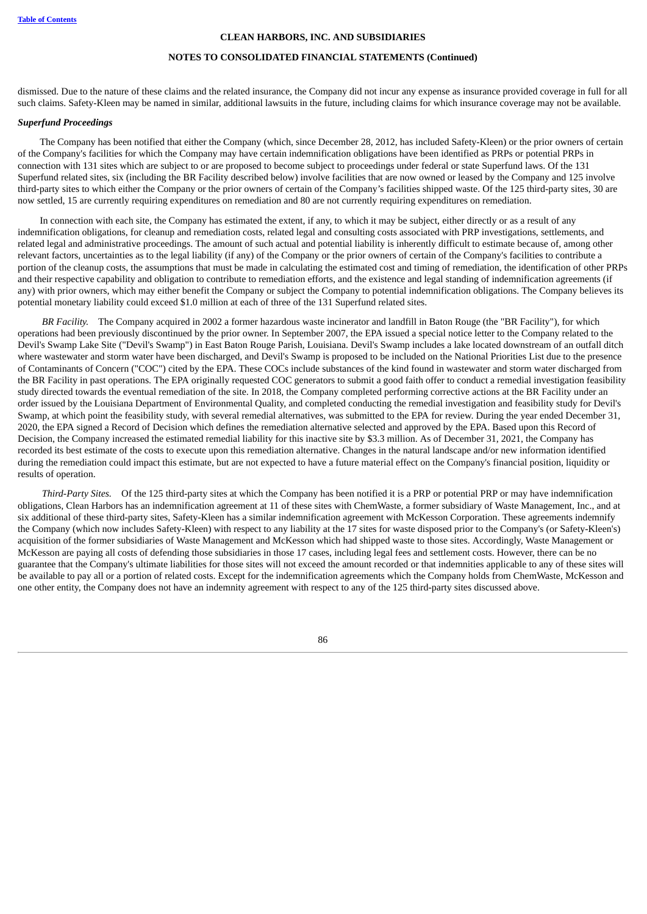## **NOTES TO CONSOLIDATED FINANCIAL STATEMENTS (Continued)**

dismissed. Due to the nature of these claims and the related insurance, the Company did not incur any expense as insurance provided coverage in full for all such claims. Safety-Kleen may be named in similar, additional lawsuits in the future, including claims for which insurance coverage may not be available.

#### *Superfund Proceedings*

The Company has been notified that either the Company (which, since December 28, 2012, has included Safety-Kleen) or the prior owners of certain of the Company's facilities for which the Company may have certain indemnification obligations have been identified as PRPs or potential PRPs in connection with 131 sites which are subject to or are proposed to become subject to proceedings under federal or state Superfund laws. Of the 131 Superfund related sites, six (including the BR Facility described below) involve facilities that are now owned or leased by the Company and 125 involve third-party sites to which either the Company or the prior owners of certain of the Company's facilities shipped waste. Of the 125 third-party sites, 30 are now settled, 15 are currently requiring expenditures on remediation and 80 are not currently requiring expenditures on remediation.

In connection with each site, the Company has estimated the extent, if any, to which it may be subject, either directly or as a result of any indemnification obligations, for cleanup and remediation costs, related legal and consulting costs associated with PRP investigations, settlements, and related legal and administrative proceedings. The amount of such actual and potential liability is inherently difficult to estimate because of, among other relevant factors, uncertainties as to the legal liability (if any) of the Company or the prior owners of certain of the Company's facilities to contribute a portion of the cleanup costs, the assumptions that must be made in calculating the estimated cost and timing of remediation, the identification of other PRPs and their respective capability and obligation to contribute to remediation efforts, and the existence and legal standing of indemnification agreements (if any) with prior owners, which may either benefit the Company or subject the Company to potential indemnification obligations. The Company believes its potential monetary liability could exceed \$1.0 million at each of three of the 131 Superfund related sites.

*BR Facility.* The Company acquired in 2002 a former hazardous waste incinerator and landfill in Baton Rouge (the "BR Facility"), for which operations had been previously discontinued by the prior owner. In September 2007, the EPA issued a special notice letter to the Company related to the Devil's Swamp Lake Site ("Devil's Swamp") in East Baton Rouge Parish, Louisiana. Devil's Swamp includes a lake located downstream of an outfall ditch where wastewater and storm water have been discharged, and Devil's Swamp is proposed to be included on the National Priorities List due to the presence of Contaminants of Concern ("COC") cited by the EPA. These COCs include substances of the kind found in wastewater and storm water discharged from the BR Facility in past operations. The EPA originally requested COC generators to submit a good faith offer to conduct a remedial investigation feasibility study directed towards the eventual remediation of the site. In 2018, the Company completed performing corrective actions at the BR Facility under an order issued by the Louisiana Department of Environmental Quality, and completed conducting the remedial investigation and feasibility study for Devil's Swamp, at which point the feasibility study, with several remedial alternatives, was submitted to the EPA for review. During the year ended December 31, 2020, the EPA signed a Record of Decision which defines the remediation alternative selected and approved by the EPA. Based upon this Record of Decision, the Company increased the estimated remedial liability for this inactive site by \$3.3 million. As of December 31, 2021, the Company has recorded its best estimate of the costs to execute upon this remediation alternative. Changes in the natural landscape and/or new information identified during the remediation could impact this estimate, but are not expected to have a future material effect on the Company's financial position, liquidity or results of operation.

*Third-Party Sites.* Of the 125 third-party sites at which the Company has been notified it is a PRP or potential PRP or may have indemnification obligations, Clean Harbors has an indemnification agreement at 11 of these sites with ChemWaste, a former subsidiary of Waste Management, Inc., and at six additional of these third-party sites, Safety-Kleen has a similar indemnification agreement with McKesson Corporation. These agreements indemnify the Company (which now includes Safety-Kleen) with respect to any liability at the 17 sites for waste disposed prior to the Company's (or Safety-Kleen's) acquisition of the former subsidiaries of Waste Management and McKesson which had shipped waste to those sites. Accordingly, Waste Management or McKesson are paying all costs of defending those subsidiaries in those 17 cases, including legal fees and settlement costs. However, there can be no guarantee that the Company's ultimate liabilities for those sites will not exceed the amount recorded or that indemnities applicable to any of these sites will be available to pay all or a portion of related costs. Except for the indemnification agreements which the Company holds from ChemWaste, McKesson and one other entity, the Company does not have an indemnity agreement with respect to any of the 125 third-party sites discussed above.

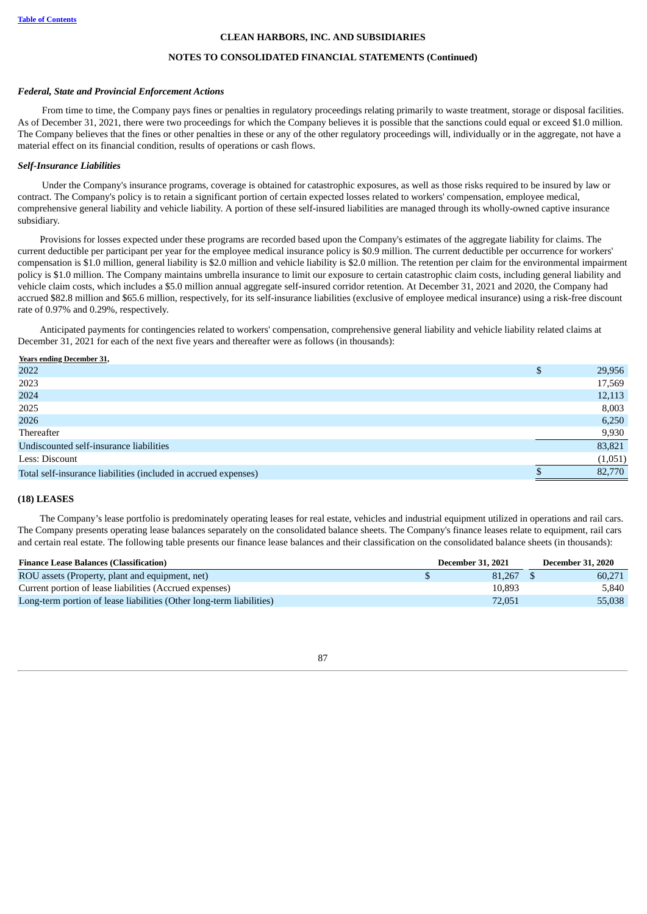#### **NOTES TO CONSOLIDATED FINANCIAL STATEMENTS (Continued)**

#### *Federal, State and Provincial Enforcement Actions*

From time to time, the Company pays fines or penalties in regulatory proceedings relating primarily to waste treatment, storage or disposal facilities. As of December 31, 2021, there were two proceedings for which the Company believes it is possible that the sanctions could equal or exceed \$1.0 million. The Company believes that the fines or other penalties in these or any of the other regulatory proceedings will, individually or in the aggregate, not have a material effect on its financial condition, results of operations or cash flows.

## *Self-Insurance Liabilities*

Under the Company's insurance programs, coverage is obtained for catastrophic exposures, as well as those risks required to be insured by law or contract. The Company's policy is to retain a significant portion of certain expected losses related to workers' compensation, employee medical, comprehensive general liability and vehicle liability. A portion of these self-insured liabilities are managed through its wholly-owned captive insurance subsidiary.

Provisions for losses expected under these programs are recorded based upon the Company's estimates of the aggregate liability for claims. The current deductible per participant per year for the employee medical insurance policy is \$0.9 million. The current deductible per occurrence for workers' compensation is \$1.0 million, general liability is \$2.0 million and vehicle liability is \$2.0 million. The retention per claim for the environmental impairment policy is \$1.0 million. The Company maintains umbrella insurance to limit our exposure to certain catastrophic claim costs, including general liability and vehicle claim costs, which includes a \$5.0 million annual aggregate self-insured corridor retention. At December 31, 2021 and 2020, the Company had accrued \$82.8 million and \$65.6 million, respectively, for its self-insurance liabilities (exclusive of employee medical insurance) using a risk-free discount rate of 0.97% and 0.29%, respectively.

Anticipated payments for contingencies related to workers' compensation, comprehensive general liability and vehicle liability related claims at December 31, 2021 for each of the next five years and thereafter were as follows (in thousands):

**Years ending December 31,**

| 2022                                                            | 29,956  |
|-----------------------------------------------------------------|---------|
| 2023                                                            | 17,569  |
| 2024                                                            | 12,113  |
| 2025                                                            | 8,003   |
| 2026                                                            | 6,250   |
| Thereafter                                                      | 9,930   |
| Undiscounted self-insurance liabilities                         | 83,821  |
| Less: Discount                                                  | (1,051) |
| Total self-insurance liabilities (included in accrued expenses) | 82,770  |
|                                                                 |         |

#### **(18) LEASES**

The Company's lease portfolio is predominately operating leases for real estate, vehicles and industrial equipment utilized in operations and rail cars. The Company presents operating lease balances separately on the consolidated balance sheets. The Company's finance leases relate to equipment, rail cars and certain real estate. The following table presents our finance lease balances and their classification on the consolidated balance sheets (in thousands):

| <b>Finance Lease Balances (Classification)</b>                       |  | <b>December 31, 2021</b> | <b>December 31, 2020</b> |
|----------------------------------------------------------------------|--|--------------------------|--------------------------|
| ROU assets (Property, plant and equipment, net)                      |  | 81,267                   | 60.271                   |
| Current portion of lease liabilities (Accrued expenses)              |  | 10,893                   | 5.840                    |
| Long-term portion of lease liabilities (Other long-term liabilities) |  | 72,051                   | 55,038                   |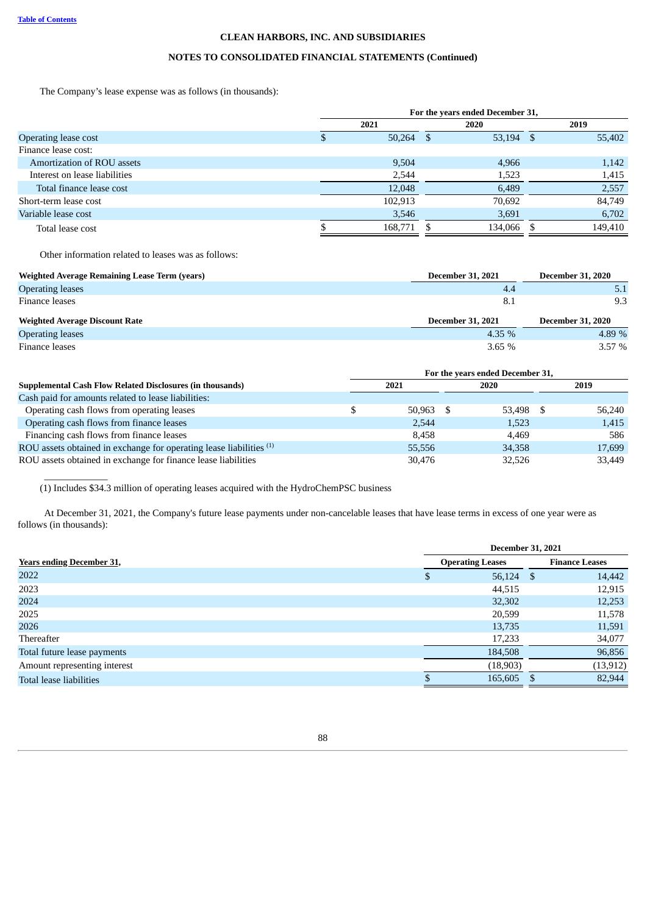# **NOTES TO CONSOLIDATED FINANCIAL STATEMENTS (Continued)**

The Company's lease expense was as follows (in thousands):

|                               | For the years ended December 31, |         |     |           |  |         |  |  |
|-------------------------------|----------------------------------|---------|-----|-----------|--|---------|--|--|
|                               |                                  | 2021    |     | 2020      |  | 2019    |  |  |
| <b>Operating lease cost</b>   |                                  | 50,264  | - S | 53,194 \$ |  | 55,402  |  |  |
| Finance lease cost:           |                                  |         |     |           |  |         |  |  |
| Amortization of ROU assets    |                                  | 9,504   |     | 4,966     |  | 1,142   |  |  |
| Interest on lease liabilities |                                  | 2,544   |     | 1,523     |  | 1,415   |  |  |
| Total finance lease cost      |                                  | 12,048  |     | 6,489     |  | 2,557   |  |  |
| Short-term lease cost         |                                  | 102.913 |     | 70,692    |  | 84.749  |  |  |
| Variable lease cost           |                                  | 3,546   |     | 3,691     |  | 6,702   |  |  |
| Total lease cost              |                                  | 168,771 |     | 134,066   |  | 149,410 |  |  |

Other information related to leases was as follows:

\_\_\_\_\_\_\_\_\_\_\_\_\_

| <b>Weighted Average Remaining Lease Term (years)</b> | <b>December 31, 2021</b> | <b>December 31, 2020</b> |
|------------------------------------------------------|--------------------------|--------------------------|
| <b>Operating leases</b>                              | 4.4                      |                          |
| Finance leases                                       | 8.1                      | 9.3                      |
|                                                      |                          |                          |
| <b>Weighted Average Discount Rate</b>                | <b>December 31, 2021</b> | <b>December 31, 2020</b> |
| <b>Operating leases</b>                              | 4.35 $%$                 | 4.89 %                   |

|                                                                                | For the years ended December 31, |             |        |     |        |  |  |  |  |  |
|--------------------------------------------------------------------------------|----------------------------------|-------------|--------|-----|--------|--|--|--|--|--|
| <b>Supplemental Cash Flow Related Disclosures (in thousands)</b>               |                                  | 2021        | 2020   |     | 2019   |  |  |  |  |  |
| Cash paid for amounts related to lease liabilities:                            |                                  |             |        |     |        |  |  |  |  |  |
| Operating cash flows from operating leases                                     |                                  | $50,963$ \$ | 53,498 | - S | 56.240 |  |  |  |  |  |
| Operating cash flows from finance leases                                       |                                  | 2,544       | 1,523  |     | 1,415  |  |  |  |  |  |
| Financing cash flows from finance leases                                       |                                  | 8.458       | 4.469  |     | 586    |  |  |  |  |  |
| ROU assets obtained in exchange for operating lease liabilities <sup>(1)</sup> |                                  | 55,556      | 34,358 |     | 17,699 |  |  |  |  |  |
| ROU assets obtained in exchange for finance lease liabilities                  |                                  | 30,476      | 32.526 |     | 33,449 |  |  |  |  |  |

(1) Includes \$34.3 million of operating leases acquired with the HydroChemPSC business

At December 31, 2021, the Company's future lease payments under non-cancelable leases that have lease terms in excess of one year were as follows (in thousands):

|                                  | <b>December 31, 2021</b> |                       |
|----------------------------------|--------------------------|-----------------------|
| <b>Years ending December 31,</b> | <b>Operating Leases</b>  | <b>Finance Leases</b> |
| 2022                             | \$<br>56,124 \$          | 14,442                |
| 2023                             | 44,515                   | 12,915                |
| 2024                             | 32,302                   | 12,253                |
| 2025                             | 20,599                   | 11,578                |
| 2026                             | 13,735                   | 11,591                |
| Thereafter                       | 17,233                   | 34,077                |
| Total future lease payments      | 184,508                  | 96,856                |
| Amount representing interest     | (18,903)                 | (13, 912)             |
| Total lease liabilities          | 165,605                  | 82,944                |
|                                  |                          |                       |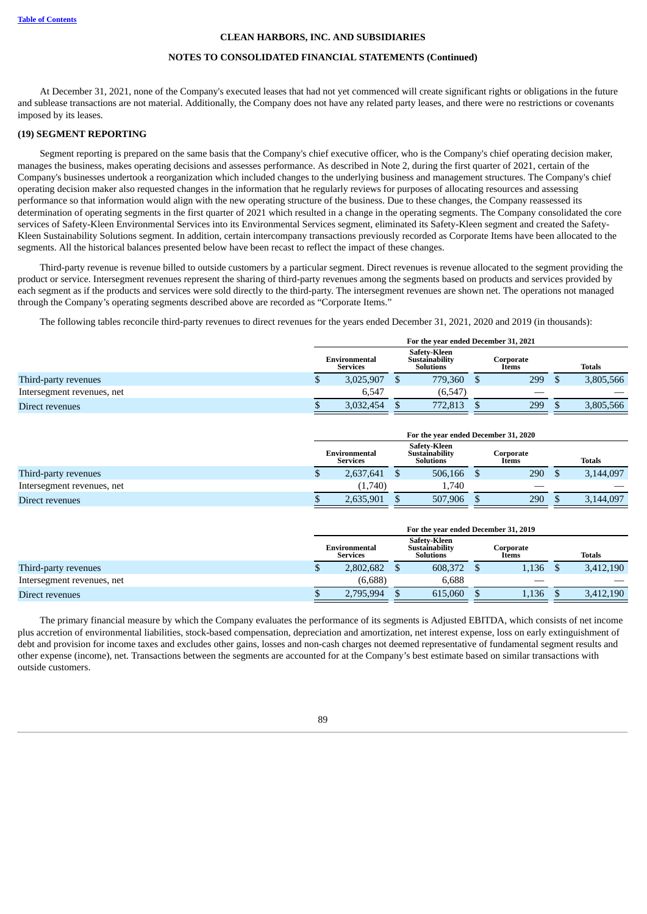# **NOTES TO CONSOLIDATED FINANCIAL STATEMENTS (Continued)**

At December 31, 2021, none of the Company's executed leases that had not yet commenced will create significant rights or obligations in the future and sublease transactions are not material. Additionally, the Company does not have any related party leases, and there were no restrictions or covenants imposed by its leases.

#### **(19) SEGMENT REPORTING**

Segment reporting is prepared on the same basis that the Company's chief executive officer, who is the Company's chief operating decision maker, manages the business, makes operating decisions and assesses performance. As described in Note 2, during the first quarter of 2021, certain of the Company's businesses undertook a reorganization which included changes to the underlying business and management structures. The Company's chief operating decision maker also requested changes in the information that he regularly reviews for purposes of allocating resources and assessing performance so that information would align with the new operating structure of the business. Due to these changes, the Company reassessed its determination of operating segments in the first quarter of 2021 which resulted in a change in the operating segments. The Company consolidated the core services of Safety-Kleen Environmental Services into its Environmental Services segment, eliminated its Safety-Kleen segment and created the Safety-Kleen Sustainability Solutions segment. In addition, certain intercompany transactions previously recorded as Corporate Items have been allocated to the segments. All the historical balances presented below have been recast to reflect the impact of these changes.

Third-party revenue is revenue billed to outside customers by a particular segment. Direct revenues is revenue allocated to the segment providing the product or service. Intersegment revenues represent the sharing of third-party revenues among the segments based on products and services provided by each segment as if the products and services were sold directly to the third-party. The intersegment revenues are shown net. The operations not managed through the Company's operating segments described above are recorded as "Corporate Items."

The following tables reconcile third-party revenues to direct revenues for the years ended December 31, 2021, 2020 and 2019 (in thousands):

|                            | For the year ended December 31, 2021 |                                  |  |                                                    |  |                    |  |               |
|----------------------------|--------------------------------------|----------------------------------|--|----------------------------------------------------|--|--------------------|--|---------------|
|                            |                                      | Environmental<br><b>Services</b> |  | Safety-Kleen<br>Sustainability<br><b>Solutions</b> |  | Corporate<br>Items |  | <b>Totals</b> |
| Third-party revenues       |                                      | 3.025.907                        |  | 779.360                                            |  | 299                |  | 3,805,566     |
| Intersegment revenues, net |                                      | 6.547                            |  | (6,547)                                            |  |                    |  |               |
| Direct revenues            |                                      | 3.032.454                        |  | 772,813                                            |  | 299                |  | 3,805,566     |

|                            | For the year ended December 31, 2020 |                                  |  |                                             |  |                    |  |               |  |
|----------------------------|--------------------------------------|----------------------------------|--|---------------------------------------------|--|--------------------|--|---------------|--|
|                            |                                      | Environmental<br><b>Services</b> |  | Safetv-Kleen<br>Sustainability<br>Solutions |  | Corporate<br>Items |  | <b>Totals</b> |  |
| Third-party revenues       | ч                                    | 2,637,641                        |  | 506,166                                     |  | 290                |  | 3,144,097     |  |
| Intersegment revenues, net |                                      | (1,740)                          |  | 1.740                                       |  |                    |  |               |  |
| Direct revenues            |                                      | 2,635,901                        |  | 507,906                                     |  | 290                |  | 3,144,097     |  |

|                            | For the year ended December 31, 2019 |  |                                             |  |                    |  |               |  |  |
|----------------------------|--------------------------------------|--|---------------------------------------------|--|--------------------|--|---------------|--|--|
|                            | Environmental<br><b>Services</b>     |  | Safety-Kleen<br>Sustainability<br>Solutions |  | Corporate<br>Items |  | <b>Totals</b> |  |  |
| Third-party revenues       | 2,802,682                            |  | 608,372                                     |  | 1.136              |  | 3,412,190     |  |  |
| Intersegment revenues, net | (6,688)                              |  | 6,688                                       |  | __                 |  |               |  |  |
| Direct revenues            | 2,795,994                            |  | 615,060                                     |  | 1.136              |  | 3,412,190     |  |  |

The primary financial measure by which the Company evaluates the performance of its segments is Adjusted EBITDA, which consists of net income plus accretion of environmental liabilities, stock-based compensation, depreciation and amortization, net interest expense, loss on early extinguishment of debt and provision for income taxes and excludes other gains, losses and non-cash charges not deemed representative of fundamental segment results and other expense (income), net. Transactions between the segments are accounted for at the Company's best estimate based on similar transactions with outside customers.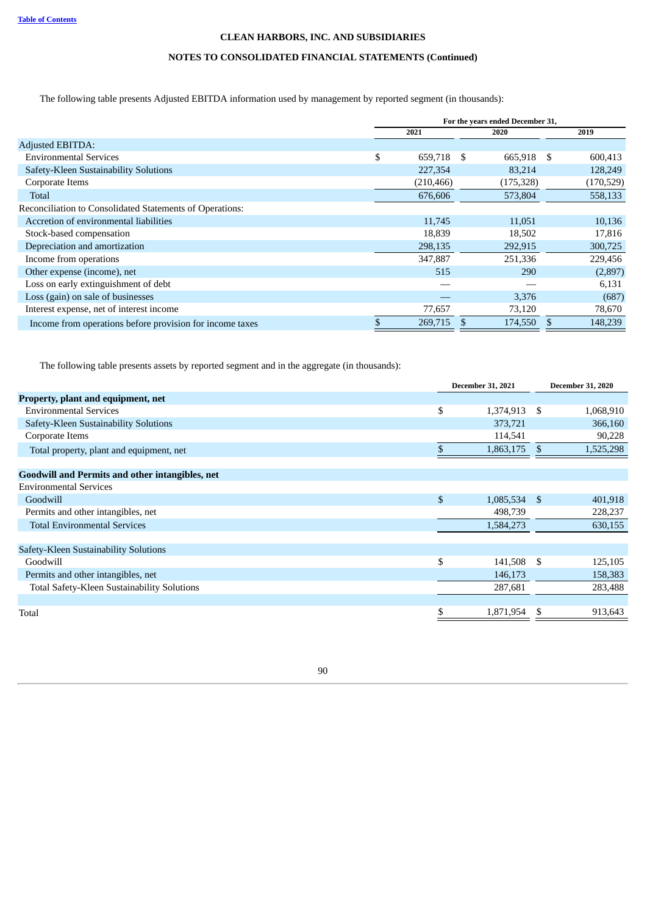# **NOTES TO CONSOLIDATED FINANCIAL STATEMENTS (Continued)**

The following table presents Adjusted EBITDA information used by management by reported segment (in thousands):

|                                                          | For the years ended December 31, |  |            |    |            |  |
|----------------------------------------------------------|----------------------------------|--|------------|----|------------|--|
|                                                          | 2021                             |  | 2020       |    | 2019       |  |
| <b>Adjusted EBITDA:</b>                                  |                                  |  |            |    |            |  |
| <b>Environmental Services</b>                            | \$<br>659,718 \$                 |  | 665,918    | -S | 600,413    |  |
| Safety-Kleen Sustainability Solutions                    | 227,354                          |  | 83,214     |    | 128,249    |  |
| Corporate Items                                          | (210, 466)                       |  | (175, 328) |    | (170, 529) |  |
| Total                                                    | 676,606                          |  | 573,804    |    | 558,133    |  |
| Reconciliation to Consolidated Statements of Operations: |                                  |  |            |    |            |  |
| Accretion of environmental liabilities                   | 11,745                           |  | 11,051     |    | 10,136     |  |
| Stock-based compensation                                 | 18,839                           |  | 18,502     |    | 17,816     |  |
| Depreciation and amortization                            | 298,135                          |  | 292,915    |    | 300,725    |  |
| Income from operations                                   | 347,887                          |  | 251,336    |    | 229,456    |  |
| Other expense (income), net                              | 515                              |  | 290        |    | (2,897)    |  |
| Loss on early extinguishment of debt                     |                                  |  |            |    | 6,131      |  |
| Loss (gain) on sale of businesses                        |                                  |  | 3,376      |    | (687)      |  |
| Interest expense, net of interest income                 | 77,657                           |  | 73,120     |    | 78,670     |  |
| Income from operations before provision for income taxes | 269,715                          |  | 174,550    | £. | 148,239    |  |

The following table presents assets by reported segment and in the aggregate (in thousands):

|                                                        | <b>December 31, 2021</b> |                |      | <b>December 31, 2020</b> |
|--------------------------------------------------------|--------------------------|----------------|------|--------------------------|
| Property, plant and equipment, net                     |                          |                |      |                          |
| <b>Environmental Services</b>                          | \$                       | 1,374,913      | - \$ | 1,068,910                |
| Safety-Kleen Sustainability Solutions                  |                          | 373,721        |      | 366,160                  |
| Corporate Items                                        |                          | 114,541        |      | 90,228                   |
| Total property, plant and equipment, net               | \$                       | 1,863,175      | \$   | 1,525,298                |
| <b>Goodwill and Permits and other intangibles, net</b> |                          |                |      |                          |
| <b>Environmental Services</b>                          |                          |                |      |                          |
| Goodwill                                               | \$                       | $1,085,534$ \$ |      | 401,918                  |
| Permits and other intangibles, net                     |                          | 498,739        |      | 228,237                  |
| <b>Total Environmental Services</b>                    |                          | 1,584,273      |      | 630,155                  |
| Safety-Kleen Sustainability Solutions                  |                          |                |      |                          |
| Goodwill                                               | \$                       | 141,508 \$     |      | 125,105                  |
| Permits and other intangibles, net                     |                          | 146,173        |      | 158,383                  |
| Total Safety-Kleen Sustainability Solutions            |                          | 287,681        |      | 283,488                  |
|                                                        |                          |                |      |                          |
| Total                                                  |                          | 1,871,954      | \$   | 913,643                  |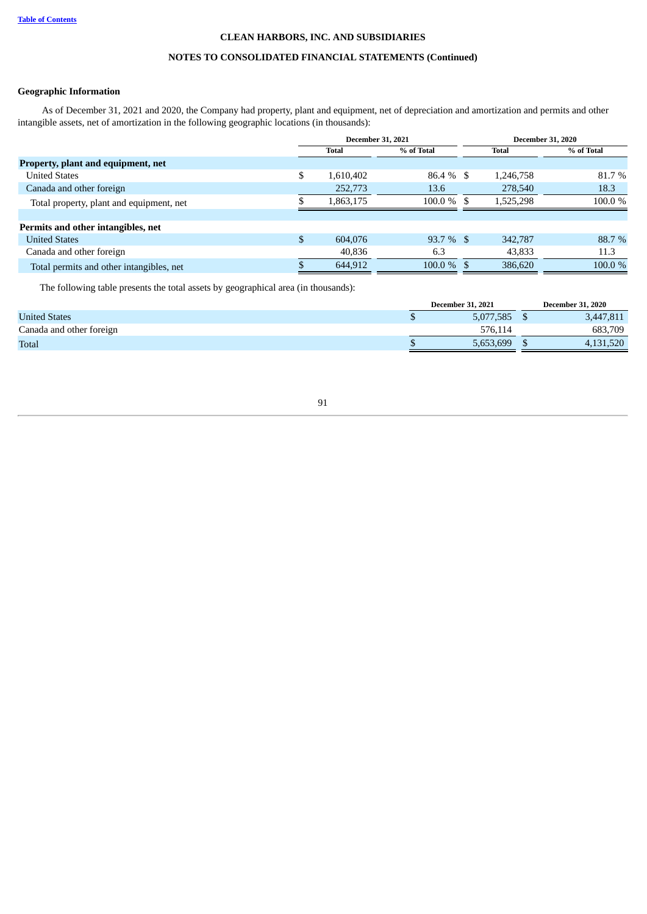# **NOTES TO CONSOLIDATED FINANCIAL STATEMENTS (Continued)**

# **Geographic Information**

As of December 31, 2021 and 2020, the Company had property, plant and equipment, net of depreciation and amortization and permits and other intangible assets, net of amortization in the following geographic locations (in thousands):

|                                          |                                     |           | <b>December 31, 2021</b> |  |            | <b>December 31, 2020</b> |
|------------------------------------------|-------------------------------------|-----------|--------------------------|--|------------|--------------------------|
|                                          | % of Total<br><b>Total</b><br>Total |           |                          |  | % of Total |                          |
| Property, plant and equipment, net       |                                     |           |                          |  |            |                          |
| <b>United States</b>                     | \$                                  | 1,610,402 | $86.4\%$ \$              |  | 1,246,758  | 81.7 %                   |
| Canada and other foreign                 |                                     | 252,773   | 13.6                     |  | 278,540    | 18.3                     |
| Total property, plant and equipment, net |                                     | 1,863,175 | $100.0\%$ \$             |  | 1,525,298  | 100.0%                   |
|                                          |                                     |           |                          |  |            |                          |
| Permits and other intangibles, net       |                                     |           |                          |  |            |                          |
| <b>United States</b>                     | $\mathbb{S}$                        | 604.076   | $93.7\%$ \$              |  | 342,787    | 88.7 %                   |
| Canada and other foreign                 |                                     | 40,836    | 6.3                      |  | 43,833     | 11.3                     |
| Total permits and other intangibles, net |                                     | 644,912   | $100.0\%$ \$             |  | 386,620    | 100.0%                   |

The following table presents the total assets by geographical area (in thousands):

|                          | <b>December 31, 2021</b> | <b>December 31, 2020</b> |
|--------------------------|--------------------------|--------------------------|
| <b>United States</b>     | 5,077,585                | 3,447,811                |
| Canada and other foreign | 576.114                  | 683,709                  |
| <b>Total</b>             | 5,653,699                | 1,520                    |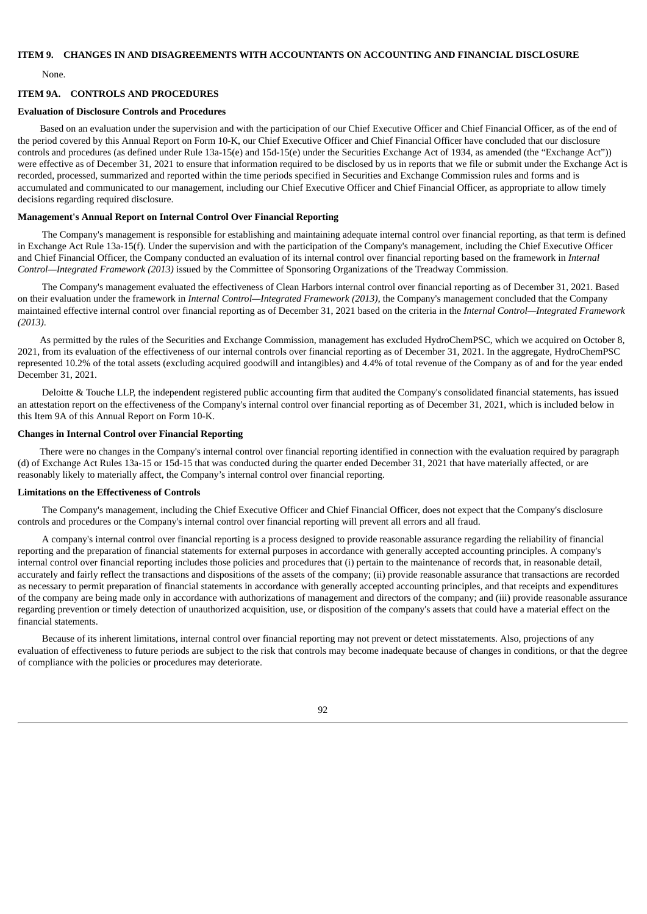# **ITEM 9. CHANGES IN AND DISAGREEMENTS WITH ACCOUNTANTS ON ACCOUNTING AND FINANCIAL DISCLOSURE**

None.

### **ITEM 9A. CONTROLS AND PROCEDURES**

#### **Evaluation of Disclosure Controls and Procedures**

Based on an evaluation under the supervision and with the participation of our Chief Executive Officer and Chief Financial Officer, as of the end of the period covered by this Annual Report on Form 10-K, our Chief Executive Officer and Chief Financial Officer have concluded that our disclosure controls and procedures (as defined under Rule 13a-15(e) and 15d-15(e) under the Securities Exchange Act of 1934, as amended (the "Exchange Act")) were effective as of December 31, 2021 to ensure that information required to be disclosed by us in reports that we file or submit under the Exchange Act is recorded, processed, summarized and reported within the time periods specified in Securities and Exchange Commission rules and forms and is accumulated and communicated to our management, including our Chief Executive Officer and Chief Financial Officer, as appropriate to allow timely decisions regarding required disclosure.

### **Management's Annual Report on Internal Control Over Financial Reporting**

The Company's management is responsible for establishing and maintaining adequate internal control over financial reporting, as that term is defined in Exchange Act Rule 13a-15(f). Under the supervision and with the participation of the Company's management, including the Chief Executive Officer and Chief Financial Officer, the Company conducted an evaluation of its internal control over financial reporting based on the framework in *Internal Control—Integrated Framework (2013)* issued by the Committee of Sponsoring Organizations of the Treadway Commission.

The Company's management evaluated the effectiveness of Clean Harbors internal control over financial reporting as of December 31, 2021. Based on their evaluation under the framework in *Internal Control—Integrated Framework (2013)*, the Company's management concluded that the Company maintained effective internal control over financial reporting as of December 31, 2021 based on the criteria in the *Internal Control—Integrated Framework (2013)*.

As permitted by the rules of the Securities and Exchange Commission, management has excluded HydroChemPSC, which we acquired on October 8, 2021, from its evaluation of the effectiveness of our internal controls over financial reporting as of December 31, 2021. In the aggregate, HydroChemPSC represented 10.2% of the total assets (excluding acquired goodwill and intangibles) and 4.4% of total revenue of the Company as of and for the year ended December 31, 2021.

Deloitte & Touche LLP, the independent registered public accounting firm that audited the Company's consolidated financial statements, has issued an attestation report on the effectiveness of the Company's internal control over financial reporting as of December 31, 2021, which is included below in this Item 9A of this Annual Report on Form 10-K.

# **Changes in Internal Control over Financial Reporting**

There were no changes in the Company's internal control over financial reporting identified in connection with the evaluation required by paragraph (d) of Exchange Act Rules 13a-15 or 15d-15 that was conducted during the quarter ended December 31, 2021 that have materially affected, or are reasonably likely to materially affect, the Company's internal control over financial reporting.

#### **Limitations on the Effectiveness of Controls**

The Company's management, including the Chief Executive Officer and Chief Financial Officer, does not expect that the Company's disclosure controls and procedures or the Company's internal control over financial reporting will prevent all errors and all fraud.

A company's internal control over financial reporting is a process designed to provide reasonable assurance regarding the reliability of financial reporting and the preparation of financial statements for external purposes in accordance with generally accepted accounting principles. A company's internal control over financial reporting includes those policies and procedures that (i) pertain to the maintenance of records that, in reasonable detail, accurately and fairly reflect the transactions and dispositions of the assets of the company; (ii) provide reasonable assurance that transactions are recorded as necessary to permit preparation of financial statements in accordance with generally accepted accounting principles, and that receipts and expenditures of the company are being made only in accordance with authorizations of management and directors of the company; and (iii) provide reasonable assurance regarding prevention or timely detection of unauthorized acquisition, use, or disposition of the company's assets that could have a material effect on the financial statements.

Because of its inherent limitations, internal control over financial reporting may not prevent or detect misstatements. Also, projections of any evaluation of effectiveness to future periods are subject to the risk that controls may become inadequate because of changes in conditions, or that the degree of compliance with the policies or procedures may deteriorate.

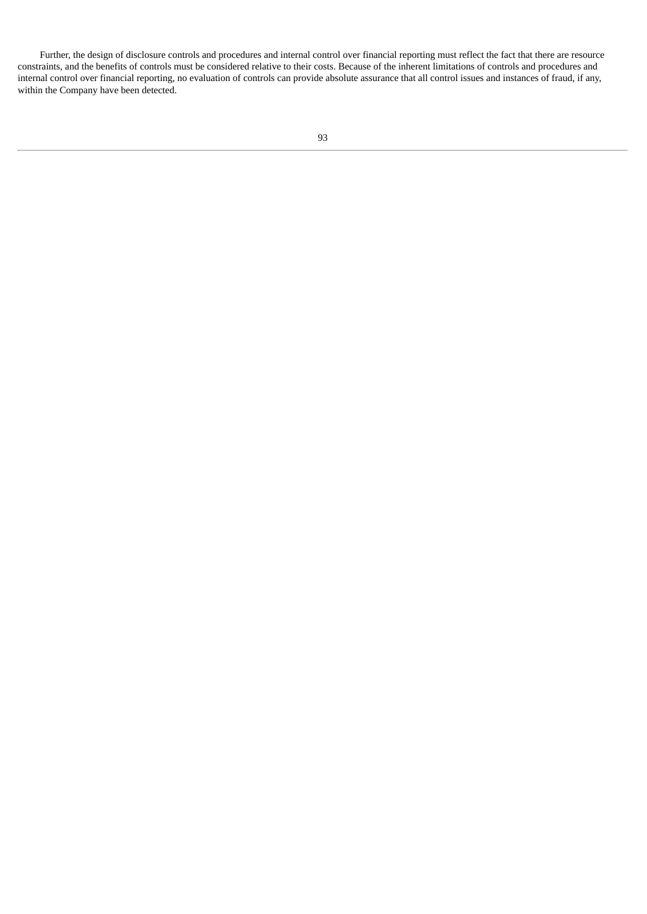Further, the design of disclosure controls and procedures and internal control over financial reporting must reflect the fact that there are resource constraints, and the benefits of controls must be considered relative to their costs. Because of the inherent limitations of controls and procedures and internal control over financial reporting, no evaluation of controls can provide absolute assurance that all control issues and instances of fraud, if any, within the Company have been detected.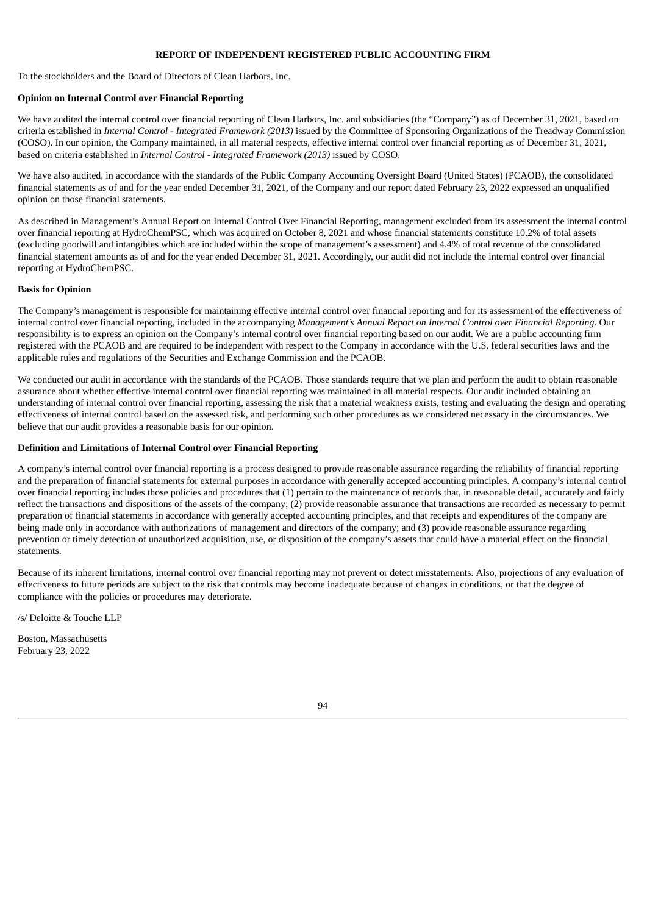# **REPORT OF INDEPENDENT REGISTERED PUBLIC ACCOUNTING FIRM**

To the stockholders and the Board of Directors of Clean Harbors, Inc.

## **Opinion on Internal Control over Financial Reporting**

We have audited the internal control over financial reporting of Clean Harbors, Inc. and subsidiaries (the "Company") as of December 31, 2021, based on criteria established in *Internal Control - Integrated Framework (2013)* issued by the Committee of Sponsoring Organizations of the Treadway Commission (COSO). In our opinion, the Company maintained, in all material respects, effective internal control over financial reporting as of December 31, 2021, based on criteria established in *Internal Control - Integrated Framework (2013)* issued by COSO.

We have also audited, in accordance with the standards of the Public Company Accounting Oversight Board (United States) (PCAOB), the consolidated financial statements as of and for the year ended December 31, 2021, of the Company and our report dated February 23, 2022 expressed an unqualified opinion on those financial statements.

As described in Management's Annual Report on Internal Control Over Financial Reporting, management excluded from its assessment the internal control over financial reporting at HydroChemPSC, which was acquired on October 8, 2021 and whose financial statements constitute 10.2% of total assets (excluding goodwill and intangibles which are included within the scope of management's assessment) and 4.4% of total revenue of the consolidated financial statement amounts as of and for the year ended December 31, 2021. Accordingly, our audit did not include the internal control over financial reporting at HydroChemPSC.

## **Basis for Opinion**

The Company's management is responsible for maintaining effective internal control over financial reporting and for its assessment of the effectiveness of internal control over financial reporting, included in the accompanying *Management's Annual Report on Internal Control over Financial Reporting*. Our responsibility is to express an opinion on the Company's internal control over financial reporting based on our audit. We are a public accounting firm registered with the PCAOB and are required to be independent with respect to the Company in accordance with the U.S. federal securities laws and the applicable rules and regulations of the Securities and Exchange Commission and the PCAOB.

We conducted our audit in accordance with the standards of the PCAOB. Those standards require that we plan and perform the audit to obtain reasonable assurance about whether effective internal control over financial reporting was maintained in all material respects. Our audit included obtaining an understanding of internal control over financial reporting, assessing the risk that a material weakness exists, testing and evaluating the design and operating effectiveness of internal control based on the assessed risk, and performing such other procedures as we considered necessary in the circumstances. We believe that our audit provides a reasonable basis for our opinion.

# **Definition and Limitations of Internal Control over Financial Reporting**

A company's internal control over financial reporting is a process designed to provide reasonable assurance regarding the reliability of financial reporting and the preparation of financial statements for external purposes in accordance with generally accepted accounting principles. A company's internal control over financial reporting includes those policies and procedures that (1) pertain to the maintenance of records that, in reasonable detail, accurately and fairly reflect the transactions and dispositions of the assets of the company; (2) provide reasonable assurance that transactions are recorded as necessary to permit preparation of financial statements in accordance with generally accepted accounting principles, and that receipts and expenditures of the company are being made only in accordance with authorizations of management and directors of the company; and (3) provide reasonable assurance regarding prevention or timely detection of unauthorized acquisition, use, or disposition of the company's assets that could have a material effect on the financial statements.

Because of its inherent limitations, internal control over financial reporting may not prevent or detect misstatements. Also, projections of any evaluation of effectiveness to future periods are subject to the risk that controls may become inadequate because of changes in conditions, or that the degree of compliance with the policies or procedures may deteriorate.

/s/ Deloitte & Touche LLP

Boston, Massachusetts February 23, 2022

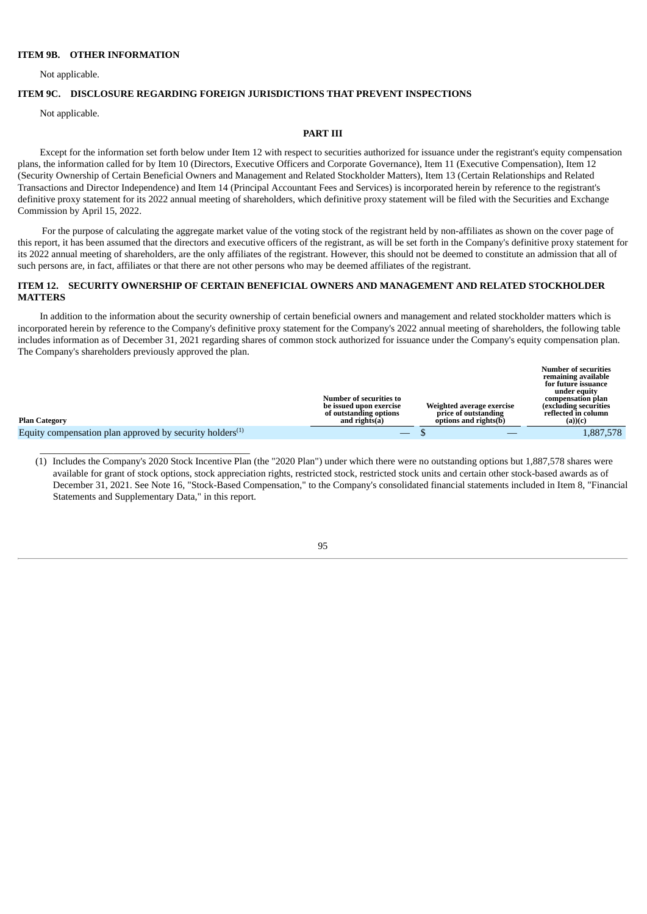### **ITEM 9B. OTHER INFORMATION**

\_\_\_\_\_\_\_\_\_\_\_\_\_\_\_\_\_\_\_\_\_\_\_\_\_\_\_\_\_\_\_\_\_\_\_\_\_\_\_\_\_\_\_

Not applicable.

# **ITEM 9C. DISCLOSURE REGARDING FOREIGN JURISDICTIONS THAT PREVENT INSPECTIONS**

Not applicable.

#### **PART III**

Except for the information set forth below under Item 12 with respect to securities authorized for issuance under the registrant's equity compensation plans, the information called for by Item 10 (Directors, Executive Officers and Corporate Governance), Item 11 (Executive Compensation), Item 12 (Security Ownership of Certain Beneficial Owners and Management and Related Stockholder Matters), Item 13 (Certain Relationships and Related Transactions and Director Independence) and Item 14 (Principal Accountant Fees and Services) is incorporated herein by reference to the registrant's definitive proxy statement for its 2022 annual meeting of shareholders, which definitive proxy statement will be filed with the Securities and Exchange Commission by April 15, 2022.

For the purpose of calculating the aggregate market value of the voting stock of the registrant held by non-affiliates as shown on the cover page of this report, it has been assumed that the directors and executive officers of the registrant, as will be set forth in the Company's definitive proxy statement for its 2022 annual meeting of shareholders, are the only affiliates of the registrant. However, this should not be deemed to constitute an admission that all of such persons are, in fact, affiliates or that there are not other persons who may be deemed affiliates of the registrant.

# **ITEM 12. SECURITY OWNERSHIP OF CERTAIN BENEFICIAL OWNERS AND MANAGEMENT AND RELATED STOCKHOLDER MATTERS**

In addition to the information about the security ownership of certain beneficial owners and management and related stockholder matters which is incorporated herein by reference to the Company's definitive proxy statement for the Company's 2022 annual meeting of shareholders, the following table includes information as of December 31, 2021 regarding shares of common stock authorized for issuance under the Company's equity compensation plan. The Company's shareholders previously approved the plan.

| <b>Plan Category</b>                                        | Number of securities to<br>be issued upon exercise<br>of outstanding options<br>and rights(a) | Weighted average exercise<br>price of outstanding<br>options and rights(b) | Number of securities<br>remaining available<br>for future issuance<br>under equity<br>compensation plan<br>excluding securities)<br>reflected in column<br>$(a))$ (c) |
|-------------------------------------------------------------|-----------------------------------------------------------------------------------------------|----------------------------------------------------------------------------|-----------------------------------------------------------------------------------------------------------------------------------------------------------------------|
| Equity compensation plan approved by security holders $(1)$ |                                                                                               |                                                                            | 1,887,578                                                                                                                                                             |

(1) Includes the Company's 2020 Stock Incentive Plan (the "2020 Plan") under which there were no outstanding options but 1,887,578 shares were available for grant of stock options, stock appreciation rights, restricted stock, restricted stock units and certain other stock-based awards as of December 31, 2021. See Note 16, "Stock-Based Compensation," to the Company's consolidated financial statements included in Item 8, "Financial Statements and Supplementary Data," in this report.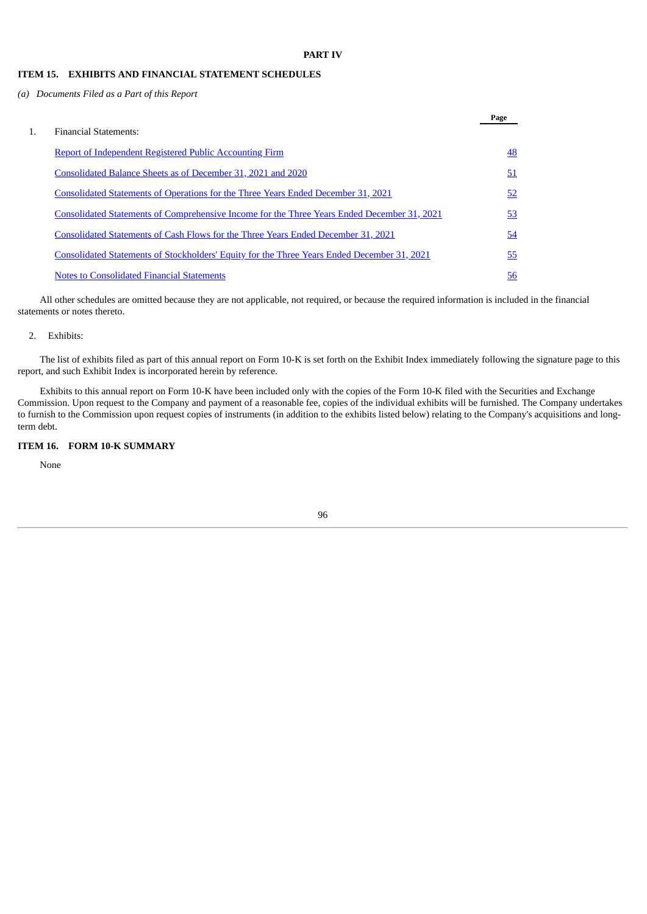**Page**

# **ITEM 15. EXHIBITS AND FINANCIAL STATEMENT SCHEDULES**

*(a) Documents Filed as a Part of this Report*

|    |                                                                                                    | rage      |
|----|----------------------------------------------------------------------------------------------------|-----------|
| 1. | <b>Financial Statements:</b>                                                                       |           |
|    | Report of Independent Registered Public Accounting Firm                                            | 48        |
|    | Consolidated Balance Sheets as of December 31, 2021 and 2020                                       | 51        |
|    | Consolidated Statements of Operations for the Three Years Ended December 31, 2021                  | 52        |
|    | <u>Consolidated Statements of Comprehensive Income for the Three Years Ended December 31, 2021</u> | 53        |
|    | Consolidated Statements of Cash Flows for the Three Years Ended December 31, 2021                  | 54        |
|    | Consolidated Statements of Stockholders' Equity for the Three Years Ended December 31, 2021        | 55        |
|    | <b>Notes to Consolidated Financial Statements</b>                                                  | <u>56</u> |

All other schedules are omitted because they are not applicable, not required, or because the required information is included in the financial statements or notes thereto.

### 2. Exhibits:

The list of exhibits filed as part of this annual report on Form 10-K is set forth on the Exhibit Index immediately following the signature page to this report, and such Exhibit Index is incorporated herein by reference.

Exhibits to this annual report on Form 10-K have been included only with the copies of the Form 10-K filed with the Securities and Exchange Commission. Upon request to the Company and payment of a reasonable fee, copies of the individual exhibits will be furnished. The Company undertakes to furnish to the Commission upon request copies of instruments (in addition to the exhibits listed below) relating to the Company's acquisitions and longterm debt.

# **ITEM 16. FORM 10-K SUMMARY**

None

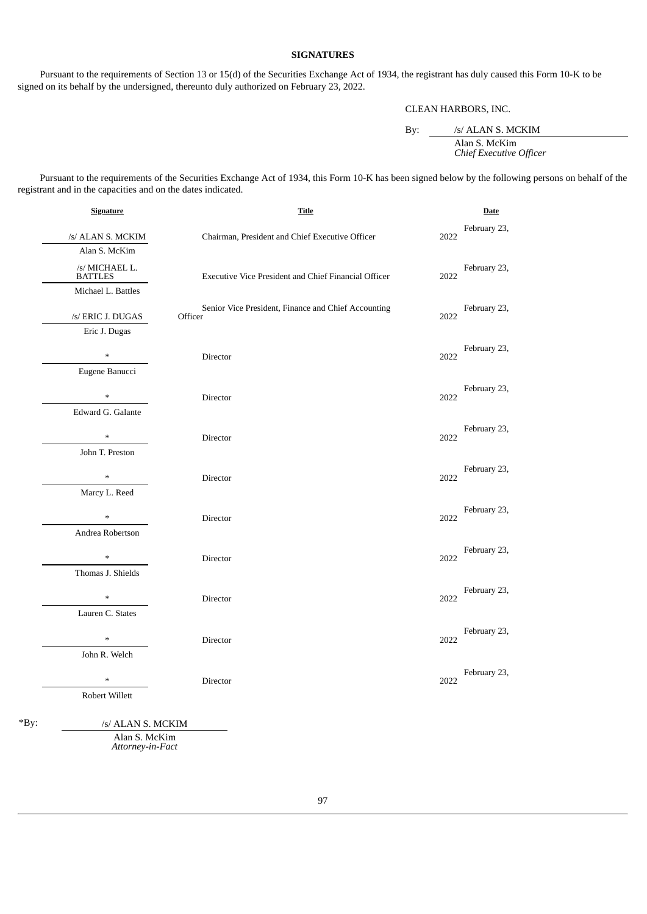# **SIGNATURES**

Pursuant to the requirements of Section 13 or 15(d) of the Securities Exchange Act of 1934, the registrant has duly caused this Form 10-K to be signed on its behalf by the undersigned, thereunto duly authorized on February 23, 2022.

CLEAN HARBORS, INC.

By: /s/ ALAN S. MCKIM Alan S. McKim *Chief Executive Officer*

Pursuant to the requirements of the Securities Exchange Act of 1934, this Form 10-K has been signed below by the following persons on behalf of the registrant and in the capacities and on the dates indicated.

|        | <b>Signature</b>                 | <b>Title</b>                                                   |      | <b>Date</b>  |
|--------|----------------------------------|----------------------------------------------------------------|------|--------------|
|        | /s/ ALAN S. MCKIM                | Chairman, President and Chief Executive Officer                | 2022 | February 23, |
|        | Alan S. McKim                    |                                                                |      |              |
|        | /s/ MICHAEL L.<br><b>BATTLES</b> | Executive Vice President and Chief Financial Officer           | 2022 | February 23, |
|        | Michael L. Battles               |                                                                |      |              |
|        | /s/ ERIC J. DUGAS                | Senior Vice President, Finance and Chief Accounting<br>Officer | 2022 | February 23, |
|        | Eric J. Dugas                    |                                                                |      |              |
|        | $\ast$                           | Director                                                       | 2022 | February 23, |
|        | Eugene Banucci                   |                                                                |      |              |
|        |                                  | Director                                                       | 2022 | February 23, |
|        | Edward G. Galante                |                                                                |      |              |
|        | $\ast$                           | Director                                                       | 2022 | February 23, |
|        | John T. Preston                  |                                                                |      |              |
|        | $\ast$                           | Director                                                       | 2022 | February 23, |
|        | Marcy L. Reed                    |                                                                |      |              |
|        |                                  | Director                                                       | 2022 | February 23, |
|        | Andrea Robertson                 |                                                                |      |              |
|        |                                  | Director                                                       | 2022 | February 23, |
|        | Thomas J. Shields                |                                                                |      |              |
|        | $\ast$                           | Director                                                       | 2022 | February 23, |
|        | Lauren C. States                 |                                                                |      |              |
|        | $\ast$                           | Director                                                       | 2022 | February 23, |
|        | John R. Welch                    |                                                                |      |              |
|        | $\ast$                           | Director                                                       | 2022 | February 23, |
|        | Robert Willett                   |                                                                |      |              |
| $*By:$ | /s/ ALAN S. MCKIM                |                                                                |      |              |

Alan S. McKim *Attorney-in-Fact*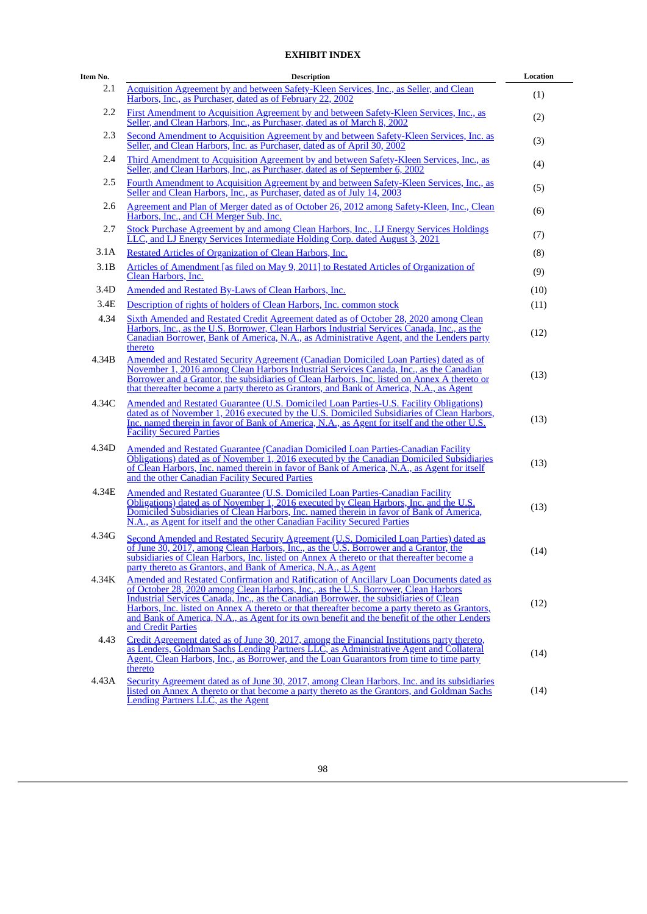# **EXHIBIT INDEX**

| Item No. | <b>Description</b>                                                                                                                                                                                                                                                                                                                                                                                                                                                                             | Location |
|----------|------------------------------------------------------------------------------------------------------------------------------------------------------------------------------------------------------------------------------------------------------------------------------------------------------------------------------------------------------------------------------------------------------------------------------------------------------------------------------------------------|----------|
| 2.1      | Acquisition Agreement by and between Safety-Kleen Services, Inc., as Seller, and Clean<br>Harbors, Inc., as Purchaser, dated as of February 22, 2002                                                                                                                                                                                                                                                                                                                                           | (1)      |
| 2.2      | First Amendment to Acquisition Agreement by and between Safety-Kleen Services, Inc., as<br>Seller, and Clean Harbors, Inc., as Purchaser, dated as of March 8, 2002                                                                                                                                                                                                                                                                                                                            | (2)      |
| 2.3      | Second Amendment to Acquisition Agreement by and between Safety-Kleen Services, Inc. as<br>Seller, and Clean Harbors, Inc. as Purchaser, dated as of April 30, 2002                                                                                                                                                                                                                                                                                                                            | (3)      |
| 2.4      | Third Amendment to Acquisition Agreement by and between Safety-Kleen Services, Inc., as<br>Seller, and Clean Harbors, Inc., as Purchaser, dated as of September 6, 2002                                                                                                                                                                                                                                                                                                                        | (4)      |
| 2.5      | Fourth Amendment to Acquisition Agreement by and between Safety-Kleen Services, Inc., as<br>Seller and Clean Harbors, Inc., as Purchaser, dated as of July 14, 2003                                                                                                                                                                                                                                                                                                                            | (5)      |
| 2.6      | Agreement and Plan of Merger dated as of October 26, 2012 among Safety-Kleen, Inc., Clean<br>Harbors, Inc., and CH Merger Sub, Inc.                                                                                                                                                                                                                                                                                                                                                            | (6)      |
| 2.7      | Stock Purchase Agreement by and among Clean Harbors, Inc., LJ Energy Services Holdings<br>LLC, and LJ Energy Services Intermediate Holding Corp. dated August 3, 2021                                                                                                                                                                                                                                                                                                                          | (7)      |
| 3.1A     | Restated Articles of Organization of Clean Harbors, Inc.                                                                                                                                                                                                                                                                                                                                                                                                                                       | (8)      |
| 3.1B     | Articles of Amendment [as filed on May 9, 2011] to Restated Articles of Organization of<br>Clean Harbors, Inc.                                                                                                                                                                                                                                                                                                                                                                                 | (9)      |
| 3.4D     | Amended and Restated By-Laws of Clean Harbors, Inc.                                                                                                                                                                                                                                                                                                                                                                                                                                            | (10)     |
| 3.4E     | Description of rights of holders of Clean Harbors, Inc. common stock                                                                                                                                                                                                                                                                                                                                                                                                                           | (11)     |
| 4.34     | <b>Sixth Amended and Restated Credit Agreement dated as of October 28, 2020 among Clean</b><br>Harbors, Inc., as the U.S. Borrower, Clean Harbors Industrial Services Canada, Inc., as the<br>Canadian Borrower, Bank of America, N.A., as Administrative Agent, and the Lenders party<br>thereto                                                                                                                                                                                              | (12)     |
| 4.34B    | Amended and Restated Security Agreement (Canadian Domiciled Loan Parties) dated as of<br>November 1, 2016 among Clean Harbors Industrial Services Canada, Inc., as the Canadian<br>Borrower and a Grantor, the subsidiaries of Clean Harbors, Inc. listed on Annex A thereto or<br>that thereafter become a party thereto as Grantors, and Bank of America, N.A., as Agent                                                                                                                     | (13)     |
| 4.34C    | <b>Amended and Restated Guarantee (U.S. Domiciled Loan Parties-U.S. Facility Obligations)</b><br>dated as of November 1, 2016 executed by the U.S. Domiciled Subsidiaries of Clean Harbors,<br>Inc. named therein in favor of Bank of America, N.A., as Agent for itself and the other U.S.<br><b>Facility Secured Parties</b>                                                                                                                                                                 | (13)     |
| 4.34D    | Amended and Restated Guarantee (Canadian Domiciled Loan Parties-Canadian Facility<br>Obligations) dated as of November 1, 2016 executed by the Canadian Domiciled Subsidiaries<br>of Clean Harbors, Inc. named therein in favor of Bank of America, N.A., as Agent for itself<br>and the other Canadian Facility Secured Parties                                                                                                                                                               | (13)     |
| 4.34E    | Amended and Restated Guarantee (U.S. Domiciled Loan Parties-Canadian Facility<br>Obligations) dated as of November 1, 2016 executed by Clean Harbors, Inc. and the U.S.<br>Domiciled Subsidiaries of Clean Harbors, Inc. named therein in favor of Bank of America,<br>N.A., as Agent for itself and the other Canadian Facility Secured Parties                                                                                                                                               | (13)     |
| 4.34G    | Second Amended and Restated Security Agreement (U.S. Domiciled Loan Parties) dated as<br>of June 30, 2017, among Clean Harbors, Inc., as the U.S. Borrower and a Grantor, the<br><u>subsidiaries of Clean Harbors, Inc. listed on Annex A thereto or that thereafter become a</u><br>party thereto as Grantors, and Bank of America, N.A., as Agent                                                                                                                                            | (14)     |
| 4.34K    | Amended and Restated Confirmation and Ratification of Ancillary Loan Documents dated as<br>of October 28, 2020 among Clean Harbors, Inc., as the U.S. Borrower, Clean Harbors<br>Industrial Services Canada, Inc., as the Canadian Borrower, the subsidiaries of Clean<br>Harbors, Inc. listed on Annex A thereto or that thereafter become a party thereto as Grantors,<br>and Bank of America, N.A., as Agent for its own benefit and the benefit of the other Lenders<br>and Credit Parties | (12)     |
| 4.43     | Credit Agreement dated as of June 30, 2017, among the Financial Institutions party thereto,<br>as Lenders, Goldman Sachs Lending Partners LLC, as Administrative Agent and Collateral<br><u>Agent, Clean Harbors, Inc., as Borrower, and the Loan Guarantors from time to time party</u><br>thereto                                                                                                                                                                                            | (14)     |
| 4.43A    | Security Agreement dated as of June 30, 2017, among Clean Harbors, Inc. and its subsidiaries<br>listed on Annex A thereto or that become a party thereto as the Grantors, and Goldman Sachs<br>Lending Partners LLC, as the Agent                                                                                                                                                                                                                                                              | (14)     |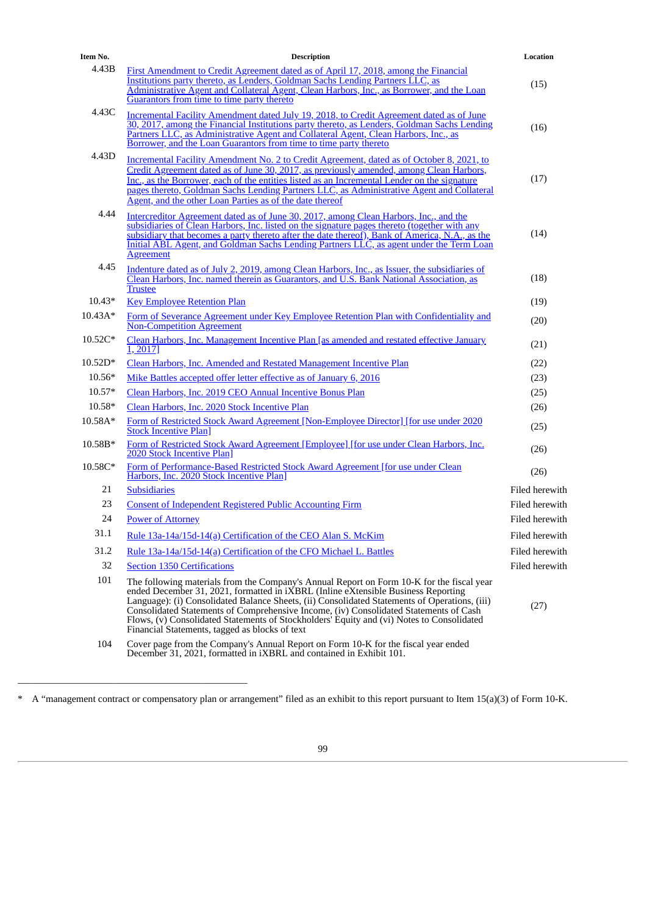| Item No.  | <b>Description</b>                                                                                                                                                                                                                                                                                                                                                                                                                                                                                                      | Location       |
|-----------|-------------------------------------------------------------------------------------------------------------------------------------------------------------------------------------------------------------------------------------------------------------------------------------------------------------------------------------------------------------------------------------------------------------------------------------------------------------------------------------------------------------------------|----------------|
| 4.43B     | First Amendment to Credit Agreement dated as of April 17, 2018, among the Financial<br>Institutions party thereto, as Lenders, Goldman Sachs Lending Partners LLC, as<br><u>Administrative Agent and Collateral Agent, Clean Harbors, Inc., as Borrower, and the Loan</u><br>Guarantors from time to time party thereto                                                                                                                                                                                                 | (15)           |
| 4.43C     | Incremental Facility Amendment dated July 19, 2018, to Credit Agreement dated as of June<br>30, 2017, among the Financial Institutions party thereto, as Lenders, Goldman Sachs Lending<br>Partners LLC, as Administrative Agent and Collateral Agent, Clean Harbors, Inc., as<br>Borrower, and the Loan Guarantors from time to time party thereto                                                                                                                                                                     | (16)           |
| 4.43D     | Incremental Facility Amendment No. 2 to Credit Agreement, dated as of October 8, 2021, to                                                                                                                                                                                                                                                                                                                                                                                                                               |                |
|           | Credit Agreement dated as of June 30, 2017, as previously amended, among Clean Harbors,<br>Inc., as the Borrower, each of the entities listed as an Incremental Lender on the signature<br>pages thereto, Goldman Sachs Lending Partners LLC, as Administrative Agent and Collateral<br>Agent, and the other Loan Parties as of the date thereof                                                                                                                                                                        | (17)           |
| 4.44      | Intercreditor Agreement dated as of June 30, 2017, among Clean Harbors, Inc., and the<br>subsidiaries of Clean Harbors, Inc. listed on the signature pages thereto (together with any<br>subsidiary that becomes a party thereto after the date thereof), Bank of America, N.A., as the<br>Initial ABL Agent, and Goldman Sachs Lending Partners LLC, as agent under the Term Loan<br>Agreement                                                                                                                         | (14)           |
| 4.45      | Indenture dated as of July 2, 2019, among Clean Harbors, Inc., as Issuer, the subsidiaries of<br>Clean Harbors, Inc. named therein as Guarantors, and U.S. Bank National Association, as<br><b>Trustee</b>                                                                                                                                                                                                                                                                                                              | (18)           |
| $10.43*$  | <b>Key Employee Retention Plan</b>                                                                                                                                                                                                                                                                                                                                                                                                                                                                                      | (19)           |
| $10.43A*$ | Form of Severance Agreement under Key Employee Retention Plan with Confidentiality and<br><b>Non-Competition Agreement</b>                                                                                                                                                                                                                                                                                                                                                                                              | (20)           |
| 10.52C*   | Clean Harbors, Inc. Management Incentive Plan [as amended and restated effective January<br>1, 2017]                                                                                                                                                                                                                                                                                                                                                                                                                    | (21)           |
| $10.52D*$ | Clean Harbors, Inc. Amended and Restated Management Incentive Plan                                                                                                                                                                                                                                                                                                                                                                                                                                                      | (22)           |
| 10.56*    | Mike Battles accepted offer letter effective as of January 6, 2016                                                                                                                                                                                                                                                                                                                                                                                                                                                      | (23)           |
| $10.57*$  | Clean Harbors, Inc. 2019 CEO Annual Incentive Bonus Plan                                                                                                                                                                                                                                                                                                                                                                                                                                                                | (25)           |
| 10.58*    | Clean Harbors, Inc. 2020 Stock Incentive Plan                                                                                                                                                                                                                                                                                                                                                                                                                                                                           | (26)           |
| 10.58A*   | Form of Restricted Stock Award Agreement [Non-Employee Director] [for use under 2020<br><b>Stock Incentive Plan</b>                                                                                                                                                                                                                                                                                                                                                                                                     | (25)           |
| 10.58B*   | <u>Form of Restricted Stock Award Agreement [Employee] [for use under Clean Harbors, Inc.</u><br>2020 Stock Incentive Plan                                                                                                                                                                                                                                                                                                                                                                                              | (26)           |
| 10.58C*   | Form of Performance-Based Restricted Stock Award Agreement [for use under Clean<br>Harbors, Inc. 2020 Stock Incentive Plan]                                                                                                                                                                                                                                                                                                                                                                                             | (26)           |
| 21        | <b>Subsidiaries</b>                                                                                                                                                                                                                                                                                                                                                                                                                                                                                                     | Filed herewith |
| 23        | <b>Consent of Independent Registered Public Accounting Firm</b>                                                                                                                                                                                                                                                                                                                                                                                                                                                         | Filed herewith |
| 24        | <b>Power of Attorney</b>                                                                                                                                                                                                                                                                                                                                                                                                                                                                                                | Filed herewith |
| 31.1      | Rule 13a-14a/15d-14(a) Certification of the CEO Alan S. McKim                                                                                                                                                                                                                                                                                                                                                                                                                                                           | Filed herewith |
| 31.2      | Rule 13a-14a/15d-14(a) Certification of the CFO Michael L. Battles                                                                                                                                                                                                                                                                                                                                                                                                                                                      | Filed herewith |
| 32        | <b>Section 1350 Certifications</b>                                                                                                                                                                                                                                                                                                                                                                                                                                                                                      | Filed herewith |
| 101       | The following materials from the Company's Annual Report on Form 10-K for the fiscal year<br>ended December 31, 2021, formatted in iXBRL (Inline eXtensible Business Reporting<br>Language): (i) Consolidated Balance Sheets, (ii) Consolidated Statements of Operations, (iii)<br>Consolidated Statements of Comprehensive Income, (iv) Consolidated Statements of Cash<br>Flows, (v) Consolidated Statements of Stockholders' Equity and (vi) Notes to Consolidated<br>Financial Statements, tagged as blocks of text | (27)           |
|           |                                                                                                                                                                                                                                                                                                                                                                                                                                                                                                                         |                |

104 Cover page from the Company's Annual Report on Form 10-K for the fiscal year ended December 31, 2021, formatted in iXBRL and contained in Exhibit 101.

\_\_\_\_\_\_\_\_\_\_\_\_\_\_\_\_\_\_\_\_\_\_\_\_\_\_\_\_\_\_\_\_\_\_\_\_\_\_\_\_\_\_\_\_\_\_\_

<sup>\*</sup> A "management contract or compensatory plan or arrangement" filed as an exhibit to this report pursuant to Item 15(a)(3) of Form 10-K.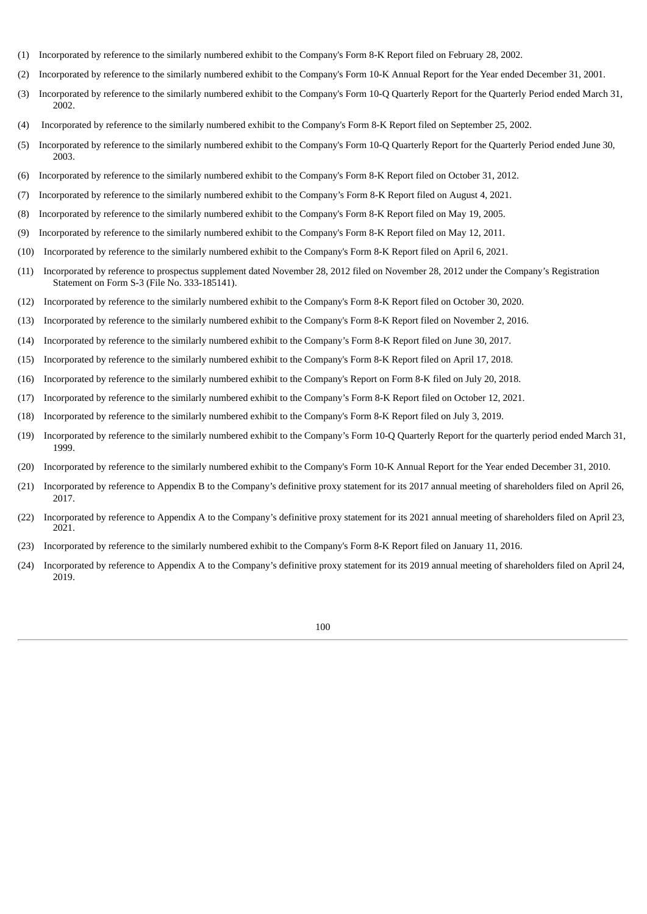- (1) Incorporated by reference to the similarly numbered exhibit to the Company's Form 8-K Report filed on February 28, 2002.
- (2) Incorporated by reference to the similarly numbered exhibit to the Company's Form 10-K Annual Report for the Year ended December 31, 2001.
- (3) Incorporated by reference to the similarly numbered exhibit to the Company's Form 10-Q Quarterly Report for the Quarterly Period ended March 31, 2002.
- (4) Incorporated by reference to the similarly numbered exhibit to the Company's Form 8-K Report filed on September 25, 2002.
- (5) Incorporated by reference to the similarly numbered exhibit to the Company's Form 10-Q Quarterly Report for the Quarterly Period ended June 30, 2003.
- (6) Incorporated by reference to the similarly numbered exhibit to the Company's Form 8-K Report filed on October 31, 2012.
- (7) Incorporated by reference to the similarly numbered exhibit to the Company's Form 8-K Report filed on August 4, 2021.
- (8) Incorporated by reference to the similarly numbered exhibit to the Company's Form 8-K Report filed on May 19, 2005.
- (9) Incorporated by reference to the similarly numbered exhibit to the Company's Form 8-K Report filed on May 12, 2011.
- (10) Incorporated by reference to the similarly numbered exhibit to the Company's Form 8-K Report filed on April 6, 2021.
- (11) Incorporated by reference to prospectus supplement dated November 28, 2012 filed on November 28, 2012 under the Company's Registration Statement on Form S-3 (File No. 333-185141).
- (12) Incorporated by reference to the similarly numbered exhibit to the Company's Form 8-K Report filed on October 30, 2020.
- (13) Incorporated by reference to the similarly numbered exhibit to the Company's Form 8-K Report filed on November 2, 2016.
- (14) Incorporated by reference to the similarly numbered exhibit to the Company's Form 8-K Report filed on June 30, 2017.
- (15) Incorporated by reference to the similarly numbered exhibit to the Company's Form 8-K Report filed on April 17, 2018.
- (16) Incorporated by reference to the similarly numbered exhibit to the Company's Report on Form 8-K filed on July 20, 2018.
- (17) Incorporated by reference to the similarly numbered exhibit to the Company's Form 8-K Report filed on October 12, 2021.
- (18) Incorporated by reference to the similarly numbered exhibit to the Company's Form 8-K Report filed on July 3, 2019.
- (19) Incorporated by reference to the similarly numbered exhibit to the Company's Form 10-Q Quarterly Report for the quarterly period ended March 31, 1999.
- (20) Incorporated by reference to the similarly numbered exhibit to the Company's Form 10-K Annual Report for the Year ended December 31, 2010.
- (21) Incorporated by reference to Appendix B to the Company's definitive proxy statement for its 2017 annual meeting of shareholders filed on April 26, 2017.
- (22) Incorporated by reference to Appendix A to the Company's definitive proxy statement for its 2021 annual meeting of shareholders filed on April 23, 2021.
- (23) Incorporated by reference to the similarly numbered exhibit to the Company's Form 8-K Report filed on January 11, 2016.
- (24) Incorporated by reference to Appendix A to the Company's definitive proxy statement for its 2019 annual meeting of shareholders filed on April 24, 2019.

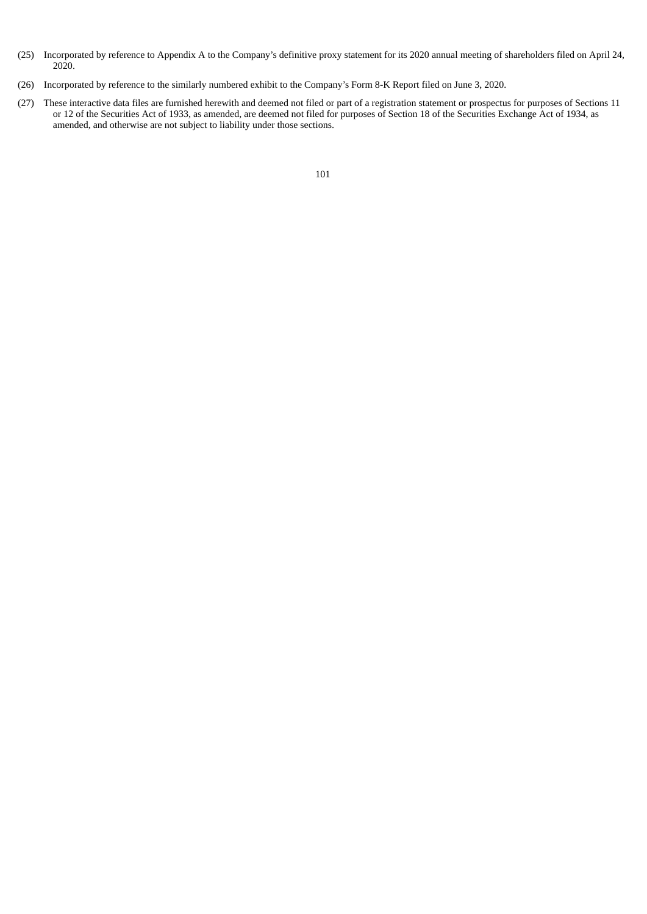- (25) Incorporated by reference to Appendix A to the Company's definitive proxy statement for its 2020 annual meeting of shareholders filed on April 24, 2020.
- (26) Incorporated by reference to the similarly numbered exhibit to the Company's Form 8-K Report filed on June 3, 2020.
- (27) These interactive data files are furnished herewith and deemed not filed or part of a registration statement or prospectus for purposes of Sections 11 or 12 of the Securities Act of 1933, as amended, are deemed not filed for purposes of Section 18 of the Securities Exchange Act of 1934, as amended, and otherwise are not subject to liability under those sections.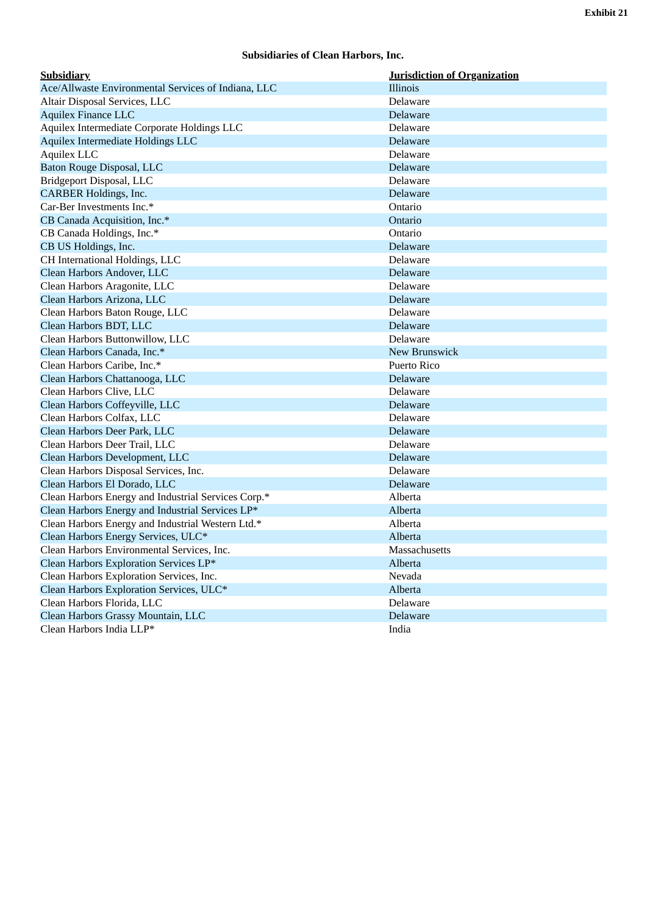# **Subsidiaries of Clean Harbors, Inc.**

<span id="page-103-0"></span>

| <b>Subsidiary</b>                                   | <b>Jurisdiction of Organization</b> |
|-----------------------------------------------------|-------------------------------------|
| Ace/Allwaste Environmental Services of Indiana, LLC | Illinois                            |
| Altair Disposal Services, LLC                       | Delaware                            |
| <b>Aquilex Finance LLC</b>                          | Delaware                            |
| Aquilex Intermediate Corporate Holdings LLC         | Delaware                            |
| Aquilex Intermediate Holdings LLC                   | Delaware                            |
| Aquilex LLC                                         | Delaware                            |
| Baton Rouge Disposal, LLC                           | Delaware                            |
| Bridgeport Disposal, LLC                            | Delaware                            |
| <b>CARBER Holdings, Inc.</b>                        | Delaware                            |
| Car-Ber Investments Inc.*                           | Ontario                             |
| CB Canada Acquisition, Inc.*                        | Ontario                             |
| CB Canada Holdings, Inc.*                           | Ontario                             |
| CB US Holdings, Inc.                                | Delaware                            |
| CH International Holdings, LLC                      | Delaware                            |
| Clean Harbors Andover, LLC                          | Delaware                            |
| Clean Harbors Aragonite, LLC                        | Delaware                            |
| Clean Harbors Arizona, LLC                          | Delaware                            |
| Clean Harbors Baton Rouge, LLC                      | Delaware                            |
| Clean Harbors BDT, LLC                              | Delaware                            |
| Clean Harbors Buttonwillow, LLC                     | Delaware                            |
| Clean Harbors Canada, Inc.*                         | New Brunswick                       |
| Clean Harbors Caribe, Inc.*                         | <b>Puerto Rico</b>                  |
| Clean Harbors Chattanooga, LLC                      | Delaware                            |
| Clean Harbors Clive, LLC                            | Delaware                            |
| Clean Harbors Coffeyville, LLC                      | Delaware                            |
| Clean Harbors Colfax, LLC                           | Delaware                            |
| Clean Harbors Deer Park, LLC                        | Delaware                            |
| Clean Harbors Deer Trail, LLC                       | Delaware                            |
| Clean Harbors Development, LLC                      | Delaware                            |
| Clean Harbors Disposal Services, Inc.               | Delaware                            |
| Clean Harbors El Dorado, LLC                        | Delaware                            |
| Clean Harbors Energy and Industrial Services Corp.* | Alberta                             |
| Clean Harbors Energy and Industrial Services LP*    | Alberta                             |
| Clean Harbors Energy and Industrial Western Ltd.*   | Alberta                             |
| Clean Harbors Energy Services, ULC*                 | Alberta                             |
| Clean Harbors Environmental Services, Inc.          | Massachusetts                       |
| Clean Harbors Exploration Services LP*              | Alberta                             |
| Clean Harbors Exploration Services, Inc.            | Nevada                              |
| Clean Harbors Exploration Services, ULC*            | Alberta                             |
| Clean Harbors Florida, LLC                          | Delaware                            |
| Clean Harbors Grassy Mountain, LLC                  | Delaware                            |
| Clean Harbors India LLP*                            | India                               |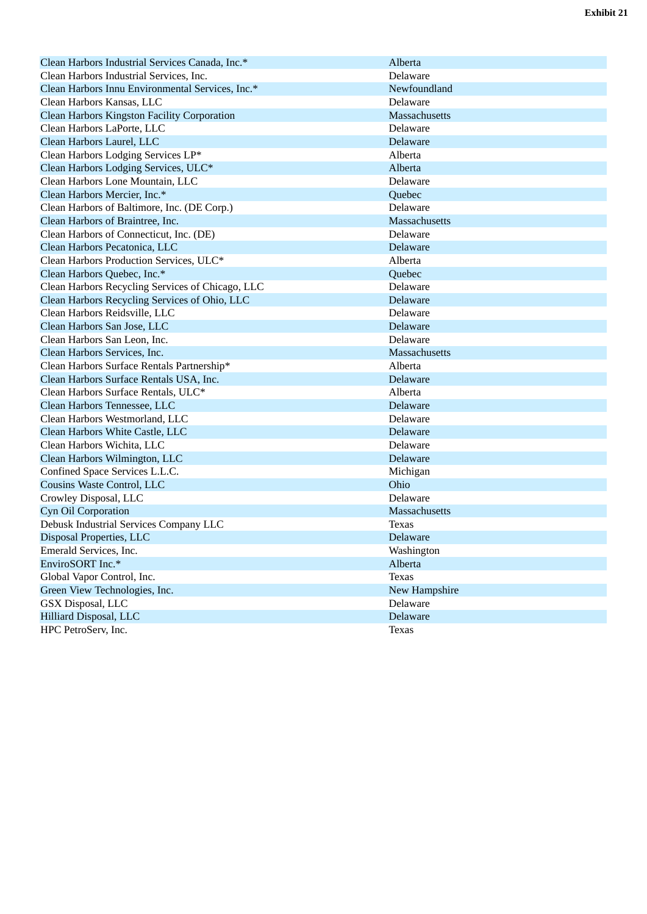| Clean Harbors Industrial Services Canada, Inc.*    | Alberta              |
|----------------------------------------------------|----------------------|
| Clean Harbors Industrial Services, Inc.            | Delaware             |
| Clean Harbors Innu Environmental Services, Inc.*   | Newfoundland         |
| Clean Harbors Kansas, LLC                          | Delaware             |
| <b>Clean Harbors Kingston Facility Corporation</b> | <b>Massachusetts</b> |
| Clean Harbors LaPorte, LLC                         | Delaware             |
| Clean Harbors Laurel, LLC                          | Delaware             |
| Clean Harbors Lodging Services LP*                 | Alberta              |
| Clean Harbors Lodging Services, ULC*               | Alberta              |
| Clean Harbors Lone Mountain, LLC                   | Delaware             |
| Clean Harbors Mercier, Inc.*                       | Quebec               |
| Clean Harbors of Baltimore, Inc. (DE Corp.)        | Delaware             |
| Clean Harbors of Braintree, Inc.                   | Massachusetts        |
| Clean Harbors of Connecticut, Inc. (DE)            | Delaware             |
| Clean Harbors Pecatonica, LLC                      | Delaware             |
| Clean Harbors Production Services, ULC*            | Alberta              |
| Clean Harbors Quebec, Inc.*                        | Quebec               |
| Clean Harbors Recycling Services of Chicago, LLC   | Delaware             |
| Clean Harbors Recycling Services of Ohio, LLC      | Delaware             |
| Clean Harbors Reidsville, LLC                      | Delaware             |
| Clean Harbors San Jose, LLC                        | Delaware             |
| Clean Harbors San Leon, Inc.                       | Delaware             |
| Clean Harbors Services, Inc.                       | Massachusetts        |
| Clean Harbors Surface Rentals Partnership*         | Alberta              |
| Clean Harbors Surface Rentals USA, Inc.            | Delaware             |
| Clean Harbors Surface Rentals, ULC*                | Alberta              |
| Clean Harbors Tennessee, LLC                       | Delaware             |
| Clean Harbors Westmorland, LLC                     | Delaware             |
| Clean Harbors White Castle, LLC                    | Delaware             |
| Clean Harbors Wichita, LLC                         | Delaware             |
| Clean Harbors Wilmington, LLC                      | Delaware             |
| Confined Space Services L.L.C.                     | Michigan             |
| Cousins Waste Control, LLC                         | Ohio                 |
| Crowley Disposal, LLC                              | Delaware             |
| Cyn Oil Corporation                                | Massachusetts        |
| Debusk Industrial Services Company LLC             | <b>Texas</b>         |
| Disposal Properties, LLC                           | Delaware             |
| Emerald Services, Inc.                             | Washington           |
| EnviroSORT Inc.*                                   | Alberta              |
| Global Vapor Control, Inc.                         | <b>Texas</b>         |
| Green View Technologies, Inc.                      | New Hampshire        |
| GSX Disposal, LLC                                  | Delaware             |
| Hilliard Disposal, LLC                             | Delaware             |
| HPC PetroServ, Inc.                                | <b>Texas</b>         |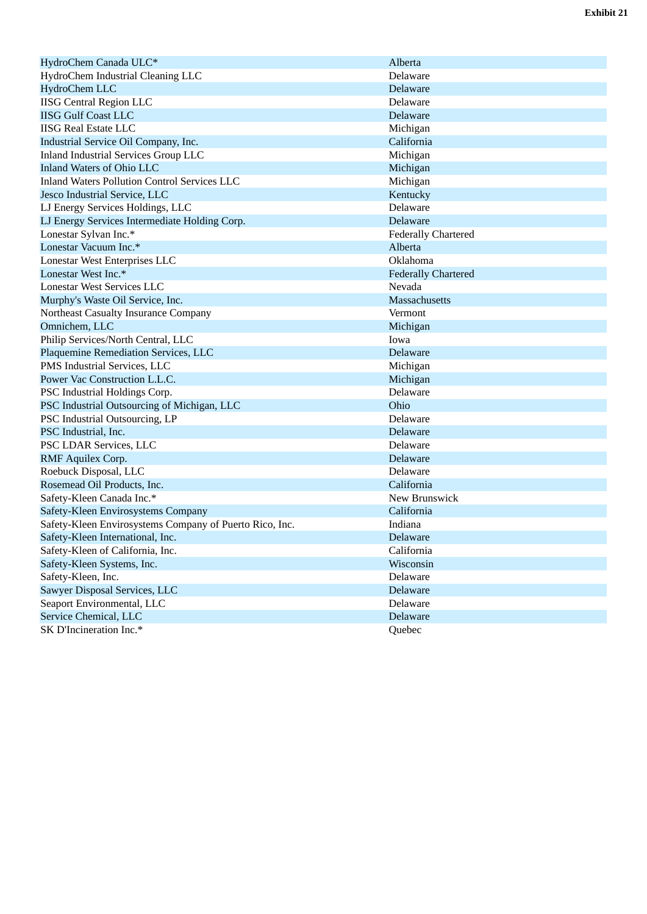| HydroChem Canada ULC*                                   | Alberta                    |
|---------------------------------------------------------|----------------------------|
| HydroChem Industrial Cleaning LLC                       | Delaware                   |
| <b>HydroChem LLC</b>                                    | Delaware                   |
| <b>IISG Central Region LLC</b>                          | Delaware                   |
| <b>IISG Gulf Coast LLC</b>                              | Delaware                   |
| <b>IISG Real Estate LLC</b>                             | Michigan                   |
| Industrial Service Oil Company, Inc.                    | California                 |
| <b>Inland Industrial Services Group LLC</b>             | Michigan                   |
| <b>Inland Waters of Ohio LLC</b>                        | Michigan                   |
| <b>Inland Waters Pollution Control Services LLC</b>     | Michigan                   |
| Jesco Industrial Service, LLC                           | Kentucky                   |
| LJ Energy Services Holdings, LLC                        | Delaware                   |
| LJ Energy Services Intermediate Holding Corp.           | Delaware                   |
| Lonestar Sylvan Inc.*                                   | <b>Federally Chartered</b> |
| Lonestar Vacuum Inc.*                                   | Alberta                    |
| Lonestar West Enterprises LLC                           | Oklahoma                   |
| Lonestar West Inc.*                                     | <b>Federally Chartered</b> |
| <b>Lonestar West Services LLC</b>                       | Nevada                     |
| Murphy's Waste Oil Service, Inc.                        | <b>Massachusetts</b>       |
| Northeast Casualty Insurance Company                    | Vermont                    |
| Omnichem, LLC                                           | Michigan                   |
| Philip Services/North Central, LLC                      | Iowa                       |
| Plaquemine Remediation Services, LLC                    | Delaware                   |
| PMS Industrial Services, LLC                            | Michigan                   |
| Power Vac Construction L.L.C.                           | Michigan                   |
| PSC Industrial Holdings Corp.                           | Delaware                   |
| PSC Industrial Outsourcing of Michigan, LLC             | Ohio                       |
| PSC Industrial Outsourcing, LP                          | Delaware                   |
| PSC Industrial, Inc.                                    | Delaware                   |
| PSC LDAR Services, LLC                                  | Delaware                   |
| RMF Aquilex Corp.                                       | Delaware                   |
| Roebuck Disposal, LLC                                   | Delaware                   |
| Rosemead Oil Products, Inc.                             | California                 |
| Safety-Kleen Canada Inc.*                               | New Brunswick              |
| Safety-Kleen Envirosystems Company                      | California                 |
| Safety-Kleen Envirosystems Company of Puerto Rico, Inc. | Indiana                    |
| Safety-Kleen International, Inc.                        | Delaware                   |
| Safety-Kleen of California, Inc.                        | California                 |
| Safety-Kleen Systems, Inc.                              | Wisconsin                  |
| Safety-Kleen, Inc.                                      | Delaware                   |
| Sawyer Disposal Services, LLC                           | Delaware                   |
| Seaport Environmental, LLC                              | Delaware                   |
| Service Chemical, LLC                                   | Delaware                   |
| SK D'Incineration Inc.*                                 | Quebec                     |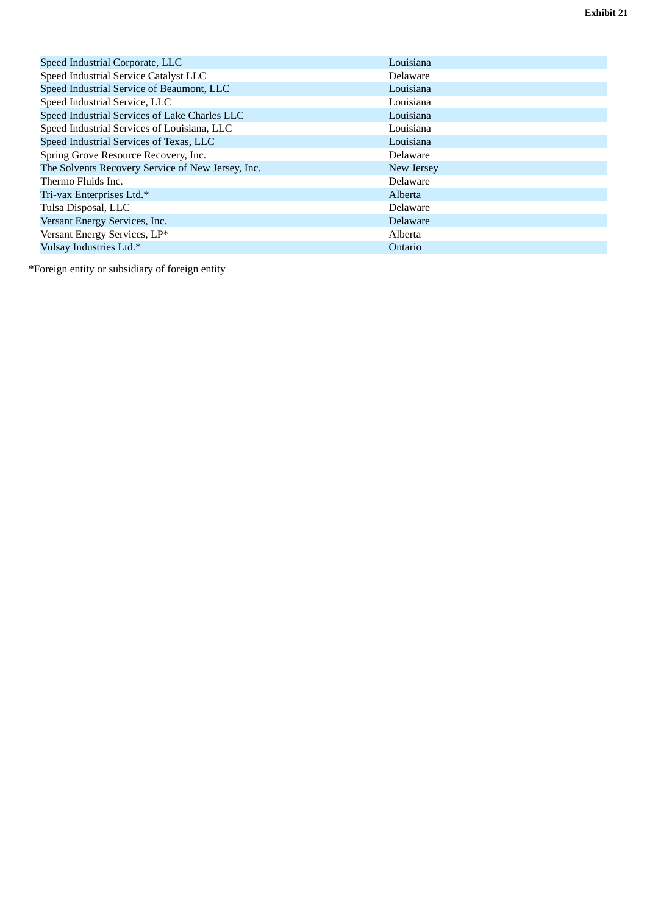| Speed Industrial Corporate, LLC                   | Louisiana  |
|---------------------------------------------------|------------|
| Speed Industrial Service Catalyst LLC             | Delaware   |
|                                                   |            |
| Speed Industrial Service of Beaumont, LLC         | Louisiana  |
| Speed Industrial Service, LLC                     | Louisiana  |
| Speed Industrial Services of Lake Charles LLC     | Louisiana  |
| Speed Industrial Services of Louisiana, LLC       | Louisiana  |
| Speed Industrial Services of Texas, LLC           | Louisiana  |
| Spring Grove Resource Recovery, Inc.              | Delaware   |
| The Solvents Recovery Service of New Jersey, Inc. | New Jersey |
| Thermo Fluids Inc.                                | Delaware   |
| Tri-vax Enterprises Ltd.*                         | Alberta    |
| Tulsa Disposal, LLC                               | Delaware   |
| Versant Energy Services, Inc.                     | Delaware   |
| Versant Energy Services, LP*                      | Alberta    |
| Vulsay Industries Ltd.*                           | Ontario    |

\*Foreign entity or subsidiary of foreign entity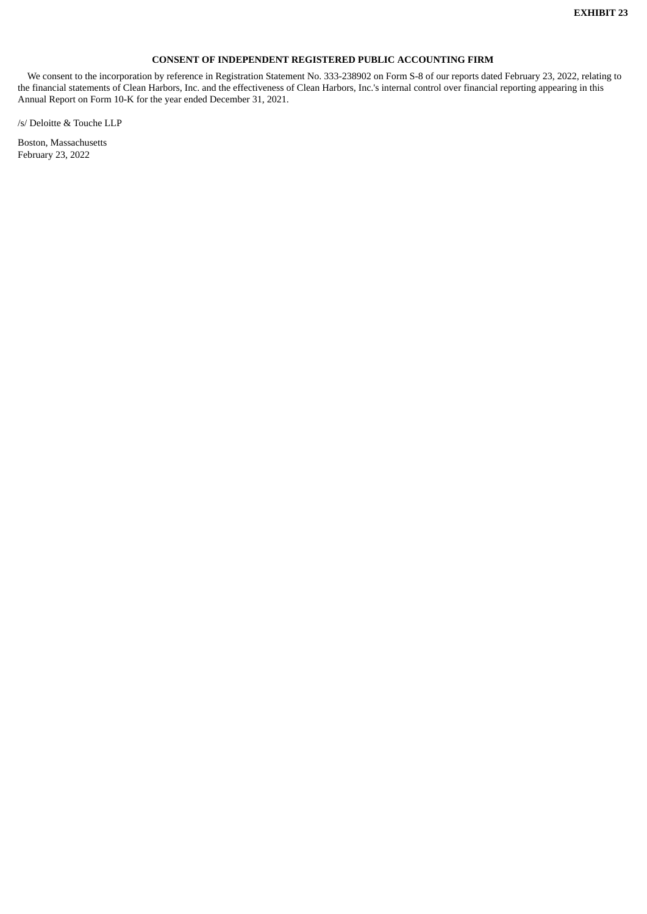# **CONSENT OF INDEPENDENT REGISTERED PUBLIC ACCOUNTING FIRM**

<span id="page-107-0"></span>We consent to the incorporation by reference in Registration Statement No. 333-238902 on Form S-8 of our reports dated February 23, 2022, relating to the financial statements of Clean Harbors, Inc. and the effectiveness of Clean Harbors, Inc.'s internal control over financial reporting appearing in this Annual Report on Form 10-K for the year ended December 31, 2021.

/s/ Deloitte & Touche LLP

Boston, Massachusetts February 23, 2022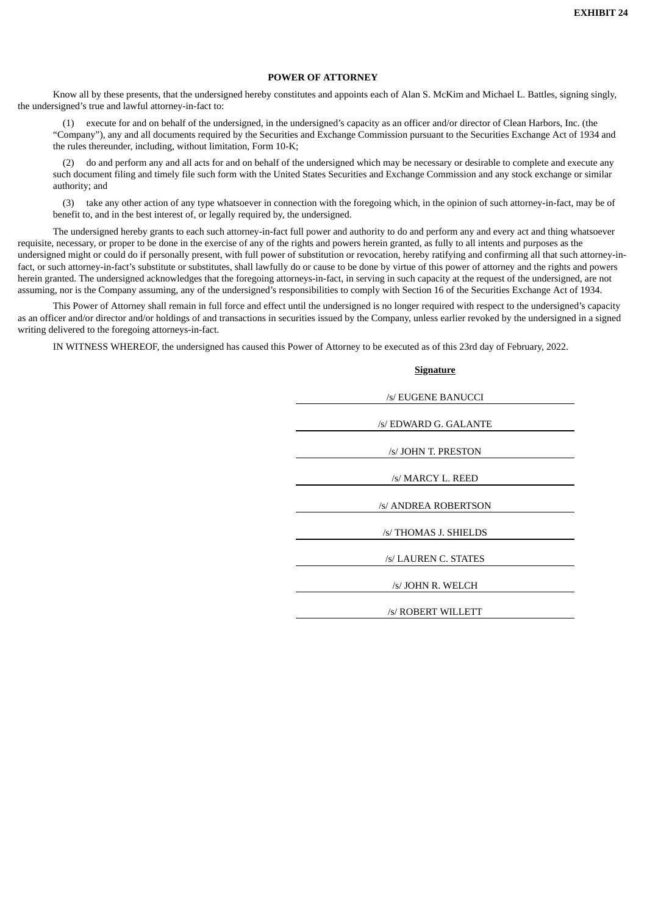#### **POWER OF ATTORNEY**

Know all by these presents, that the undersigned hereby constitutes and appoints each of Alan S. McKim and Michael L. Battles, signing singly, the undersigned's true and lawful attorney-in-fact to:

(1) execute for and on behalf of the undersigned, in the undersigned's capacity as an officer and/or director of Clean Harbors, Inc. (the "Company"), any and all documents required by the Securities and Exchange Commission pursuant to the Securities Exchange Act of 1934 and the rules thereunder, including, without limitation, Form 10-K;

(2) do and perform any and all acts for and on behalf of the undersigned which may be necessary or desirable to complete and execute any such document filing and timely file such form with the United States Securities and Exchange Commission and any stock exchange or similar authority; and

(3) take any other action of any type whatsoever in connection with the foregoing which, in the opinion of such attorney-in-fact, may be of benefit to, and in the best interest of, or legally required by, the undersigned.

The undersigned hereby grants to each such attorney-in-fact full power and authority to do and perform any and every act and thing whatsoever requisite, necessary, or proper to be done in the exercise of any of the rights and powers herein granted, as fully to all intents and purposes as the undersigned might or could do if personally present, with full power of substitution or revocation, hereby ratifying and confirming all that such attorney-infact, or such attorney-in-fact's substitute or substitutes, shall lawfully do or cause to be done by virtue of this power of attorney and the rights and powers herein granted. The undersigned acknowledges that the foregoing attorneys-in-fact, in serving in such capacity at the request of the undersigned, are not assuming, nor is the Company assuming, any of the undersigned's responsibilities to comply with Section 16 of the Securities Exchange Act of 1934.

This Power of Attorney shall remain in full force and effect until the undersigned is no longer required with respect to the undersigned's capacity as an officer and/or director and/or holdings of and transactions in securities issued by the Company, unless earlier revoked by the undersigned in a signed writing delivered to the foregoing attorneys-in-fact.

IN WITNESS WHEREOF, the undersigned has caused this Power of Attorney to be executed as of this 23rd day of February, 2022.

| <b>Signature</b>      |
|-----------------------|
|                       |
| /s/ EUGENE BANUCCI    |
| /s/ EDWARD G. GALANTE |
| /s/ JOHN T. PRESTON   |
| /s/ MARCY L. REED     |
| /s/ ANDREA ROBERTSON  |
| /s/ THOMAS J. SHIELDS |
| /s/ LAUREN C. STATES  |
| /s/ JOHN R. WELCH     |
| /s/ ROBERT WILLETT    |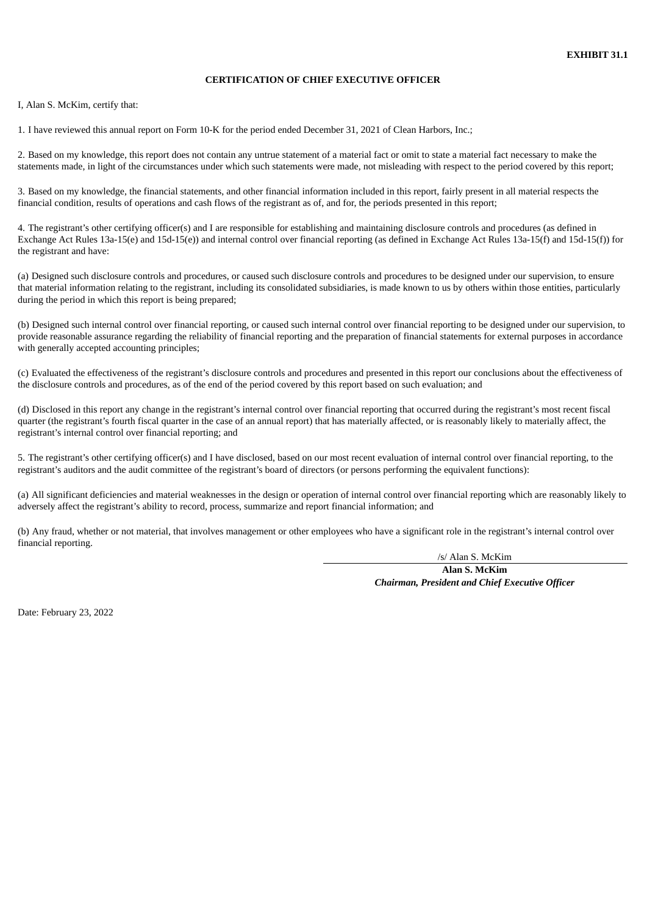## **CERTIFICATION OF CHIEF EXECUTIVE OFFICER**

I, Alan S. McKim, certify that:

1. I have reviewed this annual report on Form 10-K for the period ended December 31, 2021 of Clean Harbors, Inc.;

2. Based on my knowledge, this report does not contain any untrue statement of a material fact or omit to state a material fact necessary to make the statements made, in light of the circumstances under which such statements were made, not misleading with respect to the period covered by this report;

3. Based on my knowledge, the financial statements, and other financial information included in this report, fairly present in all material respects the financial condition, results of operations and cash flows of the registrant as of, and for, the periods presented in this report;

4. The registrant's other certifying officer(s) and I are responsible for establishing and maintaining disclosure controls and procedures (as defined in Exchange Act Rules 13a-15(e) and 15d-15(e)) and internal control over financial reporting (as defined in Exchange Act Rules 13a-15(f) and 15d-15(f)) for the registrant and have:

(a) Designed such disclosure controls and procedures, or caused such disclosure controls and procedures to be designed under our supervision, to ensure that material information relating to the registrant, including its consolidated subsidiaries, is made known to us by others within those entities, particularly during the period in which this report is being prepared;

(b) Designed such internal control over financial reporting, or caused such internal control over financial reporting to be designed under our supervision, to provide reasonable assurance regarding the reliability of financial reporting and the preparation of financial statements for external purposes in accordance with generally accepted accounting principles;

(c) Evaluated the effectiveness of the registrant's disclosure controls and procedures and presented in this report our conclusions about the effectiveness of the disclosure controls and procedures, as of the end of the period covered by this report based on such evaluation; and

(d) Disclosed in this report any change in the registrant's internal control over financial reporting that occurred during the registrant's most recent fiscal quarter (the registrant's fourth fiscal quarter in the case of an annual report) that has materially affected, or is reasonably likely to materially affect, the registrant's internal control over financial reporting; and

5. The registrant's other certifying officer(s) and I have disclosed, based on our most recent evaluation of internal control over financial reporting, to the registrant's auditors and the audit committee of the registrant's board of directors (or persons performing the equivalent functions):

(a) All significant deficiencies and material weaknesses in the design or operation of internal control over financial reporting which are reasonably likely to adversely affect the registrant's ability to record, process, summarize and report financial information; and

(b) Any fraud, whether or not material, that involves management or other employees who have a significant role in the registrant's internal control over financial reporting.

/s/ Alan S. McKim

**Alan S. McKim** *Chairman, President and Chief Executive Officer*

Date: February 23, 2022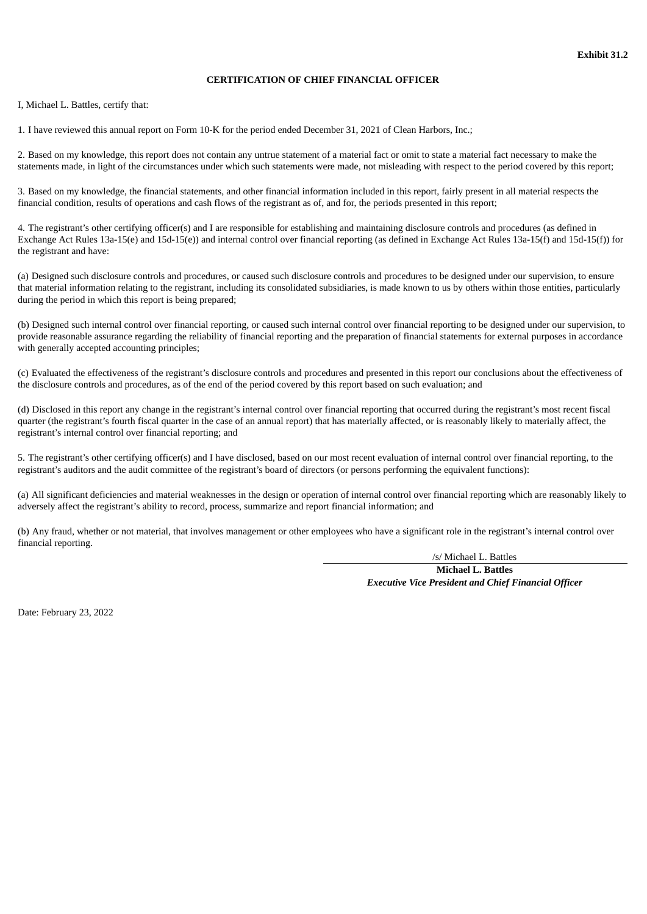## **CERTIFICATION OF CHIEF FINANCIAL OFFICER**

I, Michael L. Battles, certify that:

1. I have reviewed this annual report on Form 10-K for the period ended December 31, 2021 of Clean Harbors, Inc.;

2. Based on my knowledge, this report does not contain any untrue statement of a material fact or omit to state a material fact necessary to make the statements made, in light of the circumstances under which such statements were made, not misleading with respect to the period covered by this report;

3. Based on my knowledge, the financial statements, and other financial information included in this report, fairly present in all material respects the financial condition, results of operations and cash flows of the registrant as of, and for, the periods presented in this report;

4. The registrant's other certifying officer(s) and I are responsible for establishing and maintaining disclosure controls and procedures (as defined in Exchange Act Rules 13a-15(e) and 15d-15(e)) and internal control over financial reporting (as defined in Exchange Act Rules 13a-15(f) and 15d-15(f)) for the registrant and have:

(a) Designed such disclosure controls and procedures, or caused such disclosure controls and procedures to be designed under our supervision, to ensure that material information relating to the registrant, including its consolidated subsidiaries, is made known to us by others within those entities, particularly during the period in which this report is being prepared;

(b) Designed such internal control over financial reporting, or caused such internal control over financial reporting to be designed under our supervision, to provide reasonable assurance regarding the reliability of financial reporting and the preparation of financial statements for external purposes in accordance with generally accepted accounting principles;

(c) Evaluated the effectiveness of the registrant's disclosure controls and procedures and presented in this report our conclusions about the effectiveness of the disclosure controls and procedures, as of the end of the period covered by this report based on such evaluation; and

(d) Disclosed in this report any change in the registrant's internal control over financial reporting that occurred during the registrant's most recent fiscal quarter (the registrant's fourth fiscal quarter in the case of an annual report) that has materially affected, or is reasonably likely to materially affect, the registrant's internal control over financial reporting; and

5. The registrant's other certifying officer(s) and I have disclosed, based on our most recent evaluation of internal control over financial reporting, to the registrant's auditors and the audit committee of the registrant's board of directors (or persons performing the equivalent functions):

(a) All significant deficiencies and material weaknesses in the design or operation of internal control over financial reporting which are reasonably likely to adversely affect the registrant's ability to record, process, summarize and report financial information; and

(b) Any fraud, whether or not material, that involves management or other employees who have a significant role in the registrant's internal control over financial reporting.

/s/ Michael L. Battles

**Michael L. Battles** *Executive Vice President and Chief Financial Officer*

Date: February 23, 2022